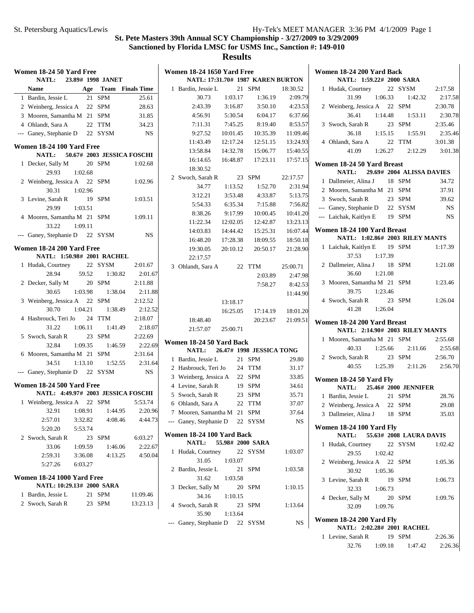| Women 18-24 50 Yard Free<br><b>NATL:</b> |         | 23.89# 1998 JANET          |           | <b>Women 18-24</b><br><b>NATL:</b> |
|------------------------------------------|---------|----------------------------|-----------|------------------------------------|
| <b>Name</b>                              |         | Age Team Finals Time       |           | 1 Bardin, Jes                      |
| 1 Bardin, Jessie L                       |         | 21 SPM                     | 25.61     | 30.7                               |
| 2 Weinberg, Jessica A 22 SPM             |         |                            | 28.63     | 2:43.                              |
| 3 Mooren, Samantha M 21 SPM              |         |                            | 31.85     | 4:56.9                             |
| 4 Ohlandt, Sara A                        |         | 22 TTM                     | 34.23     | 7:11.                              |
| --- Ganey, Stephanie D 22 SYSM           |         |                            | NS        | 9:27.                              |
| Women 18-24 100 Yard Free                |         |                            |           | 11:43.                             |
| <b>NATL:</b>                             |         | 50.67# 2003 JESSICA FOSCHI |           | 13:58.                             |
| 1 Decker, Sally M                        |         | 20 SPM                     | 1:02.68   | 16:14.                             |
| 29.93                                    | 1:02.68 |                            |           | 18:30.                             |
| 2 Weinberg, Jessica A 22 SPM             |         |                            | 1:02.96   | 2 Swoch, Sar                       |
| 30.31                                    | 1:02.96 |                            |           | 34.                                |
| 3 Levine, Sarah R                        |         | 19 SPM                     | 1:03.51   | 3:12.2                             |
| 29.99                                    | 1:03.51 |                            |           | 5:54.                              |
| 4 Mooren, Samantha M 21                  |         | <b>SPM</b>                 | 1:09.11   | 8:38.2                             |
| 33.22                                    | 1:09.11 |                            |           | 11:22.                             |
| --- Ganey, Stephanie D 22 SYSM           |         |                            | <b>NS</b> | 14:03.                             |
| Women 18-24 200 Yard Free                |         |                            |           | 16:48.                             |
| NATL: 1:50.98# 2001 RACHEL               |         |                            |           | 19:30.                             |
| 1 Hudak, Courtney                        |         | 22 SYSM                    | 2:01.67   | 22:17.                             |
| 28.94                                    | 59.52   | 1:30.82                    | 2:01.67   | 3 Ohlandt, S                       |
| 2 Decker, Sally M                        |         | 20 SPM                     | 2:11.88   |                                    |
| 30.65                                    | 1:03.98 | 1:38.04                    | 2:11.88   |                                    |
| 3 Weinberg, Jessica A                    |         | 22 SPM                     | 2:12.52   |                                    |
| 30.70                                    | 1:04.21 | 1:38.49                    | 2:12.52   |                                    |
| 4 Hasbrouck, Teri Jo                     |         | 24 TTM                     | 2:18.07   |                                    |
| 31.22                                    | 1:06.11 | 1:41.49                    | 2:18.07   | 18:48.                             |
| 5 Swoch, Sarah R                         |         | 23 SPM                     | 2:22.69   | 21:57.                             |
| 32.84                                    | 1:09.35 | 1:46.59                    | 2:22.69   | <b>Women 18-24</b>                 |
| 6 Mooren, Samantha M 21 SPM              |         |                            | 2:31.64   | <b>NATL:</b>                       |
| 34.51                                    | 1:13.10 | 1:52.55                    | 2:31.64   | 1 Bardin, Jes                      |
| --- Ganey, Stephanie D 22 SYSM           |         |                            | <b>NS</b> | 2 Hasbrouck                        |
|                                          |         |                            |           | 3 Weinberg,                        |
| Women 18-24 500 Yard Free                |         |                            |           | 4 Levine, Sa                       |
| NATL: 4:49.97# 2003 JESSICA FOSCHI       |         |                            |           | 5 Swoch, Sar                       |
| 1 Weinberg, Jessica A 22 SPM             |         |                            | 5:53.74   | 6 Ohlandt, S                       |
| 32.91                                    | 1:08.91 | 1:44.95                    | 2:20.96   | 7 Mooren, Sa                       |
| 2:57.01                                  | 3:32.82 | 4:08.46                    | 4:44.73   | --- Ganey, Ste                     |
| 5:20.20                                  | 5:53.74 |                            |           |                                    |
| 2 Swoch, Sarah R                         | 23      | SPM                        | 6:03.27   | Women 18-24<br><b>NATL:</b>        |
| 33.06                                    | 1:09.59 | 1:46.06                    | 2:22.67   | 1 Hudak, Co                        |
| 2:59.31                                  | 3:36.08 | 4:13.25                    | 4:50.04   | 31.0                               |
| 5:27.26                                  | 6:03.27 |                            |           | 2 Bardin, Jes                      |
| Women 18-24 1000 Yard Free               |         |                            |           | 31.                                |
| NATL: 10:29.13# 2000 SARA                |         |                            |           | 3 Decker, Sa                       |
| 1 Bardin, Jessie L                       | 21      | <b>SPM</b>                 | 11:09.46  | 34.                                |
| 2 Swoch, Sarah R                         | 23      | SPM                        | 13:23.13  | 4 Swoch, Sar                       |
|                                          |         |                            |           | 35.9                               |

|                | <b>Women 18-24 1650 Yard Free</b> |          |        |                              |          |
|----------------|-----------------------------------|----------|--------|------------------------------|----------|
|                | NATL: 17:31.70# 1987 KAREN BURTON |          |        |                              |          |
| 1              | Bardin, Jessie L                  |          | 21     | SPM                          | 18:30.52 |
|                | 30.73                             | 1:03.17  |        | 1:36.19                      | 2:09.79  |
|                | 2:43.39                           | 3:16.87  |        | 3:50.10                      | 4:23.53  |
|                | 4:56.91                           | 5:30.54  |        | 6:04.17                      | 6:37.66  |
|                | 7:11.31                           | 7:45.25  |        | 8:19.40                      | 8:53.57  |
|                | 9:27.52                           | 10:01.45 |        | 10:35.39                     | 11:09.46 |
|                | 11:43.49                          | 12:17.24 |        | 12:51.15                     | 13:24.93 |
|                | 13:58.84                          | 14:32.78 |        | 15:06.77                     | 15:40.55 |
|                |                                   |          |        | 16:14.65  16:48.87  17:23.11 | 17:57.15 |
|                | 18:30.52                          |          |        |                              |          |
|                | 2 Swoch, Sarah R                  |          | 23     | SPM                          | 22:17.57 |
|                | 34.77                             | 1:13.52  |        | 1:52.70                      | 2:31.94  |
|                | 3:12.21                           | 3:53.48  |        | 4:33.87                      | 5:13.75  |
|                | 5:54.33                           | 6:35.34  |        | 7:15.88                      | 7:56.82  |
|                | 8:38.26                           | 9:17.99  |        | 10:00.45                     | 10:41.20 |
|                | 11:22.34                          | 12:02.05 |        | 12:42.87                     | 13:23.13 |
|                | 14:03.83                          | 14:44.42 |        | 15:25.31                     | 16:07.44 |
|                | 16:48.20                          | 17:28.38 |        | 18:09.55                     | 18:50.18 |
|                | 19:30.05                          | 20:10.12 |        | 20:50.17                     | 21:28.90 |
|                | 22:17.57                          |          |        |                              |          |
|                | 3 Ohlandt, Sara A                 |          |        | 22 TTM                       | 25:00.71 |
|                |                                   |          |        | 2:03.89                      | 2:47.98  |
|                |                                   |          |        | 7:58.27                      | 8:42.53  |
|                |                                   |          |        |                              | 11:44.90 |
|                |                                   | 13:18.17 |        |                              |          |
|                |                                   | 16:25.05 |        | 17:14.19                     | 18:01.20 |
|                | 18:48.40                          |          |        | 20:23.67                     | 21:09.51 |
|                | 21:57.07                          | 25:00.71 |        |                              |          |
|                | Women 18-24 50 Yard Back          |          |        |                              |          |
|                | <b>NATL:</b>                      |          |        | 26.47# 1998 JESSICA TONG     |          |
| 1              | Bardin, Jessie L                  |          |        | 21 SPM                       | 29.80    |
|                | 2 Hasbrouck, Teri Jo 24 TTM       |          |        |                              | 31.17    |
|                | 3 Weinberg, Jessica A 22 SPM      |          |        |                              | 33.85    |
|                | 4 Levine, Sarah R                 |          | 19     | <b>SPM</b>                   | 34.61    |
|                | 5 Swoch, Sarah R                  |          | 23     | <b>SPM</b>                   | 35.71    |
|                | 6 Ohlandt, Sara A                 |          | 22     | <b>TTM</b>                   | 37.07    |
|                | 7 Mooren, Samantha M 21 SPM       |          |        |                              | 37.64    |
| $\overline{a}$ | Ganey, Stephanie D 22 SYSM        |          |        |                              | NS       |
|                |                                   |          |        |                              |          |
|                | Women 18-24 100 Yard Back         |          |        |                              |          |
|                | NATL: 55.98# 2000 SARA            |          |        |                              |          |
| 1              | Hudak, Courtney                   |          | $22\,$ | SYSM                         | 1:03.07  |
|                | 31.05                             | 1:03.07  |        |                              |          |
| 2              | Bardin, Jessie L                  |          | 21     | SPM                          | 1:03.58  |
|                | 31.62                             | 1:03.58  |        |                              |          |
| 3              | Decker, Sally M                   |          | 20     | <b>SPM</b>                   | 1:10.15  |
|                | 34.16                             | 1:10.15  |        |                              |          |
| 4              | Swoch, Sarah R                    |          | 23     | <b>SPM</b>                   | 1:13.64  |
|                | 35.90                             | 1:13.64  |        |                              |          |
| ---            | Ganey, Stephanie D 22             |          |        | <b>SYSM</b>                  | NS       |

| Women 18-24 200 Yard Back<br>NATL: 1:59.22# 2000 SARA |                                      |         |  |                                     |                  |  |  |
|-------------------------------------------------------|--------------------------------------|---------|--|-------------------------------------|------------------|--|--|
|                                                       |                                      |         |  |                                     |                  |  |  |
|                                                       | 1 Hudak, Courtney 22 SYSM            |         |  |                                     | 2:17.58          |  |  |
|                                                       |                                      |         |  | 31.99 1:06.33 1:42.32               | 2:17.58          |  |  |
|                                                       | 2 Weinberg, Jessica A 22 SPM 2:30.78 |         |  |                                     |                  |  |  |
|                                                       | 36.41                                |         |  | $1:14.48$ $1:53.11$                 | 2:30.78          |  |  |
|                                                       | 3 Swoch, Sarah R 23 SPM              |         |  |                                     | 2:35.46          |  |  |
|                                                       |                                      |         |  | 36.18 1:15.15 1:55.91               | 2:35.46          |  |  |
|                                                       | 4 Ohlandt, Sara A                    |         |  | 22 TTM                              | 3:01.38          |  |  |
|                                                       |                                      |         |  | 41.09 $1:26.27$ $2:12.29$ $3:01.38$ |                  |  |  |
|                                                       | Women 18-24 50 Yard Breast           |         |  |                                     |                  |  |  |
|                                                       | NATL: 29.69# 2004 ALISSA DAVIES      |         |  |                                     |                  |  |  |
|                                                       | 1 Dallmeier, Alina J                 |         |  | 18 SPM                              | 34.72            |  |  |
|                                                       | 2 Mooren, Samantha M 21 SPM          |         |  |                                     | 37.91            |  |  |
|                                                       | 3 Swoch, Sarah R                     |         |  | 23 SPM                              | 39.62            |  |  |
|                                                       | --- Ganey, Stephanie D 22 SYSM       |         |  |                                     | NS <sub>NS</sub> |  |  |
|                                                       | --- Laichak, Kaitlyn E 19 SPM        |         |  |                                     | NS               |  |  |
|                                                       | Women 18-24 100 Yard Breast          |         |  |                                     |                  |  |  |
|                                                       | NATL: 1:02.86# 2003 RILEY MANTS      |         |  |                                     |                  |  |  |
|                                                       | 1 Laichak, Kaitlyn E 19 SPM          |         |  |                                     | 1:17.39          |  |  |
|                                                       | 37.53 1:17.39                        |         |  |                                     |                  |  |  |
|                                                       | 2 Dallmeier, Alina J 18 SPM          |         |  |                                     | 1:21.08          |  |  |
|                                                       | 36.60                                | 1:21.08 |  |                                     |                  |  |  |
|                                                       | 3 Mooren, Samantha M 21 SPM          |         |  |                                     | 1:23.46          |  |  |
|                                                       | 39.75 1:23.46                        |         |  |                                     |                  |  |  |
|                                                       | 4 Swoch, Sarah R                     |         |  | 23 SPM                              | 1:26.04          |  |  |
|                                                       | 41.28 1:26.04                        |         |  |                                     |                  |  |  |
|                                                       | Women 18-24 200 Yard Breast          |         |  |                                     |                  |  |  |
|                                                       | NATL: 2:14.90# 2003 RILEY MANTS      |         |  |                                     |                  |  |  |
|                                                       | 1 Mooren, Samantha M 21 SPM          |         |  |                                     | 2:55.68          |  |  |
|                                                       |                                      |         |  | 40.33 1:25.66 2:11.66 2:55.68       |                  |  |  |
|                                                       | 2 Swoch, Sarah R                     |         |  | 23 SPM                              | 2:56.70          |  |  |
|                                                       |                                      |         |  | 40.55 1:25.39 2:11.26 2:56.70       |                  |  |  |
|                                                       | Women 18-24 50 Yard Fly              |         |  |                                     |                  |  |  |
|                                                       | NATL: 25.46# 2000 JENNIFER           |         |  |                                     |                  |  |  |
|                                                       | 1 Bardin, Jessie L                   |         |  | 21 SPM                              | 28.76            |  |  |
|                                                       | 2 Weinberg, Jessica A 22 SPM         |         |  |                                     | 29.08            |  |  |
|                                                       | 3 Dallmeier, Alina J 18 SPM          |         |  |                                     | 35.03            |  |  |
|                                                       | <b>Women 18-24 100 Yard Fly</b>      |         |  |                                     |                  |  |  |
|                                                       | <b>NATL:</b>                         |         |  | 55.63# 2008 LAURA DAVIS             |                  |  |  |
|                                                       | 1 Hudak, Courtney 22 SYSM            |         |  |                                     | 1:02.42          |  |  |
|                                                       | 29.55                                | 1:02.42 |  |                                     |                  |  |  |
|                                                       | 2 Weinberg, Jessica A 22 SPM         |         |  |                                     | 1:05.36          |  |  |
|                                                       | 30.92                                | 1:05.36 |  |                                     |                  |  |  |
|                                                       | 3 Levine, Sarah R                    |         |  | 19 SPM                              | 1:06.73          |  |  |
|                                                       | 32.33 1:06.73                        |         |  |                                     |                  |  |  |
|                                                       | 4 Decker, Sally M                    |         |  | 20 SPM                              | 1:09.76          |  |  |
|                                                       | 32.09 1:09.76                        |         |  |                                     |                  |  |  |
|                                                       | Women 18-24 200 Yard Fly             |         |  |                                     |                  |  |  |
|                                                       | NATL: 2:02.28# 2001 RACHEL           |         |  |                                     |                  |  |  |
|                                                       | 1 Levine, Sarah R                    |         |  | 19 SPM                              | 2:26.36          |  |  |
|                                                       | 32.76                                | 1:09.18 |  | 1:47.42                             | 2:26.36          |  |  |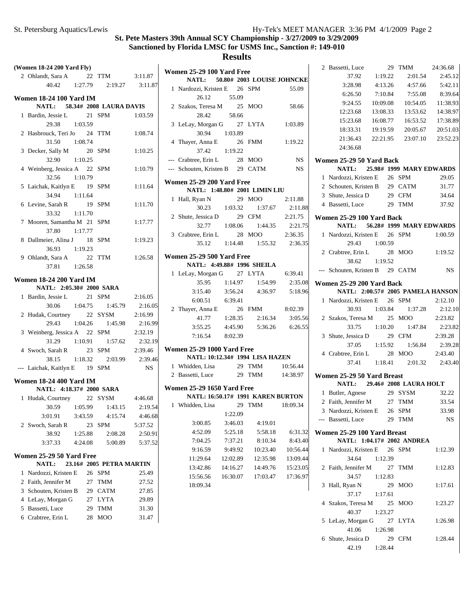| (Women 18-24 200 Yard Fly)                           |         |  |                                     |                    |  |  |  |
|------------------------------------------------------|---------|--|-------------------------------------|--------------------|--|--|--|
| 2 Ohlandt, Sara A 22 TTM 3:11.87                     |         |  |                                     |                    |  |  |  |
|                                                      |         |  | 40.42   1:27.79   2:19.27   3:11.87 |                    |  |  |  |
| <b>Women 18-24 100 Yard IM</b>                       |         |  |                                     |                    |  |  |  |
| NATL: 58.34# 2008 LAURA DAVIS                        |         |  |                                     |                    |  |  |  |
| 1 Bardin, Jessie L                                   |         |  | 21 SPM                              | 1:03.59            |  |  |  |
| $29.38$ 1:03.59                                      |         |  |                                     |                    |  |  |  |
| 2 Hasbrouck, Teri Jo 24 TTM                          |         |  |                                     | 1:08.74            |  |  |  |
| 31.50 1:08.74                                        |         |  |                                     |                    |  |  |  |
| 3 Decker, Sally M                                    |         |  | 20 SPM                              | 1:10.25            |  |  |  |
| 32.90                                                | 1:10.25 |  |                                     |                    |  |  |  |
| 4 Weinberg, Jessica A 22 SPM                         |         |  |                                     | 1:10.79            |  |  |  |
| 32.56                                                | 1:10.79 |  |                                     |                    |  |  |  |
| 5 Laichak, Kaitlyn E 19 SPM                          |         |  |                                     | 1:11.64            |  |  |  |
| 34.94 1:11.64                                        |         |  |                                     |                    |  |  |  |
| 6 Levine, Sarah R 19 SPM                             |         |  |                                     | 1:11.70            |  |  |  |
| 33.32                                                | 1:11.70 |  |                                     |                    |  |  |  |
| 7 Mooren, Samantha M 21 SPM                          |         |  |                                     | 1:17.77            |  |  |  |
| 37.80 1:17.77                                        |         |  |                                     |                    |  |  |  |
| 8 Dallmeier, Alina J 18 SPM                          |         |  |                                     | 1:19.23            |  |  |  |
| 36.93 1:19.23                                        |         |  |                                     |                    |  |  |  |
| 9 Ohlandt, Sara A 22 TTM                             |         |  |                                     | 1:26.58            |  |  |  |
| 37.81 1:26.58                                        |         |  |                                     |                    |  |  |  |
| <b>Women 18-24 200 Yard IM</b>                       |         |  |                                     |                    |  |  |  |
| NATL: 2:05.30# 2000 SARA                             |         |  |                                     |                    |  |  |  |
| 1 Bardin, Jessie L                                   |         |  | 21 SPM                              | 2:16.05            |  |  |  |
|                                                      |         |  | 30.06 1:04.75 1:45.79               | 2:16.05            |  |  |  |
| 2 Hudak, Courtney 22 SYSM                            |         |  |                                     | 2:16.99            |  |  |  |
|                                                      |         |  | 29.43 1:04.26 1:45.98               | 2:16.99            |  |  |  |
| 3 Weinberg, Jessica A 22 SPM                         |         |  | 31.29 1:10.91 1:57.62               | 2:32.19            |  |  |  |
| 4 Swoch, Sarah R 23 SPM                              |         |  |                                     | 2:32.19<br>2:39.46 |  |  |  |
|                                                      |         |  | 38.15   1:18.32   2:03.99   2:39.46 |                    |  |  |  |
| --- Laichak, Kaitlyn E 19 SPM                        |         |  |                                     | NS                 |  |  |  |
|                                                      |         |  |                                     |                    |  |  |  |
| <b>Women 18-24 400 Yard IM</b>                       |         |  |                                     |                    |  |  |  |
| NATL: 4:18.37# 2000 SARA                             |         |  |                                     |                    |  |  |  |
| 1 Hudak, Courtney 22 SYSM                            |         |  |                                     | 4:46.68            |  |  |  |
|                                                      |         |  | 30.59 1:05.99 1:43.15 2:19.54       |                    |  |  |  |
| 3:01.91                                              | 3:43.59 |  | 4:15.74                             | 4:46.68            |  |  |  |
| 2 Swoch, Sarah R<br>38.92                            | 1:25.88 |  | 23 SPM<br>2:08.28                   | 5:37.52<br>2:50.91 |  |  |  |
| 3:37.33 4:24.08                                      |         |  |                                     | 5:37.52            |  |  |  |
|                                                      |         |  | 5:00.89                             |                    |  |  |  |
| Women 25-29 50 Yard Free                             |         |  |                                     |                    |  |  |  |
| NATL:                                                |         |  | 23.16# 2005 PETRA MARTIN            |                    |  |  |  |
| 1 Nardozzi, Kristen E 26 SPM                         |         |  |                                     | 25.49              |  |  |  |
| 2 Faith, Jennifer M<br>3 Schouten, Kristen B 29 CATM |         |  | 27 TMM                              | 27.52              |  |  |  |
|                                                      |         |  | 27 LYTA                             | 27.85              |  |  |  |
| 4 LeLay, Morgan G<br>5 Bassetti, Luce                |         |  | 29 TMM                              | 29.89<br>31.30     |  |  |  |
| 6 Crabtree, Erin L                                   |         |  | 28 MOO                              | 31.47              |  |  |  |
|                                                      |         |  |                                     |                    |  |  |  |

| <b>Women 25-29 100 Yard Free</b><br>NATL: 50.80# 2003 LOUISE JOHNCKE |                                                                               |          |  |                                                |           |  |  |
|----------------------------------------------------------------------|-------------------------------------------------------------------------------|----------|--|------------------------------------------------|-----------|--|--|
|                                                                      | 1 Nardozzi, Kristen E 26 SPM                                                  |          |  |                                                | 55.09     |  |  |
|                                                                      | 26.12 55.09                                                                   |          |  |                                                |           |  |  |
|                                                                      | 2 Szakos, Teresa M 25 MOO                                                     |          |  |                                                | 58.66     |  |  |
|                                                                      | 28.42                                                                         | 58.66    |  |                                                |           |  |  |
|                                                                      | 3 LeLay, Morgan G 27 LYTA                                                     |          |  |                                                | 1:03.89   |  |  |
|                                                                      | 30.94 1:03.89                                                                 |          |  |                                                |           |  |  |
|                                                                      | 4 Thayer, Anna E                                                              |          |  | 26 FMM                                         | 1:19.22   |  |  |
|                                                                      | $37.42 \t1:19.22$                                                             |          |  |                                                |           |  |  |
|                                                                      | --- Crabtree, Erin L                                                          |          |  | 28 MOO                                         | <b>NS</b> |  |  |
|                                                                      | --- Schouten, Kristen B 29 CATM NS                                            |          |  |                                                |           |  |  |
|                                                                      | Women 25-29 200 Yard Free                                                     |          |  |                                                |           |  |  |
|                                                                      | NATL: 1:48.80# 2001 LIMIN LIU                                                 |          |  |                                                |           |  |  |
|                                                                      |                                                                               |          |  |                                                |           |  |  |
|                                                                      |                                                                               |          |  |                                                | 2:11.88   |  |  |
|                                                                      | NATL: 1.1.2.<br>1 Hall, Ryan N 29 MOO 2.11.00<br>30.23 1:03.32 1:37.67 2:11.8 |          |  |                                                |           |  |  |
|                                                                      |                                                                               |          |  | 32.77 1:08.06 1:44.35 2:21.75                  |           |  |  |
|                                                                      | 3 Crabtree, Erin L                                                            |          |  | 28 MOO 2:36.35                                 |           |  |  |
|                                                                      |                                                                               |          |  | 35.12 1:14.48 1:55.32 2:36.35                  |           |  |  |
|                                                                      | <b>Women 25-29 500 Yard Free</b>                                              |          |  |                                                |           |  |  |
|                                                                      | NATL: 4:49.88# 1996 SHEILA                                                    |          |  |                                                |           |  |  |
|                                                                      | 1 LeLay, Morgan G 27 LYTA 6:39.41                                             |          |  |                                                |           |  |  |
|                                                                      |                                                                               |          |  |                                                | 2:35.08   |  |  |
|                                                                      | 3:15.40                                                                       |          |  | 35.95 1:14.97 1:54.99<br>15.40 3:56.24 4:36.97 | 5:18.96   |  |  |
|                                                                      | $6:00.51$ $6:39.41$                                                           |          |  |                                                |           |  |  |
|                                                                      | 2 Thayer, Anna E                                                              |          |  | 26 FMM 8:02.39                                 |           |  |  |
|                                                                      |                                                                               |          |  | 41.77   1:28.35   2:16.34   3:05.56            |           |  |  |
|                                                                      |                                                                               |          |  | 3:55.25  4:45.90  5:36.26  6:26.55             |           |  |  |
|                                                                      | 7:16.54 8:02.39                                                               |          |  |                                                |           |  |  |
|                                                                      | <b>Women 25-29 1000 Yard Free</b>                                             |          |  |                                                |           |  |  |
|                                                                      | NATL: 10:12.34# 1994 LISA HAZEN                                               |          |  |                                                |           |  |  |
|                                                                      |                                                                               |          |  |                                                |           |  |  |
|                                                                      | 1 Whidden, Lisa 29 TMM 10:56.44<br>2 Bassetti, Luce 29 TMM 14:38.97           |          |  |                                                |           |  |  |
|                                                                      |                                                                               |          |  |                                                |           |  |  |
|                                                                      | <b>Women 25-29 1650 Yard Free</b><br>NATL: 16:50.17# 1991 KAREN BURTON        |          |  |                                                |           |  |  |
|                                                                      | 1 Whidden, Lisa 29 TMM 18:09.34                                               |          |  |                                                |           |  |  |
|                                                                      |                                                                               | 1:22.09  |  |                                                |           |  |  |
|                                                                      | 3:00.85                                                                       | 3:46.03  |  | 4:19.01                                        |           |  |  |
|                                                                      | 4:52.09                                                                       | 5:25.18  |  | 5:58.18                                        | 6:31.32   |  |  |
|                                                                      | 7:04.25                                                                       | 7:37.21  |  | 8:10.34                                        | 8:43.40   |  |  |
|                                                                      | 9:16.59                                                                       | 9:49.92  |  | 10:23.40                                       | 10:56.44  |  |  |
|                                                                      | 11:29.64                                                                      | 12:02.89 |  | 12:35.98                                       | 13:09.44  |  |  |
|                                                                      | 13:42.86                                                                      | 14:16.27 |  | 14:49.76                                       | 15:23.05  |  |  |
|                                                                      | 15:56.56                                                                      | 16:30.07 |  | 17:03.47                                       | 17:36.97  |  |  |
|                                                                      | 18:09.34                                                                      |          |  |                                                |           |  |  |
|                                                                      |                                                                               |          |  |                                                |           |  |  |
|                                                                      |                                                                               |          |  |                                                |           |  |  |
|                                                                      |                                                                               |          |  |                                                |           |  |  |
|                                                                      |                                                                               |          |  |                                                |           |  |  |
|                                                                      |                                                                               |          |  |                                                |           |  |  |

|   | 2 Bassetti, Luce                                               |          | 29 | <b>TMM</b>                          | 24:36.68           |
|---|----------------------------------------------------------------|----------|----|-------------------------------------|--------------------|
|   | 37.92                                                          | 1:19.22  |    | 2:01.54                             | 2:45.12            |
|   | 3:28.98                                                        | 4:13.26  |    | 4:57.66                             | 5:42.11            |
|   | 6:26.50                                                        | 7:10.84  |    | 7:55.08                             | 8:39.64            |
|   | 9:24.55                                                        |          |    | 10:09.08 10:54.05                   | 11:38.93           |
|   | 12:23.68                                                       | 13:08.33 |    | 13:53.62                            | 14:38.97           |
|   | 15:23.68                                                       | 16:08.77 |    | 16:53.52                            | 17:38.89           |
|   | 18:33.31                                                       | 19:19.59 |    | 20:05.67                            | 20:51.03           |
|   | 21:36.43                                                       | 22:21.95 |    |                                     | 23:07.10 23:52.23  |
|   | 24:36.68                                                       |          |    |                                     |                    |
|   | Women 25-29 50 Yard Back                                       |          |    |                                     |                    |
|   | <b>NATL: 25.98# 1999 MARY EDWARDS</b>                          |          |    |                                     |                    |
|   | 1 Nardozzi, Kristen E 26 SPM                                   |          |    |                                     | 29.05              |
|   | 2 Schouten, Kristen B 29 CATM                                  |          |    |                                     | 31.77              |
|   | 3 Shute, Jessica D                                             |          |    | 29 CFM                              | 34.64              |
|   | 4 Bassetti, Luce                                               |          |    | 29 TMM                              | 37.92              |
|   |                                                                |          |    |                                     |                    |
|   | Women 25-29 100 Yard Back<br>NATL: 56.28# 1999 MARY EDWARDS    |          |    |                                     |                    |
|   | 1 Nardozzi, Kristen E 26 SPM                                   |          |    |                                     | 1:00.59            |
|   | 29.43 1:00.59                                                  |          |    |                                     |                    |
|   | 2 Crabtree, Erin L 28 MOO                                      |          |    |                                     | 1:19.52            |
|   | 38.62                                                          | 1:19.52  |    |                                     |                    |
|   | --- Schouten, Kristen B 29 CATM                                |          |    |                                     | <b>NS</b>          |
|   |                                                                |          |    |                                     |                    |
|   | Women 25-29 200 Yard Back<br>NATL: 2:00.57# 2005 PAMELA HANSON |          |    |                                     |                    |
|   |                                                                |          |    |                                     |                    |
|   | 1 Nardozzi, Kristen E 26 SPM                                   |          |    |                                     | 2:12.10            |
|   | 30.93<br>2 Szakos, Teresa M 25 MOO                             |          |    | 1:03.84 1:37.28                     | 2:12.10<br>2:23.82 |
|   | 33.75                                                          |          |    | $1:10.20$ $1:47.84$                 | 2:23.82            |
|   | 3 Shute, Jessica D 29 CFM                                      |          |    |                                     | 2:39.28            |
|   |                                                                |          |    | 37.05 1:15.92 1:56.84               | 2:39.28            |
|   | 4 Crabtree, Erin L                                             |          |    | 28 MOO                              | 2:43.40            |
|   |                                                                |          |    | 37.41   1:18.41   2:01.32   2:43.40 |                    |
|   |                                                                |          |    |                                     |                    |
|   | Women 25-29 50 Yard Breast<br>NATL: 29.46# 2008 LAURA HOLT     |          |    |                                     |                    |
|   |                                                                |          |    | 29 SYSM                             | 32.22              |
|   | 1 Butler, Agnese<br>2 Faith, Jennifer M 27 TMM                 |          |    |                                     | 33.54              |
|   | 3 Nardozzi, Kristen E 26 SPM                                   |          |    |                                     | 33.98              |
|   | --- Bassetti, Luce                                             |          |    | 29 TMM                              | NS                 |
|   |                                                                |          |    |                                     |                    |
|   | Women 25-29 100 Yard Breast<br>NATL: 1:04.17# 2002 ANDREA      |          |    |                                     |                    |
|   | Nardozzi, Kristen E 26 SPM                                     |          |    |                                     |                    |
| 1 | 34.64 1:12.39                                                  |          |    |                                     | 1:12.39            |
|   | 2 Faith, Jennifer M 27 TMM                                     |          |    |                                     | 1:12.83            |
|   | 34.57                                                          | 1:12.83  |    |                                     |                    |
| 3 |                                                                |          |    | 29 MOO                              | 1:17.61            |
|   | Hall, Ryan N<br>37.17 1:17.61                                  |          |    |                                     |                    |
|   | 4 Szakos, Teresa M 25 MOO                                      |          |    |                                     | 1:23.27            |
|   | 40.37                                                          | 1:23.27  |    |                                     |                    |
|   | 5 LeLay, Morgan G 27 LYTA                                      |          |    |                                     | 1:26.98            |
|   | 41.06                                                          | 1:26.98  |    |                                     |                    |
| 6 | Shute, Jessica D                                               |          |    | 29 CFM                              | 1:28.44            |
|   |                                                                |          |    |                                     |                    |
|   | 42.19                                                          | 1:28.44  |    |                                     |                    |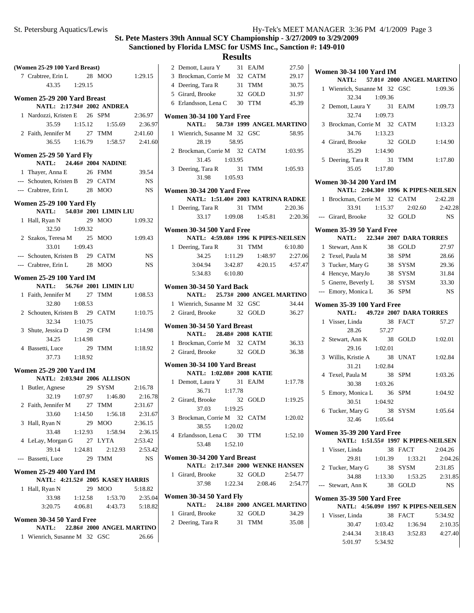# **Results**<br>31 EAJM

|   | (Women 25-29 100 Yard Breast)                       |         |    |                                                           |                   |
|---|-----------------------------------------------------|---------|----|-----------------------------------------------------------|-------------------|
|   | 7 Crabtree, Erin L 28 MOO 1:29.15                   |         |    |                                                           |                   |
|   | 43.35 1:29.15                                       |         |    |                                                           |                   |
|   | Women 25-29 200 Yard Breast                         |         |    |                                                           |                   |
|   | NATL: 2:17.94# 2002 ANDREA                          |         |    |                                                           |                   |
|   | 1 Nardozzi, Kristen E 26 SPM                        |         |    |                                                           | 2:36.97           |
|   |                                                     |         |    | 35.59 1:15.12 1:55.69 2:36.97                             |                   |
|   | 2 Faith, Jennifer M 27 TMM 2:41.60                  |         |    |                                                           |                   |
|   |                                                     |         |    | 36.55 1:16.79 1:58.57 2:41.60                             |                   |
|   |                                                     |         |    |                                                           |                   |
|   | Women 25-29 50 Yard Fly                             |         |    |                                                           |                   |
|   | NATL: 24.46# 2004 NADINE                            |         |    |                                                           |                   |
|   | 1 Thayer, Anna E<br>--- Schouten, Kristen B 29 CATM |         |    | 26 FMM                                                    | 39.54             |
|   |                                                     |         |    |                                                           | $_{\rm NS}$<br>NS |
|   | --- Crabtree, Erin L 28 MOO                         |         |    |                                                           |                   |
|   | <b>Women 25-29 100 Yard Fly</b>                     |         |    |                                                           |                   |
|   | NATL: 54.03# 2001 LIMIN LIU                         |         |    |                                                           |                   |
|   | 1 Hall, Ryan N                                      |         |    | 29 MOO 1:09.32                                            |                   |
|   | 32.50 1:09.32                                       |         |    |                                                           |                   |
|   | 2 Szakos, Teresa M 25 MOO                           |         |    |                                                           | 1:09.43           |
|   | 33.01 1:09.43                                       |         |    |                                                           |                   |
|   | --- Schouten, Kristen B 29 CATM                     |         |    |                                                           | NS                |
|   | --- Crabtree, Erin L 28 MOO                         |         |    |                                                           | <b>NS</b>         |
|   | <b>Women 25-29 100 Yard IM</b>                      |         |    |                                                           |                   |
|   | NATL: 56.76# 2001 LIMIN LIU                         |         |    |                                                           |                   |
|   | 1 Faith, Jennifer M 27 TMM 1:08.53                  |         |    |                                                           |                   |
|   | 32.80 1:08.53                                       |         |    |                                                           |                   |
|   | 2 Schouten, Kristen B 29 CATM 1:10.75               |         |    |                                                           |                   |
|   | 32.34 1:10.75                                       |         |    |                                                           |                   |
|   | 3 Shute, Jessica D                                  |         |    | 29 CFM                                                    | 1:14.98           |
|   | 34.25 1:14.98                                       |         |    |                                                           |                   |
|   | 4 Bassetti, Luce                                    |         |    | 29 TMM 1:18.92                                            |                   |
|   | 37.73 1:18.92                                       |         |    |                                                           |                   |
|   | <b>Women 25-29 200 Yard IM</b>                      |         |    |                                                           |                   |
|   | NATL: 2:03.94# 2006 ALLISON                         |         |    |                                                           |                   |
|   | 1 Butler, Agnese 29 SYSM 2:16.78                    |         |    |                                                           |                   |
|   |                                                     |         |    |                                                           |                   |
|   | 2 Faith, Jennifer M 27 TMM                          |         |    | 32.19 1:07.97 1:46.80 2:16.78<br>ennifer M 27 TMM 2:31.67 |                   |
|   | 33.60                                               | 1:14.50 |    | 1:56.18                                                   | 2:31.67           |
| 3 | Hall, Ryan N                                        |         | 29 | MOO                                                       | 2:36.15           |
|   | 33.48                                               | 1:12.93 |    | 1:58.94                                                   | 2:36.15           |
|   | 4 LeLay, Morgan G 27 LYTA                           |         |    |                                                           | 2:53.42           |
|   | 39.14                                               | 1:24.81 |    | 2:12.93                                                   | 2:53.42           |
|   | --- Bassetti, Luce                                  |         |    | 29 TMM                                                    | <b>NS</b>         |
|   |                                                     |         |    |                                                           |                   |
|   | <b>Women 25-29 400 Yard IM</b>                      |         |    |                                                           |                   |
|   | NATL: 4:21.52# 2005 KASEY HARRIS                    |         |    |                                                           |                   |
| 1 | Hall, Ryan N                                        |         |    | 29 MOO                                                    | 5:18.82           |
|   | 33.98                                               | 1:12.58 |    | 1:53.70                                                   | 2:35.04           |
|   | 3:20.75                                             | 4:06.81 |    | 4:43.73                                                   | 5:18.82           |
|   | Women 30-34 50 Yard Free                            |         |    |                                                           |                   |
|   | <b>NATL:</b>                                        |         |    | 22.86# 2000 ANGEL MARTINO                                 |                   |
|   | 1 Wienrich, Susanne M 32 GSC                        |         |    |                                                           | 26.66             |
|   |                                                     |         |    |                                                           |                   |

|   | 2 Demott, Laura Y                                        |         | 31 EAJM                       | 27.50   |
|---|----------------------------------------------------------|---------|-------------------------------|---------|
|   | 3 Brockman, Corrie M 32 CATM                             |         |                               | 29.17   |
|   | 4 Deering, Tara R                                        |         | 31 TMM                        | 30.75   |
|   | 5 Girard, Brooke                                         |         | 32 GOLD                       | 31.97   |
|   | 6 Erlandsson, Lena C 30 TTM                              |         |                               | 45.39   |
|   |                                                          |         |                               |         |
|   | Women 30-34 100 Yard Free                                |         |                               |         |
|   | NATL: 50.73# 1999 ANGEL MARTINO                          |         |                               |         |
|   | 1 Wienrich, Susanne M 32 GSC                             |         |                               | 58.95   |
|   | 28.19                                                    | 58.95   |                               |         |
|   | 2 Brockman, Corrie M 32 CATM 1:03.95                     |         |                               |         |
|   | 31.45 1:03.95                                            |         |                               |         |
|   |                                                          |         |                               |         |
|   | 3 Deering, Tara R                                        |         | 31 TMM                        | 1:05.93 |
|   | 31.98 1:05.93                                            |         |                               |         |
|   | Women 30-34 200 Yard Free                                |         |                               |         |
|   | NATL: 1:51.40# 2003 KATRINA RADKE                        |         |                               |         |
|   | 1 Deering, Tara R 31 TMM                                 |         |                               | 2:20.36 |
|   |                                                          |         | 33.17 1:09.08 1:45.81 2:20.36 |         |
|   |                                                          |         |                               |         |
|   | Women 30-34 500 Yard Free                                |         |                               |         |
|   | NATL: 4:59.08# 1996 K PIPES-NEILSEN                      |         |                               |         |
|   | 1 Deering, Tara R                                        |         | 31 TMM                        | 6:10.80 |
|   | 34.25                                                    | 1:11.29 | 1:48.97                       | 2:27.06 |
|   |                                                          |         | $3:04.94$ $3:42.87$ $4:20.15$ | 4:57.47 |
|   | 5:34.83 6:10.80                                          |         |                               |         |
|   |                                                          |         |                               |         |
|   | Women 30-34 50 Yard Back                                 |         |                               |         |
|   | NATL: 25.73# 2000 ANGEL MARTINO                          |         |                               |         |
|   | 1 Wienrich, Susanne M 32 GSC                             |         |                               | 34.44   |
|   | 2 Girard, Brooke 32 GOLD                                 |         |                               | 36.27   |
|   |                                                          |         |                               |         |
|   | Women 30-34 50 Yard Breast                               |         |                               |         |
|   | NATL: 28.48# 2008 KATIE                                  |         |                               |         |
|   | 1 Brockman, Corrie M 32 CATM                             |         |                               | 36.33   |
|   | 2 Girard, Brooke 32 GOLD                                 |         |                               | 36.38   |
|   |                                                          |         |                               |         |
|   | Women 30-34 100 Yard Breast<br>NATL: 1:02.08# 2008 KATIE |         |                               |         |
|   |                                                          |         |                               |         |
|   | 1 Demott, Laura Y 31 EAJM                                |         |                               | 1:17.78 |
|   | 36.71 1:17.78                                            |         |                               |         |
|   | 2 Girard, Brooke                                         |         | 32 GOLD 1:19.25               |         |
|   | 37.03 1:19.25                                            |         |                               |         |
|   | 3 Brockman, Corrie M 32 CATM                             |         |                               | 1:20.02 |
|   | 38.55                                                    | 1:20.02 |                               |         |
|   | 4 Erlandsson, Lena C 30 TTM                              |         |                               | 1:52.10 |
|   | 53.48                                                    | 1:52.10 |                               |         |
|   |                                                          |         |                               |         |
|   | Women 30-34 200 Yard Breast                              |         |                               |         |
|   | NATL: 2:17.34# 2000 WENKE HANSEN                         |         |                               |         |
|   | 1 Girard, Brooke                                         |         | 32 GOLD                       | 2:54.77 |
|   | 37.98 1:22.34                                            |         | 2:08.46                       | 2:54.77 |
|   |                                                          |         |                               |         |
|   | Women 30-34 50 Yard Fly                                  |         |                               |         |
|   | NATL: 24.18# 2000 ANGEL MARTINO                          |         |                               |         |
| 1 | Girard, Brooke                                           |         | 32 GOLD                       | 34.29   |
|   | 2 Deering, Tara R                                        |         | 31 TMM                        | 35.08   |
|   |                                                          |         |                               |         |

|   | <b>Women 30-34 100 Yard IM</b>                            |         |                               |                 |
|---|-----------------------------------------------------------|---------|-------------------------------|-----------------|
|   | NATL: 57.01# 2000 ANGEL MARTINO                           |         |                               |                 |
|   | 1 Wienrich, Susanne M 32 GSC                              |         |                               | 1:09.36         |
|   | 32.34 1:09.36                                             |         |                               |                 |
|   | 2 Demott, Laura Y 31 EAJM                                 |         |                               | 1:09.73         |
|   | 32.74 1:09.73                                             |         |                               |                 |
|   | 3 Brockman, Corrie M 32 CATM                              |         |                               | 1:13.23         |
|   | 34.76 1:13.23                                             |         |                               |                 |
|   | 4 Girard, Brooke                                          |         | 32 GOLD                       | 1:14.90         |
|   | 35.29 1:14.90                                             |         |                               |                 |
|   | 5 Deering, Tara R 31 TMM                                  |         |                               | 1:17.80         |
|   | 35.05 1:17.80                                             |         |                               |                 |
|   | <b>Women 30-34 200 Yard IM</b>                            |         |                               |                 |
|   | NATL: 2:04.30# 1996 K PIPES-NEILSEN                       |         |                               |                 |
|   | 1 Brockman, Corrie M 32 CATM                              |         |                               | 2:42.28         |
|   |                                                           |         | 33.91 1:15.37 2:02.60 2:42.28 |                 |
|   | --- Girard, Brooke 32 GOLD                                |         |                               | <b>NS</b>       |
|   |                                                           |         |                               |                 |
|   | Women 35-39 50 Yard Free<br>NATL: 22.34# 2007 DARA TORRES |         |                               |                 |
|   | 1 Stewart, Ann K                                          |         | 38 GOLD                       | 27.97           |
|   | 2 Texel, Paula M                                          |         | 38 SPM                        | 28.66           |
|   | 3 Tucker, Mary G                                          |         | 38 SYSM                       | 29.36           |
|   | 4 Hencye, MaryJo                                          |         | 38 SYSM                       | 31.84           |
|   | 5 Gnerre, Beverly L 38 SYSM                               |         |                               | 33.30           |
|   | --- Emory, Monica L 36 SPM                                |         |                               | NS              |
|   |                                                           |         |                               |                 |
|   | <b>Women 35-39 100 Yard Free</b>                          |         |                               |                 |
|   | NATL: 49.72# 2007 DARA TORRES                             |         |                               |                 |
|   | 1 Visser, Linda                                           |         | 38 FACT                       | 57.27           |
|   | 28.26                                                     | 57.27   |                               |                 |
|   | 2 Stewart, Ann K                                          |         | 38 GOLD                       | 1:02.01         |
|   | 29.16                                                     | 1:02.01 |                               |                 |
|   | 3 Willis, Kristie A                                       |         | 38 UNAT                       | 1:02.84         |
|   | 31.21                                                     | 1:02.84 |                               |                 |
|   | 4 Texel, Paula M                                          |         | 38 SPM                        | 1:03.26         |
|   | 30.38 1:03.26                                             |         |                               |                 |
|   | 5 Emory, Monica L 36 SPM                                  |         |                               | 1:04.92         |
|   | 30.51 1:04.92                                             |         |                               |                 |
|   | 6 Tucker, Mary G 38 SYSM                                  |         |                               | 1:05.64         |
|   | 32.46 1:05.64                                             |         |                               |                 |
|   | <b>Women 35-39 200 Yard Free</b>                          |         |                               |                 |
|   | NATL: 1:51.55# 1997 K PIPES-NEILSEN                       |         |                               |                 |
|   | 1 Visser, Linda                                           |         | 38 FACT                       | 2:04.26         |
|   |                                                           |         | 29.81 1:01.39 1:33.21         | 2:04.26         |
| 2 | Tucker, Mary G                                            |         | 38 SYSM                       | 2:31.85         |
|   | 34.88                                                     | 1:13.30 |                               | 1:53.25 2:31.85 |
|   | --- Stewart, Ann K 38 GOLD                                |         |                               | <b>NS</b>       |
|   | <b>Women 35-39 500 Yard Free</b>                          |         |                               |                 |
|   | NATL: 4:56.09# 1997 K PIPES-NEILSEN                       |         |                               |                 |
|   | 1 Visser, Linda                                           |         | 38 FACT                       | 5:34.92         |
|   | 30.47                                                     | 1:03.42 | 1:36.94                       | 2:10.35         |
|   | 2:44.34                                                   |         | $3:18.43$ $3:52.83$           | 4:27.40         |
|   | 5:01.97                                                   | 5:34.92 |                               |                 |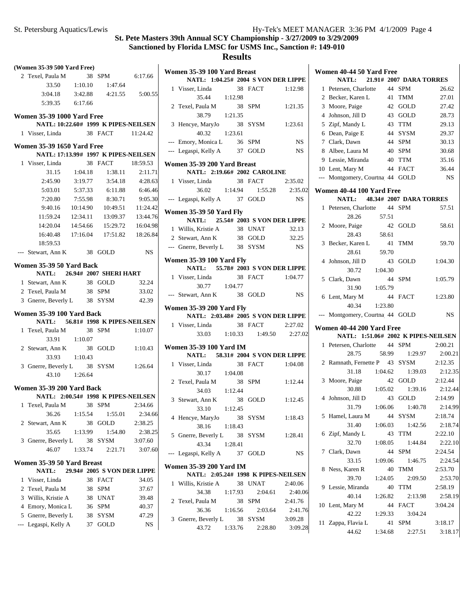|                                   | (Women 35-39 500 Yard Free)                                                                 |                |                                         |                   | V |  |  |  |
|-----------------------------------|---------------------------------------------------------------------------------------------|----------------|-----------------------------------------|-------------------|---|--|--|--|
|                                   | 2 Texel, Paula M 38 SPM 6:17.66                                                             |                |                                         |                   |   |  |  |  |
|                                   |                                                                                             |                | 33.50   1:10.10   1:47.64               |                   |   |  |  |  |
|                                   |                                                                                             |                | $3:04.18$ $3:42.88$ $4:21.55$ $5:00.55$ |                   |   |  |  |  |
|                                   | 5:39.35 6:17.66                                                                             |                |                                         |                   |   |  |  |  |
| <b>Women 35-39 1000 Yard Free</b> |                                                                                             |                |                                         |                   |   |  |  |  |
|                                   |                                                                                             |                | NATL: 10:22.60# 1999 K PIPES-NEILSEN    |                   |   |  |  |  |
|                                   | 1 Visser, Linda 38 FACT 11:24.42                                                            |                |                                         |                   |   |  |  |  |
|                                   | <b>Women 35-39 1650 Yard Free</b>                                                           |                | NATL: 17:13.99# 1997 K PIPES-NEILSEN    |                   |   |  |  |  |
|                                   | 1 Visser, Linda                                                                             |                | 38 FACT 18:59.53                        |                   | V |  |  |  |
|                                   |                                                                                             |                | 31.15 1:04.18 1:38.11                   | 2:11.71           |   |  |  |  |
|                                   | 2:45.90                                                                                     |                | 3:19.77 3:54.18                         | 4:28.63           |   |  |  |  |
|                                   | 5:03.01                                                                                     | 5:37.33        | 6:11.88                                 | 6:46.46           |   |  |  |  |
|                                   | 7:20.80                                                                                     | 7:55.98        | 8:30.71                                 | 9:05.30           |   |  |  |  |
|                                   | 9:40.16                                                                                     |                | 10:14.90  10:49.51  11:24.42            |                   |   |  |  |  |
|                                   | 11:59.24                                                                                    | 12:34.11       |                                         | 13:09.37 13:44.76 | V |  |  |  |
|                                   |                                                                                             |                | 14:20.04  14:54.66  15:29.72  16:04.98  |                   |   |  |  |  |
|                                   |                                                                                             |                | 16:40.48  17:16.04  17:51.82  18:26.84  |                   |   |  |  |  |
|                                   | 18:59.53                                                                                    |                |                                         |                   |   |  |  |  |
|                                   | --- Stewart, Ann K 38 GOLD NS                                                               |                |                                         |                   |   |  |  |  |
|                                   |                                                                                             |                |                                         |                   | V |  |  |  |
|                                   | Women 35-39 50 Yard Back                                                                    |                | NATL: 26.94# 2007 SHERI HART            |                   |   |  |  |  |
|                                   | $1$ Stewart, Ann K<br>$1$ Stewart, Ann K<br>$1$ $38$ GOLD<br>$1$ $20$ $10$ $10$<br>$38$ SPM |                | 38 GOLD                                 | 32.24             |   |  |  |  |
|                                   |                                                                                             |                |                                         | 33.02             |   |  |  |  |
|                                   | 3 Gnerre, Beverly L 38 SYSM                                                                 |                |                                         | 42.39             |   |  |  |  |
|                                   |                                                                                             |                |                                         |                   | ٧ |  |  |  |
|                                   | Women 35-39 100 Yard Back                                                                   |                | NATL: 56.81# 1998 K PIPES-NEILSEN       |                   |   |  |  |  |
|                                   | 1 Texel, Paula M                                                                            |                | 38 SPM                                  | 1:10.07           |   |  |  |  |
|                                   |                                                                                             | 33.91  1:10.07 |                                         |                   |   |  |  |  |
|                                   | 2 Stewart, Ann K                                                                            |                | 38 GOLD 1:10.43                         |                   | V |  |  |  |
|                                   |                                                                                             | 33.93 1:10.43  |                                         |                   |   |  |  |  |
|                                   | 3 Gnerre, Beverly L 38 SYSM 1:26.64                                                         |                |                                         |                   |   |  |  |  |
|                                   |                                                                                             | 43.10 1:26.64  |                                         |                   |   |  |  |  |
|                                   |                                                                                             |                |                                         |                   |   |  |  |  |
|                                   | <b>Women 35-39 200 Yard Back</b>                                                            |                | NATL: 2:00.54# 1998 K PIPES-NEILSEN     |                   |   |  |  |  |
|                                   | 1 Texel, Paula M 38 SPM                                                                     |                |                                         | 2:34.66           |   |  |  |  |
|                                   | 36.26                                                                                       | 1:15.54        | 1:55.01                                 | 2:34.66           |   |  |  |  |
|                                   | 2 Stewart, Ann K                                                                            | 38             | GOLD                                    | 2:38.25           |   |  |  |  |
|                                   | 35.65                                                                                       | 1:13.99        | 1:54.80                                 | 2:38.25           |   |  |  |  |
| 3                                 | Gnerre, Beverly L                                                                           | 38             | <b>SYSM</b>                             | 3:07.60           |   |  |  |  |
|                                   | 46.07                                                                                       | 1:33.74        | 2:21.71                                 | 3:07.60           |   |  |  |  |
|                                   | Women 35-39 50 Yard Breast                                                                  |                |                                         |                   |   |  |  |  |
|                                   | <b>NATL:</b>                                                                                |                | 29.94# 2005 S VON DER LIPPE             |                   |   |  |  |  |
| 1                                 | Visser, Linda                                                                               | 38             | <b>FACT</b>                             | 34.05             |   |  |  |  |
| 2                                 | Texel, Paula M                                                                              | 38             | <b>SPM</b>                              | 37.67             |   |  |  |  |
| 3                                 | Willis, Kristie A                                                                           |                | 38 UNAT                                 | 39.48             |   |  |  |  |
| 4                                 | Emory, Monica L                                                                             | 36             | <b>SPM</b>                              | 40.37             |   |  |  |  |
| 5                                 | Gnerre, Beverly L                                                                           | 38             | SYSM                                    | 47.29             |   |  |  |  |
| $\overline{a}$                    | Legaspi, Kelly A                                                                            | 37             | GOLD                                    | NS                |   |  |  |  |
|                                   |                                                                                             |                |                                         |                   |   |  |  |  |

| Women 35-39 100 Yard Breast<br>NATL: 1:04.25# 2004 S VON DER LIPPE |                                                                      |         |    |                               |                    |  |  |
|--------------------------------------------------------------------|----------------------------------------------------------------------|---------|----|-------------------------------|--------------------|--|--|
|                                                                    | 1 Visser, Linda                                                      |         |    | 38 FACT 1:12.98               |                    |  |  |
|                                                                    | 35.44 1:12.98                                                        |         |    |                               |                    |  |  |
|                                                                    | 2 Texel, Paula M                                                     |         |    | 38 SPM                        | 1:21.35            |  |  |
|                                                                    |                                                                      | 1:21.35 |    |                               |                    |  |  |
|                                                                    | 38.79                                                                |         |    | 38 SYSM                       |                    |  |  |
|                                                                    | 3 Hencye, MaryJo<br>40.32 1:23.61                                    |         |    |                               | 1:23.61            |  |  |
|                                                                    |                                                                      |         |    |                               |                    |  |  |
|                                                                    | --- Emory, Monica L 36 SPM                                           |         |    |                               | NS                 |  |  |
|                                                                    | --- Legaspi, Kelly A 37 GOLD                                         |         |    |                               | <b>NS</b>          |  |  |
|                                                                    | Women 35-39 200 Yard Breast                                          |         |    |                               |                    |  |  |
|                                                                    | NATL: 2:19.66# 2002 CAROLINE                                         |         |    |                               |                    |  |  |
|                                                                    | 1 Visser, Linda                                                      |         |    | 38 FACT                       | 2:35.02            |  |  |
|                                                                    |                                                                      |         |    | 36.02   1:14.94   1:55.28     | 2:35.02            |  |  |
|                                                                    | --- Legaspi, Kelly A 37 GOLD                                         |         |    |                               | NS                 |  |  |
|                                                                    | <b>Women 35-39 50 Yard Fly</b>                                       |         |    |                               |                    |  |  |
|                                                                    | NATL: 25.54# 2003 S VON DER LIPPE                                    |         |    |                               |                    |  |  |
|                                                                    | 1 Willis, Kristie A 38 UNAT                                          |         |    |                               | 32.13              |  |  |
|                                                                    | 2 Stewart, Ann K 38 GOLD 32.25                                       |         |    |                               |                    |  |  |
|                                                                    | --- Gnerre, Beverly L 38 SYSM                                        |         |    |                               | NS <sub>1</sub>    |  |  |
|                                                                    |                                                                      |         |    |                               |                    |  |  |
|                                                                    | <b>Women 35-39 100 Yard Fly</b><br>NATL: 55.78# 2003 S VON DER LIPPE |         |    |                               |                    |  |  |
|                                                                    |                                                                      |         |    |                               |                    |  |  |
|                                                                    | 1 Visser, Linda                                                      |         |    | 38 FACT                       | 1:04.77            |  |  |
|                                                                    | 30.77 1:04.77                                                        |         |    |                               |                    |  |  |
|                                                                    | --- Stewart, Ann K                                                   |         |    | 38 GOLD                       | <b>NS</b>          |  |  |
| <b>Women 35-39 200 Yard Fly</b>                                    |                                                                      |         |    |                               |                    |  |  |
|                                                                    |                                                                      |         |    |                               |                    |  |  |
|                                                                    | NATL: 2:03.48# 2005 S VON DER LIPPE                                  |         |    |                               |                    |  |  |
|                                                                    | 1 Visser, Linda                                                      |         |    | 38 FACT                       | 2:27.02            |  |  |
|                                                                    |                                                                      |         |    | 33.03 1:10.33 1:49.50 2:27.02 |                    |  |  |
|                                                                    |                                                                      |         |    |                               |                    |  |  |
|                                                                    | <b>Women 35-39 100 Yard IM</b>                                       |         |    |                               |                    |  |  |
|                                                                    | NATL: 58.31# 2004 S VON DER LIPPE                                    |         |    |                               |                    |  |  |
|                                                                    | 1 Visser, Linda                                                      |         |    | 38 FACT 1:04.08               |                    |  |  |
|                                                                    | 30.17  1:04.08                                                       |         |    |                               |                    |  |  |
|                                                                    | 2 Texel, Paula M                                                     |         |    | 38 SPM 1:12.44                |                    |  |  |
|                                                                    | 34.03   1:12.44                                                      |         |    |                               |                    |  |  |
|                                                                    |                                                                      |         |    | 38 GOLD                       | 1:12.45            |  |  |
|                                                                    | 3 Stewart, Ann K 38<br>33.10 1:12.45                                 |         |    |                               |                    |  |  |
| 4                                                                  | Hencye, MaryJo                                                       |         |    | 38 SYSM                       | 1:18.43            |  |  |
|                                                                    | 38.16                                                                | 1:18.43 |    |                               |                    |  |  |
|                                                                    | 5 Gnerre, Beverly L 38 SYSM                                          |         |    |                               | 1:28.41            |  |  |
|                                                                    | 43.34                                                                | 1:28.41 |    |                               |                    |  |  |
|                                                                    | --- Legaspi, Kelly A                                                 |         |    | 37 GOLD                       | <b>NS</b>          |  |  |
|                                                                    |                                                                      |         |    |                               |                    |  |  |
|                                                                    | <b>Women 35-39 200 Yard IM</b>                                       |         |    |                               |                    |  |  |
| 1                                                                  | NATL: 2:05.24# 1998 K PIPES-NEILSEN                                  |         |    |                               |                    |  |  |
|                                                                    | Willis, Kristie A                                                    |         | 38 | <b>UNAT</b>                   | 2:40.06            |  |  |
|                                                                    | 34.38                                                                | 1:17.93 |    | 2:04.61                       | 2:40.06            |  |  |
| 2                                                                  | Texel, Paula M                                                       |         |    | 38 SPM                        | 2:41.76            |  |  |
|                                                                    | 36.36                                                                | 1:16.56 |    | 2:03.64                       | 2:41.76            |  |  |
| 3                                                                  | Gnerre, Beverly L 38 SYSM<br>43.72                                   | 1:33.76 |    | 2:28.80                       | 3:09.28<br>3:09.28 |  |  |

|    | Women 40-44 50 Yard Free<br><b>NATL:</b>  |         |       | 21.91# 2007 DARA TORRES |           |
|----|-------------------------------------------|---------|-------|-------------------------|-----------|
| 1  | Petersen, Charlotte                       |         |       | 44 SPM                  | 26.62     |
|    | 2 Becker, Karen L                         |         | 41    | TMM                     | 27.01     |
|    | 3 Moore, Paige                            |         | 42    | GOLD                    | 27.42     |
|    | 4 Johnson, Jill D                         |         |       | 43 GOLD                 | 28.73     |
|    | 5 Zipf, Mandy L                           |         |       | 43 TTM                  | 29.13     |
|    | 6 Dean, Paige E                           |         | 44    | <b>SYSM</b>             | 29.37     |
|    | 7 Clark, Dawn                             |         |       | 44 SPM                  | 30.13     |
|    | 8 Albee, Laura M                          |         |       | 40 SPM                  | 30.68     |
|    | 9 Lessie, Miranda                         |         |       | 40 TTM                  | 35.16     |
|    | 10 Lent, Mary M                           |         |       | 44 FACT                 | 36.44     |
|    | --- Montgomery, Courtna 44 GOLD           |         |       |                         | <b>NS</b> |
|    |                                           |         |       |                         |           |
|    | Women 40-44 100 Yard Free<br><b>NATL:</b> |         |       | 48.34# 2007 DARA TORRES |           |
| 1  | Petersen, Charlotte 44 SPM                |         |       |                         | 57.51     |
|    | 28.26                                     |         | 57.51 |                         |           |
| 2  | Moore, Paige                              |         | 42    | GOLD                    | 58.61     |
|    | 28.43                                     |         | 58.61 |                         |           |
| 3  | Becker, Karen L                           |         | 41    | TMM                     | 59.70     |
|    | 28.61                                     |         | 59.70 |                         |           |
| 4  | Johnson, Jill D                           |         |       | 43 GOLD                 | 1:04.30   |
|    | 30.72                                     | 1:04.30 |       |                         |           |
|    | 5 Clark, Dawn                             |         | 44    | <b>SPM</b>              | 1:05.79   |
|    | 31.90                                     | 1:05.79 |       |                         |           |
| 6  | Lent, Mary M                              |         |       | 44 FACT                 | 1:23.80   |
|    | 40.34                                     | 1:23.80 |       |                         |           |
|    | Montgomery, Courtna 44 GOLD               |         |       |                         | <b>NS</b> |
|    | Women 40-44 200 Yard Free                 |         |       |                         |           |
|    | NATL: 1:51.06# 2002 K PIPES-NEILSEN       |         |       |                         |           |
| 1  | Petersen, Charlotte 44                    |         |       | <b>SPM</b>              | 2:00.21   |
|    | 28.75                                     |         | 58.99 | 1:29.97                 | 2:00.21   |
| 2  | Ramnath, Fernette P 43 SYSM               |         |       |                         | 2:12.35   |
|    | 31.18                                     |         |       | 1:04.62 1:39.03         | 2:12.35   |
| 3  | Moore, Paige                              |         |       | 42 GOLD                 | 2:12.44   |
|    | 30.88                                     | 1:05.02 |       | 1:39.16                 | 2:12.44   |
| 4  | Johnson, Jill D                           |         | 43    | GOLD                    | 2:14.99   |
|    | 31.79                                     | 1:06.06 |       | 1:40.78                 | 2:14.99   |
| 5  | Hamel, Laura M                            |         | 44    | SYSM                    | 2:18.74   |
|    | 31.40                                     | 1:06.03 |       | 1:42.56                 | 2:18.74   |
|    | 6 Zipf, Mandy L                           |         | 43    | <b>TTM</b>              | 2:22.10   |
|    | 32.70                                     | 1:08.05 |       | 1:44.84                 | 2:22.10   |
|    | 7 Clark, Dawn                             |         | 44    | SPM                     | 2:24.54   |
|    | 33.15                                     | 1:09.06 |       | 1:46.75                 | 2:24.54   |
| 8  | Ness, Karen R                             |         | 40    | TMM                     | 2:53.70   |
|    | 39.70                                     | 1:24.05 |       | 2:09.50                 | 2:53.70   |
|    | 9 Lessie, Miranda                         |         | 40    | <b>TTM</b>              | 2:58.19   |
|    | 40.14                                     | 1:26.82 |       | 2:13.98                 | 2:58.19   |
|    | 10 Lent, Mary M                           |         | 44    | <b>FACT</b>             | 3:04.24   |
|    | 42.22                                     | 1:29.33 |       | 3:04.24                 |           |
| 11 | Zappa, Flavia L                           |         | 41    | <b>SPM</b>              | 3:18.17   |
|    | 44.62                                     | 1:34.68 |       | 2:27.51                 | 3:18.17   |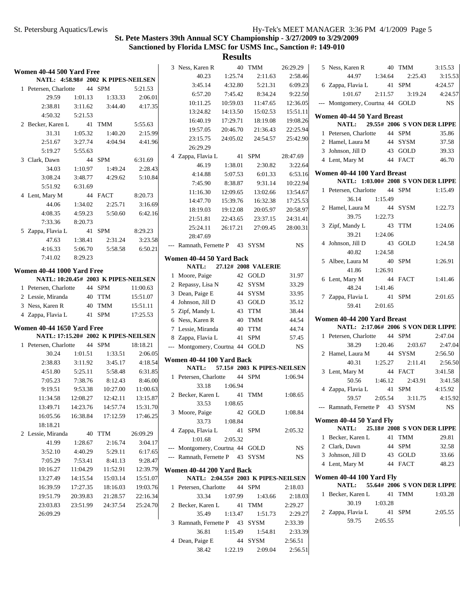#### St. Petersburg Aquatics/Lewis Hy-Tek's MEET MANAGER 3:36 PM 4/1/2009 Page 5

# **St. Pete Masters 39th Annual SCY Championship - 3/27/2009 to 3/29/2009 Sanctioned by Florida LMSC for USMS Inc., Sanction #: 149-010**

**Results**

|                                   |          |                                      |          | 3 Ness, Karen R                 |          | 40 TMM                              | 26:29.29  | 5 Ness, Karen R                                                    |         | 40 TMM                      | 3:15.53     |
|-----------------------------------|----------|--------------------------------------|----------|---------------------------------|----------|-------------------------------------|-----------|--------------------------------------------------------------------|---------|-----------------------------|-------------|
| Women 40-44 500 Yard Free         |          |                                      |          | 40.23                           | 1:25.74  | 2:11.63                             | 2:58.46   | 44.97                                                              | 1:34.64 | 2:25.43                     | 3:15.53     |
|                                   |          | NATL: 4:58.98# 2002 K PIPES-NEILSEN  |          | 3:45.14                         | 4:32.80  | 5:21.31                             | 6:09.23   | 6 Zappa, Flavia L                                                  |         | 41 SPM                      | 4:24.57     |
| 1 Petersen, Charlotte             |          | 44 SPM                               | 5:21.53  | 6:57.20                         | 7:45.42  | 8:34.24                             | 9:22.50   | 1:01.67                                                            | 2:11.57 | 3:19.24                     | 4:24.57     |
| 29.59                             | 1:01.13  | 1:33.33                              | 2:06.01  | 10:11.25                        | 10:59.03 | 11:47.65                            | 12:36.05  | --- Montgomery, Courtna 44 GOLD                                    |         |                             | $_{\rm NS}$ |
| 2:38.81                           | 3:11.62  | 3:44.40                              | 4:17.35  | 13:24.82                        | 14:13.50 | 15:02.53                            | 15:51.11  |                                                                    |         |                             |             |
| 4:50.32                           | 5:21.53  |                                      |          | 16:40.19                        | 17:29.71 | 18:19.08                            | 19:08.26  | Women 40-44 50 Yard Breast                                         |         |                             |             |
| 2 Becker, Karen L                 |          | 41 TMM                               | 5:55.63  | 19:57.05                        | 20:46.70 | 21:36.43                            | 22:25.94  | NATL:                                                              |         | 29.55# 2006 S VON DER LIPPE |             |
| 31.31                             | 1:05.32  | 1:40.20                              | 2:15.99  | 23:15.75                        | 24:05.02 | 24:54.57                            | 25:42.90  | 1 Petersen, Charlotte                                              |         | 44 SPM                      | 35.86       |
| 2:51.67                           | 3:27.74  | 4:04.94                              | 4:41.96  | 26:29.29                        |          |                                     |           | 2 Hamel, Laura M                                                   |         | 44 SYSM                     | 37.58       |
| 5:19.27                           | 5:55.63  |                                      |          | 4 Zappa, Flavia L               |          | 41 SPM                              | 28:47.69  | 3 Johnson, Jill D                                                  |         | 43 GOLD                     | 39.33       |
| 3 Clark, Dawn                     |          | 44 SPM                               | 6:31.69  | 46.19                           | 1:38.01  | 2:30.82                             | 3:22.64   | 4 Lent, Mary M                                                     |         | 44 FACT                     | 46.70       |
| 34.03                             | 1:10.97  | 1:49.24                              | 2:28.43  | 4:14.88                         | 5:07.53  | 6:01.33                             | 6:53.16   | Women 40-44 100 Yard Breast                                        |         |                             |             |
| 3:08.24                           | 3:48.77  | 4:29.62                              | 5:10.84  | 7:45.90                         | 8:38.87  | 9:31.14                             | 10:22.94  | NATL: 1:03.00# 2008 S VON DER LIPPE                                |         |                             |             |
| 5:51.92                           | 6:31.69  |                                      |          | 11:16.30                        | 12:09.65 | 13:02.66                            | 13:54.67  | 1 Petersen, Charlotte                                              |         | 44 SPM                      | 1:15.49     |
| 4 Lent, Mary M                    |          | 44 FACT                              | 8:20.73  | 14:47.70                        | 15:39.76 | 16:32.38                            | 17:25.53  | 36.14                                                              | 1:15.49 |                             |             |
| 44.06                             | 1:34.02  | 2:25.71                              | 3:16.69  | 18:19.03                        | 19:12.08 | 20:05.97                            | 20:58.97  | 2 Hamel, Laura M                                                   |         | 44 SYSM                     | 1:22.73     |
| 4:08.35                           | 4:59.23  | 5:50.60                              | 6:42.16  | 21:51.81                        | 22:43.65 | 23:37.15                            | 24:31.41  | 39.75                                                              | 1:22.73 |                             |             |
| 7:33.36                           | 8:20.73  |                                      |          | 25:24.11                        | 26:17.21 | 27:09.45                            | 28:00.31  | 3 Zipf, Mandy L                                                    |         | 43 TTM                      | 1:24.06     |
| 5 Zappa, Flavia L                 |          | 41 SPM                               | 8:29.23  | 28:47.69                        |          |                                     |           | 39.21                                                              | 1:24.06 |                             |             |
| 47.63                             | 1:38.41  | 2:31.24                              | 3:23.58  | --- Ramnath, Fernette P 43 SYSM |          |                                     | <b>NS</b> | 4 Johnson, Jill D                                                  |         | 43 GOLD                     | 1:24.58     |
| 4:16.33                           | 5:06.70  | 5:58.58                              | 6:50.21  |                                 |          |                                     |           | 40.82                                                              | 1:24.58 |                             |             |
| 7:41.02                           | 8:29.23  |                                      |          | Women 40-44 50 Yard Back        |          |                                     |           | 5 Albee, Laura M                                                   |         | 40 SPM                      | 1:26.91     |
| Women 40-44 1000 Yard Free        |          |                                      |          | <b>NATL:</b>                    |          | 27.12# 2008 VALERIE                 |           | 41.86                                                              | 1:26.91 |                             |             |
|                                   |          | NATL: 10:20.45# 2003 K PIPES-NEILSEN |          | 1 Moore, Paige                  |          | 42 GOLD                             | 31.97     | 6 Lent, Mary M                                                     |         | 44 FACT                     | 1:41.46     |
| 1 Petersen, Charlotte             |          | 44 SPM                               | 11:00.63 | 2 Repassy, Lisa N               |          | 42 SYSM                             | 33.29     | 48.24                                                              | 1:41.46 |                             |             |
| 2 Lessie, Miranda                 |          | 40 TTM                               | 15:51.07 | 3 Dean, Paige E                 |          | 44 SYSM                             | 33.95     | 7 Zappa, Flavia L                                                  |         | 41 SPM                      | 2:01.65     |
| 3 Ness, Karen R                   |          | 40 TMM                               | 15:51.11 | 4 Johnson, Jill D               |          | 43 GOLD                             | 35.12     | 59.41                                                              | 2:01.65 |                             |             |
| 4 Zappa, Flavia L                 |          | 41 SPM                               | 17:25.53 | 5 Zipf, Mandy L                 |          | 43 TTM                              | 38.44     |                                                                    |         |                             |             |
|                                   |          |                                      |          | 6 Ness, Karen R                 |          | 40 TMM                              | 44.54     | Women 40-44 200 Yard Breast<br>NATL: 2:17.06# 2006 S VON DER LIPPE |         |                             |             |
| <b>Women 40-44 1650 Yard Free</b> |          | NATL: 17:15.20# 2002 K PIPES-NEILSEN |          | 7 Lessie, Miranda               |          | 40 TTM                              | 44.74     |                                                                    |         | 44 SPM                      | 2:47.04     |
| 1 Petersen, Charlotte             |          | 44 SPM                               | 18:18.21 | 8 Zappa, Flavia L               |          | 41 SPM                              | 57.45     | 1 Petersen, Charlotte<br>38.29                                     | 1:20.46 | 2:03.67                     | 2:47.04     |
| 30.24                             | 1:01.51  | 1:33.51                              | 2:06.05  | --- Montgomery, Courtna 44 GOLD |          |                                     | <b>NS</b> | 2 Hamel, Laura M                                                   |         | 44 SYSM                     | 2:56.50     |
| 2:38.83                           | 3:11.92  | 3:45.17                              | 4:18.54  | Women 40-44 100 Yard Back       |          |                                     |           | 40.31                                                              | 1:25.27 | 2:11.41                     | 2:56.50     |
| 4:51.80                           | 5:25.11  | 5:58.48                              | 6:31.85  | <b>NATL:</b>                    |          | 57.15# 2003 K PIPES-NEILSEN         |           | 3 Lent, Mary M                                                     |         | 44 FACT                     | 3:41.58     |
| 7:05.23                           | 7:38.76  | 8:12.43                              | 8:46.00  | 1 Petersen, Charlotte           |          | 44 SPM                              | 1:06.94   | 50.56                                                              | 1:46.12 | 2:43.91                     | 3:41.58     |
| 9:19.51                           | 9:53.38  | 10:27.00                             | 11:00.63 | 33.18                           | 1:06.94  |                                     |           | 4 Zappa, Flavia L                                                  |         | 41 SPM                      | 4:15.92     |
| 11:34.58                          | 12:08.27 | 12:42.11                             | 13:15.87 | 2 Becker, Karen L               |          | 41 TMM                              | 1:08.65   | 59.57                                                              | 2:05.54 | 3:11.75                     | 4:15.92     |
| 13:49.71                          | 14:23.76 | 14:57.74                             | 15:31.70 | 33.53                           | 1:08.65  |                                     |           | --- Ramnath, Fernette P 43 SYSM                                    |         |                             | <b>NS</b>   |
| 16:05.56                          | 16:38.84 | 17:12.59                             | 17:46.25 | 3 Moore, Paige                  |          | 42 GOLD                             | 1:08.84   |                                                                    |         |                             |             |
| 18:18.21                          |          |                                      |          | 33.73                           | 1:08.84  |                                     |           | Women 40-44 50 Yard Fly                                            |         |                             |             |
| 2 Lessie, Miranda                 |          | 40 TTM                               | 26:09.29 | 4 Zappa, Flavia L               |          | 41 SPM                              | 2:05.32   | <b>NATL:</b>                                                       |         | 25.18# 2008 S VON DER LIPPE |             |
| 41.99                             | 1:28.67  | 2:16.74                              | 3:04.17  | 1:01.68                         | 2:05.32  |                                     |           | 1 Becker, Karen L                                                  |         | 41 TMM                      | 29.81       |
| 3:52.10                           | 4:40.29  | 5:29.11                              | 6:17.65  | --- Montgomery, Courtna 44 GOLD |          |                                     | <b>NS</b> | 2 Clark, Dawn                                                      |         | 44 SPM                      | 32.58       |
| 7:05.29                           | 7:53.41  | 8:41.13                              | 9:28.47  | --- Ramnath, Fernette P 43 SYSM |          |                                     | NS        | 3 Johnson, Jill D                                                  |         | 43 GOLD                     | 33.66       |
| 10:16.27                          | 11:04.29 | 11:52.91                             | 12:39.79 |                                 |          |                                     |           | 4 Lent, Mary M                                                     |         | 44 FACT                     | 48.23       |
| 13:27.49                          | 14:15.54 | 15:03.14                             | 15:51.07 | Women 40-44 200 Yard Back       |          | NATL: 2:04.55# 2003 K PIPES-NEILSEN |           | Women 40-44 100 Yard Fly                                           |         |                             |             |
|                                   |          |                                      |          |                                 |          |                                     |           | <b>NATL:</b>                                                       |         | 55.64# 2006 S VON DER LIPPE |             |
| 16:39.59                          | 17:27.35 | 18:16.03                             | 19:03.76 | 1 Petersen, Charlotte           |          | 44 SPM                              | 2:18.03   | 1 Becker, Karen L                                                  |         | 41 TMM                      | 1:03.28     |
| 19:51.79                          | 20:39.83 | 21:28.57                             | 22:16.34 | 33.34<br>2 Becker, Karen L      | 1:07.99  | 1:43.66                             | 2:18.03   | 30.19                                                              | 1:03.28 |                             |             |
| 23:03.83                          | 23:51.99 | 24:37.54                             | 25:24.70 |                                 |          | 41 TMM                              | 2:29.27   | 2 Zappa, Flavia L                                                  |         | 41 SPM                      | 2:05.55     |
| 26:09.29                          |          |                                      |          | 35.49                           | 1:13.47  | 1:51.73                             | 2:29.27   | 59.75                                                              | 2:05.55 |                             |             |
|                                   |          |                                      |          | 3 Ramnath, Fernette P<br>36.81  |          | 43 SYSM                             | 2:33.39   |                                                                    |         |                             |             |
|                                   |          |                                      |          |                                 | 1:15.49  | 1:54.81                             | 2:33.39   |                                                                    |         |                             |             |
|                                   |          |                                      |          | 4 Dean, Paige E                 |          | 44 SYSM                             | 2:56.51   |                                                                    |         |                             |             |

38.42 1:22.19 2:56.51 2:09.04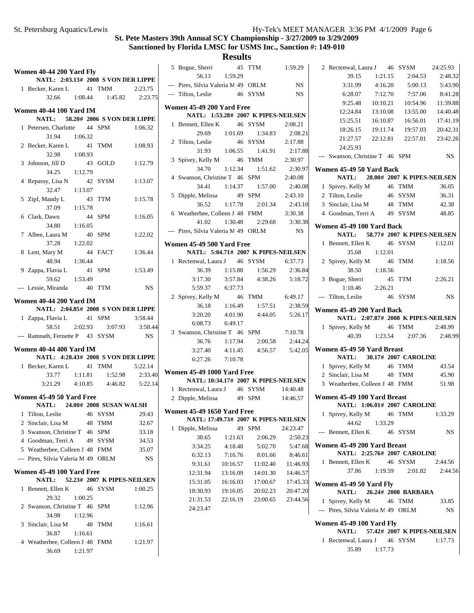**Results**

|   | Women 40-44 200 Yard Fly<br>NATL: 2:03.13# 2008 S VON DER LIPPE |    |                             |           |
|---|-----------------------------------------------------------------|----|-----------------------------|-----------|
|   | 1 Becker, Karen L 41 TMM 2:23.75                                |    |                             |           |
|   | 32.66 1:08.44 1:45.82 2:23.75                                   |    |                             |           |
|   |                                                                 |    |                             |           |
|   | <b>Women 40-44 100 Yard IM</b>                                  |    |                             |           |
|   | NATL: 58.20# 2006 S VON DER LIPPE                               |    |                             |           |
|   | 1 Petersen, Charlotte 44 SPM                                    |    |                             | 1:06.32   |
|   | 31.94 1:06.32                                                   |    |                             |           |
|   | 2 Becker, Karen L                                               |    | 41 TMM                      | 1:08.93   |
|   | 32.98<br>1:08.93                                                |    |                             |           |
|   | 3 Johnson, Jill D                                               |    | 43 GOLD                     | 1:12.79   |
|   | 34.25<br>1:12.79                                                |    |                             |           |
|   | 4 Repassy, Lisa N                                               |    | 42 SYSM                     | 1:13.07   |
|   | 32.47<br>1:13.07                                                |    |                             |           |
|   | 5 Zipf, Mandy L                                                 |    | 43 TTM                      | 1:15.78   |
|   | 37.09<br>1:15.78                                                |    |                             |           |
|   | 6 Clark, Dawn                                                   |    | 44 SPM                      | 1:16.05   |
|   | 34.80<br>1:16.05                                                |    |                             |           |
|   | 7 Albee, Laura M                                                |    | 40 SPM                      | 1:22.02   |
|   | 37.28<br>1:22.02                                                |    |                             |           |
|   | 8 Lent, Mary M                                                  |    | 44 FACT                     | 1:36.44   |
|   | 48.94 1:36.44                                                   |    |                             |           |
|   | 9 Zappa, Flavia L 41 SPM                                        |    |                             | 1:53.49   |
|   | 59.62<br>1:53.49                                                |    |                             |           |
|   | --- Lessie, Miranda 40 TTM                                      |    |                             | <b>NS</b> |
|   |                                                                 |    |                             |           |
|   | <b>Women 40-44 200 Yard IM</b>                                  |    |                             |           |
|   | NATL: 2:04.85# 2008 S VON DER LIPPE                             |    |                             |           |
|   | 1 Zappa, Flavia L 41 SPM                                        |    |                             | 3:58.44   |
|   | 58.51 2:02.93 3:07.93 3:58.44                                   |    |                             |           |
|   | --- Ramnath, Fernette P 43 SYSM                                 |    |                             | NS        |
|   | <b>Women 40-44 400 Yard IM</b>                                  |    |                             |           |
|   | NATL: 4:28.43# 2008 S VON DER LIPPE                             |    |                             |           |
|   | 1 Becker, Karen L 41 TMM<br>$33.77$ 1:11.81                     |    |                             | 5:22.14   |
|   |                                                                 |    | 1:52.98                     | 2:33.40   |
|   | 4:10.85<br>3:21.29                                              |    | 4:46.82                     | 5:22.14   |
|   | Women 45-49 50 Yard Free                                        |    |                             |           |
|   | NATL: 24.00# 2008 SUSAN WALSH                                   |    |                             |           |
| 1 | Tilton, Leslie                                                  |    | 46 SYSM                     | 29.43     |
|   | 2 Sinclair, Lisa M                                              |    | 48 TMM                      | 32.67     |
|   | 3 Swanson, Christine T 46 SPM                                   |    |                             | 33.18     |
|   | 4 Goodman, Terri A                                              |    | 49 SYSM                     | 34.53     |
|   | 5 Weatherbee, Colleen J 48 FMM                                  |    |                             | 35.07     |
|   | --- Pires, Silvia Valeria M 49 ORLM                             |    |                             | NS        |
|   | Women 45-49 100 Yard Free                                       |    |                             |           |
|   | <b>NATL:</b>                                                    |    | 52.23# 2007 K PIPES-NEILSEN |           |
| 1 | Bennett, Ellen K 46 SYSM                                        |    |                             | 1:00.25   |
|   | 29.32<br>1:00.25                                                |    |                             |           |
|   | 2 Swanson, Christine T 46 SPM                                   |    |                             | 1:12.96   |
|   | 34.98<br>1:12.96                                                |    |                             |           |
|   | 3 Sinclair, Lisa M                                              | 48 | TMM                         | 1:16.61   |
|   | 36.87<br>1:16.61                                                |    |                             |           |
|   | 4 Weatherbee, Colleen J 48 FMM                                  |    |                             | 1:21.97   |
|   | 1:21.97<br>36.69                                                |    |                             |           |
|   |                                                                 |    |                             |           |

| 5 Bogue, Sherri 45 TTM 1:59.29<br>56.13 1:59.29<br>--- Pires, Silvia Valeria M 49 ORLM<br>--- Tilton, Leslie 46 SYSM<br>Women 45-49 200 Yard Free<br>NATL: 1:53.28# 2007 K PIPES-NEILSEN<br>1 Bennett, Ellen K 46 SYSM 2:08.21<br>29.69 1:01.69 1:34.83 2:08.21<br>2 Tilton, Leslie 46 SYSM 2:17.88<br>31.93 1:06.55 1:41.91 2:17.88<br>3 Spivey, Kelly M 46 TMM 2:30.97<br>34.70 1:12.34 1:51.62 2:30.97<br>4 Swanson, Christine T 46 SPM 2:40.08<br>34.41 1:14.37 1:57.00 2:40.08<br>2:43.10<br>49 SPM<br>5 Dipple, Melissa<br>36.52 1:17.78 2:01.34 2:43.10<br>6 Weatherbee, Colleen J 48 FMM 3:30.38<br>41.02 1:30.48 2:29.68 3:30.38<br>--- Pires, Silvia Valeria M 49 ORLM NS<br><b>Women 45-49 500 Yard Free</b><br>NATL: 5:04.71# 2007 K PIPES-NEILSEN<br>1 Rectenwal, Laura J 46 SYSM 6:37.73<br>1:56.29 2:36.84<br>1:15.88<br>36.39<br>3:17.30   3:57.84   4:38.26   5:18.72<br>5:59.37 6:37.73<br>2 Spivey, Kelly M 46 TMM 6:49.17<br>36.18 1:16.49 1:57.51 2:38.59<br>3:20.20  4:01.90  4:44.05  5:26.17<br>6:08.73 6:49.17<br>3 Swanson, Christine T 46 SPM 7:10.78<br>1:17.94  2:00.58<br>36.76<br>4:11.45  4:56.57  5:42.05<br>3:27.40<br>6:27.26 7:10.78<br><b>Women 45-49 1000 Yard Free</b><br>NATL: 10:34.17# 2007 K PIPES-NEILSEN<br>1 Rectenwal, Laura J 46 SYSM 14:40.48<br>2 Dipple, Melissa 49 SPM 14:46.57<br><b>Women 45-49 1650 Yard Free</b><br>NATL: 17:49.73# 2007 K PIPES-NEILSEN<br>1<br>Dipple, Melissa<br>49<br>SPM<br>38.65<br>1:21.63<br>2:06.29<br>3:34.25<br>4:18.48<br>5:02.70<br>6:32.13<br>7:16.76<br>8:01.66<br>9:31.61<br>10:16.57<br>11:02.40<br>12:31.94<br>13:16.09<br>14:01.30<br>15:31.05<br>16:16.03<br>17:00.67<br>18:30.93<br>19:16.05<br>20:02.23<br>23:00.65 |          | Results  |           |
|-------------------------------------------------------------------------------------------------------------------------------------------------------------------------------------------------------------------------------------------------------------------------------------------------------------------------------------------------------------------------------------------------------------------------------------------------------------------------------------------------------------------------------------------------------------------------------------------------------------------------------------------------------------------------------------------------------------------------------------------------------------------------------------------------------------------------------------------------------------------------------------------------------------------------------------------------------------------------------------------------------------------------------------------------------------------------------------------------------------------------------------------------------------------------------------------------------------------------------------------------------------------------------------------------------------------------------------------------------------------------------------------------------------------------------------------------------------------------------------------------------------------------------------------------------------------------------------------------------------------------------------------------------------------------------------------------------------------|----------|----------|-----------|
|                                                                                                                                                                                                                                                                                                                                                                                                                                                                                                                                                                                                                                                                                                                                                                                                                                                                                                                                                                                                                                                                                                                                                                                                                                                                                                                                                                                                                                                                                                                                                                                                                                                                                                                   |          |          |           |
|                                                                                                                                                                                                                                                                                                                                                                                                                                                                                                                                                                                                                                                                                                                                                                                                                                                                                                                                                                                                                                                                                                                                                                                                                                                                                                                                                                                                                                                                                                                                                                                                                                                                                                                   |          |          |           |
|                                                                                                                                                                                                                                                                                                                                                                                                                                                                                                                                                                                                                                                                                                                                                                                                                                                                                                                                                                                                                                                                                                                                                                                                                                                                                                                                                                                                                                                                                                                                                                                                                                                                                                                   |          |          | <b>NS</b> |
|                                                                                                                                                                                                                                                                                                                                                                                                                                                                                                                                                                                                                                                                                                                                                                                                                                                                                                                                                                                                                                                                                                                                                                                                                                                                                                                                                                                                                                                                                                                                                                                                                                                                                                                   |          |          | NS        |
|                                                                                                                                                                                                                                                                                                                                                                                                                                                                                                                                                                                                                                                                                                                                                                                                                                                                                                                                                                                                                                                                                                                                                                                                                                                                                                                                                                                                                                                                                                                                                                                                                                                                                                                   |          |          |           |
|                                                                                                                                                                                                                                                                                                                                                                                                                                                                                                                                                                                                                                                                                                                                                                                                                                                                                                                                                                                                                                                                                                                                                                                                                                                                                                                                                                                                                                                                                                                                                                                                                                                                                                                   |          |          |           |
|                                                                                                                                                                                                                                                                                                                                                                                                                                                                                                                                                                                                                                                                                                                                                                                                                                                                                                                                                                                                                                                                                                                                                                                                                                                                                                                                                                                                                                                                                                                                                                                                                                                                                                                   |          |          |           |
|                                                                                                                                                                                                                                                                                                                                                                                                                                                                                                                                                                                                                                                                                                                                                                                                                                                                                                                                                                                                                                                                                                                                                                                                                                                                                                                                                                                                                                                                                                                                                                                                                                                                                                                   |          |          |           |
|                                                                                                                                                                                                                                                                                                                                                                                                                                                                                                                                                                                                                                                                                                                                                                                                                                                                                                                                                                                                                                                                                                                                                                                                                                                                                                                                                                                                                                                                                                                                                                                                                                                                                                                   |          |          |           |
|                                                                                                                                                                                                                                                                                                                                                                                                                                                                                                                                                                                                                                                                                                                                                                                                                                                                                                                                                                                                                                                                                                                                                                                                                                                                                                                                                                                                                                                                                                                                                                                                                                                                                                                   |          |          |           |
|                                                                                                                                                                                                                                                                                                                                                                                                                                                                                                                                                                                                                                                                                                                                                                                                                                                                                                                                                                                                                                                                                                                                                                                                                                                                                                                                                                                                                                                                                                                                                                                                                                                                                                                   |          |          |           |
|                                                                                                                                                                                                                                                                                                                                                                                                                                                                                                                                                                                                                                                                                                                                                                                                                                                                                                                                                                                                                                                                                                                                                                                                                                                                                                                                                                                                                                                                                                                                                                                                                                                                                                                   |          |          |           |
|                                                                                                                                                                                                                                                                                                                                                                                                                                                                                                                                                                                                                                                                                                                                                                                                                                                                                                                                                                                                                                                                                                                                                                                                                                                                                                                                                                                                                                                                                                                                                                                                                                                                                                                   |          |          |           |
|                                                                                                                                                                                                                                                                                                                                                                                                                                                                                                                                                                                                                                                                                                                                                                                                                                                                                                                                                                                                                                                                                                                                                                                                                                                                                                                                                                                                                                                                                                                                                                                                                                                                                                                   |          |          |           |
|                                                                                                                                                                                                                                                                                                                                                                                                                                                                                                                                                                                                                                                                                                                                                                                                                                                                                                                                                                                                                                                                                                                                                                                                                                                                                                                                                                                                                                                                                                                                                                                                                                                                                                                   |          |          |           |
|                                                                                                                                                                                                                                                                                                                                                                                                                                                                                                                                                                                                                                                                                                                                                                                                                                                                                                                                                                                                                                                                                                                                                                                                                                                                                                                                                                                                                                                                                                                                                                                                                                                                                                                   |          |          |           |
|                                                                                                                                                                                                                                                                                                                                                                                                                                                                                                                                                                                                                                                                                                                                                                                                                                                                                                                                                                                                                                                                                                                                                                                                                                                                                                                                                                                                                                                                                                                                                                                                                                                                                                                   |          |          |           |
|                                                                                                                                                                                                                                                                                                                                                                                                                                                                                                                                                                                                                                                                                                                                                                                                                                                                                                                                                                                                                                                                                                                                                                                                                                                                                                                                                                                                                                                                                                                                                                                                                                                                                                                   |          |          |           |
|                                                                                                                                                                                                                                                                                                                                                                                                                                                                                                                                                                                                                                                                                                                                                                                                                                                                                                                                                                                                                                                                                                                                                                                                                                                                                                                                                                                                                                                                                                                                                                                                                                                                                                                   |          |          |           |
|                                                                                                                                                                                                                                                                                                                                                                                                                                                                                                                                                                                                                                                                                                                                                                                                                                                                                                                                                                                                                                                                                                                                                                                                                                                                                                                                                                                                                                                                                                                                                                                                                                                                                                                   |          |          |           |
|                                                                                                                                                                                                                                                                                                                                                                                                                                                                                                                                                                                                                                                                                                                                                                                                                                                                                                                                                                                                                                                                                                                                                                                                                                                                                                                                                                                                                                                                                                                                                                                                                                                                                                                   |          |          |           |
|                                                                                                                                                                                                                                                                                                                                                                                                                                                                                                                                                                                                                                                                                                                                                                                                                                                                                                                                                                                                                                                                                                                                                                                                                                                                                                                                                                                                                                                                                                                                                                                                                                                                                                                   |          |          |           |
|                                                                                                                                                                                                                                                                                                                                                                                                                                                                                                                                                                                                                                                                                                                                                                                                                                                                                                                                                                                                                                                                                                                                                                                                                                                                                                                                                                                                                                                                                                                                                                                                                                                                                                                   |          |          |           |
|                                                                                                                                                                                                                                                                                                                                                                                                                                                                                                                                                                                                                                                                                                                                                                                                                                                                                                                                                                                                                                                                                                                                                                                                                                                                                                                                                                                                                                                                                                                                                                                                                                                                                                                   |          |          |           |
|                                                                                                                                                                                                                                                                                                                                                                                                                                                                                                                                                                                                                                                                                                                                                                                                                                                                                                                                                                                                                                                                                                                                                                                                                                                                                                                                                                                                                                                                                                                                                                                                                                                                                                                   |          |          |           |
|                                                                                                                                                                                                                                                                                                                                                                                                                                                                                                                                                                                                                                                                                                                                                                                                                                                                                                                                                                                                                                                                                                                                                                                                                                                                                                                                                                                                                                                                                                                                                                                                                                                                                                                   |          |          |           |
|                                                                                                                                                                                                                                                                                                                                                                                                                                                                                                                                                                                                                                                                                                                                                                                                                                                                                                                                                                                                                                                                                                                                                                                                                                                                                                                                                                                                                                                                                                                                                                                                                                                                                                                   |          |          |           |
|                                                                                                                                                                                                                                                                                                                                                                                                                                                                                                                                                                                                                                                                                                                                                                                                                                                                                                                                                                                                                                                                                                                                                                                                                                                                                                                                                                                                                                                                                                                                                                                                                                                                                                                   |          |          |           |
|                                                                                                                                                                                                                                                                                                                                                                                                                                                                                                                                                                                                                                                                                                                                                                                                                                                                                                                                                                                                                                                                                                                                                                                                                                                                                                                                                                                                                                                                                                                                                                                                                                                                                                                   |          |          |           |
|                                                                                                                                                                                                                                                                                                                                                                                                                                                                                                                                                                                                                                                                                                                                                                                                                                                                                                                                                                                                                                                                                                                                                                                                                                                                                                                                                                                                                                                                                                                                                                                                                                                                                                                   |          |          |           |
|                                                                                                                                                                                                                                                                                                                                                                                                                                                                                                                                                                                                                                                                                                                                                                                                                                                                                                                                                                                                                                                                                                                                                                                                                                                                                                                                                                                                                                                                                                                                                                                                                                                                                                                   |          |          | 2:44.24   |
|                                                                                                                                                                                                                                                                                                                                                                                                                                                                                                                                                                                                                                                                                                                                                                                                                                                                                                                                                                                                                                                                                                                                                                                                                                                                                                                                                                                                                                                                                                                                                                                                                                                                                                                   |          |          |           |
|                                                                                                                                                                                                                                                                                                                                                                                                                                                                                                                                                                                                                                                                                                                                                                                                                                                                                                                                                                                                                                                                                                                                                                                                                                                                                                                                                                                                                                                                                                                                                                                                                                                                                                                   |          |          |           |
|                                                                                                                                                                                                                                                                                                                                                                                                                                                                                                                                                                                                                                                                                                                                                                                                                                                                                                                                                                                                                                                                                                                                                                                                                                                                                                                                                                                                                                                                                                                                                                                                                                                                                                                   |          |          |           |
|                                                                                                                                                                                                                                                                                                                                                                                                                                                                                                                                                                                                                                                                                                                                                                                                                                                                                                                                                                                                                                                                                                                                                                                                                                                                                                                                                                                                                                                                                                                                                                                                                                                                                                                   |          |          |           |
|                                                                                                                                                                                                                                                                                                                                                                                                                                                                                                                                                                                                                                                                                                                                                                                                                                                                                                                                                                                                                                                                                                                                                                                                                                                                                                                                                                                                                                                                                                                                                                                                                                                                                                                   |          |          |           |
|                                                                                                                                                                                                                                                                                                                                                                                                                                                                                                                                                                                                                                                                                                                                                                                                                                                                                                                                                                                                                                                                                                                                                                                                                                                                                                                                                                                                                                                                                                                                                                                                                                                                                                                   |          |          |           |
|                                                                                                                                                                                                                                                                                                                                                                                                                                                                                                                                                                                                                                                                                                                                                                                                                                                                                                                                                                                                                                                                                                                                                                                                                                                                                                                                                                                                                                                                                                                                                                                                                                                                                                                   |          |          |           |
|                                                                                                                                                                                                                                                                                                                                                                                                                                                                                                                                                                                                                                                                                                                                                                                                                                                                                                                                                                                                                                                                                                                                                                                                                                                                                                                                                                                                                                                                                                                                                                                                                                                                                                                   |          |          |           |
|                                                                                                                                                                                                                                                                                                                                                                                                                                                                                                                                                                                                                                                                                                                                                                                                                                                                                                                                                                                                                                                                                                                                                                                                                                                                                                                                                                                                                                                                                                                                                                                                                                                                                                                   |          |          | 24:23.47  |
|                                                                                                                                                                                                                                                                                                                                                                                                                                                                                                                                                                                                                                                                                                                                                                                                                                                                                                                                                                                                                                                                                                                                                                                                                                                                                                                                                                                                                                                                                                                                                                                                                                                                                                                   |          |          | 2:50.23   |
|                                                                                                                                                                                                                                                                                                                                                                                                                                                                                                                                                                                                                                                                                                                                                                                                                                                                                                                                                                                                                                                                                                                                                                                                                                                                                                                                                                                                                                                                                                                                                                                                                                                                                                                   |          |          | 5:47.68   |
|                                                                                                                                                                                                                                                                                                                                                                                                                                                                                                                                                                                                                                                                                                                                                                                                                                                                                                                                                                                                                                                                                                                                                                                                                                                                                                                                                                                                                                                                                                                                                                                                                                                                                                                   |          |          | 8:46.61   |
|                                                                                                                                                                                                                                                                                                                                                                                                                                                                                                                                                                                                                                                                                                                                                                                                                                                                                                                                                                                                                                                                                                                                                                                                                                                                                                                                                                                                                                                                                                                                                                                                                                                                                                                   |          |          | 11:46.93  |
|                                                                                                                                                                                                                                                                                                                                                                                                                                                                                                                                                                                                                                                                                                                                                                                                                                                                                                                                                                                                                                                                                                                                                                                                                                                                                                                                                                                                                                                                                                                                                                                                                                                                                                                   |          |          | 14:46.57  |
|                                                                                                                                                                                                                                                                                                                                                                                                                                                                                                                                                                                                                                                                                                                                                                                                                                                                                                                                                                                                                                                                                                                                                                                                                                                                                                                                                                                                                                                                                                                                                                                                                                                                                                                   |          |          | 17:45.33  |
|                                                                                                                                                                                                                                                                                                                                                                                                                                                                                                                                                                                                                                                                                                                                                                                                                                                                                                                                                                                                                                                                                                                                                                                                                                                                                                                                                                                                                                                                                                                                                                                                                                                                                                                   |          |          | 20:47.20  |
|                                                                                                                                                                                                                                                                                                                                                                                                                                                                                                                                                                                                                                                                                                                                                                                                                                                                                                                                                                                                                                                                                                                                                                                                                                                                                                                                                                                                                                                                                                                                                                                                                                                                                                                   | 21:31.53 | 22:16.19 | 23:44.56  |

24:23.47

| 2 Rectenwal, Laura J 46 SYSM                                    |                 |                                        | 24:25.93     |
|-----------------------------------------------------------------|-----------------|----------------------------------------|--------------|
| 39.15                                                           | 1:21.15         | 2:04.53                                | 2:48.32      |
| 3:31.99                                                         | 4:16.20         | 5:00.13                                | 5:43.90      |
| 6:28.07                                                         | 7:12.70         | 7:57.06                                | 8:41.28      |
| 9:25.48                                                         | 10:10.21        | 10:54.96                               | 11:39.88     |
| 12:24.84                                                        | 13:10.08        | 13:55.00                               | 14:40.48     |
| 15:25.51                                                        | 16:10.87        | 16:56.01                               | 17:41.19     |
|                                                                 |                 | 18:26.15  19:11.74  19:57.03  20:42.31 |              |
|                                                                 |                 | 21:27.57 22:12.81 22:57.81 23:42.26    |              |
| 24:25.93                                                        |                 |                                        |              |
| --- Swanson, Christine T 46 SPM                                 |                 |                                        | <b>NS</b>    |
| Women 45-49 50 Yard Back                                        |                 |                                        |              |
|                                                                 |                 | NATL: 28.00# 2007 K PIPES-NEILSEN      |              |
| 1 Spivey, Kelly M 46 TMM                                        |                 |                                        | 36.05        |
| 2 Tilton, Leslie                                                |                 | 46 SYSM                                | 36.31        |
| 3 Sinclair, Lisa M 48 TMM                                       |                 |                                        | 42.38        |
| 4 Goodman, Terri A 49 SYSM                                      |                 |                                        | 48.85        |
| Women 45-49 100 Yard Back                                       |                 |                                        |              |
|                                                                 |                 | NATL: 58.77# 2007 K PIPES-NEILSEN      |              |
| 1 Bennett, Ellen K                                              |                 | 46 SYSM                                | 1:12.01      |
| 35.68                                                           | 1:12.01         |                                        |              |
| 2 Spivey, Kelly M                                               |                 | 46 TMM                                 | 1:18.56      |
| 38.50                                                           | 1:18.56         |                                        |              |
| 3 Bogue, Sherri                                                 |                 | 45 TTM                                 | 2:26.21      |
| 1:10.46                                                         | 2:26.21         |                                        |              |
| --- Tilton, Leslie                                              |                 | 46 SYSM                                | <b>NS</b>    |
| Women 45-49 200 Yard Back                                       |                 |                                        |              |
|                                                                 |                 |                                        |              |
|                                                                 |                 | NATL: 2:07.87# 2008 K PIPES-NEILSEN    |              |
| 1 Spivey, Kelly M 46 TMM                                        |                 |                                        | 2:48.99      |
|                                                                 |                 | 40.39 1:23.54 2:07.36 2:48.99          |              |
|                                                                 |                 |                                        |              |
| Women 45-49 50 Yard Breast                                      |                 | NATL: 30.17# 2007 CAROLINE             |              |
| 1 Spivey, Kelly M 46 TMM                                        |                 |                                        | 43.54        |
| 2 Sinclair, Lisa M 48 TMM 45.90                                 |                 |                                        |              |
| 3 Weatherbee, Colleen J 48 FMM 51.98                            |                 |                                        |              |
|                                                                 |                 |                                        |              |
| Women 45-49 100 Yard Breast                                     |                 | NATL: 1:06.01# 2007 CAROLINE           |              |
| 1 Spivey, Kelly M                                               |                 | 46 TMM                                 | 1:33.29      |
|                                                                 | 44.62   1:33.29 |                                        |              |
| --- Bennett, Ellen K                                            |                 | 46 SYSM                                | NS.          |
|                                                                 |                 |                                        |              |
| Women 45-49 200 Yard Breast                                     |                 |                                        |              |
|                                                                 |                 | NATL: 2:25.76# 2007 CAROLINE           | 2:44.56      |
| 1 Bennett, Ellen K 46 SYSM                                      |                 | 37.86 1:19.59 2:01.82                  | 2:44.56      |
|                                                                 |                 |                                        |              |
| Women 45-49 50 Yard Fly                                         |                 |                                        |              |
|                                                                 |                 | NATL: 26.24# 2008 BARBARA              |              |
| 1 Spivey, Kelly M 46 TMM<br>--- Pires, Silvia Valeria M 49 ORLM |                 |                                        | 33.85<br>NS. |
|                                                                 |                 |                                        |              |
| Women 45-49 100 Yard Fly                                        |                 |                                        |              |
| 1 Rectenwal, Laura J 46 SYSM                                    |                 | NATL: 57.42# 2007 K PIPES-NEILSEN      | 1:17.73      |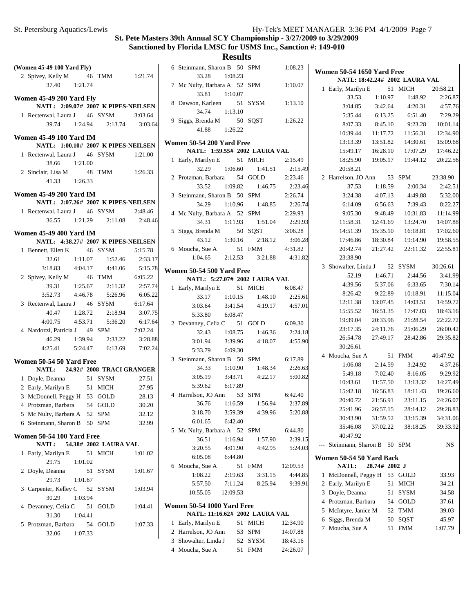## **Results**

| (Women 45-49 100 Yard Fly)                                          |         |                                     |         | 6 Stein                |
|---------------------------------------------------------------------|---------|-------------------------------------|---------|------------------------|
| 2 Spivey, Kelly M 46 TMM 1:21.74                                    |         |                                     |         |                        |
| 37.40 1:21.74                                                       |         |                                     |         | 7 Mc N                 |
| Women 45-49 200 Yard Fly                                            |         |                                     |         |                        |
| NATL: 2:09.07# 2007 K PIPES-NEILSEN                                 |         |                                     |         | 8 Daws                 |
| 1 Rectenwal, Laura J 46 SYSM                                        |         |                                     | 3:03.64 |                        |
|                                                                     |         | 39.74   1:24.94   2:13.74   3:03.64 |         | 9 Siggs                |
|                                                                     |         |                                     |         |                        |
| <b>Women 45-49 100 Yard IM</b>                                      |         |                                     |         | Women 5                |
| NATL: 1:00.10# 2007 K PIPES-NEILSEN<br>1 Rectenwal, Laura J 46 SYSM |         |                                     | 1:21.00 | N.                     |
| 38.66                                                               | 1:21.00 |                                     |         | 1 Early                |
| 2 Sinclair, Lisa M 48 TMM 1:26.33                                   |         |                                     |         |                        |
| 41.33 1:26.33                                                       |         |                                     |         | 2 Protzi               |
|                                                                     |         |                                     |         |                        |
| <b>Women 45-49 200 Yard IM</b>                                      |         |                                     |         | 3 Stein                |
| NATL: 2:07.26# 2007 K PIPES-NEILSEN                                 |         |                                     |         |                        |
| 1 Rectenwal, Laura J 46 SYSM                                        |         |                                     | 2:48.46 | 4 McN                  |
|                                                                     |         | 36.55 1:21.29 2:11.08 2:48.46       |         |                        |
| <b>Women 45-49 400 Yard IM</b>                                      |         |                                     |         | 5 Siggs                |
| NATL: 4:38.27# 2007 K PIPES-NEILSEN                                 |         |                                     |         |                        |
| 1 Bennett, Ellen K 46 SYSM                                          |         |                                     | 5:15.78 | 6 Mouc                 |
| 32.61                                                               |         | $1:11.07$ $1:52.46$ $2:33.17$       |         |                        |
| 3:18.83 4:04.17 4:41.06 5:15.78                                     |         |                                     |         | Women 5                |
| 2 Spivey, Kelly M 46 TMM                                            |         |                                     | 6:05.22 | N.                     |
|                                                                     |         | 39.31 1:25.67 2:11.32               | 2:57.74 | $\mathbf{1}$<br>Early. |
| $3:52.73$ $4:46.78$ $5:26.96$                                       |         |                                     | 6:05.22 |                        |
| 3 Rectenwal, Laura J 46 SYSM                                        |         |                                     | 6:17.64 |                        |
|                                                                     |         | 40.47 1:28.72 2:18.94 3:07.75       |         |                        |
| 4:00.75 4:53.71                                                     |         | 5:36.20 6:17.64                     |         | 2 Devar                |
| 4 Nardozzi, Patricia J 49 SPM                                       |         |                                     | 7:02.24 |                        |
|                                                                     |         | 46.29 1:39.94 2:33.22 3:28.88       |         |                        |
| 4:25.41  5:24.47  6:13.69  7:02.24                                  |         |                                     |         |                        |
| Women 50-54 50 Yard Free                                            |         |                                     |         | 3 Stein                |
| NATL: 24.92# 2008 TRACI GRANGER                                     |         |                                     |         |                        |
| 1 Doyle, Deanna 51 SYSM                                             |         |                                     | 27.51   |                        |
| 2 Early, Marilyn E 51 MICH                                          |         |                                     | 27.95   |                        |
| 3 McDonnell, Peggy H 53 GOLD                                        |         |                                     | 28.13   | 4 Harre                |
| 4 Protzman, Barbara 54 GOLD                                         |         |                                     | 30.20   |                        |
| 5 Mc Nulty, Barbara A 52 SPM                                        |         |                                     | 32.12   |                        |
| 6 Steinmann, Sharon B 50 SPM                                        |         |                                     | 32.99   |                        |
| Women 50-54 100 Yard Free                                           |         |                                     |         | 5 McN                  |
| <b>NATL:</b>                                                        |         | 54.38# 2002 LAURA VAL               |         |                        |
| 1 Early, Marilyn E 51 MICH                                          |         |                                     | 1:01.02 |                        |
| 29.75                                                               | 1:01.02 |                                     |         |                        |
| 2 Doyle, Deanna                                                     |         | 51 SYSM                             | 1:01.67 | 6 Mouc                 |
| 29.73                                                               | 1:01.67 |                                     |         |                        |
| 3 Carpenter, Kelley C 52 SYSM                                       |         |                                     | 1:03.94 |                        |
| 30.29                                                               | 1:03.94 |                                     |         | 1                      |
| 4 Devanney, Celia C 51 GOLD                                         |         |                                     | 1:04.41 | Women 5                |
| 31.30                                                               | 1:04.41 |                                     |         | N.                     |
| 5 Protzman, Barbara 54 GOLD                                         |         |                                     | 1:07.33 | 1 Early                |
| 32.06                                                               | 1:07.33 |                                     |         | 2 Harre<br>2.01        |
|                                                                     |         |                                     |         |                        |

| 6 Steinmann, Sharon B 50 SPM                                                                                                                                                                                                           |         |         | 1:08.23  |
|----------------------------------------------------------------------------------------------------------------------------------------------------------------------------------------------------------------------------------------|---------|---------|----------|
| 33.28 1:08.23                                                                                                                                                                                                                          |         |         |          |
| 7 Mc Nulty, Barbara A 52 SPM 1:10.07                                                                                                                                                                                                   |         |         |          |
| 33.81  1:10.07                                                                                                                                                                                                                         |         |         |          |
| 8 Dawson, Karleen 51 SYSM 1:13.10                                                                                                                                                                                                      |         |         |          |
| 34.74  1:13.10                                                                                                                                                                                                                         |         |         |          |
| 9 Siggs, Brenda M 50 SQST 1:26.22                                                                                                                                                                                                      |         |         |          |
| 41.88 1:26.22                                                                                                                                                                                                                          |         |         |          |
| <b>Women 50-54 200 Yard Free</b>                                                                                                                                                                                                       |         |         |          |
| NATL: 1:59.55# 2002 LAURA VAL                                                                                                                                                                                                          |         |         |          |
| 1 Early, Marilyn E 51 MICH 2:15.49                                                                                                                                                                                                     |         |         |          |
| 32.29 1:06.60 1:41.51 2:15.49                                                                                                                                                                                                          |         |         |          |
| 2 Protzman, Barbara 54 GOLD 2:23.46                                                                                                                                                                                                    |         |         |          |
| 33.52 $1:09.82$ $1:46.75$ 2:23.46                                                                                                                                                                                                      |         |         |          |
| 3 Steinmann, Sharon B 50 SPM 2:26.74                                                                                                                                                                                                   |         |         |          |
|                                                                                                                                                                                                                                        |         |         |          |
| 3 Steinmann, Sharon B 50 SPM<br>34.29 1:10.96 1:48.85 2:26.74<br>4 Mc Nulty, Barbara A 52 SPM<br>34.31 1:11.93 1:51.04 2:29.93<br>5 Siggs, Brenda M 50 SQST 3:06.28<br>43.12 1:30.16 2:18.12 3:06.28<br>6 Moucha, Sue A 51 FMM 4:31.82 |         |         |          |
|                                                                                                                                                                                                                                        |         |         |          |
|                                                                                                                                                                                                                                        |         |         |          |
|                                                                                                                                                                                                                                        |         |         |          |
|                                                                                                                                                                                                                                        |         |         |          |
| cha, Sue A 51 FMM 4:31.82<br>1:04.65 2:12.53 3:21.88 4:31.82                                                                                                                                                                           |         |         |          |
|                                                                                                                                                                                                                                        |         |         |          |
| <b>Women 50-54 500 Yard Free</b>                                                                                                                                                                                                       |         |         |          |
| NATL: 5:27.07# 2002 LAURA VAL                                                                                                                                                                                                          |         |         |          |
| 1 Early, Marilyn E 51 MICH 6:08.47                                                                                                                                                                                                     |         |         |          |
| 33.17    1:10.15    1:48.10    2:25.61                                                                                                                                                                                                 |         |         |          |
| 3:03.64 3:41.54 4:19.17 4:57.01                                                                                                                                                                                                        |         |         |          |
| 5:33.80 6:08.47                                                                                                                                                                                                                        |         |         |          |
| 2 Devanney, Celia C 51 GOLD 6:09.30                                                                                                                                                                                                    |         | 1:46.36 |          |
| 32.43 1:08.75<br>3:01.94 3:39.96 4:18.07 4:55.90                                                                                                                                                                                       |         |         | 2:24.18  |
| 5:33.79 6:09.30                                                                                                                                                                                                                        |         |         |          |
| 3 Steinmann, Sharon B 50 SPM 6:17.89                                                                                                                                                                                                   |         |         |          |
| 34.33 1:10.90 1:48.34 2:26.63                                                                                                                                                                                                          |         |         |          |
|                                                                                                                                                                                                                                        |         |         |          |
| 3:05.19 3:43.71 4:22.17 5:00.82                                                                                                                                                                                                        |         |         |          |
| 5:39.62 6:17.89                                                                                                                                                                                                                        |         |         |          |
| 4 Harrelson, JO Ann 53 SPM 6:42.40<br>36.76 1:16.59 1:56.94 2:37.89                                                                                                                                                                    |         |         |          |
| 3:18.70 3:59.39 4:39.96 5:20.88                                                                                                                                                                                                        |         |         |          |
| 6:01.65                                                                                                                                                                                                                                | 6:42.40 |         |          |
| 5 Mc Nulty, Barbara A 52 SPM                                                                                                                                                                                                           |         |         | 6:44.80  |
| 36.51                                                                                                                                                                                                                                  | 1:16.94 | 1:57.90 | 2:39.15  |
| $3:20.55$ $4:01.90$ $4:42.95$                                                                                                                                                                                                          |         |         | 5:24.03  |
| 6:05.08 6:44.80                                                                                                                                                                                                                        |         |         |          |
| 6 Moucha, Sue A                                                                                                                                                                                                                        |         | 51 FMM  | 12:09.53 |
| 2:19.63<br>1:08.22                                                                                                                                                                                                                     |         | 3:31.15 | 4:44.85  |
| 5:57.50 7:11.24 8:25.94 9:39.91                                                                                                                                                                                                        |         |         |          |
| 10:55.05 12:09.53                                                                                                                                                                                                                      |         |         |          |
|                                                                                                                                                                                                                                        |         |         |          |
| <b>Women 50-54 1000 Yard Free</b>                                                                                                                                                                                                      |         |         |          |
| NATL: 11:16.62# 2002 LAURA VAL                                                                                                                                                                                                         |         |         |          |
| 1 Early, Marilyn E                                                                                                                                                                                                                     |         | 51 MICH | 12:34.90 |
| 2 Harrelson, JO Ann 53 SPM                                                                                                                                                                                                             |         |         | 14:07.88 |
| 3 Showalter, Linda J 52 SYSM 18:43.16                                                                                                                                                                                                  |         |         |          |

4 Moucha, Sue A 51 FMM 24:26.07

|   | <b>Women 50-54 1650 Yard Free</b> |               |    |                                       |                    |  |
|---|-----------------------------------|---------------|----|---------------------------------------|--------------------|--|
|   | NATL: 18:42.24# 2002 LAURA VAL    |               |    |                                       |                    |  |
| 1 | Early, Marilyn E 51 MICH          |               |    |                                       | 20:58.21           |  |
|   | 33.53                             | 1:10.97       |    | 1:48.92                               | 2:26.87            |  |
|   |                                   |               |    | 3:04.85 3:42.64 4:20.31 4:57.76       |                    |  |
|   |                                   |               |    | 5:35.44 6:13.25 6:51.40 7:29.29       |                    |  |
|   | 8:07.33                           | 8:45.10       |    |                                       | 9:23.28 10:01.14   |  |
|   | 10:39.44                          | 11:17.72      |    | 11:56.31                              | 12:34.90           |  |
|   | 13:13.39                          | 13:51.82      |    | 14:30.61                              | 15:09.68           |  |
|   | 15:49.17                          | 16:28.10      |    | 17:07.29                              | 17:46.22           |  |
|   | 18:25.90                          | 19:05.17      |    | 19:44.12                              | 20:22.56           |  |
|   | 20:58.21                          |               |    |                                       |                    |  |
|   | 2 Harrelson, JO Ann 53 SPM        |               |    |                                       | 23:38.90           |  |
|   | 37.53                             |               |    | $1:18.59$ $2:00.34$                   | 2:42.51            |  |
|   |                                   |               |    | $3:24.38$ $4:07.13$ $4:49.88$         | 5:32.00            |  |
|   |                                   |               |    | 6:14.09   6:56.63   7:39.43   8:22.27 |                    |  |
|   |                                   |               |    | 9:05.30 9:48.49 10:31.83 11:14.99     |                    |  |
|   | 11:58.31                          | 12:41.69      |    |                                       | 13:24.70  14:07.88 |  |
|   | 14:51.39  15:35.10                |               |    |                                       | 16:18.81  17:02.60 |  |
|   | 17:46.86                          |               |    | 18:30.84  19:14.90  19:58.55          |                    |  |
|   | 20:42.74                          |               |    | 21:27.42 22:11.32 22:55.81            |                    |  |
|   | 23:38.90                          |               |    |                                       |                    |  |
|   | 3 Showalter, Linda J 52 SYSM      |               |    |                                       | 30:26.61           |  |
|   | 52.19                             | 1:46.71       |    | 2:44.56                               | 3:41.99            |  |
|   |                                   |               |    | 4:39.56 5:37.06 6:33.65 7:30.14       |                    |  |
|   | 8:26.42 9:22.89                   |               |    |                                       | 10:18.91 11:15.04  |  |
|   | 12:11.38 13:07.45                 |               |    |                                       | 14:03.51 14:59.72  |  |
|   | 15:55.52                          | 16:51.35      |    |                                       | 17:47.03  18:43.16 |  |
|   | 19:39.04 20:33.96                 |               |    |                                       | 21:28.54 22:22.72  |  |
|   |                                   |               |    | 23:17.35 24:11.76 25:06.29 26:00.42   |                    |  |
|   |                                   |               |    | 26:54.78 27:49.17 28:42.86 29:35.82   |                    |  |
|   | 30:26.61                          |               |    |                                       |                    |  |
|   | 4 Moucha, Sue A                   |               |    | 51 FMM                                | 40:47.92           |  |
|   | 1:06.08                           | 2:14.59       |    | 3:24.92                               | 4:37.26            |  |
|   | 5:49.18                           | 7:02.40       |    | 8:16.05                               | 9:29.92            |  |
|   | 10:43.61                          | 11:57.50      |    | 13:13.32                              | 14:27.49           |  |
|   | 15:42.18                          | 16:56.83      |    |                                       | 18:11.43 19:26.60  |  |
|   | 20:40.72                          | 21:56.91      |    |                                       | 23:11.15 24:26.07  |  |
|   | 25:41.96                          | 26:57.15      |    | 28:14.12                              | 29:28.83           |  |
|   | 30:43.90                          | 31:59.52      |    | 33:15.39                              | 34:31.06           |  |
|   | 35:46.08                          | 37:02.22      |    | 38:18.25                              | 39:33.92           |  |
|   | 40:47.92                          |               |    |                                       |                    |  |
|   | Steinmann, Sharon B               |               | 50 | <b>SPM</b>                            | NS                 |  |
|   | Women 50-54 50 Yard Back          |               |    |                                       |                    |  |
|   | <b>NATL:</b>                      | 28.74# 2002 J |    |                                       |                    |  |
| 1 | McDonnell, Peggy H                |               |    | 53 GOLD                               | 33.93              |  |
| 2 | Early, Marilyn E                  |               | 51 | MICH                                  | 34.21              |  |
| 3 | Doyle, Deanna                     |               | 51 | SYSM                                  | 34.58              |  |
| 4 | Protzman, Barbara                 |               |    | 54 GOLD                               | 37.61              |  |
| 5 | McIntyre, Janice M                |               | 52 | TMM                                   | 39.03              |  |
| 6 | Siggs, Brenda M                   |               | 50 | SQST                                  | 45.97              |  |
| 7 | Moucha, Sue A                     |               | 51 | <b>FMM</b>                            | 1:07.79            |  |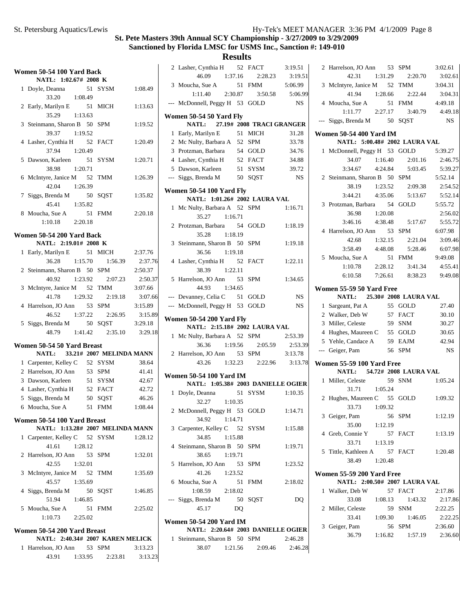| Women 50-54 100 Yard Back           |         |         |         |
|-------------------------------------|---------|---------|---------|
| NATL: 1:02.67# 2008 K               |         |         |         |
| 1 Doyle, Deanna<br>33.20 1:08.49    |         | 51 SYSM | 1:08.49 |
| 2 Early, Marilyn E                  |         | 51 MICH | 1:13.63 |
| 1:13.63<br>35.29                    |         |         |         |
| 3 Steinmann, Sharon B 50 SPM        |         |         | 1:19.52 |
| 39.37<br>1:19.52                    |         |         |         |
| 4 Lasher, Cynthia H 52 FACT         |         |         | 1:20.49 |
| 37.94                               | 1:20.49 |         |         |
| 5 Dawson, Karleen                   |         | 51 SYSM | 1:20.71 |
| 38.98<br>1:20.71                    |         |         |         |
| 6 McIntyre, Janice M 52 TMM         |         |         | 1:26.39 |
| 42.04 1:26.39                       |         |         |         |
| 7 Siggs, Brenda M                   |         | 50 SQST | 1:35.82 |
| 45.41<br>1:35.82                    |         |         |         |
| 8 Moucha, Sue A                     |         | 51 FMM  | 2:20.18 |
| $1:10.18$ $2:20.18$                 |         |         |         |
| Women 50-54 200 Yard Back           |         |         |         |
| NATL: 2:19.01# 2008 K               |         |         |         |
| 1 Early, Marilyn E                  |         | 51 MICH | 2:37.76 |
| 36.28 1:15.70                       |         | 1:56.39 | 2:37.76 |
| 2 Steinmann, Sharon B 50 SPM        |         |         | 2:50.37 |
| 40.92 1:23.92                       |         | 2:07.23 | 2:50.37 |
| 3 McIntyre, Janice M 52 TMM         |         |         | 3:07.66 |
| 41.78 1:29.32                       |         | 2:19.18 | 3:07.66 |
| 4 Harrelson, JO Ann 53 SPM          |         |         | 3:15.89 |
| 46.52 1:37.22 2:26.95               |         |         | 3:15.89 |
| 5 Siggs, Brenda M 50 SQST           |         |         | 3:29.18 |
| 48.79   1:41.42   2:35.10   3:29.18 |         |         |         |
| Women 50-54 50 Yard Breast          |         |         |         |
| NATL: 33.21# 2007 MELINDA MANN      |         |         |         |
| 1 Carpenter, Kelley C 52 SYSM       |         |         | 38.64   |
| 2 Harrelson, JO Ann 53 SPM          |         |         | 41.41   |
| 3 Dawson, Karleen                   |         | 51 SYSM | 42.67   |
| 4 Lasher, Cynthia H 52 FACT         |         |         | 42.72   |
| 5 Siggs, Brenda M                   |         | 50 SQST | 46.26   |
| 6 Moucha, Sue A 51 FMM              |         |         | 1:08.44 |
| Women 50-54 100 Yard Breast         |         |         |         |
| NATL: 1:13.28# 2007 MELINDA MANN    |         |         |         |
| 1 Carpenter, Kelley C 52 SYSM       |         |         | 1:28.12 |
| 41.61 1:28.12                       |         |         |         |
| 2 Harrelson, JO Ann 53 SPM          |         |         | 1:32.01 |
| 42.55<br>1:32.01                    |         |         |         |
| 3 McIntyre, Janice M 52 TMM         |         |         | 1:35.69 |
| 45.57<br>1:35.69                    |         |         |         |
| 4 Siggs, Brenda M 50 SQST           |         |         | 1:46.85 |
| 51.94<br>1:46.85                    |         |         |         |
| 5 Moucha, Sue A                     | 51      | FMM     | 2:25.02 |
| $1:10.73$ $2:25.02$                 |         |         |         |
| Women 50-54 200 Yard Breast         |         |         |         |
| NATL: 2:40.34# 2007 KAREN MELICK    |         |         |         |

|                     |         | $11711L$ . 2.49.94 $\pi$ 2007 KAKER BELICK |         |
|---------------------|---------|--------------------------------------------|---------|
| 1 Harrelson, JO Ann |         | 53 SPM                                     | 3:13.23 |
| 43.91               | 1:33.95 | 2:23.81                                    | 3:13.23 |

|     | 2 Lasher, Cynthia H 52 FACT                                          |      |         | 3:19.51   |
|-----|----------------------------------------------------------------------|------|---------|-----------|
|     | 46.09 1:37.16                                                        |      | 2:28.23 | 3:19.51   |
|     | 3 Moucha, Sue A                                                      |      | 51 FMM  | 5:06.99   |
|     | $1:11.40$ $2:30.87$                                                  |      | 3:50.58 | 5:06.99   |
| --- | McDonnell, Peggy H 53 GOLD                                           |      |         | <b>NS</b> |
|     | Women 50-54 50 Yard Fly                                              |      |         |           |
|     | NATL: 27.19# 2008 TRACI GRANGER                                      |      |         |           |
|     | 1 Early, Marilyn E                                                   |      | 51 MICH | 31.28     |
|     | 2 Mc Nulty, Barbara A 52 SPM                                         |      |         | 33.78     |
|     | 3 Protzman, Barbara                                                  |      | 54 GOLD | 34.76     |
|     | 4 Lasher, Cynthia H                                                  |      | 52 FACT | 34.88     |
|     | 5 Dawson, Karleen                                                    |      | 51 SYSM | 39.72     |
|     | --- Siggs, Brenda M                                                  |      | 50 SQST | <b>NS</b> |
|     |                                                                      |      |         |           |
|     | Women 50-54 100 Yard Fly<br>NATL: 1:01.26# 2002 LAURA VAL            |      |         |           |
|     | 1 Mc Nulty, Barbara A 52 SPM                                         |      |         | 1:16.71   |
|     | 35.27<br>1:16.71                                                     |      |         |           |
|     | 2 Protzman, Barbara                                                  | - 54 | GOLD    | 1:18.19   |
|     | 35.28<br>1:18.19                                                     |      |         |           |
|     | 3 Steinmann, Sharon B 50 SPM                                         |      |         | 1:19.18   |
|     | 36.56<br>1:19.18                                                     |      |         |           |
|     | 4 Lasher, Cynthia H 52 FACT                                          |      |         | 1:22.11   |
|     | 38.39 1:22.11                                                        |      |         |           |
|     | 5 Harrelson, JO Ann 53 SPM                                           |      |         | 1:34.65   |
|     | 44.93 1:34.65                                                        |      |         |           |
|     | --- Devanney, Celia C 51 GOLD                                        |      |         | <b>NS</b> |
|     | --- McDonnell, Peggy H 53 GOLD                                       |      |         | <b>NS</b> |
|     |                                                                      |      |         |           |
|     | <b>Women 50-54 200 Yard Fly</b><br>NATL: 2:15.18# 2002 LAURA VAL     |      |         |           |
|     | 1 Mc Nulty, Barbara A 52 SPM                                         |      |         | 2:53.39   |
|     | 36.36 1:19.56                                                        |      | 2:05.59 | 2:53.39   |
|     | 2 Harrelson, JO Ann 53 SPM                                           |      |         | 3:13.78   |
|     | 43.26 1:32.23 2:22.96 3:13.78                                        |      |         |           |
|     |                                                                      |      |         |           |
|     | <b>Women 50-54 100 Yard IM</b>                                       |      |         |           |
|     | NATL: 1:05.38# 2003 DANIELLE OGIER                                   |      |         |           |
|     | 1 Doyle, Deanna                                                      |      | 51 SYSM | 1:10.35   |
|     | 32.27 1:10.35                                                        |      |         |           |
|     | 2 McDonnell, Peggy H 53 GOLD 1:14.71                                 |      |         |           |
|     | 34.92<br>1:14.71                                                     |      |         |           |
|     | 3 Carpenter, Kelley C 52 SYSM                                        |      |         | 1:15.88   |
|     | 34.85<br>1:15.88                                                     |      |         |           |
|     | 4 Steinmann, Sharon B 50 SPM<br>38.65<br>1:19.71                     |      |         | 1:19.71   |
|     |                                                                      |      |         |           |
|     | 5 Harrelson, JO Ann 53 SPM<br>41.26                                  |      |         | 1:23.52   |
|     | 1:23.52<br>6 Moucha, Sue A                                           |      |         | 2:18.02   |
|     | $1:08.59$ $2:18.02$                                                  |      | 51 FMM  |           |
|     | --- Siggs, Brenda M                                                  |      | 50 SQST |           |
|     | 45.17                                                                | DQ   |         | DQ        |
|     |                                                                      |      |         |           |
|     | <b>Women 50-54 200 Yard IM</b><br>MATL: $2.206442002$ DAMIELLE OCIED |      |         |           |
|     |                                                                      |      |         |           |

|                              |         | $NAIL: 2:20.04# 2003$ DANIELLE OGIEK |         |
|------------------------------|---------|--------------------------------------|---------|
| 1 Steinmann, Sharon B 50 SPM |         |                                      | 2:46.28 |
| 38.07                        | 1:21.56 | 2:09.46                              | 2:46.28 |

| 2            | Harrelson, JO Ann                        |         | 53 SPM                          | 3:02.61         |
|--------------|------------------------------------------|---------|---------------------------------|-----------------|
|              | 42.31 1:31.29                            |         | 2:20.70                         | 3:02.61         |
|              | 3 McIntyre, Janice M 52 TMM              |         |                                 | 3:04.31         |
|              | 41.94 1:28.66                            |         | 2:22.44                         | 3:04.31         |
|              | 4 Moucha, Sue A                          |         | 51 FMM                          | 4:49.18         |
|              | $1:11.77$ $2:27.17$                      |         |                                 | 3:40.79 4:49.18 |
| ---          | Siggs, Brenda M 50 SQST                  |         |                                 | <b>NS</b>       |
|              |                                          |         |                                 |                 |
|              | <b>Women 50-54 400 Yard IM</b>           |         |                                 |                 |
|              | NATL: 5:00.48# 2002 LAURA VAL            |         |                                 |                 |
| 1            | McDonnell, Peggy H 53 GOLD               |         |                                 | 5:39.27         |
|              | 34.07                                    | 1:16.40 | 2:01.16                         | 2:46.75         |
|              | 3:34.67                                  | 4:24.84 | 5:03.45                         | 5:39.27         |
|              | 2 Steinmann, Sharon B 50 SPM             |         |                                 | 5:52.14         |
|              |                                          |         | 38.19 1:23.52 2:09.38           | 2:54.52         |
|              | 3:44.21                                  | 4:35.06 | 5:13.67                         | 5:52.14         |
|              | 3 Protzman, Barbara 54 GOLD              |         |                                 | 5:55.72         |
|              | 36.98                                    | 1:20.08 |                                 | 2:56.02         |
|              | 3:46.16                                  | 4:38.48 | 5:17.67                         | 5:55.72         |
|              | 4 Harrelson, JO Ann 53 SPM               |         |                                 | 6:07.98         |
|              | 42.68                                    | 1:32.15 | 2:21.04                         | 3:09.46         |
|              | 3:58.49                                  | 4:48.08 | 5:28.46                         | 6:07.98         |
|              | 5 Moucha, Sue A                          |         | 51 FMM                          | 9:49.08         |
|              | 1:10.78                                  | 2:28.12 | 3:41.34                         | 4:55.41         |
|              |                                          |         | 6:10.58 7:26.61 8:38.23 9:49.08 |                 |
|              |                                          |         |                                 |                 |
|              | Women 55-59 50 Yard Free<br><b>NATL:</b> |         | 25.30# 2008 LAURA VAL           |                 |
| 1            | Sargeant, Pat A                          |         | 55 GOLD                         | 27.40           |
|              | 2 Walker, Deb W                          |         | 57 FACT                         | 30.10           |
|              | 3 Miller, Celeste                        |         | 59 SNM                          | 30.27           |
|              | 4 Hughes, Maureen C 55 GOLD              |         |                                 | 30.65           |
|              | 5 Yehle, Candace A 59 EAJM               |         |                                 | 42.94           |
|              | --- Geiger, Pam                          |         | 56 SPM                          | <b>NS</b>       |
|              |                                          |         |                                 |                 |
|              | Women 55-59 100 Yard Free                |         |                                 |                 |
|              | NATL: 54.72# 2008 LAURA VAL              |         |                                 |                 |
| $\mathbf{1}$ | Miller, Celeste                          |         | 59 SNM                          | 1:05.24         |
|              | 31.71                                    | 1:05.24 |                                 |                 |
|              | 2 Hughes, Maureen C 55 GOLD              |         |                                 | 1:09.32         |
|              | 33.73                                    | 1:09.32 |                                 |                 |
|              | 3 Geiger, Pam                            |         | 56 SPM                          | 1:12.19         |
|              | 35.00                                    | 1:12.19 |                                 |                 |
|              | 4 Greb, Connie Y                         |         | 57 FACT                         | 1:13.19         |
|              | 33.71                                    | 1:13.19 |                                 |                 |
|              | 5 Tittle, Kathleen A 57 FACT             |         |                                 | 1:20.48         |
|              | 38.49                                    | 1:20.48 |                                 |                 |
|              | Women 55-59 200 Yard Free                |         |                                 |                 |
|              | NATL: 2:00.50# 2007 LAURA VAL            |         |                                 |                 |
| 1            | Walker, Deb W                            |         | 57 FACT                         | 2:17.86         |
|              | 33.08                                    | 1:08.13 | 1:43.32                         | 2:17.86         |
|              | 2 Miller, Celeste                        |         | 59 SNM                          | 2:22.25         |
|              | 33.41                                    | 1:09.30 | 1:46.05                         | 2:22.25         |
|              | 3 Geiger, Pam                            |         | 56 SPM                          | 2:36.60         |
|              | 36.79                                    |         |                                 | 2:36.60         |
|              |                                          | 1:16.82 | 1:57.19                         |                 |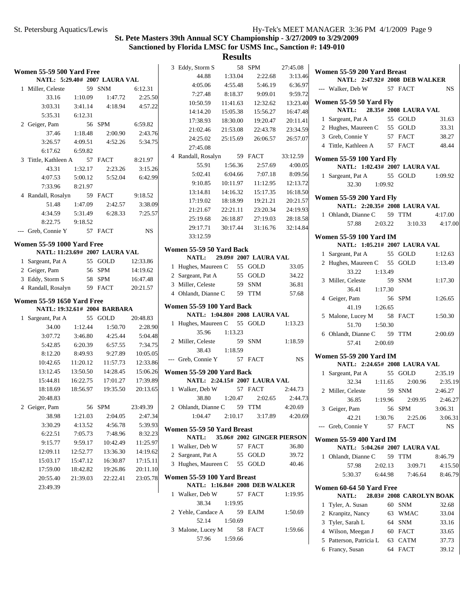4:17.00

2:35.19

2:46.27  $3:06.31$  $3:06.31$ 

> 4:15.50 8:46.79

# **St. Pete Masters 39th Annual SCY Championship - 3/27/2009 to 3/29/2009 Sanctioned by Florida LMSC for USMS Inc., Sanction #: 149-010**

| <b>Women 55-59 500 Yard Free</b>  |          |                                |           | 3 Eddy, Storm S             |          | 58 SPM                         | 27:45.08  | Women 55-59 200 Yard Breast       |                          |           |
|-----------------------------------|----------|--------------------------------|-----------|-----------------------------|----------|--------------------------------|-----------|-----------------------------------|--------------------------|-----------|
|                                   |          | NATL: 5:29.40# 2007 LAURA VAL  |           | 44.88                       | 1:33.04  | 2:22.68                        | 3:13.46   | NATL: 2:47.92# 2008 DEB WALKER    |                          |           |
| 1 Miller, Celeste                 |          | 59 SNM                         | 6:12.31   | 4:05.06                     | 4:55.48  | 5:46.19                        | 6:36.97   | --- Walker, Deb W                 | 57 FACT                  | <b>NS</b> |
| 33.16                             | 1:10.09  | 1:47.72                        | 2:25.50   | 7:27.48                     | 8:18.37  | 9:09.01                        | 9:59.72   |                                   |                          |           |
| 3:03.31                           | 3:41.14  | 4:18.94                        | 4:57.22   | 10:50.59                    | 11:41.63 | 12:32.62                       | 13:23.40  | Women 55-59 50 Yard Fly           |                          |           |
| 5:35.31                           | 6:12.31  |                                |           | 14:14.20                    | 15:05.38 | 15:56.27                       | 16:47.48  | <b>NATL:</b>                      | 28.35# 2008 LAURA VAL    |           |
| 2 Geiger, Pam                     |          | 56 SPM                         | 6:59.82   | 17:38.93                    | 18:30.00 | 19:20.47                       | 20:11.41  | 1 Sargeant, Pat A                 | 55 GOLD                  | 31.63     |
| 37.46                             | 1:18.48  | 2:00.90                        | 2:43.76   | 21:02.46                    | 21:53.08 | 22:43.78                       | 23:34.59  | 2 Hughes, Maureen C               | 55 GOLD                  | 33.31     |
| 3:26.57                           | 4:09.51  | 4:52.26                        | 5:34.75   | 24:25.02                    | 25:15.69 | 26:06.57                       | 26:57.07  | 3 Greb, Connie Y                  | 57 FACT                  | 38.27     |
| 6:17.62                           | 6:59.82  |                                |           | 27:45.08                    |          |                                |           | 4 Tittle, Kathleen A              | 57 FACT                  | 48.44     |
| 3 Tittle, Kathleen A              |          | 57 FACT                        | 8:21.97   | 4 Randall, Rosalyn          |          | 59 FACT                        | 33:12.59  | <b>Women 55-59 100 Yard Fly</b>   |                          |           |
| 43.31                             | 1:32.17  | 2:23.26                        | 3:15.26   | 55.91                       | 1:56.36  | 2:57.69                        | 4:00.05   | NATL: 1:02.43# 2007 LAURA VAL     |                          |           |
| 4:07.53                           | 5:00.12  | 5:52.04                        | 6:42.99   | 5:02.41                     | 6:04.66  | 7:07.18                        | 8:09.56   | 1 Sargeant, Pat A                 | 55 GOLD                  | 1:09.92   |
| 7:33.96                           | 8:21.97  |                                |           | 9:10.85                     | 10:11.97 | 11:12.95                       | 12:13.72  | 32.30<br>1:09.92                  |                          |           |
|                                   |          | 59 FACT                        |           | 13:14.81                    | 14:16.32 | 15:17.35                       | 16:18.50  |                                   |                          |           |
| 4 Randall, Rosalyn                |          |                                | 9:18.52   | 17:19.02                    | 18:18.99 | 19:21.21                       | 20:21.57  | <b>Women 55-59 200 Yard Fly</b>   |                          |           |
| 51.48                             | 1:47.09  | 2:42.57                        | 3:38.09   | 21:21.67                    | 22:21.11 | 23:20.34                       | 24:19.93  | NATL: 2:20.35# 2008 LAURA VAL     |                          |           |
| 4:34.59                           | 5:31.49  | 6:28.33                        | 7:25.57   | 25:19.68                    | 26:18.87 | 27:19.03                       | 28:18.58  | 1 Ohlandt, Dianne C               | 59 TTM                   | 4:17.00   |
| 8:22.75                           | 9:18.52  |                                |           | 29:17.71                    | 30:17.44 | 31:16.76                       | 32:14.84  | 57.88<br>2:03.22                  | 3:10.33                  | 4:17.0    |
| --- Greb, Connie Y                |          | 57 FACT                        | <b>NS</b> | 33:12.59                    |          |                                |           | <b>Women 55-59 100 Yard IM</b>    |                          |           |
| <b>Women 55-59 1000 Yard Free</b> |          |                                |           |                             |          |                                |           | NATL: 1:05.21# 2007 LAURA VAL     |                          |           |
|                                   |          | NATL: 11:23.69# 2007 LAURA VAL |           | Women 55-59 50 Yard Back    |          |                                |           | 1 Sargeant, Pat A                 | 55 GOLD                  | 1:12.63   |
| 1 Sargeant, Pat A                 |          | 55 GOLD                        | 12:33.86  | NATL:                       |          | 29.09# 2007 LAURA VAL          |           | 2 Hughes, Maureen C               | 55 GOLD                  | 1:13.49   |
| 2 Geiger, Pam                     |          | 56 SPM                         | 14:19.62  | 1 Hughes, Maureen C         |          | 55 GOLD                        | 33.05     | 33.22<br>1:13.49                  |                          |           |
| 3 Eddy, Storm S                   |          | 58 SPM                         | 16:47.48  | 2 Sargeant, Pat A           |          | 55 GOLD                        | 34.22     | 3 Miller, Celeste                 | 59 SNM                   |           |
| 4 Randall, Rosalyn                |          | 59 FACT                        | 20:21.57  | 3 Miller, Celeste           |          | 59 SNM                         | 36.81     |                                   |                          | 1:17.30   |
|                                   |          |                                |           | 4 Ohlandt, Dianne C         |          | 59 TTM                         | 57.68     | 1:17.30<br>36.41                  |                          |           |
| <b>Women 55-59 1650 Yard Free</b> |          |                                |           | Women 55-59 100 Yard Back   |          |                                |           | 4 Geiger, Pam<br>41.19<br>1:26.65 | 56 SPM                   | 1:26.65   |
|                                   |          | NATL: 19:32.61# 2004 BARBARA   |           |                             |          | NATL: 1:04.80# 2008 LAURA VAL  |           |                                   |                          |           |
| 1 Sargeant, Pat A                 |          | 55 GOLD                        | 20:48.83  | 1 Hughes, Maureen C         |          | 55 GOLD                        | 1:13.23   | 5 Malone, Lucey M                 | 58 FACT                  | 1:50.30   |
| 34.00                             | 1:12.44  | 1:50.70                        | 2:28.90   | 35.96                       | 1:13.23  |                                |           | 1:50.30<br>51.70                  |                          |           |
| 3:07.72                           | 3:46.80  | 4:25.44                        | 5:04.48   | 2 Miller, Celeste           |          | 59 SNM                         | 1:18.59   | 6 Ohlandt, Dianne C               | 59 TTM                   | 2:00.69   |
| 5:42.85                           | 6:20.39  | 6:57.55                        | 7:34.75   | 38.43                       | 1:18.59  |                                |           | 2:00.69<br>57.41                  |                          |           |
| 8:12.20                           | 8:49.93  | 9:27.89                        | 10:05.05  |                             |          |                                | <b>NS</b> | <b>Women 55-59 200 Yard IM</b>    |                          |           |
| 10:42.65                          | 11:20.12 | 11:57.73                       | 12:33.86  | --- Greb, Connie Y          |          | 57 FACT                        |           | NATL: 2:24.65# 2008 LAURA VAL     |                          |           |
| 13:12.45                          | 13:50.50 | 14:28.45                       | 15:06.26  | Women 55-59 200 Yard Back   |          |                                |           | 1 Sargeant, Pat A                 | 55 GOLD                  | 2:35.19   |
| 15:44.81                          | 16:22.75 | 17:01.27                       | 17:39.89  |                             |          | NATL: 2:24.15# 2007 LAURA VAL  |           | 32.34<br>1:11.65                  | 2:00.96                  | 2:35.1    |
| 18:18.69                          | 18:56.97 | 19:35.50                       | 20:13.65  | 1 Walker, Deb W             |          | 57 FACT                        | 2:44.73   | 2 Miller, Celeste                 | 59 SNM                   | 2:46.27   |
| 20:48.83                          |          |                                |           | 38.80                       | 1:20.47  | 2:02.65                        | 2:44.73   | 1:19.96<br>36.85                  | 2:09.95                  | 2:46.2    |
| 2 Geiger, Pam                     |          | 56 SPM                         | 23:49.39  | 2 Ohlandt, Dianne C         |          | 59 TTM                         | 4:20.69   | 3 Geiger, Pam                     | 56 SPM                   | 3:06.31   |
| 38.98                             | 1:21.03  | 2:04.05                        | 2:47.34   | 1:04.47                     | 2:10.17  | 3:17.89                        | 4:20.69   | 42.21<br>1:30.76                  | 2:25.06                  | 3:06.3    |
| 3:30.29                           | 4:13.52  | 4:56.78                        | 5:39.93   |                             |          |                                |           | --- Greb, Connie Y                | 57 FACT                  | <b>NS</b> |
| 6:22.51                           | 7:05.73  | 7:48.96                        | 8:32.23   | Women 55-59 50 Yard Breast  |          |                                |           |                                   |                          |           |
| 9:15.77                           | 9:59.17  | 10:42.49                       | 11:25.97  | <b>NATL:</b>                |          | 35.06# 2002 GINGER PIERSON     |           | <b>Women 55-59 400 Yard IM</b>    |                          |           |
| 12:09.11                          | 12:52.77 | 13:36.30                       | 14:19.62  | 1 Walker, Deb W             |          | 57 FACT                        | 36.80     | NATL: 5:04.26# 2007 LAURA VAL     |                          |           |
| 15:03.17                          | 15:47.12 | 16:30.87                       | 17:15.11  | 2 Sargeant, Pat A           |          | 55 GOLD                        | 39.72     | 1 Ohlandt, Dianne C               | 59 TTM                   | 8:46.79   |
| 17:59.00                          | 18:42.82 | 19:26.86                       | 20:11.10  | 3 Hughes, Maureen C         |          | 55 GOLD                        | 40.46     | 57.98<br>2:02.13                  | 3:09.71                  | 4:15.5    |
| 20:55.40                          | 21:39.03 | 22:22.41                       | 23:05.78  | Women 55-59 100 Yard Breast |          |                                |           | 5:30.37<br>6:44.98                | 7:46.64                  | 8:46.7    |
| 23:49.39                          |          |                                |           |                             |          | NATL: 1:16.84# 2008 DEB WALKER |           |                                   |                          |           |
|                                   |          |                                |           | 1 Walker, Deb W             |          | 57 FACT                        | 1:19.95   | Women 60-64 50 Yard Free<br>NATL: | 28.03# 2008 CAROLYN BOAK |           |
|                                   |          |                                |           | 38.34                       | 1:19.95  |                                |           |                                   |                          |           |
|                                   |          |                                |           | 2 Yehle, Candace A          |          | 59 EAJM                        | 1:50.69   | 1 Tyler, A. Susan                 | 60 SNM                   | 32.68     |
|                                   |          |                                |           | 52.14                       | 1:50.69  |                                |           | 2 Kranpitz, Nancy                 | 63 WMAC                  | 33.04     |
|                                   |          |                                |           |                             |          |                                |           | 3 Tyler, Sarah L                  | 64 SNM                   | 33.16     |
|                                   |          |                                |           | 3 Malone, Lucey M           |          | 58 FACT                        | 1:59.66   | 4 Wilson, Meegan J                | 60 FACT                  | 33.65     |
|                                   |          |                                |           | 57.96                       | 1:59.66  |                                |           | 5 Patterson, Patricia L           | 63 CATM                  | 37.73     |
|                                   |          |                                |           |                             |          |                                |           | 6 Francy, Susan                   | 64 FACT                  | 39.12     |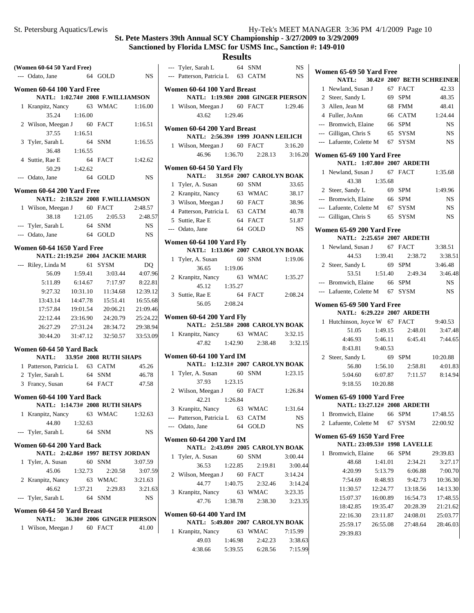#### **St. Pete Masters 39th Annual SCY Championship - 3/27/2009 to 3/29/2009**

#### **Sanctioned by Florida LMSC for USMS Inc., Sanction #: 149-010**

## **Results**

|   | (Women 60-64 50 Yard Free)      |                   |                                  |                | --- Tyler,    |
|---|---------------------------------|-------------------|----------------------------------|----------------|---------------|
|   | --- Odato, Jane                 | 64 GOLD           |                                  | NS             | --- Patter    |
|   | Women 60-64 100 Yard Free       |                   |                                  |                | Women 6       |
|   |                                 |                   | NATL: 1:02.74# 2008 F.WILLIAMSON |                | N/            |
|   | 1 Kranpitz, Nancy 63 WMAC       |                   |                                  | 1:16.00        | 1 Wilso       |
|   | 35.24                           | 1:16.00           |                                  |                |               |
|   | 2 Wilson, Meegan J 60 FACT      |                   |                                  | 1:16.51        |               |
|   |                                 | 37.55 1:16.51     |                                  |                | Women 6<br>N/ |
|   | 3 Tyler, Sarah L                | 64 SNM            |                                  | 1:16.55        | 1 Wilso       |
|   |                                 | 36.48 1:16.55     |                                  |                |               |
|   | 4 Suttie, Rae E                 | 64 FACT           |                                  | 1:42.62        |               |
|   |                                 | 50.29 1:42.62     |                                  |                | Women 6       |
|   | --- Odato, Jane                 | 64 GOLD           |                                  | NS             | N/            |
|   |                                 |                   |                                  |                | 1 Tyler,      |
|   | Women 60-64 200 Yard Free       |                   | NATL: 2:18.52# 2008 F.WILLIAMSON |                | 2 Kranp       |
|   | 1 Wilson, Meegan J 60 FACT      |                   |                                  | 2:48.57        | 3 Wilso       |
|   |                                 |                   | 38.18 1:21.05 2:05.53            | 2:48.57        | 4 Patter      |
|   |                                 |                   |                                  |                | 5 Suttie      |
|   | --- Tyler, Sarah L              | 64 SNM<br>64 GOLD |                                  | <b>NS</b>      | --- Odato     |
|   | --- Odato, Jane                 |                   |                                  | NS             | Women 6       |
|   | Women 60-64 1650 Yard Free      |                   |                                  |                | N/            |
|   |                                 |                   | NATL: 21:19.25# 2004 JACKIE MARR |                | 1 Tyler,      |
|   | --- Riley, Linda M              |                   | 61 SYSM                          | D <sub>O</sub> |               |
|   | 56.09                           | 1:59.41           | 3:03.44                          | 4:07.96        | 2 Kranp       |
|   | 5:11.89                         | 6:14.67           | 7:17.97                          | 8:22.81        |               |
|   | 9:27.32                         | 10:31.10          | 11:34.68                         | 12:39.12       | 3 Suttie.     |
|   | 13:43.14                        | 14:47.78          | 15:51.41                         | 16:55.68       |               |
|   | 17:57.84                        |                   | 19:01.54 20:06.21                | 21:09.46       |               |
|   | 22:12.44                        |                   | 23:16.90 24:20.79                | 25:24.22       | Women 6       |
|   | 26:27.29                        |                   | 27:31.24 28:34.72 29:38.94       |                | N/            |
|   | 30:44.20                        |                   | 31:47.12 32:50.57 33:53.09       |                | 1 Kranp       |
|   |                                 |                   |                                  |                |               |
|   | Women 60-64 50 Yard Back        |                   | NATL: 33.95# 2008 RUTH SHAPS     |                | Women 6       |
|   | 1 Patterson, Patricia L 63 CATM |                   |                                  | 45.26          | N/            |
|   | 2 Tyler, Sarah L 64 SNM         |                   |                                  | 46.78          | 1 Tyler,      |
|   | 3 Francy, Susan                 | 64 FACT           |                                  | 47.58          |               |
|   |                                 |                   |                                  |                | 2 Wilso       |
|   | Women 60-64 100 Yard Back       |                   |                                  |                |               |
|   |                                 |                   | NATL: 1:14.73# 2008 RUTH SHAPS   |                | 3 Kranp       |
|   | 1 Kranpitz, Nancy               |                   | 63 WMAC                          | 1:32.63        | --- Patter    |
|   | 44.80                           | 1:32.63           |                                  |                | --- Odato     |
|   | --- Tyler, Sarah L              |                   | 64 SNM                           | NS             |               |
|   | Women 60-64 200 Yard Back       |                   |                                  |                | Women 6       |
|   |                                 |                   | NATL: 2:42.86# 1997 BETSY JORDAN |                | N             |
|   | 1 Tyler, A. Susan               |                   | 60 SNM                           | 3:07.59        | Tyler,<br>1   |
|   | 45.06                           | 1:32.73           | 2:20.58                          | 3:07.59        |               |
| 2 | Kranpitz, Nancy                 |                   | 63 WMAC                          | 3:21.63        | 2 Wilso       |
|   | 46.62                           | 1:37.21           | 2:29.83                          | 3:21.63        |               |
|   | --- Tyler, Sarah L              |                   | 64 SNM                           | NS             | 3 Kranp       |
|   |                                 |                   |                                  |                |               |
|   | Women 60-64 50 Yard Breast      |                   |                                  |                | Women 6       |
|   | <b>NATL:</b>                    |                   | 36.30# 2006 GINGER PIERSON       |                | N/            |
|   | 1 Wilson, Meegan J 60 FACT      |                   |                                  | 41.00          | Kranp<br>1    |
|   |                                 |                   |                                  |                |               |

|   | --- Tyler, Sarah L                                               |         | 64 SNM                | NS        |
|---|------------------------------------------------------------------|---------|-----------------------|-----------|
|   | --- Patterson, Patricia L 63 CATM                                |         |                       | <b>NS</b> |
|   | Women 60-64 100 Yard Breast                                      |         |                       |           |
|   | NATL: 1:19.98# 2008 GINGER PIERSON                               |         |                       |           |
|   | 1 Wilson, Meegan J 60 FACT                                       |         |                       | 1:29.46   |
|   | 43.62 1:29.46                                                    |         |                       |           |
|   | Women 60-64 200 Yard Breast<br>NATL: 2:56.39# 1999 JOANN LEILICH |         |                       |           |
|   |                                                                  |         |                       | 3:16.20   |
|   | 1 Wilson, Meegan J 60 FACT                                       |         | 46.96 1:36.70 2:28.13 | 3:16.20   |
|   |                                                                  |         |                       |           |
|   | Women 60-64 50 Yard Fly<br>NATL: 31.95# 2007 CAROLYN BOAK        |         |                       |           |
|   | 1 Tyler, A. Susan 60 SNM                                         |         |                       | 33.65     |
|   | 2 Kranpitz, Nancy 63 WMAC                                        |         |                       | 38.17     |
|   | 3 Wilson, Meegan J 60 FACT                                       |         |                       | 38.96     |
|   |                                                                  |         |                       |           |
|   | 4 Patterson, Patricia L 63 CATM                                  |         |                       | 40.78     |
|   | 5 Suttie, Rae E                                                  |         | 64 FACT               | 51.87     |
|   | --- Odato, Jane                                                  |         | 64 GOLD               | NS        |
|   | Women 60-64 100 Yard Fly                                         |         |                       |           |
|   | NATL: 1:13.06# 2007 CAROLYN BOAK                                 |         |                       |           |
|   | 1 Tyler, A. Susan 60 SNM<br>36.65<br>1:19.06                     |         |                       | 1:19.06   |
|   | 2 Kranpitz, Nancy 63 WMAC 1:35.27                                |         |                       |           |
|   |                                                                  |         |                       |           |
|   | 45.12 1:35.27                                                    |         |                       |           |
|   | 3 Suttie, Rae E                                                  |         | 64 FACT               | 2:08.24   |
|   | 56.05 2:08.24                                                    |         |                       |           |
|   | Women 60-64 200 Yard Fly                                         |         |                       |           |
|   | NATL: 2:51.58# 2008 CAROLYN BOAK                                 |         |                       |           |
|   | 1 Kranpitz, Nancy 63 WMAC 3:32.15                                |         |                       |           |
|   |                                                                  |         | 47.82 1:42.90 2:38.48 | 3:32.15   |
|   | <b>Women 60-64 100 Yard IM</b>                                   |         |                       |           |
|   | NATL: 1:12.31# 2007 CAROLYN BOAK                                 |         |                       |           |
|   | 1 Tyler, A. Susan 60 SNM                                         |         |                       | 1:23.15   |
|   | 1:23.15<br>37.93                                                 |         |                       |           |
|   | 2 Wilson, Meegan J 60 FACT                                       |         |                       | 1:26.84   |
|   | 42.21 1:26.84                                                    |         |                       |           |
|   | 3 Kranpitz, Nancy 63 WMAC                                        |         |                       | 1:31.64   |
|   | --- Patterson, Patricia L 63 CATM                                |         |                       | NS        |
|   | --- Odato, Jane                                                  |         | 64 GOLD               | NS.       |
|   | <b>Women 60-64 200 Yard IM</b>                                   |         |                       |           |
|   | NATL: 2:43.09# 2005 CAROLYN BOAK                                 |         |                       |           |
| 1 | Tyler, A. Susan                                                  |         | 60 SNM                | 3:00.44   |
|   | 36.53                                                            | 1:22.85 | 2:19.81               | 3:00.44   |
|   | 2 Wilson, Meegan J 60 FACT                                       |         |                       | 3:14.24   |
|   | 44.77                                                            | 1:40.75 | 2:32.46               | 3:14.24   |
| 3 | Kranpitz, Nancy                                                  |         | 63 WMAC               | 3:23.35   |
|   | $47.76$ 1:38.78                                                  |         | 2:38.30               | 3:23.35   |
|   |                                                                  |         |                       |           |
|   | Women 60-64 400 Yard IM<br>NATL: 5:49.80# 2007 CAROLYN BOAK      |         |                       |           |

| NATL: 5:49.80# 2007 CAROLYN BOAK |         |         |         |
|----------------------------------|---------|---------|---------|
| 1 Kranpitz, Nancy                |         | 63 WMAC | 7:15.99 |
| 49.03                            | 1:46.98 | 2:42.23 | 3:38.63 |
| 4:38.66                          | 5:39.55 | 6:28.56 | 7:15.99 |

|              | Women 65-69 50 Yard Free          |          |                                  |           |
|--------------|-----------------------------------|----------|----------------------------------|-----------|
|              |                                   |          | NATL: 30.42# 2007 BETH SCHREINER |           |
|              | 1 Newland, Susan J 67 FACT        |          |                                  | 42.33     |
|              | 2 Steer, Sandy L                  |          | 69 SPM                           | 48.35     |
|              | 3 Allen, Jean M                   |          | 68 FMM                           | 48.41     |
|              | 4 Fuller, JoAnn                   |          | 66 CATM                          | 1:24.44   |
|              | --- Bromwich, Elaine              |          | 66 SPM                           | <b>NS</b> |
|              | --- Gilligan, Chris S             |          | 65 SYSM                          | <b>NS</b> |
|              | --- Lafuente, Colette M 67 SYSM   |          |                                  | <b>NS</b> |
|              | Women 65-69 100 Yard Free         |          |                                  |           |
|              |                                   |          | NATL: 1:07.80# 2007 ARDETH       |           |
|              | 1 Newland, Susan J 67 FACT        |          |                                  | 1:35.68   |
|              | 43.38                             | 1:35.68  |                                  |           |
|              | 2 Steer, Sandy L                  |          | 69 SPM                           | 1:49.96   |
|              | $-$ Bromwich, Elaine 66 SPM       |          |                                  | <b>NS</b> |
|              | --- Lafuente, Colette M           |          | 67 SYSM                          | <b>NS</b> |
|              | --- Gilligan, Chris S             |          | 65 SYSM                          | NS        |
|              |                                   |          |                                  |           |
|              | Women 65-69 200 Yard Free         |          | NATL: 2:25.65# 2007 ARDETH       |           |
|              | 1 Newland, Susan J 67 FACT        |          |                                  | 3:38.51   |
|              | 44.53                             |          | 1:39.41 2:38.72                  | 3:38.51   |
|              | 2 Steer, Sandy L                  |          | 69 SPM                           | 3:46.48   |
|              | 53.51                             |          | 1:51.40  2:49.34  3:46.48        |           |
|              | --- Bromwich, Elaine 66 SPM       |          |                                  | <b>NS</b> |
|              | --- Lafuente, Colette M 67 SYSM   |          |                                  | <b>NS</b> |
|              |                                   |          |                                  |           |
|              | Women 65-69 500 Yard Free         |          |                                  |           |
|              |                                   |          | NATL: 6:29.22# 2007 ARDETH       |           |
|              | 1 Hutchinson, Joyce W 67 FACT     |          |                                  | 9:40.53   |
|              |                                   |          |                                  |           |
|              |                                   |          | 51.05 1:49.15 2:48.01            | 3:47.48   |
|              | 4:46.93                           |          | 5:46.11 6:45.41 7:44.65          |           |
|              | 8:43.81                           | 9:40.53  |                                  |           |
|              | 2 Steer, Sandy L                  |          | 69 SPM                           | 10:20.88  |
|              | 56.80                             | 1:56.10  | 2:58.81                          | 4:01.83   |
|              | 5:04.60                           | 6:07.87  | 7:11.57                          | 8:14.94   |
|              | 9:18.55 10:20.88                  |          |                                  |           |
|              | <b>Women 65-69 1000 Yard Free</b> |          |                                  |           |
|              |                                   |          | NATL: 13:27.12# 2008 ARDETH      |           |
| 1            | Bromwich, Elaine 66 SPM           |          |                                  | 17:48.55  |
| $\mathbf{2}$ | Lafuente, Colette M 67 SYSM       |          |                                  | 22:00.92  |
|              |                                   |          |                                  |           |
|              | <b>Women 65-69 1650 Yard Free</b> |          | NATL: 23:09.53# 1998 LAVELLE     |           |
| 1            | Bromwich, Elaine 66               |          | SPM                              | 29:39.83  |
|              | 48.68                             | 1:41.01  | 2:34.21                          | 3:27.17   |
|              | 4:20.99                           | 5:13.79  | 6:06.88                          | 7:00.70   |
|              | 7:54.69                           | 8:48.93  | 9:42.73                          | 10:36.30  |
|              | 11:30.57 12:24.77                 |          | 13:18.56                         | 14:13.30  |
|              | 15:07.37                          | 16:00.89 | 16:54.73                         | 17:48.55  |
|              | 18:42.85                          | 19:35.47 | 20:28.39                         | 21:21.62  |
|              | 22:16.30                          | 23:11.87 | 24:08.01                         | 25:03.77  |
|              | 25:59.17                          | 26:55.08 | 27:48.64                         | 28:46.03  |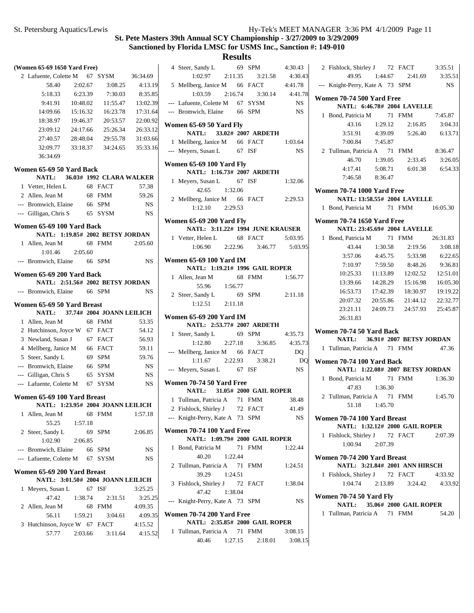| (Women 65-69 1650 Yard Free)                                     |                           |           | 4 Steer, Sandy L<br>69 SPM                                    | 4:30.43     |
|------------------------------------------------------------------|---------------------------|-----------|---------------------------------------------------------------|-------------|
| 2 Lafuente, Colette M                                            | 67 SYSM                   | 36:34.69  | 1:02.97<br>2:11.35<br>3:21.58                                 | 4:30.43     |
| 58.40<br>2:02.67                                                 | 3:08.25                   | 4:13.19   | 66 FACT<br>5 Mellberg, Janice M                               | 4:41.78     |
| 6:23.39<br>5:18.33                                               | 7:30.03                   | 8:35.85   | 1:03.59<br>2:16.74<br>3:30.14                                 | 4:41.78     |
| 9:41.91<br>10:48.02                                              | 11:55.47                  | 13:02.39  | --- Lafuente, Colette M<br>67 SYSM                            | NS.         |
| 14:09.66<br>15:16.32                                             | 16:23.78                  | 17:31.64  | --- Bromwich, Elaine<br>66 SPM                                | NS.         |
| 18:38.97<br>19:46.37                                             | 20:53.57                  | 22:00.92  |                                                               |             |
| 23:09.12<br>24:17.66                                             | 25:26.34                  | 26:33.12  | Women 65-69 50 Yard Fly<br>33.02# 2007 ARDETH<br><b>NATL:</b> |             |
| 27:40.57<br>28:48.04                                             | 29:55.78                  | 31:03.66  | 1 Mellberg, Janice M<br>66 FACT                               | 1:03.64     |
| 32:09.77<br>33:18.37                                             | 34:24.65                  | 35:33.16  | --- Meyers, Susan L<br>67 ISF                                 | $_{\rm NS}$ |
| 36:34.69                                                         |                           |           |                                                               |             |
| Women 65-69 50 Yard Back                                         |                           |           | Women 65-69 100 Yard Fly                                      |             |
| NATL:                                                            | 36.03# 1992 CLARA WALKER  |           | NATL: 1:16.73# 2007 ARDETH                                    |             |
| 1 Vetter, Helen L                                                | 68 FACT                   | 57.38     | 67 ISF<br>1 Meyers, Susan L                                   | 1:32.06     |
| 2 Allen, Jean M                                                  | 68 FMM                    | 59.26     | 42.65<br>1:32.06                                              |             |
| --- Bromwich, Elaine                                             | 66 SPM                    | NS.       | 2 Mellberg, Janice M<br>66 FACT                               | 2:29.53     |
| --- Gilligan, Chris S                                            | 65 SYSM                   | <b>NS</b> | 1:12.10<br>2:29.53                                            |             |
|                                                                  |                           |           | Women 65-69 200 Yard Fly                                      |             |
| Women 65-69 100 Yard Back                                        |                           |           | NATL: 3:11.22# 1994 JUNE KRAUSER                              |             |
| NATL: 1:19.85# 2002 BETSY JORDAN                                 |                           |           | 1 Vetter, Helen L<br>68 FACT                                  | 5:03.95     |
| 1 Allen. Jean M                                                  | 68 FMM                    | 2:05.60   | 1:06.90<br>2:22.96<br>3:46.77                                 | 5:03.95     |
| 1:01.46<br>2:05.60<br>--- Bromwich, Elaine                       | 66 SPM                    | NS.       | <b>Women 65-69 100 Yard IM</b>                                |             |
|                                                                  |                           |           | NATL: 1:19.21# 1996 GAIL ROPER                                |             |
| Women 65-69 200 Yard Back                                        |                           |           | 68 FMM<br>1 Allen, Jean M                                     | 1:56.77     |
| NATL: 2:51.56# 2002 BETSY JORDAN                                 |                           |           | 55.96<br>1:56.77                                              |             |
| --- Bromwich, Elaine                                             | 66 SPM                    | NS.       | 69 SPM<br>2 Steer, Sandy L                                    | 2:11.18     |
| Women 65-69 50 Yard Breast                                       |                           |           | 1:12.51<br>2:11.18                                            |             |
| <b>NATL:</b>                                                     | 37.74# 2004 JOANN LEILICH |           |                                                               |             |
| 1 Allen, Jean M                                                  | 68 FMM                    | 53.35     | <b>Women 65-69 200 Yard IM</b><br>NATL: 2:53.77# 2007 ARDETH  |             |
| 2 Hutchinson, Joyce W 67 FACT                                    |                           | 54.12     | 69 SPM<br>1 Steer, Sandy L                                    | 4:35.73     |
| 3 Newland, Susan J                                               | 67 FACT                   | 56.93     | 1:12.80<br>2:27.18<br>3:36.85                                 | 4:35.73     |
| 4 Mellberg, Janice M                                             | 66 FACT                   | 59.11     | --- Mellberg, Janice M<br>66 FACT                             | DQ          |
| 5 Steer, Sandy L                                                 | 69 SPM                    | 59.76     | 1:11.67<br>2:22.93<br>3:38.21                                 | DQ          |
| --- Bromwich, Elaine                                             | 66 SPM                    | NS.       | --- Meyers, Susan L<br>67 ISF                                 | NS          |
| --- Gilligan, Chris S                                            | 65 SYSM                   | NS.       |                                                               |             |
| --- Lafuente, Colette M                                          | 67 SYSM                   | <b>NS</b> | Women 70-74 50 Yard Free                                      |             |
| Women 65-69 100 Yard Breast                                      |                           |           | 31.05# 2000 GAIL ROPER<br><b>NATL:</b>                        |             |
| NATL: 1:23.95# 2004 JOANN LEILICH                                |                           |           | 1 Tullman, Patricia A<br>71 FMM                               | 38.48       |
| 1 Allen, Jean M                                                  | 68 FMM                    | 1:57.18   | 2 Fishlock, Shirley J 72 FACT                                 | 41.49       |
| 55.25<br>1:57.18                                                 |                           |           | --- Knight-Perry, Kate A 73 SPM                               | NS.         |
| 2 Steer, Sandy L                                                 | 69 SPM                    | 2:06.85   | Women 70-74 100 Yard Free                                     |             |
| 1:02.90<br>2:06.85                                               |                           |           | NATL: 1:09.79# 2000 GAIL ROPER                                |             |
| --- Bromwich, Elaine                                             | 66 SPM                    | NS.       | 71 FMM<br>1 Bond, Patricia M                                  | 1:22.44     |
| --- Lafuente, Colette M                                          | 67 SYSM                   | NS.       | 40.20<br>1:22.44                                              |             |
|                                                                  |                           |           | 2 Tullman, Patricia A<br>71 FMM                               | 1:24.51     |
| Women 65-69 200 Yard Breast<br>NATL: 3:01.50# 2004 JOANN LEILICH |                           |           | 39.29<br>1:24.51                                              |             |
| 1 Meyers, Susan L                                                | 67 ISF                    | 3:25.25   | 3 Fishlock, Shirley J<br>72 FACT                              | 1:38.04     |
| 47.42<br>1:38.74                                                 | 2:31.51                   | 3:25.25   | 47.42<br>1:38.04                                              |             |
| 2 Allen, Jean M                                                  | 68 FMM                    | 4:09.35   | --- Knight-Perry, Kate A 73 SPM                               | NS.         |
| 56.11<br>1:59.21                                                 | 3:04.61                   | 4:09.35   | Women 70-74 200 Yard Free                                     |             |
| 3 Hutchinson, Joyce W 67 FACT                                    |                           | 4:15.52   | NATL: 2:35.85# 2000 GAIL ROPER                                |             |
| 57.77<br>2:03.66                                                 | 3:11.64                   | 4:15.52   | 1 Tullman, Patricia A<br>71 FMM                               | 3:08.15     |
|                                                                  |                           |           | 40.46<br>1:27.15<br>2:18.01                                   | 3:08.15     |

| 2 Fishlock, Shirley J 72 FACT 3:35.51 |                 |                                        |         |
|---------------------------------------|-----------------|----------------------------------------|---------|
|                                       |                 | 49.95   1:44.67   2:41.69   3:35.51    |         |
| --- Knight-Perry, Kate A 73 SPM       |                 |                                        | NS      |
| Women 70-74 500 Yard Free             |                 |                                        |         |
|                                       |                 | NATL: 6:46.78# 2004 LAVELLE            |         |
| 1 Bond, Patricia M 71 FMM 7:45.87     |                 |                                        |         |
|                                       |                 | 43.16 1:29.12 2:16.85 3:04.31          |         |
|                                       |                 | 3:51.91 4:39.09 5:26.40 6:13.71        |         |
|                                       | 7:00.84 7:45.87 |                                        |         |
| 2 Tullman, Patricia A 71 FMM 8:36.47  |                 |                                        |         |
| 46.70                                 |                 | 1:39.05 2:33.45                        | 3:26.05 |
| 4:17.41                               |                 | 5:08.71 6:01.38 6:54.33                |         |
|                                       | 7:46.58 8:36.47 |                                        |         |
| <b>Women 70-74 1000 Yard Free</b>     |                 |                                        |         |
|                                       |                 | NATL: 13:58.55# 2004 LAVELLE           |         |
| 1 Bond, Patricia M 71 FMM 16:05.30    |                 |                                        |         |
| <b>Women 70-74 1650 Yard Free</b>     |                 |                                        |         |
|                                       |                 | NATL: 23:45.69# 2004 LAVELLE           |         |
| 1 Bond, Patricia M 71 FMM 26:31.83    |                 |                                        |         |
|                                       | 43.44 1:30.58   | 2:19.56                                | 3:08.18 |
| 3:57.06                               | 4:45.75         | 5:33.98                                | 6:22.65 |
| 7:10.97                               |                 | 7:59.50 8:48.26                        | 9:36.81 |
|                                       |                 | 10:25.33 11:13.89 12:02.52 12:51.01    |         |
|                                       |                 | 13:39.66 14:28.29 15:16.98 16:05.30    |         |
|                                       |                 | 16:53.73  17:42.39  18:30.97  19:19.22 |         |
|                                       |                 | 20:07.32 20:55.86 21:44.12 22:32.77    |         |
|                                       |                 | 23:21.11 24:09.73 24:57.93 25:45.87    |         |
| 26:31.83                              |                 |                                        |         |
| Women 70-74 50 Yard Back              |                 |                                        |         |
|                                       |                 | NATL: 36.91# 2007 BETSY JORDAN         |         |
| 1 Tullman, Patricia A 71 FMM          |                 |                                        | 47.36   |
| Women 70-74 100 Yard Back             |                 |                                        |         |
|                                       |                 | NATL: 1:22.08# 2007 BETSY JORDAN       |         |
| 1 Bond, Patricia M 71 FMM 1:36.30     |                 |                                        |         |
| 47.83                                 | 1:36.30         |                                        |         |
| 2 Tullman, Patricia A 71 FMM 1:45.70  |                 |                                        |         |
|                                       | 51.18 1:45.70   |                                        |         |
| Women 70-74 100 Yard Breast           |                 |                                        |         |
|                                       |                 | NATL: 1:32.12# 2000 GAIL ROPER         |         |
| 1 Fishlock, Shirley J 72 FACT         |                 |                                        | 2:07.39 |
|                                       | 1:00.94 2:07.39 |                                        |         |
| Women 70-74 200 Yard Breast           |                 |                                        |         |
|                                       |                 | NATL: 3:21.84# 2001 ANN HIRSCH         |         |
| 1 Fishlock, Shirley J 72 FACT         |                 |                                        | 4:33.92 |
|                                       |                 | 1:04.74  2:13.89  3:24.42  4:33.92     |         |
| <b>Women 70-74 50 Yard Fly</b>        |                 |                                        |         |
|                                       |                 | NATL: 35.06# 2000 GAIL ROPER           |         |
| 1 Tullman, Patricia A 71 FMM          |                 |                                        | 54.20   |
|                                       |                 |                                        |         |
|                                       |                 |                                        |         |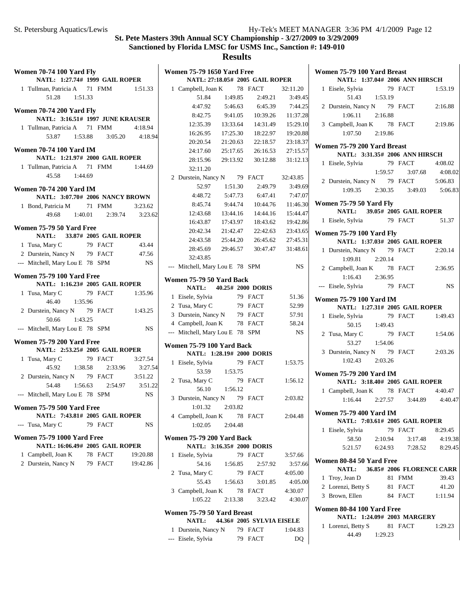| <b>Women 70-74 100 Yard Fly</b>                                     |                    |           | Women 75-79 1650          |                |
|---------------------------------------------------------------------|--------------------|-----------|---------------------------|----------------|
| NATL: 1:27.74# 1999 GAIL ROPER                                      |                    |           | <b>NATL: 27:18.</b>       |                |
| 1 Tullman, Patricia A 71 FMM                                        |                    | 1:51.33   | 1 Campbell, Joan K        |                |
| 51.28<br>1:51.33                                                    |                    |           | 51.84                     |                |
|                                                                     |                    |           | 4:47.92                   |                |
| <b>Women 70-74 200 Yard Fly</b><br>NATL: 3:16.51# 1997 JUNE KRAUSER |                    |           | 8:42.75                   |                |
| 1 Tullman, Patricia A 71 FMM                                        |                    | 4:18.94   | 12:35.39                  | $\mathbf{1}$   |
| 1:53.88<br>53.87                                                    | 3:05.20            | 4:18.94   | 16:26.95                  | 1              |
|                                                                     |                    |           | 20:20.54                  | $\overline{c}$ |
| <b>Women 70-74 100 Yard IM</b>                                      |                    |           | 24:17.60                  | $\overline{c}$ |
| NATL: 1:21.97# 2000 GAIL ROPER                                      |                    |           | 28:15.96                  | $\overline{c}$ |
| 1 Tullman, Patricia A 71 FMM                                        |                    | 1:44.69   | 32:11.20                  |                |
| 45.58<br>1:44.69                                                    |                    |           | 2 Durstein, Nancy N       |                |
| <b>Women 70-74 200 Yard IM</b>                                      |                    |           | 52.97                     |                |
| NATL: 3:07.70# 2006 NANCY BROWN                                     |                    |           | 4:48.72                   |                |
| 1 Bond, Patricia M                                                  | 71 FMM             | 3:23.62   | 8:45.74                   |                |
| 49.68                                                               | 1:40.01<br>2:39.74 | 3:23.62   | 12:43.68                  | $\mathbf{1}$   |
|                                                                     |                    |           | 16:43.87                  | 1              |
| Women 75-79 50 Yard Free<br>NATL: 33.87# 2005 GAIL ROPER            |                    |           | 20:42.34                  | $\overline{c}$ |
| 1 Tusa, Mary C                                                      | 79 FACT            | 43.44     | 24:43.58                  | $\overline{c}$ |
| 2 Durstein, Nancy N 79 FACT                                         |                    | 47.56     | 28:45.69                  | $\overline{2}$ |
| --- Mitchell, Mary Lou E 78 SPM                                     |                    | NS        | 32:43.85                  |                |
|                                                                     |                    |           | --- Mitchell, Mary Lo     |                |
| <b>Women 75-79 100 Yard Free</b>                                    |                    |           | <b>Women 75-79 50 Ya</b>  |                |
| NATL: 1:16.23# 2005 GAIL ROPER                                      |                    |           | NATL:<br>40.              |                |
| 1 Tusa, Mary C                                                      | 79 FACT            | 1:35.96   | 1 Eisele, Sylvia          |                |
| 46.40<br>1:35.96                                                    |                    |           | 2 Tusa, Mary C            |                |
| 2 Durstein, Nancy N 79 FACT                                         |                    | 1:43.25   | 3 Durstein, Nancy N       |                |
| 50.66<br>1:43.25                                                    |                    |           | 4 Campbell, Joan K        |                |
| --- Mitchell, Mary Lou E 78 SPM                                     |                    | <b>NS</b> | --- Mitchell, Mary Lo     |                |
| <b>Women 75-79 200 Yard Free</b>                                    |                    |           |                           |                |
| NATL: 2:53.25# 2005 GAIL ROPER                                      |                    |           | <b>Women 75-79 100 Y</b>  |                |
| 1 Tusa, Mary C                                                      | 79 FACT            | 3:27.54   | NATL: 1:28.               |                |
| 45.92 1:38.58                                                       | 2:33.96            | 3:27.54   | 1 Eisele, Sylvia<br>53.59 |                |
| 2 Durstein, Nancy N 79 FACT                                         |                    | 3:51.22   |                           |                |
| 1:56.63<br>54.48                                                    | 2:54.97            | 3:51.22   | 2 Tusa, Mary C<br>56.10   |                |
| --- Mitchell, Mary Lou E 78 SPM                                     |                    | <b>NS</b> | 3 Durstein, Nancy N       |                |
| <b>Women 75-79 500 Yard Free</b>                                    |                    |           | 1:01.32                   |                |
| NATL: 7:43.81# 2005 GAIL ROPER                                      |                    |           | 4 Campbell, Joan K        |                |
| --- Tusa, Mary C                                                    | 79 FACT            | NS        | 1:02.05                   |                |
|                                                                     |                    |           |                           |                |
| <b>Women 75-79 1000 Yard Free</b>                                   |                    |           | <b>Women 75-79 200 Y</b>  |                |
| NATL: 16:06.49# 2005 GAIL ROPER                                     |                    |           | NATL: 3:16.               |                |
| 1 Campbell, Joan K                                                  | 78 FACT            | 19:20.88  | 1 Eisele, Sylvia          |                |
| 2 Durstein, Nancy N                                                 | 79 FACT            | 19:42.86  | 54.16                     |                |
|                                                                     |                    |           | 2 Tusa, Mary C            |                |
|                                                                     |                    |           | 55.43                     |                |
|                                                                     |                    |           | 3 Campbell, Joan K        |                |

|   | <b>Women 75-79 1650 Yard Free</b> |                                  |                                 |           |
|---|-----------------------------------|----------------------------------|---------------------------------|-----------|
|   |                                   |                                  | NATL: 27:18.05# 2005 GAIL ROPER |           |
|   | 1 Campbell, Joan K 78 FACT        |                                  |                                 | 32:11.20  |
|   | 51.84                             | 1:49.85                          | 2:49.21                         | 3:49.45   |
|   | 4:47.92                           | 5:46.63                          | 6:45.39                         | 7:44.25   |
|   | 8:42.75                           | 9:41.05                          | 10:39.26                        | 11:37.28  |
|   | 12:35.39                          | 13:33.64                         | 14:31.49                        | 15:29.10  |
| 4 | 16:26.95                          | 17:25.30                         | 18:22.97                        | 19:20.88  |
|   | 20:20.54                          | 21:20.63                         | 22:18.57                        | 23:18.37  |
|   | 24:17.60                          | 25:17.65                         | 26:16.53                        | 27:15.57  |
|   | 28:15.96                          | 29:13.92                         | 30:12.88                        | 31:12.13  |
|   | 32:11.20                          |                                  |                                 |           |
|   | 2 Durstein, Nancy N 79 FACT       |                                  |                                 | 32:43.85  |
|   | 52.97                             |                                  | $1:51.30$ $2:49.79$             | 3:49.69   |
|   |                                   |                                  | 4:48.72 5:47.73 6:47.41 7:47.07 |           |
|   | 8:45.74                           |                                  | 9:44.74 10:44.76                | 11:46.30  |
| 2 |                                   |                                  | 12:43.68  13:44.16  14:44.16    | 15:44.47  |
|   | 16:43.87                          |                                  | 17:43.97  18:43.62              | 19:42.86  |
|   | 20:42.34                          | 21:42.47                         | 22:42.63                        | 23:43.65  |
|   | 24:43.58                          | 25:44.20                         | 26:45.62                        | 27:45.31  |
|   | 28:45.69                          | 29:46.57                         | 30:47.47                        | 31:48.61  |
|   | 32:43.85                          |                                  |                                 |           |
|   | --- Mitchell, Mary Lou E 78 SPM   |                                  |                                 | <b>NS</b> |
|   | Women 75-79 50 Yard Back          |                                  |                                 |           |
|   |                                   | NATL: 40.25# 2000 DORIS          |                                 |           |
|   | 1 Eisele, Sylvia                  |                                  | 79 FACT                         | 51.36     |
|   | 2 Tusa, Mary C                    |                                  | 79 FACT                         | 52.99     |
|   | 3 Durstein, Nancy N 79 FACT       |                                  |                                 | 57.91     |
|   | 4 Campbell, Joan K 78 FACT        |                                  |                                 | 58.24     |
|   | --- Mitchell, Mary Lou E 78 SPM   |                                  |                                 | <b>NS</b> |
|   |                                   |                                  |                                 |           |
|   | Women 75-79 100 Yard Back         |                                  |                                 |           |
|   |                                   | <b>NATL: 1:28.19# 2000 DORIS</b> |                                 |           |
| 4 | 1 Eisele, Sylvia                  |                                  | 79 FACT                         | 1:53.75   |
|   | 53.59                             | 1:53.75                          |                                 |           |
| 2 | 2 Tusa, Mary C                    |                                  | 79 FACT                         | 1:56.12   |
|   | 56.10                             | 1:56.12                          |                                 |           |
|   | 3 Durstein, Nancy N 79 FACT       |                                  |                                 | 2:03.82   |
|   | 1:01.32                           | 2:03.82                          |                                 |           |
|   | 4 Campbell, Joan K 78 FACT        |                                  |                                 | 2:04.48   |
|   |                                   | $1:02.05$ $2:04.48$              |                                 |           |
|   | Women 75-79 200 Yard Back         |                                  |                                 |           |
|   |                                   | NATL: 3:16.35# 2000 DORIS        |                                 |           |
|   | 1 Eisele, Sylvia                  |                                  | 79 FACT                         | 3:57.66   |
|   |                                   | 54.16 1:56.85                    | 2:57.92                         | 3:57.66   |
|   | 2 Tusa, Mary C                    |                                  | 79 FACT                         | 4:05.00   |
|   | 55.43                             | 1:56.63                          | 3:01.85                         | 4:05.00   |
|   | 3 Campbell, Joan K 78 FACT        |                                  |                                 | 4:30.07   |
|   |                                   |                                  | $1:05.22$ $2:13.38$ $3:23.42$   | 4:30.07   |
|   |                                   |                                  |                                 |           |
|   | Women 75-79 50 Yard Breast        |                                  |                                 |           |

| NATL:               |  | 44.36# 2005 SYLVIA EISELE |         |
|---------------------|--|---------------------------|---------|
| 1 Durstein, Nancy N |  | 79 FACT                   | 1:04.83 |
| --- Eisele, Sylvia  |  | 79 FACT                   | DO.     |

|              | Women 75-79 100 Yard Breast                                            |         | NATL: 1:37.04# 2006 ANN HIRSCH     |         |
|--------------|------------------------------------------------------------------------|---------|------------------------------------|---------|
|              |                                                                        |         | 79 FACT 1:53.19                    |         |
|              | 1 Eisele, Sylvia 79<br>51.43 1:53.19                                   |         |                                    |         |
|              | 2 Durstein, Nancy N 79 FACT                                            |         |                                    | 2:16.88 |
|              | $1:06.11$ $2:16.88$                                                    |         |                                    |         |
|              | 3 Campbell, Joan K 78 FACT 2:19.86                                     |         |                                    |         |
|              | $1:07.50$ $2:19.86$                                                    |         |                                    |         |
|              |                                                                        |         |                                    |         |
|              | Women 75-79 200 Yard Breast                                            |         |                                    |         |
|              |                                                                        |         | NATL: 3:31.35# 2006 ANN HIRSCH     |         |
|              | 1 Eisele, Sylvia                                                       |         | 79 FACT                            | 4:08.02 |
|              |                                                                        | 1:59.57 | 3:07.68                            | 4:08.02 |
|              |                                                                        |         |                                    |         |
|              | 2 Durstein, Nancy N 79 FACT 5:06.83<br>1:09.35 2:30.35 3:49.03 5:06.83 |         |                                    |         |
|              | Women 75-79 50 Yard Fly                                                |         |                                    |         |
|              |                                                                        |         | NATL: 39.05# 2005 GAIL ROPER       |         |
|              | 1 Eisele, Sylvia 79 FACT                                               |         |                                    | 51.37   |
|              | <b>Women 75-79 100 Yard Fly</b>                                        |         |                                    |         |
|              |                                                                        |         | NATL: 1:37.03# 2005 GAIL ROPER     |         |
|              | 1 Durstein, Nancy N 79 FACT                                            |         |                                    | 2:20.14 |
|              | 1:09.81 2:20.14                                                        |         |                                    |         |
|              | 2 Campbell, Joan K 78 FACT 2:36.95                                     |         |                                    |         |
|              | $1:16.43$ $2:36.95$                                                    |         |                                    |         |
|              | --- Eisele, Sylvia 79 FACT                                             |         |                                    | NS      |
|              | <b>Women 75-79 100 Yard IM</b>                                         |         | NATL: 1:27.31# 2005 GAIL ROPER     |         |
| $\mathbf{1}$ |                                                                        |         |                                    | 1:49.43 |
|              | Eisele, Sylvia 79 FACT<br>50.15 1:49.43                                |         |                                    |         |
|              | 2 Tusa, Mary C                                                         |         | 79 FACT                            | 1:54.06 |
|              | $53.27$ 1:54.06                                                        |         |                                    |         |
|              | 3 Durstein, Nancy N 79 FACT 2:03.26                                    |         |                                    |         |
|              | 1:02.43 2:03.26                                                        |         |                                    |         |
|              |                                                                        |         |                                    |         |
|              | <b>Women 75-79 200 Yard IM</b>                                         |         |                                    |         |
|              |                                                                        |         | NATL: 3:18.40# 2005 GAIL ROPER     |         |
|              | 1 Campbell, Joan K 78 FACT 4:40.47                                     |         |                                    |         |
|              |                                                                        |         | 1:16.44  2:27.57  3:44.89  4:40.47 |         |
|              | <b>Women 75-79 400 Yard IM</b>                                         |         |                                    |         |
|              |                                                                        |         | NATL: 7:03.61# 2005 GAIL ROPER     |         |
| 1            | Eisele, Sylvia                                                         |         | 79 FACT                            | 8:29.45 |
|              |                                                                        |         | 58.50 2:10.94 3:17.48              | 4:19.38 |
|              |                                                                        |         | 5:21.57 6:24.93 7:28.52 8:29.45    |         |
|              | Women 80-84 50 Yard Free                                               |         |                                    |         |
|              | NATL:                                                                  |         | 36.85# 2006 FLORENCE CARR          |         |
|              | 1 Troy, Jean D                                                         |         | 81 FMM                             | 39.43   |
|              | 2 Lorenzi, Betty S 81 FACT                                             |         |                                    | 41.20   |
|              | 3 Brown, Ellen                                                         |         | 84 FACT                            | 1:11.94 |
|              |                                                                        |         |                                    |         |
|              | Women 80-84 100 Yard Free                                              |         |                                    |         |
| 1            |                                                                        |         | NATL: 1:24.09# 2003 MARGERY        |         |
|              | Lorenzi, Betty S 81 FACT                                               |         |                                    | 1:29.23 |
|              | 44.49                                                                  | 1:29.23 |                                    |         |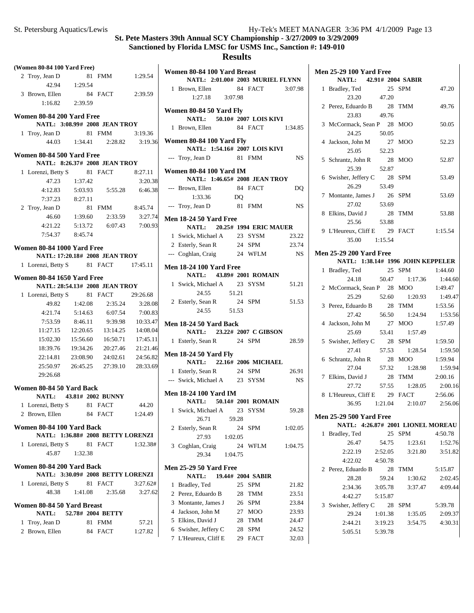| (Women 80-84 100 Yard Free)       |          |                                   |                     | Women 80-84 100 Yard Breast                                    |
|-----------------------------------|----------|-----------------------------------|---------------------|----------------------------------------------------------------|
| 2 Troy, Jean D                    |          | 81 FMM                            | 1:29.54             | NATL: 2:01.00# 2003 M                                          |
| 42.94                             | 1:29.54  |                                   |                     | 84 FA<br>1 Brown, Ellen                                        |
| 3 Brown, Ellen                    |          | 84 FACT                           | 2:39.59             | 3:07.98<br>1:27.18                                             |
| 1:16.82                           | 2:39.59  |                                   |                     |                                                                |
| Women 80-84 200 Yard Free         |          |                                   |                     | Women 80-84 50 Yard Fly                                        |
|                                   |          | NATL: 3:08.99# 2008 JEAN TROY     |                     | NATL: 50.10# 2007 L                                            |
| 1 Troy, Jean D                    |          | 81 FMM                            | 3:19.36             | 1 Brown, Ellen 84 FA                                           |
| 44.03                             | 1:34.41  | 2:28.82                           | 3:19.36             | <b>Women 80-84 100 Yard Fly</b>                                |
|                                   |          |                                   |                     | NATL: 1:54.16# 2007 L                                          |
| Women 80-84 500 Yard Free         |          | NATL: 8:26.37# 2008 JEAN TROY     |                     | --- Troy, Jean D<br>81 FM                                      |
| 1 Lorenzi, Betty S                |          | 81 FACT                           | 8:27.11             | <b>Women 80-84 100 Yard IM</b>                                 |
| 47.23                             | 1:37.42  |                                   | 3:20.38             | NATL: 1:46.65# 2008 JI                                         |
| 4:12.83                           | 5:03.93  | 5:55.28                           | 6:46.38             | 84 FA<br>--- Brown, Ellen                                      |
| 7:37.23                           | 8:27.11  |                                   |                     | 1:33.36<br>DQ                                                  |
| 2 Troy, Jean D                    |          | 81 FMM                            | 8:45.74             | --- Troy, Jean D 81 FM                                         |
| 46.60                             | 1:39.60  | 2:33.59                           | 3:27.74             |                                                                |
| 4:21.22                           | 5:13.72  | 6:07.43                           | 7:00.93             | <b>Men 18-24 50 Yard Free</b><br>20.25# 1994 E<br><b>NATL:</b> |
| 7:54.37                           | 8:45.74  |                                   |                     | 1 Swick, Michael A<br>23 SY:                                   |
|                                   |          |                                   |                     | 24 SPN<br>2 Esterly, Sean R                                    |
| Women 80-84 1000 Yard Free        |          |                                   |                     | 24 WF<br>--- Coghlan, Craig                                    |
|                                   |          | NATL: 17:20.18# 2008 JEAN TROY    |                     |                                                                |
| 1 Lorenzi, Betty S                |          | 81 FACT                           | 17:45.11            | <b>Men 18-24 100 Yard Free</b>                                 |
| <b>Women 80-84 1650 Yard Free</b> |          |                                   |                     | <b>NATL:</b><br>43.89# 2001 R                                  |
|                                   |          | NATL: 28:54.13# 2008 JEAN TROY    |                     | 1 Swick, Michael A<br>23 SY:                                   |
| 1 Lorenzi, Betty S                |          | 81 FACT                           | 29:26.68            | 24.55<br>51.21                                                 |
| 49.82                             | 1:42.08  | 2:35.24                           | 3:28.08             | 24 SPN<br>2 Esterly, Sean R                                    |
| 4:21.74                           | 5:14.63  | 6:07.54                           | 7:00.83             | 24.55<br>51.53                                                 |
| 7:53.59                           | 8:46.11  | 9:39.98                           | 10:33.47            | Men 18-24 50 Yard Back                                         |
| 11:27.15                          | 12:20.65 | 13:14.25                          | 14:08.04            | NATL: 23.22# 2007 C                                            |
| 15:02.30                          | 15:56.60 | 16:50.71                          | 17:45.11            | 1 Esterly, Sean R 24 SPN                                       |
| 18:39.76                          | 19:34.26 | 20:27.46                          | 21:21.46            | <b>Men 18-24 50 Yard Fly</b>                                   |
| 22:14.81                          | 23:08.90 | 24:02.61                          | 24:56.82            | NATL: 22.16# 2006 M                                            |
| 25:50.97                          | 26:45.25 | 27:39.10                          | 28:33.69            | 1 Esterly, Sean R 24 SPN                                       |
| 29:26.68                          |          |                                   |                     | --- Swick, Michael A 23 SY:                                    |
| Women 80-84 50 Yard Back          |          |                                   |                     |                                                                |
| <b>NATL:</b>                      |          | 43.81# 2002 BUNNY                 |                     | <b>Men 18-24 100 Yard IM</b><br>50.14# 2001 R                  |
| 1 Lorenzi, Betty S 81 FACT        |          |                                   | 44.20               | <b>NATL:</b>                                                   |
| 2 Brown, Ellen                    |          | 84 FACT                           | 1:24.49             | 1 Swick, Michael A 23 SY:                                      |
| Women 80-84 100 Yard Back         |          |                                   |                     | 26.71<br>59.28<br>2 Esterly, Sean R                            |
|                                   |          | NATL: 1:36.88# 2008 BETTY LORENZI |                     | 24<br>SPN<br>27.93<br>1:02.05                                  |
| 1 Lorenzi, Betty S                |          | 81 FACT                           | 1:32.38#            | 3 Coghlan, Craig<br>24<br>WF                                   |
| 45.87                             | 1:32.38  |                                   |                     | 29.34<br>1:04.75                                               |
|                                   |          |                                   |                     |                                                                |
| Women 80-84 200 Yard Back         |          | NATL: 3:30.09# 2008 BETTY LORENZI |                     | <b>Men 25-29 50 Yard Free</b>                                  |
|                                   |          |                                   |                     | 19.44# 2004 S.<br><b>NATL:</b>                                 |
| 1 Lorenzi, Betty S<br>48.38       | 1:41.08  | 81 FACT<br>2:35.68                | 3:27.62#<br>3:27.62 | 1 Bradley, Ted<br>25 SPN                                       |
|                                   |          |                                   |                     | 2 Perez, Eduardo B<br>28 TM                                    |
| Women 80-84 50 Yard Breast        |          |                                   |                     | 3 Montante, James J<br>26 SPN                                  |
| NATL:                             |          | 52.78# 2004 BETTY                 |                     | 4 Jackson, John M<br>27 MC                                     |
| 1 Troy, Jean D                    |          | 81 FMM                            | 57.21               | 5 Elkins, David J<br>28 TM                                     |
| 2 Brown, Ellen                    |          | 84 FACT                           | 1:27.82             | 6 Swisher, Jeffery C<br>28 SPN                                 |

|                | NATL: 2:01.00# 2003 MURIEL FLYNN                          |         |                   |             |
|----------------|-----------------------------------------------------------|---------|-------------------|-------------|
|                | 1 Brown, Ellen 84 FACT 3:07.98                            |         |                   |             |
|                | $1:27.18$ $3:07.98$                                       |         |                   |             |
|                |                                                           |         |                   |             |
|                | Women 80-84 50 Yard Fly                                   |         |                   |             |
|                | NATL: 50.10# 2007 LOIS KIVI                               |         |                   |             |
|                | 1 Brown, Ellen 84 FACT 1:34.85                            |         |                   |             |
|                |                                                           |         |                   |             |
|                | Women 80-84 100 Yard Fly<br>NATL: 1:54.16# 2007 LOIS KIVI |         |                   |             |
|                |                                                           |         | 81 FMM            |             |
|                | --- Troy, Jean D                                          |         |                   | NS          |
|                | <b>Women 80-84 100 Yard IM</b>                            |         |                   |             |
|                | NATL: 1:46.65# 2008 JEAN TROY                             |         |                   |             |
|                |                                                           |         |                   | DQ          |
|                | --- Brown, Ellen 84 FACT<br>1:33.36 DQ<br>1:33.36         |         |                   |             |
|                | --- Troy, Jean D 81 FMM                                   |         |                   | <b>NS</b>   |
|                |                                                           |         |                   |             |
|                | <b>Men 18-24 50 Yard Free</b>                             |         |                   |             |
|                | NATL: 20.25# 1994 ERIC MAUER                              |         |                   |             |
|                | 1 Swick, Michael A 23 SYSM 23.22                          |         |                   |             |
|                | 2 Esterly, Sean R 24 SPM                                  |         |                   | 23.74       |
|                | --- Coghlan, Craig 24 WFLM                                |         |                   | NS          |
|                | <b>Men 18-24 100 Yard Free</b>                            |         |                   |             |
|                | NATL: 43.89# 2001 ROMAIN                                  |         |                   |             |
|                | 1 Swick, Michael A 23 SYSM                                |         |                   |             |
|                | 24.55 51.21                                               |         |                   | 51.21       |
|                |                                                           |         |                   |             |
|                | 2 Esterly, Sean R 24 SPM 51.53                            |         |                   |             |
|                |                                                           |         |                   |             |
|                | 24.55 51.53                                               |         |                   |             |
|                | Men 18-24 50 Yard Back                                    |         |                   |             |
|                | NATL: 23.22# 2007 C GIBSON                                |         |                   |             |
|                | 1 Esterly, Sean R 24 SPM                                  |         |                   | 28.59       |
|                |                                                           |         |                   |             |
|                | <b>Men 18-24 50 Yard Fly</b>                              |         |                   |             |
|                | NATL: 22.16# 2006 MICHAEL                                 |         |                   |             |
|                | 1 Esterly, Sean R 24 SPM                                  |         |                   | 26.91       |
|                | --- Swick, Michael A 23 SYSM                              |         |                   | $_{\rm NS}$ |
|                | Men 18-24 100 Yard IM                                     |         |                   |             |
|                | NATL: 50.14# 2001 ROMAIN                                  |         |                   |             |
|                | 1 Swick, Michael A 23 SYSM                                |         |                   | 59.28       |
|                | 26.71 59.28                                               |         |                   |             |
|                | 2 Esterly, Sean R                                         | 24      | SPM               | 1:02.05     |
|                |                                                           | 1:02.05 |                   |             |
|                | 27.93                                                     |         |                   |             |
| 3              | Coghlan, Craig                                            | 24      | WFLM              | 1:04.75     |
|                | 29.34                                                     | 1:04.75 |                   |             |
|                | <b>Men 25-29 50 Yard Free</b>                             |         |                   |             |
|                | <b>NATL:</b>                                              |         | 19.44# 2004 SABIR |             |
| 1              | Bradley, Ted                                              | 25      | SPM               | 21.82       |
| $\overline{2}$ | Perez, Eduardo B                                          | 28      | TMM               | 23.51       |
|                | 3 Montante, James J                                       | 26      | <b>SPM</b>        | 23.84       |
|                | 4 Jackson, John M                                         | 27      | MOO               | 23.93       |
|                | 5 Elkins, David J                                         | 28      | <b>TMM</b>        | 24.47       |
|                | 6 Swisher, Jeffery C                                      | 28      | SPM               | 24.52       |
|                | 7 L'Heureux, Cliff E                                      | 29      | <b>FACT</b>       | 32.03       |

| <b>Men 25-29 100 Yard Free</b>       |         |       |                               |                 |
|--------------------------------------|---------|-------|-------------------------------|-----------------|
| NATL: 42.91# 2004 SABIR              |         |       |                               |                 |
| 1 Bradley, Ted 25 SPM                |         |       |                               | 47.20           |
| 23.20 47.20                          |         |       |                               |                 |
| 2 Perez, Eduardo B 28 TMM            |         |       |                               | 49.76           |
| 23.83 49.76                          |         |       |                               |                 |
| 3 McCormack, Sean P 28 MOO           |         |       |                               | 50.05           |
| 24.25                                | 50.05   |       |                               |                 |
| 4 Jackson, John M 27 MOO             |         |       |                               | 52.23           |
| 25.05                                |         | 52.23 |                               |                 |
| 5 Schrantz, John R                   |         |       | 28 MOO                        | 52.87           |
| 25.39                                |         | 52.87 |                               |                 |
| 6 Swisher, Jeffery C 28 SPM          |         |       |                               | 53.49           |
| 26.29                                | 53.49   |       |                               |                 |
| 7 Montante, James J 26 SPM           |         |       |                               | 53.69           |
| 27.02                                | 53.69   |       |                               |                 |
| 8 Elkins, David J                    |         |       | 28 TMM                        | 53.88           |
| 25.56                                | 53.88   |       |                               |                 |
| 9 L'Heureux, Cliff E 29 FACT 1:15.54 |         |       |                               |                 |
| 35.00   1:15.54                      |         |       |                               |                 |
| <b>Men 25-29 200 Yard Free</b>       |         |       |                               |                 |
| NATL: 1:38.14# 1996 JOHN KEPPELER    |         |       |                               |                 |
| 1 Bradley, Ted                       |         |       | 25 SPM                        | 1:44.60         |
|                                      |         |       | 24.18 50.47 1:17.36 1:44.60   |                 |
| 2 McCormack, Sean P 28 MOO           |         |       |                               | 1:49.47         |
| 25.29                                |         |       | 52.60 1:20.93 1:49.47         |                 |
| 3 Perez, Eduardo B 28 TMM            |         |       |                               | 1:53.56         |
| 27.42                                |         |       | 56.50   1:24.94   1:53.56     |                 |
| 4 Jackson, John M 27 MOO             |         |       |                               | 1:57.49         |
| 25.69                                | 53.41   |       | 1:57.49                       |                 |
| 5 Swisher, Jeffery C                 |         |       | 28 SPM                        | 1:59.50         |
| 27.41                                |         |       | 1:28.54<br>57.53              | 1:59.50         |
| 6 Schrantz, John R                   |         |       | 28 MOO                        | 1:59.94         |
| 27.04                                |         | 57.32 | 1:28.98                       | 1:59.94         |
| 7 Elkins, David J                    |         |       | 28 TMM                        | 2:00.16         |
| 27.72                                |         |       | 57.55 1:28.05                 | 2:00.16         |
| 8 L'Heureux, Cliff E 29 FACT         |         |       |                               | 2:56.06         |
|                                      |         |       | 36.95 1:21.04 2:10.07 2:56.06 |                 |
| <b>Men 25-29 500 Yard Free</b>       |         |       |                               |                 |
| NATL: 4:26.87# 2001 LIONEL MOREAU    |         |       |                               |                 |
| 1 Bradley, Ted                       |         |       | 25 SPM                        | 4:50.78         |
| 26.47                                | 54.75   |       | 1:23.61                       | 1:52.76         |
| 2:22.19                              | 2:52.05 |       | 3:21.80                       | 3:51.82         |
| 4:22.02 4:50.78                      |         |       |                               |                 |
| 2 Perez, Eduardo B                   |         |       | 28 TMM                        | 5:15.87         |
| 28.28                                | 59.24   |       | 1:30.62                       | 2:02.45         |
| 2:34.36 3:05.78                      |         |       |                               | 3:37.47 4:09.44 |
| 4:42.27 5:15.87                      |         |       |                               |                 |
| 3 Swisher, Jeffery C 28 SPM          |         |       |                               | 5:39.78         |
| 29.24                                |         |       | 1:01.38 1:35.05               | 2:09.37         |
| 2:44.21    3:19.23                   |         |       |                               | 3:54.75 4:30.31 |
| 5:05.51 5:39.78                      |         |       |                               |                 |
|                                      |         |       |                               |                 |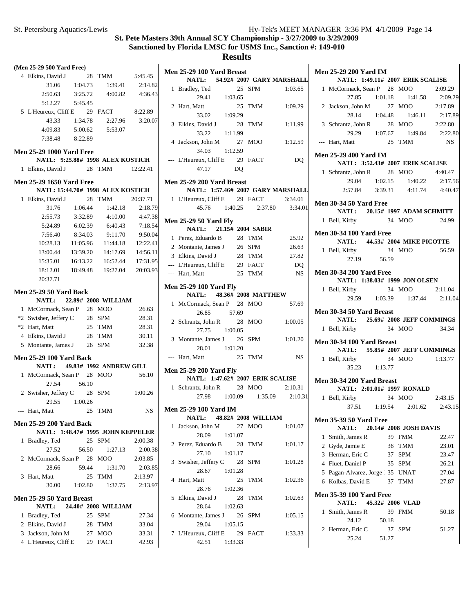|   | (Men 25-29 500 Yard Free)                                       |               |                         |                                        |
|---|-----------------------------------------------------------------|---------------|-------------------------|----------------------------------------|
|   | 4 Elkins, David J 28 TMM 5:45.45                                |               |                         |                                        |
|   |                                                                 | 31.06 1:04.73 |                         | 1:39.41 2:14.82                        |
|   |                                                                 |               |                         | 2:50.63 3:25.72 4:00.82 4:36.43        |
|   | 5:12.27   5:45.45                                               |               |                         |                                        |
|   | 5 L'Heureux, Cliff E 29 FACT 8:22.89                            |               |                         |                                        |
|   |                                                                 |               |                         | 43.33 1:34.78 2:27.96 3:20.07          |
|   |                                                                 |               | 4:09.83 5:00.62 5:53.07 |                                        |
|   | 7:38.48 8:22.89                                                 |               |                         |                                        |
|   |                                                                 |               |                         |                                        |
|   | <b>Men 25-29 1000 Yard Free</b>                                 |               |                         |                                        |
|   | NATL: 9:25.88# 1998 ALEX KOSTICH                                |               |                         |                                        |
|   | 1 Elkins, David J 28 TMM 12:22.41                               |               |                         |                                        |
|   | <b>Men 25-29 1650 Yard Free</b>                                 |               |                         |                                        |
|   | NATL: 15:44.70# 1998 ALEX KOSTICH                               |               |                         |                                        |
|   | 1 Elkins, David J                                               |               | 28 TMM                  | 20:37.71                               |
|   |                                                                 |               | 31.76 1:06.44 1:42.18   | 2:18.79                                |
|   | 2:55.73                                                         | 3:32.89       | 4:10.00                 | 4:47.38                                |
|   | 5:24.89                                                         | 6:02.39       | 6:40.43                 | 7:18.54                                |
|   | 7:56.40                                                         |               | 8:34.03 9:11.70         | 9:50.04                                |
|   |                                                                 |               |                         | 10:28.13  11:05.96  11:44.18  12:22.41 |
|   |                                                                 |               |                         | 13:00.44  13:39.20  14:17.69  14:56.11 |
|   |                                                                 |               |                         | 15:35.01  16:13.22  16:52.44  17:31.95 |
|   |                                                                 |               |                         | 18:12.01  18:49.48  19:27.04  20:03.93 |
|   | 20:37.71                                                        |               |                         |                                        |
|   |                                                                 |               |                         |                                        |
|   | <b>Men 25-29 50 Yard Back</b>                                   |               |                         |                                        |
|   | NATL: 22.89# 2008 WILLIAM                                       |               |                         |                                        |
|   | 1 McCormack, Sean r<br>*2 Swisher, Jeffery C 28 SPM<br>$25$ TMM |               |                         | 26.63                                  |
|   |                                                                 |               |                         | 28.31                                  |
|   |                                                                 |               |                         | 28.31                                  |
|   | 4 Elkins, David J 28 TMM 30.11                                  |               |                         |                                        |
|   | 5 Montante, James J 26 SPM 32.38                                |               |                         |                                        |
|   | <b>Men 25-29 100 Yard Back</b>                                  |               |                         |                                        |
|   | NATL: 49.83# 1992 ANDREW GILL                                   |               |                         |                                        |
|   | 1 McCormack, Sean P 28 MOO                                      |               |                         | 56.10                                  |
|   | 27.54                                                           | 56.10         |                         |                                        |
|   | 2 Swisher, Jeffery C 28 SPM 1:00.26                             |               |                         |                                        |
|   |                                                                 | 29.55 1:00.26 |                         |                                        |
|   | --- Hart, Matt 25 TMM                                           |               |                         | <b>NS</b>                              |
|   | <b>Men 25-29 200 Yard Back</b>                                  |               |                         |                                        |
|   |                                                                 |               |                         | NATL: 1:48.47# 1995 JOHN KEPPELER      |
| 1 | Bradley, Ted                                                    |               | 25 SPM                  | 2:00.38                                |
|   | 27.52                                                           | 56.50         | 1:27.13                 | 2:00.38                                |
|   | 2 McCormack, Sean P 28 MOO                                      |               |                         | 2:03.85                                |
|   | 28.66                                                           | 59.44         | 1:31.70                 | 2:03.85                                |
|   |                                                                 |               | TMM                     |                                        |
|   | 3 Hart, Matt                                                    | 30.00 1:02.80 | 25<br>1:37.75           | 2:13.97                                |
|   |                                                                 |               |                         | 2:13.97                                |
|   | Men 25-29 50 Yard Breast                                        |               |                         |                                        |
|   | NATL: 24.40# 2008 WILLIAM                                       |               |                         |                                        |
| 1 | Bradley, Ted                                                    |               | 25 SPM                  | 27.34                                  |
|   | 2 Elkins, David J                                               |               | 28 TMM                  | 33.04                                  |
|   | 3 Jackson, John M                                               |               | 27 MOO                  | 33.31                                  |
|   | 4 L'Heureux, Cliff E                                            |               | 29 FACT                 | 42.93                                  |
|   |                                                                 |               |                         |                                        |

|              | Men 25-29 100 Yard Breast            |         |    |                               |           |
|--------------|--------------------------------------|---------|----|-------------------------------|-----------|
|              | NATL: 54.92# 2007 GARY MARSHALL      |         |    |                               |           |
|              | 1 Bradley, Ted 25<br>29.41 1:03.65   |         |    | 25 SPM 1:03.65                |           |
|              |                                      |         |    |                               |           |
|              | 2 Hart, Matt                         |         |    | 25 TMM                        | 1:09.29   |
|              | 33.02 1:09.29                        |         |    |                               |           |
|              | 3 Elkins, David J 28 TMM             |         |    |                               | 1:11.99   |
|              | 33.22 1:11.99                        |         |    |                               |           |
|              | 4 Jackson, John M 27 MOO             |         |    |                               | 1:12.59   |
|              | 34.03 1:12.59                        |         |    |                               |           |
|              | --- L'Heureux, Cliff E 29 FACT       |         |    |                               | DQ        |
|              | 47.17 DQ                             |         |    |                               |           |
|              | Men 25-29 200 Yard Breast            |         |    |                               |           |
|              | NATL: 1:57.46# 2007 GARY MARSHALL    |         |    |                               |           |
|              | 1 L'Heureux, Cliff E 29 FACT 3:34.01 |         |    |                               |           |
|              |                                      |         |    | 45.76 1:40.25 2:37.80 3:34.01 |           |
|              | <b>Men 25-29 50 Yard Fly</b>         |         |    |                               |           |
|              | NATL: 21.15# 2004 SABIR              |         |    |                               |           |
|              | 1 Perez, Eduardo B 28 TMM            |         |    |                               | 25.92     |
|              | 2 Montante, James J 26 SPM           |         |    |                               | 26.63     |
|              | 3 Elkins, David J                    |         |    | 28 TMM                        | 27.82     |
|              | --- L'Heureux, Cliff E 29 FACT       |         |    | 25 TMM                        | DQ        |
|              | --- Hart, Matt                       |         |    |                               | <b>NS</b> |
|              | <b>Men 25-29 100 Yard Fly</b>        |         |    |                               |           |
|              | NATL: 48.36# 2008 MATTHEW            |         |    |                               |           |
|              | 1 McCormack, Sean P 28 MOO           |         |    |                               | 57.69     |
|              | 26.85                                | 57.69   |    |                               |           |
|              | 2 Schrantz, John R 28 MOO            |         |    |                               | 1:00.05   |
|              | 27.75 1:00.05                        |         |    |                               |           |
|              | 3 Montante, James J 26 SPM           |         |    |                               | 1:01.20   |
|              | 28.01 1:01.20                        |         |    |                               |           |
|              | --- Hart, Matt                       |         |    | 25 TMM                        | <b>NS</b> |
|              | <b>Men 25-29 200 Yard Fly</b>        |         |    |                               |           |
|              | NATL: 1:47.62# 2007 ERIK SCALISE     |         |    |                               |           |
|              | 1 Schrantz, John R 28 MOO 2:10.31    |         |    |                               |           |
|              |                                      |         |    | 27.98 1:00.09 1:35.09 2:10.31 |           |
|              | <b>Men 25-29 100 Yard IM</b>         |         |    |                               |           |
|              | NATL: 48.82# 2008 WILLIAM            |         |    |                               |           |
| 1            | Jackson, John M                      |         | 27 | MOO                           | 1:01.07   |
|              | 28.09                                | 1:01.07 |    |                               |           |
| $\mathbf{2}$ | Perez, Eduardo B 28                  |         |    | TMM                           | 1:01.17   |
|              | 27.10                                | 1:01.17 |    |                               |           |
| 3            | Swisher, Jeffery C 28 SPM            |         |    |                               | 1:01.28   |
|              | 28.67 1:01.28                        |         |    |                               |           |
| 4            | Hart, Matt                           |         | 25 | TMM                           | 1:02.36   |
|              | 28.76 1:02.36                        |         |    |                               |           |
| 5            | Elkins, David J                      | 28      |    | TMM                           | 1:02.63   |
|              | 28.64                                | 1:02.63 |    |                               |           |
| 6            | Montante, James J 26                 |         |    | SPM                           | 1:05.15   |
|              | 29.04 1:05.15                        |         |    |                               |           |
| 7            | L'Heureux, Cliff E 29 FACT           |         |    |                               | 1:33.33   |
|              | 42.51 1:33.33                        |         |    |                               |           |

|              | <b>Men 25-29 200 Yard IM</b>                                            |         |             |                                 |                  |
|--------------|-------------------------------------------------------------------------|---------|-------------|---------------------------------|------------------|
|              | NATL: 1:49.11# 2007 ERIK SCALISE                                        |         |             |                                 |                  |
|              | 1 McCormack, Sean P 28 MOO                                              |         |             |                                 | 2:09.29          |
|              |                                                                         |         |             | 27.85 1:01.18 1:41.58 2:09.29   |                  |
|              | 2 Jackson, John M 27 MOO                                                |         |             |                                 | 2:17.89          |
|              | 28.14                                                                   |         |             | 1:04.48  1:46.11  2:17.89       |                  |
|              | 3 Schrantz, John R 28 MOO                                               |         |             |                                 | 2:22.80          |
|              |                                                                         |         |             | 29.29 1:07.67 1:49.84 2:22.80   |                  |
|              | --- Hart, Matt                                                          |         |             | 25 TMM                          | NS               |
|              | <b>Men 25-29 400 Yard IM</b><br><b>NATL: 3:52.43# 2007 ERIK SCALISE</b> |         |             |                                 |                  |
|              | 1 Schrantz, John R 28 MOO                                               |         |             |                                 | 4:40.47          |
|              |                                                                         |         |             | 29.04 1:02.15 1:40.22 2:17.56   |                  |
|              |                                                                         |         |             | 2:57.84 3:39.31 4:11.74 4:40.47 |                  |
|              |                                                                         |         |             |                                 |                  |
|              | <b>Men 30-34 50 Yard Free</b><br>NATL: 20.15# 1997 ADAM SCHMITT         |         |             |                                 |                  |
|              | 1 Bell, Kirby 34 MOO 24.99                                              |         |             |                                 |                  |
|              |                                                                         |         |             |                                 |                  |
|              | <b>Men 30-34 100 Yard Free</b>                                          |         |             |                                 |                  |
|              | NATL: 44.53# 2004 MIKE PICOTTE                                          |         |             |                                 |                  |
|              | 1 Bell, Kirby 34 MOO 56.59                                              |         |             |                                 |                  |
|              | 27.19 56.59                                                             |         |             |                                 |                  |
|              | <b>Men 30-34 200 Yard Free</b>                                          |         |             |                                 |                  |
|              | NATL: 1:38.03# 1999 JON OLSEN                                           |         |             |                                 |                  |
|              | 1 Bell, Kirby 34 MOO 2:11.04<br>29.59 1:03.39 1:37.44 2:11.04           |         |             |                                 |                  |
|              |                                                                         |         |             |                                 |                  |
|              |                                                                         |         |             |                                 |                  |
|              |                                                                         |         |             |                                 |                  |
|              | Men 30-34 50 Yard Breast                                                |         |             |                                 |                  |
|              | NATL: 25.69# 2008 JEFF COMMINGS                                         |         |             |                                 |                  |
|              | 1 Bell, Kirby                                                           |         |             | 34 MOO 34.34                    |                  |
|              | Men 30-34 100 Yard Breast                                               |         |             |                                 |                  |
|              | NATL: 55.85# 2007 JEFF COMMINGS                                         |         |             |                                 |                  |
|              | 1 Bell, Kirby                                                           |         |             | 34 MOO                          | 1:13.77          |
|              | $35.23$ 1:13.77                                                         |         |             |                                 |                  |
|              | Men 30-34 200 Yard Breast                                               |         |             |                                 |                  |
|              | NATL: 2:01.01# 1997 RONALD                                              |         |             |                                 |                  |
|              | 1 Bell, Kirby                                                           |         |             | 34 MOO 2:43.15                  |                  |
|              | 37.51                                                                   | 1:19.54 |             | 2:01.62                         |                  |
|              | <b>Men 35-39 50 Yard Free</b>                                           |         |             |                                 |                  |
|              | <b>NATL:</b>                                                            |         |             | 20.14# 2008 JOSH DAVIS          |                  |
| $\mathbf{1}$ | Smith, James R                                                          |         |             | 39 FMM                          | 22.47            |
|              | 2 Gyde, Jamie E                                                         |         |             | 36 TMM                          | 23.01            |
|              | 3 Herman, Eric C                                                        |         |             | 37 SPM                          | 23.47            |
|              | 4 Fluet, Daniel P                                                       |         |             | 35 SPM                          | 26.21            |
|              | 5 Pagan-Alvarez, Jorge 35 UNAT                                          |         |             |                                 | 27.04            |
|              | 6 Kolbas, David E                                                       |         | 37          | TMM                             | 27.87            |
|              | <b>Men 35-39 100 Yard Free</b>                                          |         |             |                                 |                  |
|              | <b>NATL:</b>                                                            |         |             | 45.32# 2006 VLAD                |                  |
| $\mathbf{1}$ | Smith, James R                                                          |         |             | 39 FMM                          | 50.18            |
| 2            | 24.12<br>Herman, Eric C                                                 |         | 50.18<br>37 | <b>SPM</b>                      | 2:43.15<br>51.27 |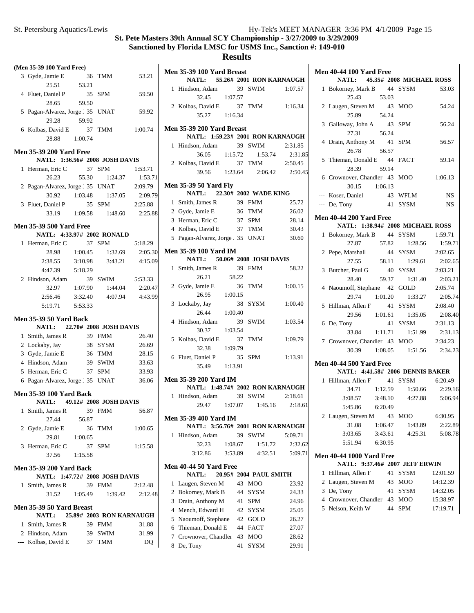# **Results**

| (Men 35-39 100 Yard Free)              |         |                                     |                 |
|----------------------------------------|---------|-------------------------------------|-----------------|
| 3 Gyde, Jamie E                        |         | 36 TMM                              | 53.21           |
| 25.51 53.21                            |         |                                     |                 |
| 4 Fluet, Daniel P                      | 35 SPM  |                                     | 59.50           |
| 28.65                                  | 59.50   |                                     |                 |
| 5 Pagan-Alvarez, Jorge 35 UNAT         |         |                                     | 59.92           |
| 29.28 59.92                            |         |                                     |                 |
| 6 Kolbas, David E                      |         | 37 TMM                              | 1:00.74         |
| 28.88 1:00.74                          |         |                                     |                 |
| <b>Men 35-39 200 Yard Free</b>         |         |                                     |                 |
| NATL: 1:36.56# 2008 JOSH DAVIS         |         |                                     |                 |
| 1 Herman, Eric C 37 SPM                |         |                                     | 1:53.71         |
| 26.23                                  |         | 55.30 1:24.37                       | 1:53.71         |
| 2 Pagan-Alvarez, Jorge 35 UNAT 2:09.79 |         |                                     |                 |
|                                        |         | 30.92   1:03.48   1:37.05   2:09.79 |                 |
| 3 Fluet, Daniel P                      |         | 35 SPM                              | 2:25.88         |
|                                        |         | 33.19 1:09.58 1:48.60 2:25.88       |                 |
| <b>Men 35-39 500 Yard Free</b>         |         |                                     |                 |
| NATL: 4:33.97# 2002 RONALD             |         |                                     |                 |
| 1 Herman, Eric C 37 SPM                |         |                                     | 5:18.29         |
|                                        |         | 28.98 1:00.45 1:32.69 2:05.30       |                 |
| $2:38.55$ $3:10.98$                    |         |                                     | 3:43.21 4:15.09 |
| 4:47.39 5:18.29                        |         |                                     |                 |
| 2 Hindson, Adam                        |         | 39 SWIM 5:53.33                     |                 |
| 32.97                                  | 1:07.90 | 1:44.04                             | 2:20.47         |
| 2:56.46                                | 3:32.40 |                                     | 4:07.94 4:43.99 |
| 5:19.71    5:53.33                     |         |                                     |                 |
| <b>Men 35-39 50 Yard Back</b>          |         |                                     |                 |
| NATL: 22.70# 2008 JOSH DAVIS           |         |                                     |                 |
| 1 Smith, James R 39 FMM                |         |                                     | 26.40           |
| 2 Lockaby, Jay                         |         | 38 SYSM                             | 26.69           |
| 3 Gyde, Jamie E                        |         | 36 TMM                              | 28.15           |
| 4 Hindson, Adam                        |         | 39 SWIM                             | 33.63           |
| 5 Herman, Eric C                       |         | 37 SPM                              | 33.93           |
| 6 Pagan-Alvarez, Jorge 35 UNAT         |         |                                     | 36.06           |
| <b>Men 35-39 100 Yard Back</b>         |         |                                     |                 |
| NATL: 49.12# 2008 JOSH DAVIS           |         |                                     |                 |
| 1 Smith, James R                       | 39      | FMM                                 | 56.87           |
| 27.44                                  | 56.87   |                                     |                 |
| 2 Gyde, Jamie E                        |         | 36 TMM                              | 1:00.65         |
| 29.81                                  | 1:00.65 |                                     |                 |
| 3 Herman, Eric C                       |         | 37 SPM                              | 1:15.58         |
| 37.56                                  | 1:15.58 |                                     |                 |
| <b>Men 35-39 200 Yard Back</b>         |         |                                     |                 |
| NATL: 1:47.72# 2008 JOSH DAVIS         |         |                                     |                 |
| 1 Smith, James R                       | 39      | FMM                                 | 2:12.48         |
| 31.52 1:05.49                          |         | 1:39.42                             | 2:12.48         |
| Men 35-39 50 Yard Breast               |         |                                     |                 |
| <b>NATL:</b>                           |         | 25.89# 2003 RON KARNAUGH            |                 |
| 1 Smith, James R                       |         | 39 FMM                              | 31.88           |
| 2 Hindson, Adam                        |         | 39 SWIM                             | 31.99           |
| --- Kolbas, David E 37 TMM             |         |                                     | DQ              |

|   | Men 35-39 100 Yard Breast<br>NATL: 55.26# 2001 RON KARNAUGH      |         |    |                         |                    |
|---|------------------------------------------------------------------|---------|----|-------------------------|--------------------|
|   | 1 Hindson, Adam                                                  |         |    | 39 SWIM 1:07.57         |                    |
|   | 32.45                                                            | 1:07.57 |    |                         |                    |
|   | 2 Kolbas, David E                                                |         |    | 37 TMM                  | 1:16.34            |
|   | 35.27<br>1:16.34                                                 |         |    |                         |                    |
|   | Men 35-39 200 Yard Breast                                        |         |    |                         |                    |
|   | NATL: 1:59.23# 2001 RON KARNAUGH                                 |         |    |                         |                    |
| 1 | Hindson, Adam                                                    |         |    | 39 SWIM                 | 2:31.85            |
|   | 36.05                                                            |         |    | $1:15.72$ $1:53.74$     | 2:31.85            |
|   | 2 Kolbas, David E                                                |         |    | 37 TMM                  | 2:50.45            |
|   | 39.56                                                            |         |    | 1:23.64 2:06.42 2:50.45 |                    |
|   | <b>Men 35-39 50 Yard Fly</b><br>NATL: 22.30# 2002 WADE KING      |         |    |                         |                    |
|   | 1 Smith, James R                                                 |         |    | 39 FMM                  | 25.72              |
|   | 2 Gyde, Jamie E                                                  |         |    | 36 TMM                  | 26.02              |
|   | 3 Herman, Eric C                                                 |         |    | 37 SPM                  | 28.14              |
|   | 4 Kolbas, David E                                                |         |    | 37 TMM                  | 30.43              |
|   | 5 Pagan-Alvarez, Jorge 1 35 UNAT                                 |         |    |                         | 30.60              |
|   | <b>Men 35-39 100 Yard IM</b>                                     |         |    |                         |                    |
|   | NATL: 50.06# 2008 JOSH DAVIS                                     |         |    |                         |                    |
| 1 | Smith, James R                                                   |         | 39 | <b>FMM</b>              | 58.22              |
|   | 26.21                                                            | 58.22   | 36 |                         |                    |
|   | 2 Gyde, Jamie E 36<br>26.95 1:00.15                              |         |    | TMM                     | 1:00.15            |
| 3 | Lockaby, Jay                                                     |         | 38 | SYSM                    | 1:00.40            |
|   | 26.44 1:00.40                                                    |         |    |                         |                    |
| 4 | Hindson, Adam                                                    |         | 39 | SWIM                    | 1:03.54            |
|   | 30.37                                                            | 1:03.54 |    |                         |                    |
|   | 5 Kolbas, David E                                                |         | 37 | <b>TMM</b>              | 1:09.79            |
|   | 32.38                                                            | 1:09.79 |    |                         |                    |
|   | 6 Fluet, Daniel P                                                |         | 35 | <b>SPM</b>              | 1:13.91            |
|   | 35.49 1:13.91                                                    |         |    |                         |                    |
|   |                                                                  |         |    |                         |                    |
|   | <b>Men 35-39 200 Yard IM</b><br>NATL: 1:48.74# 2002 RON KARNAUGH |         |    |                         |                    |
| 1 | Hindson, Adam                                                    |         |    | 39 SWIM                 | 2:18.61            |
|   | 29.47 1:07.07                                                    |         |    | 1:45.16                 | 2:18.61            |
|   |                                                                  |         |    |                         |                    |
|   | <b>Men 35-39 400 Yard IM</b>                                     |         |    |                         |                    |
|   | NATL: 3:56.76# 2001 RON KARNAUGH                                 |         | 39 |                         | 5:09.71            |
| 1 | Hindson, Adam<br>32.23                                           | 1:08.67 |    | SWIM<br>1:51.72         |                    |
|   | 3:12.86                                                          | 3:53.89 |    | 4:32.51                 | 2:32.62<br>5:09.71 |
|   |                                                                  |         |    |                         |                    |
|   | <b>Men 40-44 50 Yard Free</b><br><b>NATL:</b>                    |         |    | 20.95# 2004 PAUL SMITH  |                    |
| 1 | Laugen, Steven M                                                 |         | 43 | <b>MOO</b>              | 23.92              |
| 2 | Bokorney, Mark B                                                 |         | 44 | SYSM                    | 24.33              |
|   | 3 Drain, Anthony M                                               |         | 41 | <b>SPM</b>              | 24.96              |
|   | 4 Mench, Edward H                                                |         | 42 | <b>SYSM</b>             | 25.05              |
| 5 | Naoumoff, Stephane                                               |         | 42 | GOLD                    | 26.27              |
| 6 | Thieman, Donald E                                                |         | 44 | <b>FACT</b>             | 27.07              |
| 7 | Crownover, Chandler                                              |         |    | 43 MOO                  | 28.62              |
| 8 | De, Tony                                                         |         | 41 | SYSM                    | 29.91              |
|   |                                                                  |         |    |                         |                    |

| <b>Men 40-44 100 Yard Free</b>                   |         |               |                 |
|--------------------------------------------------|---------|---------------|-----------------|
| NATL: 45.35# 2008 MICHAEL ROSS                   |         |               |                 |
| Bokorney, Mark B 44 SYSM<br>$\mathbf{1}$         |         |               | 53.03           |
| 53.03<br>25.43                                   |         |               |                 |
| 2 Laugen, Steven M 43 MOO                        |         |               | 54.24           |
| 25.89                                            | 54.24   |               |                 |
| 3 Galloway, John A 43 SPM                        |         |               | 56.24           |
| 27.31                                            | 56.24   |               |                 |
| 4 Drain, Anthony M 41 SPM                        |         |               | 56.57           |
| 26.78                                            | 56.57   |               |                 |
| 5 Thieman, Donald E 44 FACT                      |         |               | 59.14           |
| 28.39                                            | 59.14   |               |                 |
| 6 Crownover, Chandler 43 MOO                     |         |               | 1:06.13         |
| 30.15 1:06.13                                    |         |               |                 |
| --- Koser, Daniel                                |         | 43 WFLM       | NS <sub>N</sub> |
| --- De, Tony                                     |         | 41 SYSM       | NS              |
| <b>Men 40-44 200 Yard Free</b>                   |         |               |                 |
| NATL: 1:38.94# 2008 MICHAEL ROSS                 |         |               |                 |
| Bokorney, Mark B 44 SYSM<br>$\mathbf{1}$         |         |               | 1:59.71         |
|                                                  |         | 1:28.56       | 1:59.71         |
| 27.87 57.82<br>2 Pepe, Marshall 44 SY            |         | 44 SYSM       | 2:02.65         |
| 27.55                                            | 58.11   | 1:29.61       | 2:02.65         |
| 3 Butcher, Paul G                                |         | 40 SYSM       | 2:03.21         |
| 28.40                                            |         | 59.37 1:31.40 | 2:03.21         |
| 4 Naoumoff, Stephane 42 GOLD 2:05.74             |         |               |                 |
| 29.74 1:01.20                                    |         | 1:33.27       | 2:05.74         |
| 5 Hillman, Allen F 41 SYSM 2:08.40               |         |               |                 |
| 29.56 1:01.61 1:35.05                            |         |               | 2:08.40         |
| 6 De, Tony                                       |         | 41 SYSM       | 2:31.13         |
| 33.84   1:11.71   1:51.99   2:31.13              |         |               |                 |
| 7 Crownover, Chandler 43 MOO                     |         |               | 2:34.23         |
| 30.39 1:08.05 1:51.56 2:34.23                    |         |               |                 |
|                                                  |         |               |                 |
| <b>Men 40-44 500 Yard Free</b>                   |         |               |                 |
| NATL: 4:41.58# 2006 DENNIS BAKER                 |         |               |                 |
| Hillman, Allen F 41 SYSM 6:20.49<br>$\mathbf{1}$ |         |               |                 |
| 34.71  1:12.59  1:50.66  2:29.16                 |         |               |                 |
| 3:08.57 3:48.10 4:27.88 5:06.94                  |         |               |                 |
| 6:20.49<br>5:45.86                               |         |               |                 |
| 2 Laugen, Steven M 43                            |         | MOO           | 6:30.95         |
| 31.08                                            | 1:06.47 | 1:43.89       | 2:22.89         |
| 3:03.65                                          | 3:43.61 | 4:25.31       | 5:08.78         |
| 5:51.94                                          | 6:30.95 |               |                 |
| <b>Men 40-44 1000 Yard Free</b>                  |         |               |                 |
| NATL: 9:37.46# 2007 JEFF ERWIN                   |         |               |                 |
| Hillman, Allen F<br>1                            |         | 41 SYSM       | 12:01.59        |
| 2 Laugen, Steven M 43 MOO                        |         |               | 14:12.39        |

3 De, Tony 41 SYSM 14:32.05<br>4 Crownover, Chandler 43 MOO 15:38.97

5 Nelson, Keith W 44 SPM 17:19.71

4 Crownover, Chandler 43 MOO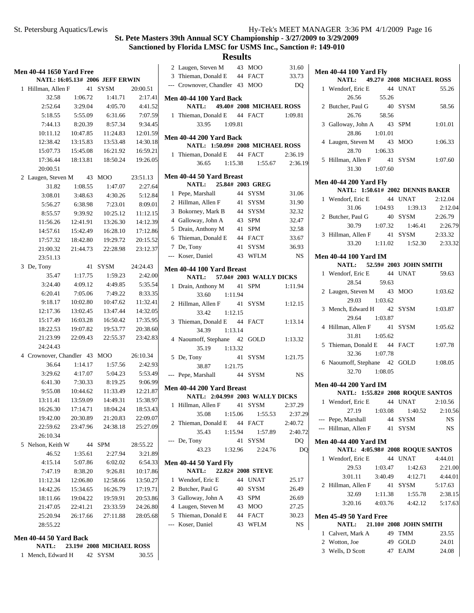**Results**

| <b>Men 40-44 1650 Yard Free</b><br>NATL: 16:05.13# 2006 JEFF ERWIN |                              |                     |                                        |          |   |  |  |  |
|--------------------------------------------------------------------|------------------------------|---------------------|----------------------------------------|----------|---|--|--|--|
| 1                                                                  | Hillman, Allen F             | 41                  | SYSM                                   | 20:00.51 |   |  |  |  |
|                                                                    | 32.58                        | 1:06.72             | 1:41.71                                | 2:17.41  | 1 |  |  |  |
|                                                                    | 2:52.64                      | 3:29.04             | 4:05.70                                | 4:41.52  |   |  |  |  |
|                                                                    | 5:18.55                      | 5:55.09             | 6:31.66                                | 7:07.59  |   |  |  |  |
|                                                                    | 7:44.13                      | 8:20.39             | 8:57.34                                | 9:34.45  |   |  |  |  |
|                                                                    | 10:11.12                     | 10:47.85            | 11:24.83                               | 12:01.59 |   |  |  |  |
|                                                                    | 12:38.42                     | 13:15.83            | 13:53.48                               | 14:30.18 | l |  |  |  |
|                                                                    | 15:07.73                     | 15:45.08            | 16:21.92                               | 16:59.21 |   |  |  |  |
|                                                                    |                              |                     | 17:36.44  18:13.81  18:50.24  19:26.05 |          |   |  |  |  |
|                                                                    | 20:00.51                     |                     |                                        |          |   |  |  |  |
|                                                                    | 2 Laugen, Steven M 43 MOO    |                     |                                        | 23:51.13 | l |  |  |  |
|                                                                    | 31.82                        | 1:08.55             | 1:47.07                                | 2:27.64  |   |  |  |  |
|                                                                    | 3:08.01                      | 3:48.63             | 4:30.26                                | 5:12.84  |   |  |  |  |
|                                                                    | 5:56.27                      | 6:38.98             | 7:23.01                                | 8:09.01  |   |  |  |  |
|                                                                    | 8:55.57                      | 9:39.92             | 10:25.12                               | 11:12.15 |   |  |  |  |
|                                                                    | 11:56.26                     | 12:41.91            | 13:26.30                               | 14:12.39 |   |  |  |  |
|                                                                    | 14:57.61                     | 15:42.49            | 16:28.10                               | 17:12.86 |   |  |  |  |
|                                                                    | 17:57.32                     |                     | 18:42.80  19:29.72                     | 20:15.52 |   |  |  |  |
|                                                                    | 21:00.32                     | 21:44.73            | 22:28.98                               | 23:12.37 |   |  |  |  |
|                                                                    | 23:51.13                     |                     |                                        |          |   |  |  |  |
|                                                                    | 3 De, Tony                   |                     | 41 SYSM 24:24.43                       |          | 1 |  |  |  |
|                                                                    |                              | 35.47 1:17.75       | 1:59.23                                | 2:42.00  |   |  |  |  |
|                                                                    | 3:24.40                      | 4:09.12             | 4:49.85                                | 5:35.54  |   |  |  |  |
|                                                                    | 6:20.41                      | 7:05.06             | 7:49.22                                | 8:33.35  |   |  |  |  |
|                                                                    | 9:18.17                      | 10:02.80            | 10:47.62                               | 11:32.41 |   |  |  |  |
|                                                                    | 12:17.36                     | 13:02.45            | 13:47.44                               | 14:32.05 |   |  |  |  |
|                                                                    | 15:17.49                     | 16:03.28            | 16:50.42                               | 17:35.95 |   |  |  |  |
|                                                                    | 18:22.53                     | 19:07.82            | 19:53.77                               | 20:38.60 |   |  |  |  |
|                                                                    | 21:23.99                     | 22:09.43            | 22:55.37                               | 23:42.83 |   |  |  |  |
|                                                                    | 24:24.43                     |                     |                                        |          |   |  |  |  |
|                                                                    | 4 Crownover, Chandler 43 MOO |                     |                                        | 26:10.34 |   |  |  |  |
|                                                                    | 36.64                        | 1:14.17             | 1:57.56                                | 2:42.93  |   |  |  |  |
|                                                                    |                              |                     | 3:29.62 4:17.07 5:04.23 5:53.49        |          |   |  |  |  |
|                                                                    | 6:41.30                      |                     | 7:30.33 8:19.25 9:06.99                |          | l |  |  |  |
|                                                                    | 9:55.08                      |                     | 10:44.62  11:33.49  12:21.87           |          |   |  |  |  |
|                                                                    | 13:11.41                     |                     | 13:59.09  14:49.31  15:38.97           |          |   |  |  |  |
|                                                                    | 16:26.30                     | 17:14.71            | 18:04.24                               | 18:53.43 |   |  |  |  |
|                                                                    | 19:42.00                     | 20:30.89            | 21:20.83                               | 22:09.07 |   |  |  |  |
|                                                                    | 22:59.62                     |                     | 23:47.96 24:38.18                      | 25:27.09 |   |  |  |  |
|                                                                    | 26:10.34                     |                     |                                        |          |   |  |  |  |
|                                                                    | 5 Nelson, Keith W 44         |                     | SPM                                    | 28:55.22 |   |  |  |  |
|                                                                    | 46.52                        | 1:35.61             | 2:27.94                                | 3:21.89  |   |  |  |  |
|                                                                    |                              | $4:15.14$ $5:07.86$ | 6:02.02                                | 6:54.33  | J |  |  |  |
|                                                                    | 7:47.19                      | 8:38.20             | 9:26.81                                | 10:17.86 |   |  |  |  |
|                                                                    | 11:12.34                     |                     | 12:06.80  12:58.66                     | 13:50.27 |   |  |  |  |
|                                                                    | 14:42.26                     |                     | 15:34.65   16:26.79                    | 17:19.71 |   |  |  |  |
|                                                                    | 18:11.66 19:04.22            |                     | 19:59.91                               | 20:53.86 |   |  |  |  |
|                                                                    |                              |                     | 21:47.05 22:41.21 23:33.59 24:26.80    |          |   |  |  |  |
|                                                                    |                              |                     | 25:20.94 26:17.66 27:11.88 28:05.68    |          |   |  |  |  |
|                                                                    | 28:55.22                     |                     |                                        |          |   |  |  |  |
|                                                                    | Men 40-44 50 Yard Back       |                     | NATL: 23.19# 2008 MICHAEL ROSS         |          |   |  |  |  |

1 Mench, Edward H 42 SYSM 30.55

|     | 2 Laugen, Steven M                                           |         | 43 MOO            | 31.60     |
|-----|--------------------------------------------------------------|---------|-------------------|-----------|
|     | 3 Thieman, Donald E 44 FACT                                  |         |                   | 33.73     |
|     | --- Crownover, Chandler 43 MOO                               |         |                   | DQ        |
|     | Men 40-44 100 Yard Back                                      |         |                   |           |
|     | NATL: 49.40# 2008 MICHAEL ROSS                               |         |                   |           |
|     | 1 Thieman, Donald E 44 FACT                                  |         |                   | 1:09.81   |
|     | 33.95 1:09.81                                                |         |                   |           |
|     | <b>Men 40-44 200 Yard Back</b>                               |         |                   |           |
|     | NATL: 1:50.09# 2008 MICHAEL ROSS                             |         |                   |           |
| 1   | Thieman, Donald E 44 FACT                                    |         |                   | 2:36.19   |
|     | 36.65 1:15.38 1:55.67 2:36.19                                |         |                   |           |
|     | Men 40-44 50 Yard Breast<br>NATL: 25.84# 2003 GREG           |         |                   |           |
|     |                                                              |         |                   |           |
|     | 1 Pepe, Marshall                                             |         | 44 SYSM           | 31.06     |
|     | 2 Hillman, Allen F                                           |         | 41 SYSM           | 31.90     |
|     | 3 Bokorney, Mark B                                           |         | 44 SYSM           | 32.32     |
|     | 4 Galloway, John A                                           |         | 43 SPM            | 32.47     |
|     | 5 Drain, Anthony M                                           |         | 41 SPM            | 32.58     |
|     | 6 Thieman, Donald E 44 FACT                                  |         |                   | 33.67     |
|     | 7 De, Tony                                                   |         | 41 SYSM           | 36.93     |
|     | --- Koser, Daniel                                            |         | 43 WFLM           | <b>NS</b> |
|     | Men 40-44 100 Yard Breast                                    |         |                   |           |
|     | NATL: 57.04# 2003 WALLY DICKS                                |         |                   |           |
|     | 1 Drain, Anthony M 41 SPM                                    |         |                   | 1:11.94   |
|     | 33.60<br>1:11.94                                             |         |                   |           |
|     | 2 Hillman, Allen F 41 SYSM                                   |         |                   | 1:12.15   |
|     | 33.42<br>1:12.15                                             |         |                   |           |
| 3   | Thieman, Donald E 44                                         |         | FACT              | 1:13.14   |
|     | 34.39<br>1:13.14                                             |         |                   |           |
| 4   | Naoumoff, Stephane 42                                        |         | GOLD              | 1:13.32   |
|     | 35.19 1:13.32                                                |         |                   |           |
|     | 5 De, Tony                                                   | 41      | <b>SYSM</b>       | 1:21.75   |
|     | 38.87 1:21.75                                                |         |                   |           |
|     | --- Pepe, Marshall                                           |         | 44 SYSM           | <b>NS</b> |
|     |                                                              |         |                   |           |
|     | Men 40-44 200 Yard Breast<br>NATL: 2:04.99# 2003 WALLY DICKS |         |                   |           |
|     | 1 Hillman, Allen F 41 SYSM                                   |         |                   | 2:37.29   |
|     |                                                              |         |                   |           |
|     | 35.08                                                        | 1:15.06 | 1:55.53           | 2:37.29   |
| 2   | Thieman, Donald E                                            | 44      | <b>FACT</b>       | 2:40.72   |
|     | 35.43                                                        | 1:15.94 | 1:57.89           | 2:40.72   |
| --- | De, Tony                                                     | 41      | SYSM              | DQ        |
|     | 43.23                                                        | 1:32.96 | 2:24.76           | DQ        |
|     | Men 40-44 50 Yard Flv                                        |         |                   |           |
|     | <b>NATL:</b>                                                 |         | 22.82# 2008 STEVE |           |
| 1   | Wendorf, Eric E                                              | 44      | <b>UNAT</b>       | 25.17     |
| 2   | Butcher, Paul G                                              | 40      | SYSM              | 26.49     |
| 3   | Galloway, John A                                             | 43      | <b>SPM</b>        | 26.69     |
|     | 4 Laugen, Steven M                                           | 43      | MOO               | 27.25     |
| 5   | Thieman, Donald E                                            | 44      | <b>FACT</b>       | 30.23     |
| --- | Koser, Daniel                                                | 43      | WFLM              | NS        |
|     |                                                              |         |                   |           |
|     |                                                              |         |                   |           |

| <b>Men 40-44 100 Yard Fly</b><br>NATL: 49.27# 2008 MICHAEL ROSS |                                                                                   |         |                                     |         |  |  |  |  |  |
|-----------------------------------------------------------------|-----------------------------------------------------------------------------------|---------|-------------------------------------|---------|--|--|--|--|--|
|                                                                 |                                                                                   |         |                                     |         |  |  |  |  |  |
|                                                                 | 1 Wendorf, Eric E 44 UNAT 55.26<br>26.56 55.26<br>2 Butcher, Paul G 40 SYSM 58.56 |         |                                     |         |  |  |  |  |  |
|                                                                 |                                                                                   |         |                                     |         |  |  |  |  |  |
|                                                                 | 26.76                                                                             | 58.56   |                                     |         |  |  |  |  |  |
|                                                                 | 3 Galloway, John A 43 SPM<br>28.86 1:01.01                                        |         |                                     | 1:01.01 |  |  |  |  |  |
|                                                                 | 4 Laugen, Steven M 43 MOO                                                         |         |                                     | 1:06.33 |  |  |  |  |  |
|                                                                 | 28.70 1:06.33                                                                     |         |                                     |         |  |  |  |  |  |
|                                                                 | 5 Hillman, Allen F 41 SYSM 1:07.60                                                |         |                                     |         |  |  |  |  |  |
|                                                                 | 31.30 1:07.60                                                                     |         |                                     |         |  |  |  |  |  |
|                                                                 | <b>Men 40-44 200 Yard Fly</b>                                                     |         |                                     |         |  |  |  |  |  |
|                                                                 | NATL: 1:50.61# 2002 DENNIS BAKER                                                  |         |                                     |         |  |  |  |  |  |
|                                                                 | 1 Wendorf, Eric E 44 UNAT 2:12.04                                                 |         |                                     |         |  |  |  |  |  |
|                                                                 |                                                                                   |         | 31.06 1:04.93 1:39.13 2:12.04       |         |  |  |  |  |  |
|                                                                 | 2 Butcher, Paul G 40 SYSM 2:26.79                                                 |         |                                     |         |  |  |  |  |  |
|                                                                 |                                                                                   |         | 30.79 1:07.32 1:46.41 2:26.79       |         |  |  |  |  |  |
|                                                                 | 3 Hillman, Allen F 41 SYSM 2:33.32                                                |         |                                     |         |  |  |  |  |  |
|                                                                 |                                                                                   |         | 33.20   1:11.02   1:52.30   2:33.32 |         |  |  |  |  |  |
|                                                                 |                                                                                   |         |                                     |         |  |  |  |  |  |
|                                                                 | <b>Men 40-44 100 Yard IM</b><br>NATL: 52.59# 2003 JOHN SMITH                      |         |                                     |         |  |  |  |  |  |
|                                                                 | 1 Wendorf, Eric E 44 UNAT 59.63                                                   |         |                                     |         |  |  |  |  |  |
|                                                                 | 28.54 59.63                                                                       |         |                                     |         |  |  |  |  |  |
|                                                                 | 2 Laugen, Steven M 43 MOO                                                         |         |                                     | 1:03.62 |  |  |  |  |  |
|                                                                 | 29.03 1:03.62                                                                     |         |                                     |         |  |  |  |  |  |
|                                                                 | 3 Mench, Edward H 42 SYSM                                                         |         |                                     | 1:03.87 |  |  |  |  |  |
|                                                                 | 29.64 1:03.87                                                                     |         |                                     |         |  |  |  |  |  |
|                                                                 | 4 Hillman, Allen F 41 SYSM                                                        |         |                                     | 1:05.62 |  |  |  |  |  |
|                                                                 | 31.81  1:05.62                                                                    |         |                                     |         |  |  |  |  |  |
|                                                                 | 5 Thieman, Donald E 44 FACT                                                       |         |                                     | 1:07.78 |  |  |  |  |  |
|                                                                 | 32.36 1:07.78                                                                     |         |                                     |         |  |  |  |  |  |
|                                                                 | 6 Naoumoff, Stephane 42 GOLD 1:08.05                                              |         |                                     |         |  |  |  |  |  |
|                                                                 | 32.70 1:08.05                                                                     |         |                                     |         |  |  |  |  |  |
|                                                                 |                                                                                   |         |                                     |         |  |  |  |  |  |
|                                                                 | <b>Men 40-44 200 Yard IM</b><br>NATL: 1:55.82# 2008 ROQUE SANTOS                  |         |                                     |         |  |  |  |  |  |
|                                                                 | 1 Wendorf, Eric E 44 UNAT 2:10.56                                                 |         |                                     |         |  |  |  |  |  |
|                                                                 | 27.19 1:03.08 1:40.52 2:10.56                                                     |         |                                     |         |  |  |  |  |  |
|                                                                 |                                                                                   |         |                                     |         |  |  |  |  |  |
|                                                                 | --- Pepe, Marshall<br>--- Hillman, Allen F 41 SYSM                                |         | 44 SYSM                             | NS      |  |  |  |  |  |
|                                                                 |                                                                                   |         |                                     | NS      |  |  |  |  |  |
|                                                                 | <b>Men 40-44 400 Yard IM</b>                                                      |         |                                     |         |  |  |  |  |  |
|                                                                 | NATL: 4:05.98# 2008 ROQUE SANTOS                                                  |         |                                     |         |  |  |  |  |  |
|                                                                 | 1 Wendorf, Eric E                                                                 |         | 44 UNAT                             | 4:44.01 |  |  |  |  |  |
|                                                                 | 29.53                                                                             | 1:03.47 | 1:42.63                             | 2:21.00 |  |  |  |  |  |
|                                                                 | 3:01.11 3:40.49                                                                   |         | 4:12.71                             | 4:44.01 |  |  |  |  |  |
|                                                                 | 2 Hillman, Allen F                                                                |         | 41 SYSM                             | 5:17.63 |  |  |  |  |  |
|                                                                 | 32.69                                                                             | 1:11.38 | 1:55.78                             | 2:38.15 |  |  |  |  |  |
|                                                                 |                                                                                   |         | 3:20.16 4:03.76 4:42.12             | 5:17.63 |  |  |  |  |  |
|                                                                 | <b>Men 45-49 50 Yard Free</b>                                                     |         |                                     |         |  |  |  |  |  |
|                                                                 | NATL: 21.10# 2008 JOHN SMITH                                                      |         |                                     |         |  |  |  |  |  |
|                                                                 | 1 Calvert, Mark A                                                                 |         | 49 TMM                              | 23.55   |  |  |  |  |  |
|                                                                 | 2 Wotton, Joe                                                                     |         | 49 GOLD                             | 24.01   |  |  |  |  |  |
|                                                                 | 3 Wells, D Scott                                                                  |         | 47 EAJM                             | 24.08   |  |  |  |  |  |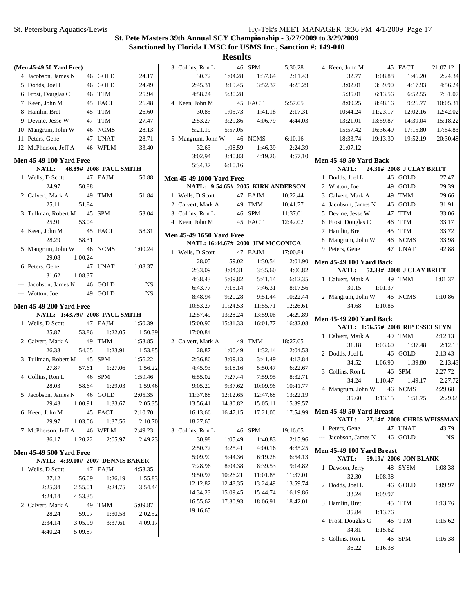| (Men 45-49 50 Yard Free)         |         |                        |         | 3 Collins, Ron L                  |          | 46 SPM                            | 5:30.28  | 4 Keen, John M                            |          | 45 FACT                           | 21:07.12 |  |
|----------------------------------|---------|------------------------|---------|-----------------------------------|----------|-----------------------------------|----------|-------------------------------------------|----------|-----------------------------------|----------|--|
| 4 Jacobson, James N              |         | 46 GOLD                | 24.17   | 30.72                             | 1:04.28  | 1:37.64                           | 2:11.43  | 32.77                                     | 1:08.88  | 1:46.20                           | 2:24.34  |  |
| 5 Dodds, Joel L                  |         | 46 GOLD                | 24.49   | 2:45.31                           | 3:19.45  | 3:52.37                           | 4:25.29  | 3:02.01                                   | 3:39.90  | 4:17.93                           | 4:56.24  |  |
| 6 Frost, Douglas C               |         | 46 TTM                 | 25.94   | 4:58.24                           | 5:30.28  |                                   |          | 5:35.01                                   | 6:13.56  | 6:52.55                           | 7:31.07  |  |
| 7 Keen, John M                   |         | 45 FACT                | 26.48   | 4 Keen, John M                    |          | 45 FACT                           | 5:57.05  | 8:09.25                                   | 8:48.16  | 9:26.77                           | 10:05.31 |  |
| 8 Hamlin, Bret                   |         | 45 TTM                 | 26.60   | 30.85                             | 1:05.73  | 1:41.18                           | 2:17.31  | 10:44.24                                  | 11:23.17 | 12:02.16                          | 12:42.02 |  |
| 9 Devine, Jesse W                |         | 47 TTM                 | 27.47   | 2:53.27                           | 3:29.86  | 4:06.79                           | 4:44.03  | 13:21.01                                  | 13:59.87 | 14:39.04                          | 15:18.22 |  |
| 10 Mangrum, John W               |         | 46 NCMS                | 28.13   | 5:21.19                           | 5:57.05  |                                   |          | 15:57.42                                  | 16:36.49 | 17:15.80                          | 17:54.83 |  |
| 11 Peters, Gene                  |         | 47 UNAT                | 28.71   | 5 Mangrum, John W                 |          | 46 NCMS                           | 6:10.16  | 18:33.74                                  | 19:13.30 | 19:52.19                          | 20:30.48 |  |
| 12 McPherson, Jeff A             |         | 46 WFLM                | 33.40   | 32.63                             | 1:08.59  | 1:46.39                           | 2:24.39  | 21:07.12                                  |          |                                   |          |  |
|                                  |         |                        |         | 3:02.94                           | 3:40.83  | 4:19.26                           | 4:57.10  |                                           |          |                                   |          |  |
| <b>Men 45-49 100 Yard Free</b>   |         |                        |         | 5:34.37                           | 6:10.16  |                                   |          | <b>Men 45-49 50 Yard Back</b>             |          |                                   |          |  |
| NATL:                            |         | 46.89# 2008 PAUL SMITH |         |                                   |          |                                   |          | NATL:                                     |          | 24.31# 2008 J CLAY BRITT          |          |  |
| 1 Wells, D Scott                 |         | 47 EAJM                | 50.88   | <b>Men 45-49 1000 Yard Free</b>   |          |                                   |          | 1 Dodds, Joel L                           |          | 46 GOLD                           | 27.47    |  |
| 24.97                            | 50.88   |                        |         |                                   |          | NATL: 9:54.65# 2005 KIRK ANDERSON |          | 2 Wotton, Joe                             |          | 49 GOLD                           | 29.39    |  |
| 2 Calvert, Mark A                | 49      | TMM                    | 51.84   | 1 Wells, D Scott                  |          | 47 EAJM                           | 10:22.44 | 3 Calvert, Mark A                         |          | 49 TMM                            | 29.66    |  |
| 25.11                            | 51.84   |                        |         | 2 Calvert, Mark A                 | 49       | <b>TMM</b>                        | 10:41.77 | 4 Jacobson, James N                       |          | 46 GOLD                           | 31.91    |  |
| 3 Tullman, Robert M              |         | 45 SPM                 | 53.04   | 3 Collins, Ron L                  | 46       | SPM                               | 11:37.01 | 5 Devine, Jesse W                         |          | 47 TTM                            | 33.06    |  |
| 25.91                            | 53.04   |                        |         | 4 Keen, John M                    |          | 45 FACT                           | 12:42.02 | 6 Frost, Douglas C                        | 46       | <b>TTM</b>                        | 33.17    |  |
| 4 Keen, John M                   |         | 45 FACT                | 58.31   | <b>Men 45-49 1650 Yard Free</b>   |          |                                   |          | 7 Hamlin, Bret                            | 45       | <b>TTM</b>                        | 33.72    |  |
| 28.29                            | 58.31   |                        |         | NATL: 16:44.67# 2000 JIM MCCONICA |          |                                   |          | 8 Mangrum, John W                         |          | 46 NCMS                           | 33.98    |  |
| 5 Mangrum, John W                |         | 46 NCMS                | 1:00.24 | 1 Wells, D Scott                  |          | 47 EAJM                           | 17:00.84 | 9 Peters, Gene                            |          | 47 UNAT                           | 42.88    |  |
| 29.08                            | 1:00.24 |                        |         | 28.05                             | 59.02    | 1:30.54                           | 2:01.90  | <b>Men 45-49 100 Yard Back</b>            |          |                                   |          |  |
| 6 Peters, Gene                   |         | 47 UNAT                | 1:08.37 | 2:33.09                           | 3:04.31  | 3:35.60                           | 4:06.82  | NATL:                                     |          | 52.33# 2008 J CLAY BRITT          |          |  |
| 31.62                            | 1:08.37 |                        |         | 4:38.43                           | 5:09.82  | 5:41.14                           | 6:12.35  | 1 Calvert, Mark A                         |          | 49 TMM                            | 1:01.37  |  |
| --- Jacobson, James N            |         | 46 GOLD                | NS      | 6:43.77                           | 7:15.14  | 7:46.31                           | 8:17.56  | 30.15                                     | 1:01.37  |                                   |          |  |
| --- Wotton, Joe                  |         | 49 GOLD                | NS      | 8:48.94                           | 9:20.28  | 9:51.44                           | 10:22.44 | 2 Mangrum, John W                         |          | 46 NCMS                           | 1:10.86  |  |
| <b>Men 45-49 200 Yard Free</b>   |         |                        |         | 10:53.27                          | 11:24.53 | 11:55.71                          | 12:26.61 | 34.68                                     | 1:10.86  |                                   |          |  |
| NATL: 1:43.79# 2008 PAUL SMITH   |         |                        |         | 12:57.49                          | 13:28.24 | 13:59.06                          | 14:29.89 |                                           |          |                                   |          |  |
| 1 Wells, D Scott                 |         | 47 EAJM                | 1:50.39 | 15:00.90                          | 15:31.33 | 16:01.77                          | 16:32.08 | <b>Men 45-49 200 Yard Back</b>            |          |                                   |          |  |
| 25.87                            | 53.86   | 1:22.05                | 1:50.39 | 17:00.84                          |          |                                   |          |                                           |          | NATL: 1:56.55# 2008 RIP ESSELSTYN |          |  |
| 2 Calvert, Mark A                | 49      | <b>TMM</b>             | 1:53.85 | 2 Calvert, Mark A                 | 49       | <b>TMM</b>                        | 18:27.65 | 1 Calvert, Mark A                         |          | 49 TMM                            | 2:12.13  |  |
| 26.33                            | 54.65   | 1:23.91                | 1:53.85 | 28.87                             | 1:00.49  | 1:32.14                           | 2:04.53  | 31.18                                     | 1:03.60  | 1:37.48                           | 2:12.13  |  |
| 3 Tullman, Robert M              |         | 45 SPM                 | 1:56.22 | 2:36.86                           | 3:09.13  | 3:41.49                           | 4:13.84  | 2 Dodds, Joel L                           |          | 46 GOLD                           | 2:13.43  |  |
| 27.87                            | 57.61   | 1:27.06                | 1:56.22 | 4:45.93                           | 5:18.16  | 5:50.47                           | 6:22.67  | 34.52                                     | 1:06.90  | 1:39.80                           | 2:13.43  |  |
| 4 Collins, Ron L                 |         | 46 SPM                 | 1:59.46 | 6:55.02                           | 7:27.44  | 7:59.95                           | 8:32.71  | 3 Collins, Ron L                          |          | 46 SPM                            | 2:27.72  |  |
| 28.03                            | 58.64   | 1:29.03                | 1:59.46 | 9:05.20                           | 9:37.62  | 10:09.96                          | 10:41.77 | 34.24                                     | 1:10.47  | 1:49.17                           | 2:27.72  |  |
| 5 Jacobson, James N              | 46      | GOLD                   | 2:05.35 | 11:37.88                          | 12:12.65 | 12:47.68                          | 13:22.19 | 4 Mangrum, John W                         |          | 46 NCMS                           | 2:29.68  |  |
| 29.43                            | 1:00.91 | 1:33.67                | 2:05.35 | 13:56.41                          | 14:30.82 | 15:05.11                          | 15:39.57 | 35.60                                     | 1:13.15  | 1:51.75                           | 2:29.68  |  |
| 6 Keen, John M                   |         | 45 FACT                | 2:10.70 | 16:13.66                          | 16:47.15 | 17:21.00                          | 17:54.99 | Men 45-49 50 Yard Breast                  |          |                                   |          |  |
| 29.97                            | 1:03.06 | 1:37.56                | 2:10.70 | 18:27.65                          |          |                                   |          | <b>NATL:</b>                              |          | 27.14# 2008 CHRIS WEISSMAN        |          |  |
| 7 McPherson, Jeff A              |         | 46 WFLM                | 2:49.23 | 3 Collins, Ron L                  |          | 46 SPM                            | 19:16.65 | 1 Peters, Gene                            |          | 47 UNAT                           | 43.79    |  |
| 36.17                            | 1:20.22 | 2:05.97                | 2:49.23 | 30.98                             | 1:05.49  | 1:40.83                           | 2:15.96  | --- Jacobson, James N                     |          | 46 GOLD                           | NS       |  |
|                                  |         |                        |         | 2:50.72                           | 3:25.41  | 4:00.16                           | 4:35.25  |                                           |          |                                   |          |  |
| <b>Men 45-49 500 Yard Free</b>   |         |                        |         | 5:09.90                           | 5:44.36  | 6:19.28                           | 6:54.13  | Men 45-49 100 Yard Breast<br><b>NATL:</b> |          | 59.19# 2006 JON BLANK             |          |  |
| NATL: 4:39.10# 2007 DENNIS BAKER |         |                        |         | 7:28.96                           | 8:04.38  | 8:39.53                           | 9:14.82  | 1 Dawson, Jerry                           |          | 48 SYSM                           | 1:08.38  |  |
| 1 Wells, D Scott                 |         | 47 EAJM                | 4:53.35 | 9:50.97                           | 10:26.21 | 11:01.85                          | 11:37.01 | 32.30                                     | 1:08.38  |                                   |          |  |
| 27.12                            | 56.69   | 1:26.19                | 1:55.83 | 12:12.82                          | 12:48.35 | 13:24.49                          | 13:59.74 | 2 Dodds, Joel L                           |          | 46 GOLD                           | 1:09.97  |  |
| 2:25.34                          | 2:55.01 | 3:24.75                | 3:54.44 | 14:34.23                          | 15:09.45 | 15:44.74                          | 16:19.86 |                                           |          |                                   |          |  |
| 4:24.14                          | 4:53.35 |                        |         | 16:55.62                          | 17:30.93 | 18:06.91                          | 18:42.01 | 33.24                                     | 1:09.97  |                                   |          |  |
| 2 Calvert, Mark A                |         | 49 TMM                 | 5:09.87 | 19:16.65                          |          |                                   |          | 3 Hamlin, Bret                            |          | 45 TTM                            | 1:13.76  |  |
| 28.24                            | 59.07   | 1:30.58                | 2:02.52 |                                   |          |                                   |          | 35.84                                     | 1:13.76  |                                   |          |  |
| 2:34.14                          | 3:05.99 | 3:37.61                | 4:09.17 |                                   |          |                                   |          | 4 Frost, Douglas C                        |          | 46 TTM                            | 1:15.62  |  |
| 4:40.24                          | 5:09.87 |                        |         |                                   |          |                                   |          | 34.81                                     | 1:15.62  |                                   |          |  |
|                                  |         |                        |         |                                   |          |                                   |          |                                           |          |                                   |          |  |
|                                  |         |                        |         |                                   |          |                                   |          | 5 Collins, Ron L<br>36.22                 | 1:16.38  | 46 SPM                            | 1:16.38  |  |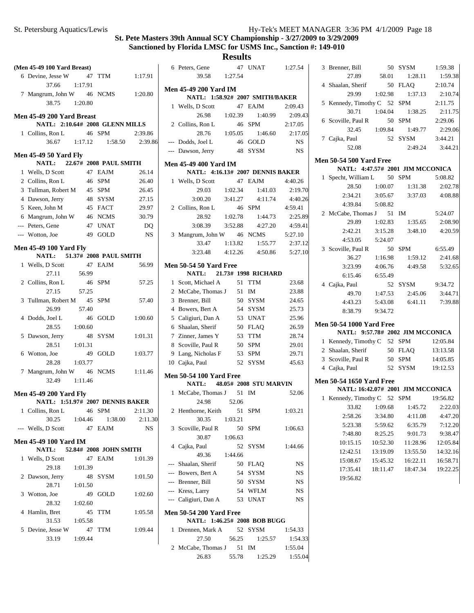**Results**<br><sup>47</sup> UNAT

|   | (Men 45-49 100 Yard Breast)                                  |    |                 |           |
|---|--------------------------------------------------------------|----|-----------------|-----------|
|   | 6 Devine, Jesse W                                            |    | 47 TTM          | 1:17.91   |
|   | 37.66<br>1:17.91                                             |    |                 |           |
|   | 7 Mangrum, John W 46 NCMS                                    |    |                 | 1:20.80   |
|   | 38.75<br>1:20.80                                             |    |                 |           |
|   | Men 45-49 200 Yard Breast                                    |    |                 |           |
|   | NATL: 2:10.64# 2008 GLENN MILLS                              |    |                 |           |
|   | 1 Collins, Ron L                                             |    | 46 SPM          | 2:39.86   |
|   | 36.67 1:17.12 1:58.50 2:39.86                                |    |                 |           |
|   |                                                              |    |                 |           |
|   | <b>Men 45-49 50 Yard Fly</b><br>NATL: 22.67# 2008 PAUL SMITH |    |                 |           |
|   | 1 Wells, D Scott                                             |    | 47 EAJM         | 26.14     |
|   | 2 Collins, Ron L                                             |    | 46 SPM          | 26.40     |
|   | 3 Tullman, Robert M 45 SPM                                   |    |                 | 26.45     |
|   | 4 Dawson, Jerry                                              |    | 48 SYSM         | 27.15     |
|   | 5 Keen, John M                                               |    | 45 FACT         | 29.97     |
|   | 6 Mangrum, John W 46 NCMS                                    |    |                 | 30.79     |
|   | --- Peters, Gene                                             |    | 47 UNAT         | DQ        |
|   | --- Wotton, Joe<br>49 GOLD                                   |    |                 | NS        |
|   |                                                              |    |                 |           |
|   | <b>Men 45-49 100 Yard Fly</b>                                |    |                 |           |
|   | NATL: 51.37# 2008 PAUL SMITH                                 |    |                 |           |
|   | 1 Wells, D Scott                                             |    | 47 EAJM         | 56.99     |
|   | 56.99<br>27.11                                               |    |                 |           |
|   | 2 Collins, Ron L                                             | 46 | <b>SPM</b>      | 57.25     |
|   | 57.25<br>27.15                                               |    |                 |           |
|   | 3 Tullman, Robert M 45                                       |    | <b>SPM</b>      | 57.40     |
|   | 26.99 57.40                                                  |    |                 |           |
|   | 4 Dodds, Joel L                                              | 46 | GOLD            | 1:00.60   |
|   | 28.55<br>1:00.60                                             |    |                 |           |
| 5 | Dawson, Jerry                                                | 48 | SYSM            | 1:01.31   |
|   | 28.51<br>1:01.31                                             |    |                 |           |
|   | 6 Wotton, Joe                                                |    | 49 GOLD         | 1:03.77   |
|   | 28.28<br>1:03.77                                             |    |                 |           |
|   | 7 Mangrum, John W 46                                         |    | <b>NCMS</b>     | 1:11.46   |
|   | 32.49<br>1:11.46                                             |    |                 |           |
|   | <b>Men 45-49 200 Yard Fly</b>                                |    |                 |           |
|   | NATL: 1:51.97# 2007 DENNIS BAKER                             |    |                 |           |
|   | 1 Collins, Ron L                                             |    | 46 SPM          | 2:11.30   |
|   | 30.25<br>1:04.46                                             |    | 1:38.00 2:11.30 |           |
|   | --- Wells, D Scott 47 EAJM                                   |    |                 | <b>NS</b> |
|   | <b>Men 45-49 100 Yard IM</b>                                 |    |                 |           |
|   | NATL: 52.84# 2008 JOHN SMITH                                 |    |                 |           |
|   | 1 Wells, D Scott 47                                          |    | EAJM            | 1:01.39   |
|   | 29.18<br>1:01.39                                             |    |                 |           |
|   | 2 Dawson, Jerry                                              |    | 48 SYSM         | 1:01.50   |
|   | 28.71<br>1:01.50                                             |    |                 |           |
|   | 3 Wotton, Joe                                                |    | 49 GOLD         | 1:02.60   |
|   | 1:02.60<br>28.32                                             |    |                 |           |
|   | 4 Hamlin, Bret                                               |    | 45 TTM          | 1:05.58   |
|   | 31.53 1:05.58                                                |    |                 |           |
|   | 5 Devine, Jesse W                                            |    | 47 TTM          | 1:09.44   |
|   | 1:09.44<br>33.19                                             |    |                 |           |
|   |                                                              |    |                 |           |

|   | 6 Peters, Gene                                                  |         | 47 | UNAT                          | 1:27.54   |
|---|-----------------------------------------------------------------|---------|----|-------------------------------|-----------|
|   | 39.58 1:27.54                                                   |         |    |                               |           |
|   | <b>Men 45-49 200 Yard IM</b><br>NATL: 1:58.92# 2007 SMITH/BAKER |         |    |                               |           |
|   | 1 Wells, D Scott                                                |         |    | 47 EAJM                       | 2:09.43   |
|   | 26.98 1:02.39                                                   |         |    | 1:40.99                       | 2:09.43   |
|   | 2 Collins, Ron L                                                |         |    | 46 SPM                        | 2:17.05   |
|   | 28.76 1:05.05                                                   |         |    | 1:46.60                       | 2:17.05   |
|   | --- Dodds, Joel L                                               |         |    | 46 GOLD                       | <b>NS</b> |
|   | --- Dawson, Jerry 48 SYSM                                       |         |    |                               | NS        |
|   | <b>Men 45-49 400 Yard IM</b>                                    |         |    |                               |           |
|   | NATL: 4:16.13# 2007 DENNIS BAKER                                |         |    |                               |           |
|   | 1 Wells, D Scott                                                |         |    | 47 EAJM                       | 4:40.26   |
|   | 29.03 1:02.34                                                   |         |    | 1:41.03                       | 2:19.70   |
|   |                                                                 |         |    | $3:00.20$ $3:41.27$ $4:11.74$ | 4:40.26   |
|   | 2 Collins, Ron L                                                | 46 SPM  |    |                               | 4:59.41   |
|   |                                                                 |         |    | 28.92 1:02.78 1:44.73         | 2:25.89   |
|   | $3:08.39$ $3:52.88$                                             |         |    | 4:27.20                       | 4:59.41   |
|   | 3 Mangrum, John W 46 NCMS                                       |         |    |                               | 5:27.10   |
|   | 33.47                                                           | 1:13.82 |    | 1:55.77                       | 2:37.12   |
|   | $3:23.48$ $4:12.26$                                             |         |    | 4:50.86                       | 5:27.10   |
|   | <b>Men 50-54 50 Yard Free</b><br>NATL: 21.73# 1998 RICHARD      |         |    |                               |           |
| 1 | Scott, Michael A                                                |         | 51 | <b>TTM</b>                    | 23.68     |
|   | 2 McCabe, Thomas J 51                                           |         |    | IM                            | 23.88     |
|   | 3 Brenner, Bill                                                 |         |    | 50 SYSM                       | 24.65     |
|   | 4 Bowers, Bert A                                                |         |    | 54 SYSM                       | 25.73     |
|   | 5 Caligiuri, Dan A                                              |         |    | 53 UNAT                       | 25.96     |
|   | 6 Shaalan, Sherif                                               |         |    | 50 FLAQ                       | 26.59     |
|   | 7 Zinner, James Y                                               |         | 53 | TTM                           | 28.74     |
| 8 | Scoville, Paul R                                                |         | 50 | SPM                           | 29.01     |
|   | 9 Lang, Nicholas F                                              |         |    | 53 SPM                        | 29.71     |
|   | 10 Cajka, Paul                                                  |         |    | 52 SYSM                       | 45.63     |
|   | <b>Men 50-54 100 Yard Free</b>                                  |         |    |                               |           |
|   | NATL: 48.05# 2008 STU MARVIN                                    |         |    | IM                            | 52.06     |
|   | 1 McCabe, Thomas J 51<br>24.98                                  | 52.06   |    |                               |           |
|   | 2 Henthorne, Keith                                              | 51      |    | SPM                           | 1:03.21   |
|   | 30.35                                                           | 1:03.21 |    |                               |           |
|   | 3 Scoville, Paul R                                              |         | 50 | SPM                           | 1:06.63   |
|   | 30.87                                                           | 1:06.63 |    |                               |           |
|   | 4 Cajka, Paul                                                   |         | 52 | SYSM                          | 1:44.66   |
|   | 49.36 1:44.66                                                   |         |    |                               |           |
|   | --- Shaalan, Sherif                                             |         |    | 50 FLAQ                       | NS        |
|   | --- Bowers, Bert A 54 SYSM                                      |         |    |                               | NS        |
|   | --- Brenner, Bill                                               |         |    | 50 SYSM                       | <b>NS</b> |
|   | --- Kress, Larry                                                |         |    | 54 WFLM                       | NS        |
|   | --- Caligiuri, Dan A 53 UNAT                                    |         |    |                               | <b>NS</b> |
|   | <b>Men 50-54 200 Yard Free</b>                                  |         |    |                               |           |
|   | NATL: 1:46.25# 2008 BOB BUGG                                    |         |    |                               |           |
| 1 | Drennen, Mark A 52 SYSM                                         |         |    |                               | 1:54.33   |
|   | 27.50                                                           | 56.25   |    | 1:25.57                       | 1:54.33   |
|   | 2 McCabe, Thomas J                                              |         |    | 51 IM                         | 1:55.04   |
|   |                                                                 |         |    | 26.83 55.78 1:25.29 1:55.04   |           |

| 3 Brenner, Bill                      |          | 50 SYSM                               | 1:59.38              |
|--------------------------------------|----------|---------------------------------------|----------------------|
| 27.89 58.01                          |          | 1:28.11                               | 1:59.38              |
| 4 Shaalan, Sherif                    |          | 50 FLAQ                               | 2:10.74              |
| 29.99                                |          | 1:02.98 1:37.13                       | 2:10.74              |
| 5 Kennedy, Timothy C 52 SPM 2:11.75  |          |                                       |                      |
| 30.71                                | 1:04.04  | 1:38.25                               | 2:11.75              |
| 6 Scoville, Paul R                   |          | 50 SPM                                | 2:29.06              |
|                                      |          | 32.45 1:09.84 1:49.77                 | 2:29.06              |
| 7 Cajka, Paul                        |          | 52 SYSM                               | 3:44.21              |
| 52.08                                |          | 2:49.24                               | 3:44.21              |
| <b>Men 50-54 500 Yard Free</b>       |          |                                       |                      |
|                                      |          | NATL: 4:47.57# 2001 JIM MCCONICA      |                      |
| 1 Specht, William L 50 SPM           |          |                                       | 5:08.82              |
|                                      |          | 28.50 1:00.07 1:31.38                 | 2:02.78              |
|                                      |          | 2:34.21   3:05.67   3:37.03   4:08.88 |                      |
| 4:39.84 5:08.82                      |          |                                       |                      |
| 2 McCabe, Thomas J 51 IM             |          |                                       | 5:24.07              |
| 29.89                                | 1:02.83  | 1:35.65                               | 2:08.90              |
| 2:42.21                              | 3:15.28  |                                       | 3:48.10 4:20.59      |
| 4:53.05                              | 5:24.07  |                                       |                      |
| 3 Scoville, Paul R                   |          | 50 SPM                                | 6:55.49              |
| 36.27                                | 1:16.98  | 1:59.12                               | 2:41.68              |
|                                      |          | $3:23.99$ $4:06.76$ $4:49.58$         | 5:32.65              |
| 6:15.46 6:55.49                      |          |                                       |                      |
| 4 Cajka, Paul                        |          | 52 SYSM 9:34.72                       |                      |
|                                      |          | 49.70  1:47.53  2:45.06  3:44.71      |                      |
| 4:43.23                              |          | 5:43.08 6:41.11                       | 7:39.88              |
| 8:38.79                              | 9:34.72  |                                       |                      |
| <b>Men 50-54 1000 Yard Free</b>      |          |                                       |                      |
|                                      |          | NATL: 9:57.78# 2002 JIM MCCONICA      |                      |
| 1 Kennedy, Timothy C 52 SPM          |          |                                       | 12:05.84             |
| 2 Shaalan, Sherif                    |          | 50 FLAQ 13:13.58                      |                      |
| 3 Scoville, Paul R 50 SPM            |          |                                       | 14:05.85             |
| 4 Cajka, Paul                        |          | 52 SYSM 19:12.53                      |                      |
|                                      |          |                                       |                      |
| <b>Men 50-54 1650 Yard Free</b>      |          |                                       |                      |
| 1 Kennedy, Timothy C 52 SPM 19:56.82 |          | NATL: 16:42.07# 2001 JIM MCCONICA     |                      |
|                                      |          | 33.82 1:09.68 1:45.72 2:22.03         |                      |
|                                      |          |                                       |                      |
| 2:58.26                              | 3:34.80  | 4:11.08                               | 4:47.20              |
| 5:23.38                              | 5:59.62  | 6:35.79                               | 7:12.20              |
| 7:48.80                              | 8:25.25  | 9:01.73                               | 9:38.47              |
| 10:15.15                             | 10:52.30 | 11:28.96                              | 12:05.84             |
| 12:42.51                             | 13:19.09 | 13:55.50                              | 14:32.16<br>16:58.71 |
| 15:08.67                             | 15:45.32 | 16:22.11<br>18:47.34                  | 19:22.25             |
| 17:35.41<br>19:56.82                 | 18:11.47 |                                       |                      |
|                                      |          |                                       |                      |
|                                      |          |                                       |                      |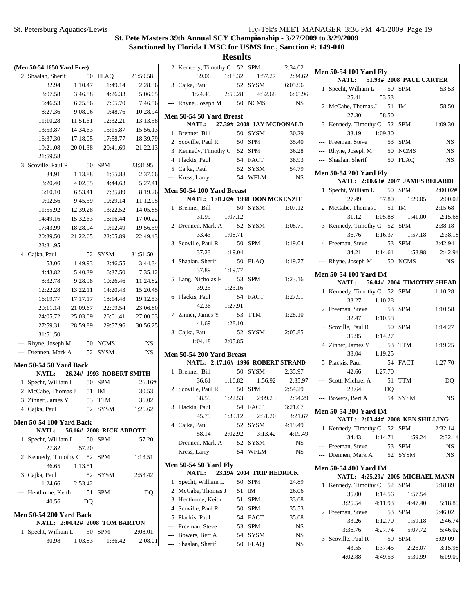**Results** 2 2:34.62 Kennedy, Timothy C 52 SPM

3 6:05.96 Cajka, Paul 52 SYSM

39.06 1:18.32 2:34.62 1:57.27

| (Men 50-54 1650 Yard Free) |                                |          |       |                                |           |  |  |  |  |
|----------------------------|--------------------------------|----------|-------|--------------------------------|-----------|--|--|--|--|
| $\overline{2}$             | Shaalan, Sherif                |          | 50    | <b>FLAQ</b>                    | 21:59.58  |  |  |  |  |
|                            | 32.94                          | 1:10.47  |       | 1:49.14                        | 2:28.36   |  |  |  |  |
|                            | 3:07.58                        | 3:46.88  |       | 4:26.33                        | 5:06.05   |  |  |  |  |
|                            | 5:46.53                        | 6:25.86  |       | 7:05.70                        | 7:46.56   |  |  |  |  |
|                            | 8:27.36                        | 9:08.06  |       | 9:48.76                        | 10:28.94  |  |  |  |  |
|                            | 11:10.28                       | 11:51.61 |       | 12:32.21                       | 13:13.58  |  |  |  |  |
|                            | 13:53.87                       | 14:34.63 |       | 15:15.87                       | 15:56.13  |  |  |  |  |
|                            | 16:37.30                       | 17:18.05 |       | 17:58.77                       | 18:39.79  |  |  |  |  |
|                            | 19:21.08                       | 20:01.38 |       | 20:41.69                       | 21:22.13  |  |  |  |  |
|                            | 21:59.58                       |          |       |                                |           |  |  |  |  |
| 3                          | Scoville, Paul R               | 50       |       | <b>SPM</b>                     | 23:31.95  |  |  |  |  |
|                            | 34.91                          | 1:13.88  |       | 1:55.88                        | 2:37.66   |  |  |  |  |
|                            | 3:20.40                        | 4:02.55  |       | 4:44.63                        | 5:27.41   |  |  |  |  |
|                            | 6:10.10                        | 6:53.41  |       | 7:35.89                        | 8:19.26   |  |  |  |  |
|                            | 9:02.56                        | 9:45.59  |       | 10:29.14                       | 11:12.95  |  |  |  |  |
|                            | 11:55.92                       | 12:39.28 |       | 13:22.52                       | 14:05.85  |  |  |  |  |
|                            | 14:49.16                       | 15:32.63 |       | 16:16.44                       | 17:00.22  |  |  |  |  |
|                            | 17:43.99                       | 18:28.94 |       | 19:12.49                       | 19:56.59  |  |  |  |  |
|                            | 20:39.50                       | 21:22.65 |       | 22:05.89                       | 22:49.43  |  |  |  |  |
|                            | 23:31.95                       |          |       |                                |           |  |  |  |  |
| 4                          | Cajka, Paul                    |          | 52    | SYSM                           | 31:51.50  |  |  |  |  |
|                            | 53.06                          | 1:49.93  |       | 2:46.55                        | 3:44.34   |  |  |  |  |
|                            | 4:43.82                        | 5:40.39  |       | 6:37.50                        | 7:35.12   |  |  |  |  |
|                            | 8:32.78                        | 9:28.98  |       | 10:26.46                       | 11:24.82  |  |  |  |  |
|                            | 12:22.28                       | 13:22.11 |       | 14:20.43                       | 15:20.45  |  |  |  |  |
|                            | 16:19.77                       | 17:17.17 |       | 18:14.48                       | 19:12.53  |  |  |  |  |
|                            | 20:11.14                       | 21:09.67 |       | 22:09.54                       | 23:06.80  |  |  |  |  |
|                            | 24:05.72                       | 25:03.09 |       | 26:01.41                       | 27:00.03  |  |  |  |  |
|                            | 27:59.31                       | 28:59.89 |       | 29:57.96                       | 30:56.25  |  |  |  |  |
|                            | 31:51.50                       |          |       |                                |           |  |  |  |  |
| $---$                      | Rhyne, Joseph M 50 NCMS        |          |       |                                | NS        |  |  |  |  |
| $\overline{a}$             | Drennen, Mark A                |          | 52    | <b>SYSM</b>                    | <b>NS</b> |  |  |  |  |
|                            | <b>Men 50-54 50 Yard Back</b>  |          |       |                                |           |  |  |  |  |
|                            | <b>NATL:</b>                   |          |       | 26.24# 1993 ROBERT SMITH       |           |  |  |  |  |
| 1                          | Specht, William L              |          |       | 50 SPM                         | 26.16#    |  |  |  |  |
|                            | 2 McCabe, Thomas J 51          |          |       | IM                             | 30.53     |  |  |  |  |
|                            | 3 Zinner, James Y              |          | 53    | <b>TTM</b>                     | 36.02     |  |  |  |  |
|                            | 4 Cajka, Paul                  |          |       | 52 SYSM                        | 1:26.62   |  |  |  |  |
|                            |                                |          |       |                                |           |  |  |  |  |
|                            | <b>Men 50-54 100 Yard Back</b> |          |       | NATL: 56.16# 2008 RICK ABBOTT  |           |  |  |  |  |
| 1                          | Specht, William L 50 SPM       |          |       |                                | 57.20     |  |  |  |  |
|                            | 27.82                          |          | 57.20 |                                |           |  |  |  |  |
|                            | 2 Kennedy, Timothy C 52 SPM    |          |       |                                | 1:13.51   |  |  |  |  |
|                            | 36.65                          | 1:13.51  |       |                                |           |  |  |  |  |
|                            | 3 Cajka, Paul                  |          |       | 52 SYSM                        | 2:53.42   |  |  |  |  |
|                            | 1:24.66                        | 2:53.42  |       |                                |           |  |  |  |  |
| ---                        | Henthorne, Keith 51 SPM        |          |       |                                | DQ        |  |  |  |  |
|                            | 40.56                          |          | DQ    |                                |           |  |  |  |  |
|                            |                                |          |       |                                |           |  |  |  |  |
|                            | <b>Men 50-54 200 Yard Back</b> |          |       | NATL: 2:04.42# 2008 TOM BARTON |           |  |  |  |  |
|                            | 1 Specht, William L 50 SPM     |          |       |                                | 2:08.01   |  |  |  |  |
|                            | 30.98                          |          |       | $1:03.83$ $1:36.42$            | 2:08.01   |  |  |  |  |
|                            |                                |          |       |                                |           |  |  |  |  |

|                | 1:24.49                                                       | 2:59.28 |    | 4:32.68                  | 6:05.96   |
|----------------|---------------------------------------------------------------|---------|----|--------------------------|-----------|
|                | --- Rhyne, Joseph M 50 NCMS                                   |         |    |                          | <b>NS</b> |
|                | <b>Men 50-54 50 Yard Breast</b>                               |         |    |                          |           |
|                | NATL: 27.39# 2008 JAY MCDONALD                                |         |    |                          |           |
| 1              | Brenner, Bill                                                 |         |    | 50 SYSM                  | 30.29     |
|                | 2 Scoville, Paul R                                            |         |    | 50 SPM                   | 35.40     |
|                | 3 Kennedy, Timothy C 52 SPM                                   |         |    |                          | 36.28     |
|                | 4 Plackis, Paul                                               |         |    | 54 FACT                  | 38.93     |
|                | 5 Cajka, Paul                                                 |         |    | 52 SYSM                  | 54.79     |
|                | --- Kress, Larry                                              |         |    | 54 WFLM                  | <b>NS</b> |
|                |                                                               |         |    |                          |           |
|                | Men 50-54 100 Yard Breast<br>NATL: 1:01.02# 1998 DON MCKENZIE |         |    |                          |           |
| 1              | Brenner, Bill                                                 |         |    | 50 SYSM                  | 1:07.12   |
|                | 31.99 1:07.12                                                 |         |    |                          |           |
|                | 2 Drennen, Mark A                                             |         | 52 | SYSM                     | 1:08.71   |
|                | 33.43                                                         | 1:08.71 |    |                          |           |
|                | 3 Scoville, Paul R                                            |         | 50 | <b>SPM</b>               | 1:19.04   |
|                | 37.23                                                         | 1:19.04 |    |                          |           |
|                | 4 Shaalan, Sherif                                             |         | 50 | <b>FLAQ</b>              | 1:19.77   |
|                | 37.89                                                         | 1:19.77 |    |                          |           |
| 5              | Lang, Nicholas F                                              | 53      |    | <b>SPM</b>               | 1:23.16   |
|                | 39.25                                                         | 1:23.16 |    |                          |           |
|                | 6 Plackis, Paul                                               |         |    | 54 FACT                  | 1:27.91   |
|                | 42.36                                                         | 1:27.91 |    |                          |           |
|                | 7 Zinner, James Y                                             |         | 53 | TTM                      | 1:28.10   |
|                | 41.69                                                         | 1:28.10 |    |                          |           |
|                | 8 Cajka, Paul                                                 |         |    | 52 SYSM                  | 2:05.85   |
|                | 1:04.18                                                       | 2:05.85 |    |                          |           |
|                | Men 50-54 200 Yard Breast                                     |         |    |                          |           |
|                | NATL: 2:17.16# 1996 ROBERT STRAND                             |         |    |                          |           |
| 1              | Brenner, Bill                                                 |         |    | 50 SYSM                  | 2:35.97   |
|                | 36.61                                                         | 1:16.82 |    | 1:56.92                  | 2:35.97   |
|                | 2 Scoville, Paul R                                            |         |    | 50 SPM                   | 2:54.29   |
|                | 38.59                                                         | 1:22.53 |    | 2:09.23                  | 2:54.29   |
|                | 3 Plackis, Paul                                               |         |    | 54 FACT                  | 3:21.67   |
|                | 45.79 1:39.12                                                 |         |    | 2:31.20                  | 3:21.67   |
|                | 4 Cajka, Paul                                                 |         |    | 52 SYSM                  | 4:19.49   |
|                | 58.14                                                         | 2:02.92 |    | 3:13.42                  | 4:19.49   |
| $\overline{a}$ | Drennen, Mark A                                               |         | 52 | SYSM                     | NS        |
| ---            | Kress, Larry                                                  |         | 54 | WFLM                     | NS        |
|                | <b>Men 50-54 50 Yard Fly</b>                                  |         |    |                          |           |
|                | <b>NATL:</b>                                                  | 23.19#  |    | <b>2004 TRIP HEDRICK</b> |           |
| 1              | Specht, William L                                             |         | 50 | SPM                      | 24.89     |
| 2              | McCabe, Thomas J                                              |         | 51 | IM                       | 26.06     |
| 3              | Henthorne, Keith                                              |         | 51 | SPM                      | 33.68     |
|                | 4 Scoville, Paul R                                            |         | 50 | SPM                      | 35.53     |
|                | 5 Plackis, Paul                                               |         | 54 | FACT                     | 35.68     |
|                | --- Freeman, Steve                                            |         | 53 | SPM                      | <b>NS</b> |
|                | --- Bowers, Bert A                                            |         | 54 | SYSM                     | NS        |
|                | --- Shaalan, Sherif                                           |         | 50 | <b>FLAQ</b>              | NS        |
|                |                                                               |         |    |                          |           |

| <b>Men 50-54 100 Yard Fly</b><br>NATL: 51.93# 2008 PAUL CARTER     |         |       |                                  |                |
|--------------------------------------------------------------------|---------|-------|----------------------------------|----------------|
|                                                                    |         |       |                                  | 53.53          |
| 1 Specht, William L 50 SPM<br>25.41                                |         | 53.53 |                                  |                |
| 2 McCabe, Thomas J 51 IM<br>27.30                                  |         | 58.50 |                                  | 58.50          |
| 3 Kennedy, Timothy C 52 SPM                                        |         |       |                                  | 1:09.30        |
| 33.19 1:09.30                                                      |         |       |                                  |                |
| --- Freeman, Steve                                                 |         |       | 53 SPM                           | <b>NS</b>      |
| --- Rhyne, Joseph M 50 NCMS                                        |         |       |                                  | <b>NS</b>      |
| --- Shaalan, Sherif 50 FLAQ                                        |         |       |                                  | <b>NS</b>      |
| <b>Men 50-54 200 Yard Fly</b><br>NATL: 2:00.63# 2007 JAMES BELARDI |         |       |                                  |                |
| 1 Specht, William L 50 SPM                                         |         |       |                                  | 2:00.02#       |
| 27.49                                                              |         |       | 57.80   1:29.05                  | 2:00.02        |
| 2 McCabe, Thomas J 51 IM                                           |         |       |                                  | 2:15.68        |
| 31.12                                                              | 1:05.88 |       | 1:41.00                          | 2:15.68        |
| 3 Kennedy, Timothy C 52 SPM                                        |         |       |                                  | 2:38.18        |
|                                                                    |         |       | 36.76 1:16.37 1:57.18            | 2:38.18        |
| 4 Freeman, Steve 53 SPM                                            |         |       |                                  | 2:42.94        |
|                                                                    |         |       | 34.21  1:14.61  1:58.98  2:42.94 |                |
| Rhyne, Joseph M 50 NCMS                                            |         |       |                                  | NS             |
|                                                                    |         |       |                                  |                |
| <b>Men 50-54 100 Yard IM</b>                                       |         |       |                                  |                |
| NATL: 56.04# 2004 TIMOTHY SHEAD                                    |         |       |                                  |                |
| 1 Kennedy, Timothy C 52 SPM                                        |         |       |                                  | 1:10.28        |
| 33.27 1:10.28                                                      |         |       |                                  |                |
| 2 Freeman, Steve                                                   |         |       | 53 SPM                           | 1:10.58        |
| 32.47 1:10.58                                                      |         |       |                                  |                |
| 3 Scoville, Paul R 50 SPM                                          |         |       |                                  | 1:14.27        |
| 35.95                                                              | 1:14.27 |       |                                  |                |
| 4 Zinner, James Y 53 TTM                                           |         |       |                                  | 1:19.25        |
| 38.04 1:19.25                                                      |         |       |                                  |                |
| 5 Plackis, Paul                                                    |         |       | 54 FACT                          | 1:27.70        |
| 42.66                                                              | 1:27.70 |       |                                  |                |
| --- Scott, Michael A                                               |         |       | 51 TTM                           | D <sub>O</sub> |
| 28.64                                                              |         | DQ    |                                  |                |
| --- Bowers, Bert A                                                 |         |       | 54 SYSM                          | NS             |
| <b>Men 50-54 200 Yard IM</b>                                       |         |       |                                  |                |
| NATL: 2:03.44# 2008 KEN SHILLING                                   |         |       |                                  |                |
| 1 Kennedy, Timothy C 52 SPM                                        |         |       |                                  | 2:32.14        |
| 34.43                                                              |         |       | $1:14.71$ $1:59.24$ $2:32.14$    |                |
| --- Freeman, Steve                                                 |         |       | 53 SPM                           | <b>NS</b>      |
| --- Drennen, Mark A 52 SYSM                                        |         |       |                                  | NS.            |
| <b>Men 50-54 400 Yard IM</b><br>NATL: 4:25.29# 2005 MICHAEL MANN   |         |       |                                  |                |
| 1 Kennedy, Timothy C 52 SPM                                        |         |       |                                  | 5:18.89        |
| 35.00                                                              |         |       | $1:14.56$ $1:57.54$              |                |
|                                                                    |         |       | $3:25.54$ $4:11.93$ $4:47.40$    | 5:18.89        |
| 2 Freeman, Steve                                                   |         |       | 53 SPM                           | 5:46.02        |
|                                                                    |         |       | 33.26 1:12.70 1:59.18 2:46.74    |                |
| 3:36.76 4:27.74                                                    |         |       | 5:07.72                          | 5:46.02        |
|                                                                    |         |       |                                  | 6:09.09        |
| 3 Scoville, Paul R 50 SPM<br>43.55 1:37.45 2:26.07                 |         |       |                                  | 3:15.98        |
|                                                                    |         |       | 4:02.88 4:49.53 5:30.99 6:09.09  |                |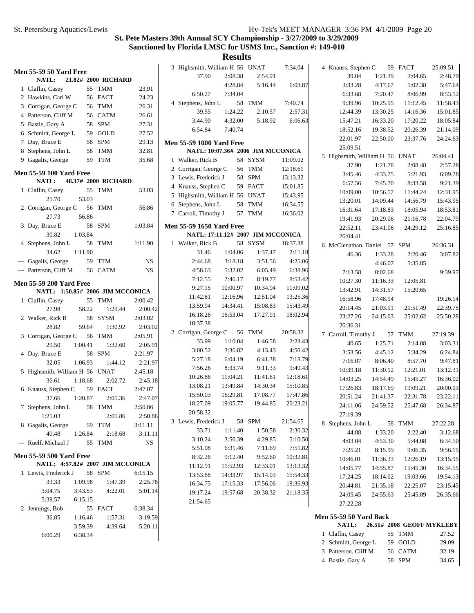4 34.65 Bastie, Gary A 58 SPM

### **St. Pete Masters 39th Annual SCY Championship - 3/27/2009 to 3/29/2009 Sanctioned by Florida LMSC for USMS Inc., Sanction #: 149-010**

|                                  |                     |           | 3 Highsmith, William H 56 UNAT  |          |                                   | 7:34.04  | 4 Knauss, Stephen C            |          | 59 FACT                   | 25:09.51 |
|----------------------------------|---------------------|-----------|---------------------------------|----------|-----------------------------------|----------|--------------------------------|----------|---------------------------|----------|
| <b>Men 55-59 50 Yard Free</b>    |                     |           | 37.90                           | 2:08.38  | 2:54.91                           |          | 39.04                          | 1:21.39  | 2:04.65                   | 2:48.79  |
| NATL:                            | 21.82# 2000 RICHARD |           |                                 | 4:28.84  | 5:16.44                           |          |                                | 4:17.67  | 5:02.38                   | 5:47.64  |
| 1 Claflin, Casey                 | 55 TMM              | 23.91     |                                 |          |                                   | 6:03.87  | 3:33.28                        |          |                           |          |
| 2 Hawkins, Carl W                | 56 FACT             | 24.23     | 6:50.27                         | 7:34.04  |                                   |          | 6:33.68                        | 7:20.47  | 8:06.99                   | 8:53.52  |
| 3 Corrigan, George C             | 56 TMM              | 26.31     | 4 Stephens, John L              |          | 58 TMM                            | 7:40.74  | 9:39.96                        | 10:25.95 | 11:12.45                  | 11:58.43 |
| 4 Patterson, Cliff M             | 56 CATM             | 26.61     | 39.55                           | 1:24.22  | 2:10.57                           | 2:57.31  | 12:44.39                       | 13:30.25 | 14:16.36                  | 15:01.85 |
| 5 Bastie, Gary A                 | 58 SPM              | 27.31     | 3:44.90                         | 4:32.00  | 5:18.92                           | 6:06.63  | 15:47.21                       | 16:33.20 | 17:20.22                  | 18:05.84 |
| 6 Schmidt, George L              | 59 GOLD             | 27.52     | 6:54.84                         | 7:40.74  |                                   |          | 18:52.16                       | 19:38.52 | 20:26.39                  | 21:14.09 |
| 7 Day, Bruce E                   | 58 SPM              | 29.13     | <b>Men 55-59 1000 Yard Free</b> |          |                                   |          | 22:01.97                       | 22:50.00 | 23:37.76                  | 24:24.63 |
| 8 Stephens, John L               | 58 TMM              | 32.81     |                                 |          | NATL: 10:07.36# 2006 JIM MCCONICA |          | 25:09.51                       |          |                           |          |
| 9 Gagalis, George                | 59 TTM              | 35.68     | 1 Walker, Rick B                |          | 58 SYSM                           | 11:09.02 | 5 Highsmith, William H 56 UNAT |          |                           | 26:04.41 |
|                                  |                     |           |                                 |          |                                   |          | 37.90                          | 1:21.78  | 2:08.48                   | 2:57.28  |
| <b>Men 55-59 100 Yard Free</b>   |                     |           | 2 Corrigan, George C            |          | 56 TMM                            | 12:18.61 | 3:45.46                        | 4:33.75  | 5:21.93                   | 6:09.78  |
| NATL:                            | 48.37# 2000 RICHARD |           | 3 Lewis, Frederick J            |          | 58 SPM                            | 13:13.32 | 6:57.56                        | 7:45.70  | 8:33.58                   | 9:21.39  |
| 1 Claflin, Casey                 | 55 TMM              | 53.03     | 4 Knauss, Stephen C             |          | 59 FACT                           | 15:01.85 | 10:09.00                       | 10:56.57 | 11:44.24                  | 12:31.95 |
| 53.03<br>25.70                   |                     |           | 5 Highsmith, William H 56 UNAT  |          |                                   | 15:43.95 | 13:20.01                       | 14:09.44 | 14:56.79                  | 15:43.95 |
| 2 Corrigan, George C             | 56 TMM              | 56.86     | 6 Stephens, John L              |          | 58 TMM                            | 16:34.55 | 16:31.64                       | 17:18.83 | 18:05.94                  | 18:53.81 |
| 27.73<br>56.86                   |                     |           | 7 Carroll, Timothy J            |          | 57 TMM                            | 16:36.02 |                                |          |                           |          |
| 3 Day, Bruce E                   | 58 SPM              | 1:03.84   | <b>Men 55-59 1650 Yard Free</b> |          |                                   |          | 19:41.93                       | 20:29.06 | 21:16.78                  | 22:04.79 |
| 1:03.84<br>30.82                 |                     |           |                                 |          | NATL: 17:11.12# 2007 JIM MCCONICA |          | 22:52.11                       | 23:41.06 | 24:29.12                  | 25:16.85 |
| 4 Stephens, John L               | 58 TMM              | 1:11.90   | 1 Walker, Rick B                |          | 58 SYSM                           | 18:37.38 | 26:04.41                       |          |                           |          |
|                                  |                     |           |                                 |          |                                   |          | 6 McClenathan, Daniel 57 SPM   |          |                           | 26:36.31 |
| 1:11.90<br>34.62                 |                     |           | 31.46                           | 1:04.06  | 1:37.47                           | 2:11.18  | 46.36                          | 1:33.28  | 2:20.46                   | 3:07.82  |
| --- Gagalis, George              | 59 TTM              | <b>NS</b> | 2:44.68                         | 3:18.18  | 3:51.56                           | 4:25.06  |                                | 4:46.07  | 5:35.85                   |          |
| --- Patterson, Cliff M           | 56 CATM             | <b>NS</b> | 4:58.63                         | 5:32.02  | 6:05.49                           | 6:38.96  | 7:13.58                        | 8:02.68  |                           | 9:39.97  |
| <b>Men 55-59 200 Yard Free</b>   |                     |           | 7:12.55                         | 7:46.17  | 8:19.77                           | 8:53.42  | 10:27.30                       | 11:16.33 | 12:05.81                  |          |
| NATL: 1:50.85# 2006 JIM MCCONICA |                     |           | 9:27.15                         | 10:00.97 | 10:34.94                          | 11:09.02 | 13:42.91                       | 14:31.57 | 15:20.65                  |          |
| 1 Claflin, Casey                 | 55 TMM              | 2:00.42   | 11:42.81                        | 12:16.96 | 12:51.04                          | 13:25.36 | 16:58.96                       | 17:48.94 |                           | 19:26.14 |
| 58.22<br>27.98                   | 1:29.44             | 2:00.42   | 13:59.94                        | 14:34.41 | 15:08.83                          | 15:43.49 | 20:14.45                       | 21:03.11 | 21:51.49                  | 22:39.75 |
| 2 Walker, Rick B                 | 58 SYSM             | 2:03.02   | 16:18.26                        | 16:53.04 | 17:27.91                          | 18:02.94 | 23:27.26                       | 24:15.03 | 25:02.62                  | 25:50.28 |
| 28.82<br>59.64                   | 1:30.92             | 2:03.02   | 18:37.38                        |          |                                   |          | 26:36.31                       |          |                           |          |
|                                  |                     |           | 2 Corrigan, George C            |          | 56 TMM                            | 20:58.32 | 7 Carroll, Timothy J           |          | 57 TMM                    | 27:19.39 |
| 3 Corrigan, George C             | 56 TMM              | 2:05.91   | 33.99                           | 1:10.04  | 1:46.58                           | 2:23.43  | 40.65                          | 1:25.71  | 2:14.08                   | 3:03.31  |
| 29.50<br>1:00.41                 | 1:32.60             | 2:05.91   | 3:00.52                         | 3:36.82  | 4:13.43                           | 4:50.42  | 3:53.56                        | 4:45.12  | 5:34.29                   | 6:24.84  |
| 4 Day, Bruce E                   | 58 SPM              | 2:21.97   | 5:27.18                         | 6:04.19  | 6:41.38                           | 7:18.79  |                                |          |                           |          |
| 1:06.93<br>32.05                 | 1:44.12             | 2:21.97   | 7:56.26                         | 8:33.74  | 9:11.33                           | 9:49.43  | 7:16.07                        | 8:06.40  | 8:57.70                   | 9:47.81  |
| 5 Highsmith, William H 56 UNAT   |                     | 2:45.18   | 10:26.86                        | 11:04.21 | 11:41.61                          | 12:18.61 | 10:39.18                       | 11:30.12 | 12:21.01                  | 13:12.31 |
| 36.61<br>1:18.68                 | 2:02.72             | 2:45.18   |                                 |          |                                   | 15:10.85 | 14:03.25                       | 14:54.49 | 15:45.27                  | 16:36.02 |
| 6 Knauss, Stephen C              | 59 FACT             | 2:47.07   | 13:08.21                        | 13:49.84 | 14:30.34                          |          | 17:26.83                       | 18:17.69 | 19:09.21                  | 20:00.03 |
| 1:20.87<br>37.66                 | 2:05.36             | 2:47.07   | 15:50.03                        | 16:29.81 | 17:08.77                          | 17:47.86 | 20:51.24                       | 21:41.37 | 22:31.78                  | 23:22.11 |
| 7 Stephens, John L               | 58 TMM              | 2:50.86   | 18:27.09                        | 19:05.77 | 19:44.85                          | 20:23.21 | 24:11.06                       | 24:59.52 | 25:47.68                  | 26:34.87 |
| 1:25.03                          | 2:05.86             | 2:50.86   | 20:58.32                        |          |                                   |          | 27:19.39                       |          |                           |          |
| 8 Gagalis, George                | 59 TTM              | 3:11.11   | 3 Lewis, Frederick J            |          | 58 SPM                            | 21:54.65 | 8 Stephens, John L             |          | 58 TMM                    | 27:22.28 |
| 40.48<br>1:26.84                 | 2:18.68             | 3:11.11   | 33.71                           | 1:11.40  | 1:50.58                           | 2:30.32  | 44.88                          | 1:33.20  | 2:22.40                   | 3:12.68  |
| --- Ruelf, Michael J             | 55 TMM              | <b>NS</b> | 3:10.24                         | 3:50.39  | 4:29.85                           | 5:10.50  | 4:03.04                        | 4:53.30  | 5:44.08                   | 6:34.50  |
|                                  |                     |           | 5:51.08                         | 6:31.46  | 7:11.69                           | 7:51.82  | 7:25.21                        | 8:15.99  | 9:06.35                   | 9:56.15  |
| <b>Men 55-59 500 Yard Free</b>   |                     |           | 8:32.26                         | 9:12.40  | 9:52.60                           | 10:32.81 | 10:46.01                       | 11:36.33 | 12:26.19                  | 13:15.95 |
| NATL: 4:57.82# 2007 JIM MCCONICA |                     |           | 11:12.91                        | 11:52.93 | 12:33.01                          | 13:13.32 | 14:05.77                       | 14:55.87 | 15:45.30                  | 16:34.55 |
| 1 Lewis, Frederick J             | 58 SPM              | 6:15.15   | 13:53.88                        | 14:33.97 | 15:14.03                          | 15:54.33 | 17:24.25                       | 18:14.02 | 19:03.66                  | 19:54.13 |
| 33.33<br>1:09.98                 | 1:47.39             | 2:25.78   | 16:34.75                        | 17:15.33 | 17:56.06                          | 18:36.93 |                                |          |                           |          |
| 3:04.75<br>3:43.53               | 4:22.01             | 5:01.14   | 19:17.24                        | 19:57.68 | 20:38.32                          | 21:18.35 | 20:44.81                       | 21:35.18 | 22:25.07                  | 23:15.45 |
| 5:39.57<br>6:15.15               |                     |           | 21:54.65                        |          |                                   |          | 24:05.45                       | 24:55.63 | 25:45.89                  | 26:35.66 |
| 2 Jennings, Bob                  | 55 FACT             | 6:38.34   |                                 |          |                                   |          | 27:22.28                       |          |                           |          |
| 36.85<br>1:16.46                 | 1:57.31             | 3:19.59   |                                 |          |                                   |          | <b>Men 55-59 50 Yard Back</b>  |          |                           |          |
| 3:59.39                          | 4:39.64             | 5:20.11   |                                 |          |                                   |          | NATL:                          |          | 26.51# 2008 GEOFF MYKLEBY |          |
| 6:00.29<br>6:38.34               |                     |           |                                 |          |                                   |          | 1 Claflin, Casey               |          | 55 TMM                    | 27.52    |
|                                  |                     |           |                                 |          |                                   |          | 2 Schmidt, George L            |          | 59 GOLD                   | 29.09    |
|                                  |                     |           |                                 |          |                                   |          | 3 Patterson, Cliff M           |          | 56 CATM                   | 32.19    |
|                                  |                     |           |                                 |          |                                   |          |                                |          |                           |          |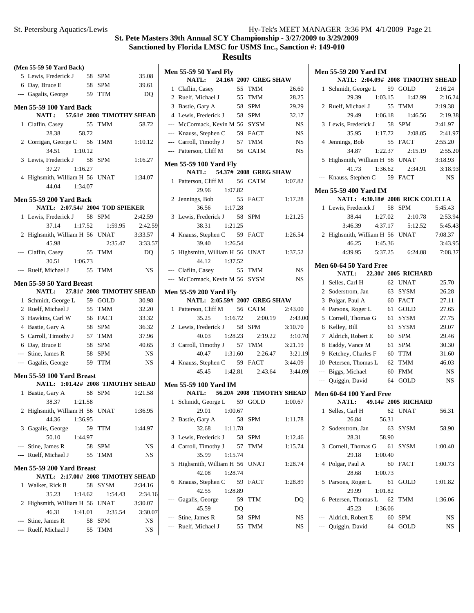|   | (Men 55-59 50 Yard Back)          |         |            |           |
|---|-----------------------------------|---------|------------|-----------|
|   | 5 Lewis, Frederick J 58 SPM       |         |            | 35.08     |
|   | 6 Day, Bruce E                    | 58 SPM  |            | 39.61     |
|   | --- Gagalis, George               | 59      | <b>TTM</b> | DQ        |
|   | <b>Men 55-59 100 Yard Back</b>    |         |            |           |
|   | NATL: 57.61# 2008 TIMOTHY SHEAD   |         |            |           |
| 1 | Claflin, Casey                    | 55      | TMM        | 58.72     |
|   | 28.38                             | 58.72   |            |           |
|   |                                   |         |            |           |
|   | 2 Corrigan, George C 56 TMM       |         |            | 1:10.12   |
|   | 34.51 1:10.12                     |         |            |           |
|   | 3 Lewis, Frederick J 58 SPM       |         |            | 1:16.27   |
|   | 37.27                             | 1:16.27 |            |           |
|   | 4 Highsmith, William H 56 UNAT    |         |            | 1:34.07   |
|   | 44.04                             | 1:34.07 |            |           |
|   | <b>Men 55-59 200 Yard Back</b>    |         |            |           |
|   | NATL: 2:07.54# 2004 TOD SPIEKER   |         |            |           |
| 1 | Lewis, Frederick J 58 SPM         |         |            | 2:42.59   |
|   | 37.14                             | 1:17.52 | 1:59.95    | 2:42.59   |
|   | 2 Highsmith, William H 56 UNAT    |         |            | 3:33.57   |
|   | 45.98                             |         | 2:35.47    | 3:33.57   |
|   | Claflin, Casey                    | 55      | <b>TMM</b> | <b>DQ</b> |
|   | 30.51 1:06.73                     |         |            |           |
|   | Ruelf, Michael J 55 TMM           |         |            | <b>NS</b> |
|   |                                   |         |            |           |
|   | <b>Men 55-59 50 Yard Breast</b>   |         |            |           |
|   | NATL: 27.81# 2008 TIMOTHY SHEAD   |         |            |           |
|   | 1 Schmidt, George L               |         | 59 GOLD    | 30.98     |
|   | 2 Ruelf, Michael J                |         | 55 TMM     | 32.20     |
|   | 3 Hawkins, Carl W                 |         | 56 FACT    | 33.32     |
|   | 4 Bastie, Gary A                  |         | 58 SPM     | 36.32     |
|   | 5 Carroll, Timothy J 57 TMM       |         |            | 37.96     |
|   | 6 Day, Bruce E                    |         | 58 SPM     | 40.65     |
|   | --- Stine, James R                |         | 58 SPM     | NS        |
|   | --- Gagalis, George               |         | 59 TTM     | <b>NS</b> |
|   | Men 55-59 100 Yard Breast         |         |            |           |
|   | NATL: 1:01.42# 2008 TIMOTHY SHEAD |         |            |           |
| 1 | Bastie, Gary A                    |         | 58 SPM     | 1:21.58   |
|   | 38.37                             | 1:21.58 |            |           |
|   | 2 Highsmith, William H 56 UNAT    |         |            | 1:36.95   |
|   | 44.36 1:36.95                     |         |            |           |
|   | 3 Gagalis, George                 | 59      | TTM        | 1:44.97   |
|   | 50.10<br>1:44.97                  |         |            |           |
|   | --- Stine, James R                |         | 58 SPM     | NS        |
|   | --- Ruelf, Michael J              | 55      | TMM        | NS        |
|   |                                   |         |            |           |
|   | <b>Men 55-59 200 Yard Breast</b>  |         |            |           |
|   | NATL: 2:17.00# 2008 TIMOTHY SHEAD |         |            |           |
|   | 1 Walker, Rick B                  |         | 58 SYSM    | 2:34.16   |
|   | 35.23                             | 1:14.62 | 1:54.43    | 2:34.16   |
|   | 2 Highsmith, William H 56 UNAT    |         |            | 3:30.07   |
|   | 46.31                             | 1:41.01 | 2:35.54    | 3:30.07   |
|   | --- Stine, James R                |         | 58 SPM     | NS        |
|   | --- Ruelf, Michael J              |         | 55 TMM     | NS        |
|   |                                   |         |            |           |

|                | <b>Men 55-59 50 Yard Fly</b>                                                        |           |             |           |
|----------------|-------------------------------------------------------------------------------------|-----------|-------------|-----------|
|                | NATL: 24.16# 2007 GREG SHAW                                                         |           |             |           |
|                | 1 Claflin, Casey 55 TMM<br>2 Ruelf, Michael J 55 TMM                                |           | 55 TMM      | 26.60     |
|                |                                                                                     |           |             | 28.25     |
|                | 3 Bastie, Gary A                                                                    |           | 58 SPM      | 29.29     |
|                | 4 Lewis, Frederick J 58 SPM                                                         |           |             | 32.17     |
|                | --- McCormack, Kevin M 56 SYSM                                                      |           |             | NS        |
|                | --- Knauss, Stephen C                                                               |           | 59 FACT     | <b>NS</b> |
|                | --- Carroll, Timothy J 57 TMM                                                       |           |             | <b>NS</b> |
|                | --- Patterson, Cliff M 56 CATM                                                      |           |             | <b>NS</b> |
|                | <b>Men 55-59 100 Yard Fly</b><br>NATL: 54.37# 2008 GREG SHAW                        |           |             |           |
|                | 1 Patterson, Cliff M 56 CATM                                                        |           |             | 1:07.82   |
|                | 29.96 1:07.82                                                                       |           |             |           |
|                | 2 Jennings, Bob                                                                     |           | 55 FACT     | 1:17.28   |
|                | 36.56 1:17.28                                                                       |           |             |           |
|                | 3 Lewis, Frederick J 58 SPM                                                         |           |             | 1:21.25   |
|                | 38.31 1:21.25                                                                       |           |             |           |
|                |                                                                                     |           |             | 1:26.54   |
|                | 4 Knauss, Stephen C 59 FACT<br>39.40 1:26.54                                        |           |             |           |
|                | 5 Highsmith, William H 56 UNAT                                                      |           |             |           |
|                | 44.12 1:37.52                                                                       |           |             | 1:37.52   |
|                | --- Claflin, Casey 55 TMM                                                           |           |             | <b>NS</b> |
|                | --- McCormack, Kevin M 56 SYSM                                                      |           |             | <b>NS</b> |
|                |                                                                                     |           |             |           |
|                | <b>Men 55-59 200 Yard Fly</b><br>NATL: 2:05.59# 2007 GREG SHAW                      |           |             |           |
|                | 1 Patterson, Cliff M 56 CATM                                                        |           |             | 2:43.00   |
|                | 35.25 1:16.72 2:00.19 2:43.00                                                       |           |             |           |
|                | 2 Lewis, Frederick J 58 SPM                                                         |           |             | 3:10.70   |
|                | 40.03 1:28.23 2:19.22 3:10.70                                                       |           |             |           |
|                | 3 Carroll, Timothy J 57 TMM                                                         |           |             |           |
|                |                                                                                     |           |             | 3:21.19   |
|                | Timothy J 37 1.1.1.<br>40.47 1:31.60 2:26.47 3:21.19<br>4 Knauss, Stephen C 59 FACT |           |             |           |
|                | $45.45$ 1:42.81 2:43.64                                                             |           |             | 3:44.09   |
|                | <b>Men 55-59 100 Yard IM</b>                                                        |           |             |           |
|                | NATL: 56.20# 2008 TIMOTHY SHEAD                                                     |           |             |           |
|                | 1 Schmidt, George L 59 GOLD 1:00.67                                                 |           |             |           |
|                | 29.01 1:00.67                                                                       |           |             |           |
| $\overline{2}$ | Bastie, Gary A                                                                      | 58        | SPM         | 1:11.78   |
|                | 32.68<br>1:11.78                                                                    |           |             |           |
| 3              | Lewis, Frederick J 58                                                               |           | <b>SPM</b>  | 1:12.46   |
|                | 4 Carroll, Timothy J                                                                | 57        | <b>TMM</b>  | 1:15.74   |
|                | 35.99                                                                               | 1:15.74   |             |           |
| 5              | Highsmith, William H 56                                                             |           | <b>UNAT</b> | 1:28.74   |
|                | 42.08                                                                               | 1:28.74   |             |           |
| 6              | Knauss, Stephen C                                                                   | 59        | <b>FACT</b> | 1:28.89   |
|                | 42.55                                                                               | 1:28.89   |             |           |
| $---$          | Gagalis, George                                                                     | 59        | <b>TTM</b>  | DQ        |
|                | 45.59                                                                               | <b>DQ</b> |             |           |
|                | --- Stine, James R                                                                  | 58        | <b>SPM</b>  | NS        |
| ---            | Ruelf, Michael J                                                                    | 55        | TMM         | NS        |
|                |                                                                                     |           |             |           |

|                          | <b>Men 55-59 200 Yard IM</b>      |     |             |           |
|--------------------------|-----------------------------------|-----|-------------|-----------|
|                          | NATL: 2:04.09# 2008 TIMOTHY SHEAD |     |             |           |
| 1                        | Schmidt, George L 59 GOLD         |     |             | 2:16.24   |
|                          | 29.39<br>1:03.15                  |     | 1:42.99     | 2:16.24   |
|                          | 2 Ruelf, Michael J 55 TMM         |     |             | 2:19.38   |
|                          | 29.49<br>1:06.18                  |     | 1:46.56     | 2:19.38   |
| 3                        | Lewis, Frederick J 58 SPM         |     |             | 2:41.97   |
|                          | 35.95<br>1:17.72                  |     | 2:08.05     | 2:41.97   |
| 4                        | Jennings, Bob                     |     | 55 FACT     | 2:55.20   |
|                          | 34.87<br>1:22.37                  |     | 2:15.19     | 2:55.20   |
| 5                        | Highsmith, William H 56 UNAT      |     |             | 3:18.93   |
|                          | 41.73<br>1:36.62                  |     | 2:34.91     | 3:18.93   |
|                          | Knauss, Stephen C 59 FACT         |     |             | <b>NS</b> |
|                          | <b>Men 55-59 400 Yard IM</b>      |     |             |           |
|                          | NATL: 4:30.18# 2008 RICK COLELLA  |     |             |           |
|                          | 1 Lewis, Frederick J 58 SPM       |     |             | 5:45.43   |
|                          | 38.44<br>1:27.02                  |     | 2:10.78     | 2:53.94   |
|                          | 3:46.39<br>4:37.17                |     | 5:12.52     | 5:45.43   |
|                          | 2 Highsmith, William H 56 UNAT    |     |             | 7:08.37   |
|                          | 46.25<br>1:45.36                  |     |             | 3:43.95   |
|                          | 4:39.95<br>5:37.25                |     | 6:24.08     | 7:08.37   |
|                          | <b>Men 60-64 50 Yard Free</b>     |     |             |           |
|                          | <b>NATL:</b> 22.30# 2005 RICHARD  |     |             |           |
| 1                        | Selles, Carl H                    |     | 62 UNAT     | 25.70     |
|                          | 2 Soderstrom, Jan                 | 63  | <b>SYSM</b> | 26.28     |
| 3                        | Polgar, Paul A                    |     | 60 FACT     | 27.11     |
| $\overline{4}$           | Parsons, Roger L                  |     | 61 GOLD     | 27.65     |
| 5                        | Cornell, Thomas G                 | 61  | <b>SYSM</b> | 27.75     |
| 6                        | Kelley, Bill                      |     | 61 SYSM     | 29.07     |
| 7                        | Aldrich, Robert E                 |     | 60 SPM      | 29.46     |
| 8                        | Eaddy, Vance M                    | 61  | <b>SPM</b>  | 30.30     |
|                          | 9 Ketchey, Charles F              |     | 60 TTM      | 31.60     |
|                          | 10 Petersen, Thomas L 62          |     | TMM         | 46.03     |
| $\overline{\phantom{a}}$ | Biggs, Michael                    | 60  | <b>FMM</b>  | <b>NS</b> |
|                          | --- Quiggin, David                | 64  | GOLD        | <b>NS</b> |
|                          | <b>Men 60-64 100 Yard Free</b>    |     |             |           |
|                          | NATL: 49.14# 2005 RICHARD         |     |             |           |
|                          | 1 Selles, Carl H 62 UNAT          |     |             | 56.31     |
|                          | 26.84<br>56.31                    |     |             |           |
| 2                        | Soderstrom, Jan                   | 63  | <b>SYSM</b> | 58.90     |
|                          | 28.31<br>58.90                    |     |             |           |
| 3                        | Cornell, Thomas G                 |     | 61 SYSM     | 1:00.40   |
|                          | 29.18<br>1:00.40                  |     |             |           |
| 4                        | Polgar, Paul A                    | 60  | FACT        | 1:00.73   |
|                          | 28.68<br>1:00.73                  |     |             |           |
| 5                        | Parsons, Roger L                  | 61  | GOLD        | 1:01.82   |
|                          | 29.99<br>1:01.82                  |     |             |           |
| 6                        | Petersen, Thomas L 62             |     | TMM         | 1:36.06   |
|                          | 45.23<br>1:36.06                  |     |             |           |
| ---                      | Aldrich, Robert E                 | -60 | <b>SPM</b>  | NS        |
|                          | Quiggin, David                    | 64  | GOLD        | NS        |
|                          |                                   |     |             |           |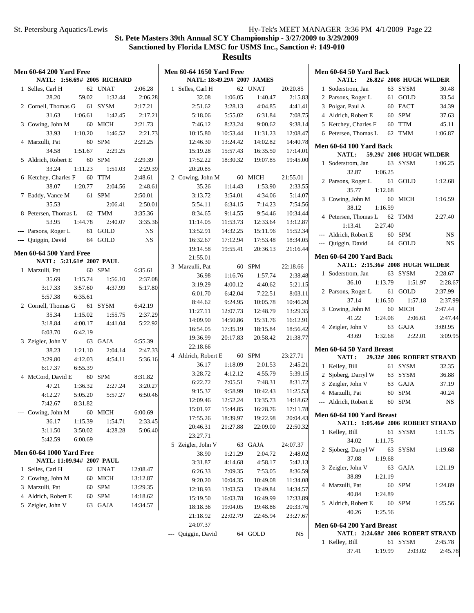| <b>Men 60-64 200 Yard Free</b><br>NATL: 1:56.69# 2005 RICHARD |         |         |           | <b>Men 60-64 1650 Yard Free</b><br>NATL: 18:49.29# 2007 JAMES |          |          |          | Men 60-64 50 Yard Back<br>NATL:   | 26.82# 2008 HUGH WILDER   |
|---------------------------------------------------------------|---------|---------|-----------|---------------------------------------------------------------|----------|----------|----------|-----------------------------------|---------------------------|
|                                                               |         |         |           |                                                               |          |          |          |                                   |                           |
| 1 Selles, Carl H                                              |         | 62 UNAT | 2:06.28   | 1 Selles, Carl H                                              |          | 62 UNAT  | 20:20.85 | 63 SYSM<br>1 Soderstrom, Jan      | 30.48                     |
| 28.20                                                         | 59.02   | 1:32.44 | 2:06.28   | 32.08                                                         | 1:06.05  | 1:40.47  | 2:15.83  | 61 GOLD<br>2 Parsons, Roger L     | 33.54                     |
| 2 Cornell, Thomas G                                           |         | 61 SYSM | 2:17.21   | 2:51.62                                                       | 3:28.13  | 4:04.85  | 4:41.41  | 3 Polgar, Paul A<br>60 FACT       | 34.39                     |
| 31.63                                                         | 1:06.61 | 1:42.45 | 2:17.21   | 5:18.06                                                       | 5:55.02  | 6:31.84  | 7:08.75  | 60 SPM<br>4 Aldrich, Robert E     | 37.63                     |
| 3 Cowing, John M                                              |         | 60 MICH | 2:21.73   | 7:46.12                                                       | 8:23.24  | 9:00.62  | 9:38.14  | 60 TTM<br>5 Ketchey, Charles F    | 45.11                     |
| 33.93                                                         | 1:10.20 | 1:46.52 | 2:21.73   | 10:15.80                                                      | 10:53.44 | 11:31.23 | 12:08.47 | 6 Petersen, Thomas L<br>62 TMM    | 1:06.87                   |
| 4 Marzulli, Pat                                               |         | 60 SPM  | 2:29.25   | 12:46.30                                                      | 13:24.42 | 14:02.82 | 14:40.78 | Men 60-64 100 Yard Back           |                           |
| 34.58                                                         | 1:51.67 | 2:29.25 |           | 15:19.28                                                      | 15:57.43 | 16:35.50 | 17:14.01 | <b>NATL:</b>                      | 59.29# 2008 HUGH WILDER   |
| 5 Aldrich, Robert E                                           |         | 60 SPM  | 2:29.39   | 17:52.22                                                      | 18:30.32 | 19:07.85 | 19:45.00 | 1 Soderstrom, Jan                 | 63 SYSM<br>1:06.25        |
| 33.24                                                         | 1:11.23 | 1:51.03 | 2:29.39   | 20:20.85                                                      |          |          |          | 32.87<br>1:06.25                  |                           |
| 6 Ketchey, Charles F                                          |         | 60 TTM  | 2:48.61   | 2 Cowing, John M                                              |          | 60 MICH  | 21:55.01 | 2 Parsons, Roger L<br>61 GOLD     | 1:12.68                   |
| 38.07                                                         | 1:20.77 | 2:04.56 | 2:48.61   | 35.26                                                         | 1:14.43  | 1:53.90  | 2:33.55  | 35.77<br>1:12.68                  |                           |
| 7 Eaddy, Vance M                                              |         | 61 SPM  | 2:50.01   | 3:13.72                                                       | 3:54.01  | 4:34.06  | 5:14.07  | 3 Cowing, John M<br>60 MICH       | 1:16.59                   |
| 35.53                                                         |         | 2:06.41 | 2:50.01   | 5:54.11                                                       | 6:34.15  | 7:14.23  | 7:54.56  | 38.12<br>1:16.59                  |                           |
| 8 Petersen, Thomas L                                          |         | 62 TMM  | 3:35.36   | 8:34.65                                                       | 9:14.55  | 9:54.46  | 10:34.44 |                                   |                           |
| 53.95                                                         | 1:44.78 | 2:40.07 | 3:35.36   | 11:14.05                                                      | 11:53.73 | 12:33.64 | 13:12.87 | 4 Petersen, Thomas L<br>62 TMM    | 2:27.40                   |
| --- Parsons, Roger L                                          |         | 61 GOLD | <b>NS</b> | 13:52.91                                                      | 14:32.25 | 15:11.96 | 15:52.34 | 1:13.41<br>2:27.40                |                           |
| --- Quiggin, David                                            |         | 64 GOLD | <b>NS</b> | 16:32.67                                                      | 17:12.94 | 17:53.48 | 18:34.05 | --- Aldrich, Robert E<br>60 SPM   | <b>NS</b>                 |
|                                                               |         |         |           | 19:14.58                                                      | 19:55.41 | 20:36.13 | 21:16.44 | 64 GOLD<br>--- Quiggin, David     | <b>NS</b>                 |
| <b>Men 60-64 500 Yard Free</b>                                |         |         |           | 21:55.01                                                      |          |          |          | <b>Men 60-64 200 Yard Back</b>    |                           |
| NATL: 5:21.61# 2007 PAUL                                      |         |         |           | 3 Marzulli, Pat                                               |          | 60 SPM   | 22:18.66 | NATL: 2:15.36# 2008 HUGH WILDER   |                           |
| 1 Marzulli, Pat                                               |         | 60 SPM  | 6:35.61   |                                                               |          | 1:57.74  | 2:38.48  | 63 SYSM<br>1 Soderstrom, Jan      | 2:28.67                   |
| 35.69                                                         | 1:15.74 | 1:56.10 | 2:37.08   | 36.98                                                         | 1:16.76  |          |          | 1:13.79<br>36.10                  | 2:28.67<br>1:51.97        |
| 3:17.33                                                       | 3:57.60 | 4:37.99 | 5:17.80   | 3:19.29                                                       | 4:00.12  | 4:40.62  | 5:21.15  | 2 Parsons, Roger L                | 2:37.99<br>61 GOLD        |
| 5:57.38                                                       | 6:35.61 |         |           | 6:01.70                                                       | 6:42.04  | 7:22.51  | 8:03.11  | 1:16.50<br>37.14                  | 1:57.18<br>2:37.99        |
| 2 Cornell, Thomas G                                           |         | 61 SYSM | 6:42.19   | 8:44.62                                                       | 9:24.95  | 10:05.78 | 10:46.20 | 60 MICH<br>3 Cowing, John M       | 2:47.44                   |
| 35.34                                                         | 1:15.02 | 1:55.75 | 2:37.29   | 11:27.11                                                      | 12:07.73 | 12:48.79 | 13:29.35 |                                   |                           |
| 3:18.84                                                       | 4:00.17 | 4:41.04 | 5:22.92   | 14:09.90                                                      | 14:50.86 | 15:31.76 | 16:12.91 | 41.22<br>1:24.06                  | 2:06.61<br>2:47.44        |
| 6:03.70                                                       | 6:42.19 |         |           | 16:54.05                                                      | 17:35.19 | 18:15.84 | 18:56.42 | 63 GAJA<br>4 Zeigler, John V      | 3:09.95                   |
| 3 Zeigler, John V                                             |         | 63 GAJA | 6:55.39   | 19:36.99                                                      | 20:17.83 | 20:58.42 | 21:38.77 | 1:32.68<br>43.69                  | 2:22.01<br>3:09.95        |
| 38.23                                                         | 1:21.10 | 2:04.14 | 2:47.33   | 22:18.66                                                      |          |          |          | Men 60-64 50 Yard Breast          |                           |
| 3:29.80                                                       | 4:12.03 | 4:54.11 | 5:36.16   | 4 Aldrich, Robert E                                           |          | 60 SPM   | 23:27.71 | NATL:                             | 29.32# 2006 ROBERT STRAND |
| 6:17.37                                                       | 6:55.39 |         |           | 36.17                                                         | 1:18.09  | 2:01.53  | 2:45.21  | 61 SYSM<br>1 Kelley, Bill         | 32.35                     |
| 4 McCord, David E                                             |         | 60 SPM  | 8:31.82   | 3:28.72                                                       | 4:12.12  | 4:55.79  | 5:39.15  | 63 SYSM<br>2 Sjoberg, Darryl W    | 36.88                     |
|                                                               | 1:36.32 |         | 3:20.27   | 6:22.72                                                       | 7:05.51  | 7:48.31  | 8:31.72  | 3 Zeigler, John V<br>63 GAJA      | 37.19                     |
| 47.21<br>4:12.27                                              | 5:05.20 | 2:27.24 |           | 9:15.37                                                       | 9:58.99  | 10:42.43 | 11:25.53 | 60 SPM<br>4 Marzulli, Pat         | 40.24                     |
|                                                               |         | 5:57.27 | 6:50.46   | 12:09.46                                                      | 12:52.24 | 13:35.73 | 14:18.62 | 60 SPM<br>--- Aldrich, Robert E   | <b>NS</b>                 |
| 7:42.67                                                       | 8:31.82 |         |           | 15:01.97                                                      | 15:44.85 | 16:28.76 | 17:11.78 |                                   |                           |
| --- Cowing, John M                                            |         | 60 MICH | 6:00.69   | 17:55.26                                                      | 18:39.97 | 19:22.98 | 20:04.43 | Men 60-64 100 Yard Breast         |                           |
| 36.17                                                         | 1:15.39 | 1:54.71 | 2:33.45   | 20:46.31                                                      | 21:27.88 | 22:09.00 | 22:50.32 | NATL: 1:05.46# 2006 ROBERT STRAND |                           |
| 3:11.50                                                       | 3:50.02 | 4:28.28 | 5:06.40   | 23:27.71                                                      |          |          |          | 1 Kelley, Bill                    | 61 SYSM<br>1:11.75        |
| 5:42.59                                                       | 6:00.69 |         |           | 5 Zeigler, John V                                             |          | 63 GAJA  | 24:07.37 | 34.02<br>1:11.75                  |                           |
| <b>Men 60-64 1000 Yard Free</b>                               |         |         |           | 38.90                                                         | 1:21.29  | 2:04.72  | 2:48.02  | 2 Sjoberg, Darryl W<br>63 SYSM    | 1:19.68                   |
| NATL: 11:09.94# 2007 PAUL                                     |         |         |           |                                                               |          |          |          | 1:19.68<br>37.08                  |                           |
| 1 Selles, Carl H                                              |         | 62 UNAT | 12:08.47  | 3:31.87                                                       | 4:14.68  | 4:58.17  | 5:42.13  | 3 Zeigler, John V<br>63 GAJA      | 1:21.19                   |
| 2 Cowing, John M                                              |         | 60 MICH | 13:12.87  | 6:26.33                                                       | 7:09.35  | 7:53.05  | 8:36.59  | 38.89<br>1:21.19                  |                           |
| 3 Marzulli, Pat                                               |         | 60 SPM  | 13:29.35  | 9:20.20                                                       | 10:04.35 | 10:49.08 | 11:34.08 | 60 SPM<br>4 Marzulli, Pat         | 1:24.89                   |
| 4 Aldrich, Robert E                                           |         |         |           | 12:18.93                                                      | 13:03.53 | 13:49.84 | 14:34.57 | 1:24.89<br>40.84                  |                           |
|                                                               |         | 60 SPM  | 14:18.62  | 15:19.50                                                      | 16:03.78 | 16:49.99 | 17:33.89 | 60 SPM<br>5 Aldrich, Robert E     | 1:25.56                   |
| 5 Zeigler, John V                                             |         | 63 GAJA | 14:34.57  | 18:18.36                                                      | 19:04.05 | 19:48.86 | 20:33.76 | 40.26<br>1:25.56                  |                           |
|                                                               |         |         |           | 21:18.92                                                      | 22:02.79 | 22:45.94 | 23:27.67 |                                   |                           |
|                                                               |         |         |           | 24:07.37                                                      |          |          |          | Men 60-64 200 Yard Breast         |                           |
|                                                               |         |         |           | --- Quiggin, David                                            |          | 64 GOLD  | NS       | NATL: 2:24.68# 2006 ROBERT STRAND |                           |

| 1 Kelley, Bill |         | 61 SYSM | 2:45.78 |
|----------------|---------|---------|---------|
| 37.41          | 1:19.99 | 2:03.02 | 2:45.78 |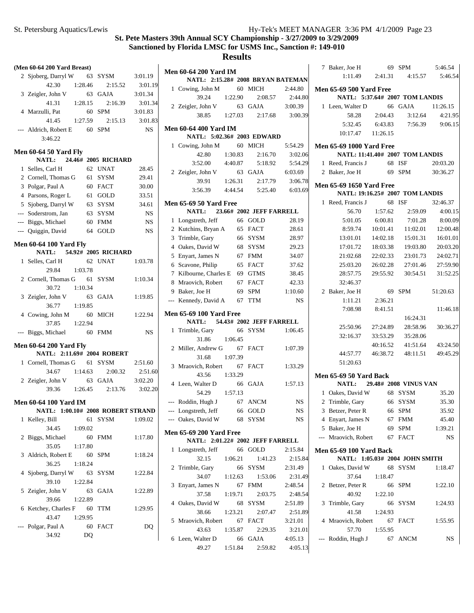5:46.54 5:46.54

> 4:21.95 9:06.15

4:00.15 8:00.09 12:00.48 16:01.01 20:03.20 24:02.71 27:59.90 31:52.25

11:46.18

30:36.27

43:24.50 49:45.29

#### **St. Pete Masters 39th Annual SCY Championship - 3/27/2009 to 3/29/2009 Sanctioned by Florida LMSC for USMS Inc., Sanction #: 149-010**

| (Men 60-64 200 Yard Breast)                                 |                     |             |                                |         |                                   |             | 7 Baker, Joe H                  |          | 69 SPM                          | 5:46.54   |
|-------------------------------------------------------------|---------------------|-------------|--------------------------------|---------|-----------------------------------|-------------|---------------------------------|----------|---------------------------------|-----------|
| 2 Sjoberg, Darryl W                                         | 63 SYSM             | 3:01.19     | <b>Men 60-64 200 Yard IM</b>   |         | NATL: 2:15.28# 2008 BRYAN BATEMAN |             | 1:11.49                         | 2:41.31  | 4:15.57                         | 5:46.5    |
| 42.30<br>1:28.46                                            | 2:15.52             | 3:01.19     |                                |         |                                   |             |                                 |          |                                 |           |
| 3 Zeigler, John V                                           | 63 GAJA             | 3:01.34     | 1 Cowing, John M               |         | 60 MICH                           | 2:44.80     | <b>Men 65-69 500 Yard Free</b>  |          |                                 |           |
| 41.31<br>1:28.15                                            | 2:16.39             | 3:01.34     | 39.24                          | 1:22.90 | 2:08.57                           | 2:44.80     |                                 |          | NATL: 5:37.64# 2007 TOM LANDIS  |           |
| 4 Marzulli, Pat                                             | 60 SPM              | 3:01.83     | 2 Zeigler, John V              |         | 63 GAJA                           | 3:00.39     | 1 Leen, Walter D                |          | 66 GAJA                         | 11:26.15  |
| 1:27.59                                                     | 2:15.13             | 3:01.83     | 38.85                          | 1:27.03 | 2:17.68                           | 3:00.39     | 58.28                           | 2:04.43  | 3:12.64                         | 4:21.9    |
| 41.45                                                       |                     |             | <b>Men 60-64 400 Yard IM</b>   |         |                                   |             | 5:32.45                         | 6:43.83  | 7:56.39                         | 9:06.1    |
| --- Aldrich, Robert E                                       | 60 SPM              | <b>NS</b>   |                                |         | NATL: 5:02.36# 2003 EDWARD        |             | 10:17.47                        | 11:26.15 |                                 |           |
| 3:46.22                                                     |                     |             |                                |         | 60 MICH                           |             |                                 |          |                                 |           |
| <b>Men 60-64 50 Yard Fly</b>                                |                     |             | 1 Cowing, John M               |         |                                   | 5:54.29     | <b>Men 65-69 1000 Yard Free</b> |          |                                 |           |
| <b>NATL:</b>                                                | 24.46# 2005 RICHARD |             | 42.80                          | 1:30.83 | 2:16.70                           | 3:02.06     |                                 |          | NATL: 11:41.40# 2007 TOM LANDIS |           |
| 1 Selles, Carl H                                            | 62 UNAT             | 28.45       | 3:52.00                        | 4:40.87 | 5:18.92                           | 5:54.29     | 1 Reed, Francis J               |          | 68 ISF                          | 20:03.20  |
| 2 Cornell, Thomas G                                         | 61 SYSM             | 29.41       | 2 Zeigler, John V              |         | 63 GAJA                           | 6:03.69     | 2 Baker, Joe H                  |          | 69 SPM                          | 30:36.27  |
| 3 Polgar, Paul A                                            | 60 FACT             | 30.00       | 39.91                          | 1:26.31 | 2:17.79                           | 3:06.78     | <b>Men 65-69 1650 Yard Free</b> |          |                                 |           |
|                                                             | 61 GOLD             |             | 3:56.39                        | 4:44.54 | 5:25.40                           | 6:03.69     |                                 |          | NATL: 19:16.25# 2007 TOM LANDIS |           |
| 4 Parsons, Roger L                                          |                     | 33.51       | <b>Men 65-69 50 Yard Free</b>  |         |                                   |             | 1 Reed, Francis J               |          | 68 ISF                          | 32:46.37  |
| 5 Sjoberg, Darryl W                                         | 63 SYSM             | 34.61       | NATL:                          |         | 23.66# 2002 JEFF FARRELL          |             | 56.70                           | 1:57.62  | 2:59.09                         | 4:00.1    |
| Soderstrom, Jan                                             | 63 SYSM             | <b>NS</b>   | 1 Longstreth, Jeff             |         | 66 GOLD                           | 28.19       | 5:01.05                         | 6:00.81  | 7:01.28                         | 8:00.0    |
| --- Biggs, Michael                                          | 60 FMM              | $_{\rm NS}$ |                                |         |                                   |             |                                 |          |                                 |           |
| --- Quiggin, David                                          | 64 GOLD             | <b>NS</b>   | 2 Kutchins, Bryan A            |         | 65 FACT                           | 28.61       | 8:59.74                         | 10:01.41 | 11:02.01                        | 12:00.4   |
| <b>Men 60-64 100 Yard Fly</b>                               |                     |             | 3 Trimble, Gary                |         | 66 SYSM                           | 28.97       | 13:01.01                        | 14:02.18 | 15:01.31                        | 16:01.0   |
| NATL:                                                       | 54.92# 2005 RICHARD |             | 4 Oakes, David W               |         | 68 SYSM                           | 29.23       | 17:01.72                        | 18:03.38 | 19:03.80                        | 20:03.2   |
| 1 Selles, Carl H                                            | 62 UNAT             | 1:03.78     | 5 Enyart, James N              |         | 67 FMM                            | 34.07       | 21:02.68                        | 22:02.33 | 23:01.73                        | 24:02.7   |
| 1:03.78<br>29.84                                            |                     |             | 6 Scavone, Philip              |         | 65 FACT                           | 37.62       | 25:03.20                        | 26:02.28 | 27:01.46                        | 27:59.9   |
|                                                             |                     |             | 7 Kilbourne, Charles E         |         | 69 GTMS                           | 38.45       | 28:57.75                        | 29:55.92 | 30:54.51                        | 31:52.2   |
| 2 Cornell, Thomas G                                         | 61 SYSM             | 1:10.34     | 8 Mraovich, Robert             |         | 67 FACT                           | 42.33       | 32:46.37                        |          |                                 |           |
| 30.72<br>1:10.34                                            |                     |             | 9 Baker, Joe H                 | 69      | <b>SPM</b>                        | 1:10.60     | 2 Baker, Joe H                  |          | 69 SPM                          | 51:20.63  |
| 3 Zeigler, John V                                           | 63 GAJA             | 1:19.85     | --- Kennedy, David A           |         | 67 TTM                            | NS          | 1:11.21                         | 2:36.21  |                                 |           |
| 1:19.85<br>36.77                                            |                     |             |                                |         |                                   |             | 7:08.98                         | 8:41.51  |                                 | 11:46.1   |
| 4 Cowing, John M                                            | 60 MICH             | 1:22.94     | <b>Men 65-69 100 Yard Free</b> |         |                                   |             |                                 |          | 16:24.31                        |           |
| 1:22.94<br>37.85                                            |                     |             | NATL:                          |         | 54.43# 2002 JEFF FARRELL          |             | 25:50.96                        | 27:24.89 | 28:58.96                        | 30:36.2   |
| --- Biggs, Michael                                          | 60 FMM              | <b>NS</b>   | 1 Trimble, Gary                |         | 66 SYSM                           | 1:06.45     | 32:16.37                        | 33:53.29 | 35:28.06                        |           |
|                                                             |                     |             | 31.86                          | 1:06.45 |                                   |             |                                 | 40:16.52 | 41:51.64                        | 43:24.5   |
| <b>Men 60-64 200 Yard Fly</b><br>NATL: 2:11.69# 2004 ROBERT |                     |             | 2 Miller, Andrew G             |         | 67 FACT                           | 1:07.39     | 44:57.77                        | 46:38.72 |                                 | 49:45.2   |
|                                                             |                     |             | 31.68                          | 1:07.39 |                                   |             |                                 |          | 48:11.51                        |           |
| 1 Cornell, Thomas G                                         | 61 SYSM             | 2:51.60     | 3 Mraovich, Robert             |         | 67 FACT                           | 1:33.29     | 51:20.63                        |          |                                 |           |
| 1:14.63<br>34.67                                            | 2:00.32             | 2:51.60     | 43.56                          | 1:33.29 |                                   |             | <b>Men 65-69 50 Yard Back</b>   |          |                                 |           |
| 2 Zeigler, John V                                           | 63 GAJA             | 3:02.20     | 4 Leen, Walter D               |         | 66 GAJA                           | 1:57.13     | NATL:                           |          | 29.48# 2008 VINUS VAN           |           |
| 39.36<br>1:26.45                                            | 2:13.76             | 3:02.20     | 54.29                          | 1:57.13 |                                   |             | 1 Oakes, David W                |          | 68 SYSM                         | 35.20     |
| <b>Men 60-64 100 Yard IM</b>                                |                     |             | --- Roddin, Hugh J             |         | 67 ANCM                           | <b>NS</b>   | 2 Trimble, Gary                 |          | 66 SYSM                         | 35.30     |
| NATL: 1:00.10# 2008 ROBERT STRAND                           |                     |             | --- Longstreth, Jeff           |         | 66 GOLD                           | $_{\rm NS}$ | 3 Betzer, Peter R               |          | 66 SPM                          | 35.92     |
|                                                             | 61 SYSM             | 1:09.02     | --- Oakes, David W             |         | 68 SYSM                           | NS          | 4 Enyart, James N               |          | 67 FMM                          | 45.40     |
| 1 Kelley, Bill                                              |                     |             |                                |         |                                   |             |                                 |          |                                 |           |
| 34.45<br>1:09.02                                            |                     |             | <b>Men 65-69 200 Yard Free</b> |         |                                   |             | 5 Baker, Joe H                  |          | 69 SPM                          | 1:39.21   |
| 2 Biggs, Michael                                            | 60 FMM              | 1:17.80     |                                |         | NATL: 2:01.22# 2002 JEFF FARRELL  |             | --- Mraovich, Robert            |          | 67 FACT                         | <b>NS</b> |
| 35.05<br>1:17.80                                            |                     |             | 1 Longstreth, Jeff             |         | 66 GOLD                           | 2:15.84     | <b>Men 65-69 100 Yard Back</b>  |          |                                 |           |
| 3 Aldrich, Robert E                                         | 60 SPM              | 1:18.24     | 32.15                          | 1:06.21 | 1:41.23                           | 2:15.84     |                                 |          | NATL: 1:05.03# 2004 JOHN SMITH  |           |
| 1:18.24<br>36.25                                            |                     |             | 2 Trimble, Gary                |         | 66 SYSM                           | 2:31.49     | 1 Oakes, David W                |          | 68 SYSM                         | 1:18.47   |
| 4 Sjoberg, Darryl W                                         | 63 SYSM             | 1:22.84     | 34.07                          |         | 1:53.06                           |             | 37.64                           | 1:18.47  |                                 |           |
| 1:22.84<br>39.10                                            |                     |             | 3 Enyart, James N              | 1:12.63 | 67 FMM                            | 2:31.49     |                                 |          |                                 |           |
| 5 Zeigler, John V                                           | 63 GAJA             | 1:22.89     |                                |         |                                   | 2:48.54     | 2 Betzer, Peter R               |          | 66 SPM                          | 1:22.10   |
| 39.66<br>1:22.89                                            |                     |             | 37.58                          | 1:19.71 | 2:03.75                           | 2:48.54     | 40.92                           | 1:22.10  |                                 |           |
| 6 Ketchey, Charles F 60 TTM                                 |                     | 1:29.95     | 4 Oakes, David W               |         | 68 SYSM                           | 2:51.89     | 3 Trimble, Gary                 |          | 66 SYSM                         | 1:24.93   |
| 43.47<br>1:29.95                                            |                     |             | 38.66                          | 1:23.21 | 2:07.47                           | 2:51.89     | 41.58                           | 1:24.93  |                                 |           |
|                                                             |                     |             | 5 Mraovich, Robert             |         | 67 FACT                           | 3:21.01     | 4 Mraovich, Robert              |          | 67 FACT                         | 1:55.95   |
| --- Polgar, Paul A                                          | 60 FACT             | DQ          | 43.63                          | 1:35.87 | 2:29.35                           | 3:21.01     | 57.70                           | 1:55.95  |                                 |           |
| 34.92<br>DQ                                                 |                     |             | 6 Leen, Walter D               |         | 66 GAJA                           | 4:05.13     | --- Roddin, Hugh J              |          | 67 ANCM                         | NS        |
|                                                             |                     |             | 49.27                          | 1:51.84 | 2:59.82                           | 4:05.13     |                                 |          |                                 |           |
|                                                             |                     |             |                                |         |                                   |             |                                 |          |                                 |           |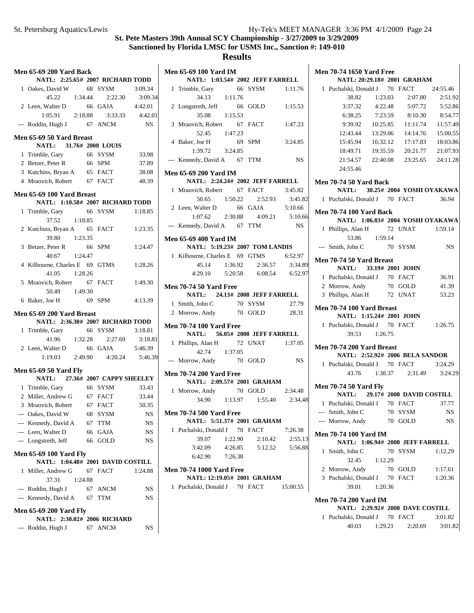$\overline{\phantom{a}}$ 

#### **St. Pete Masters 39th Annual SCY Championship - 3/27/2009 to 3/29/2009 Sanctioned by Florida LMSC for USMS Inc., Sanction #: 149-010**

|   | <b>Men 65-69 200 Yard Back</b>                               |         |                                                          |           |
|---|--------------------------------------------------------------|---------|----------------------------------------------------------|-----------|
|   | NATL: 2:25.65# 2007 RICHARD TODD                             |         |                                                          |           |
|   | 1 Oakes, David W 68 SYSM 3:09.34                             |         |                                                          |           |
|   |                                                              |         | 45.22 1:34.44 2:22.30 3:09.3<br>Walter D 66 GAJA 4:42.01 | 3:09.34   |
|   | 2 Leen, Walter D                                             |         |                                                          |           |
|   |                                                              |         | 1:05.91  2:18.88  3:33.33  4:42.01                       |           |
|   | --- Roddin, Hugh J 67 ANCM                                   |         |                                                          | <b>NS</b> |
|   | Men 65-69 50 Yard Breast                                     |         |                                                          |           |
|   | NATL: 31.76# 2008 LOUIS                                      |         |                                                          |           |
|   | 1 Trimble, Gary 66 SYSM                                      |         |                                                          | 33.98     |
|   | 2 Betzer, Peter R 66 SPM                                     |         |                                                          | 37.89     |
|   | 3 Kutchins, Bryan A 65 FACT 38.08                            |         |                                                          |           |
|   | 4 Mraovich, Robert 67 FACT 48.39                             |         |                                                          |           |
|   | Men 65-69 100 Yard Breast                                    |         |                                                          |           |
|   | NATL: 1:10.58# 2007 RICHARD TODD                             |         |                                                          |           |
|   | 1 Trimble, Gary 66 SYSM                                      |         |                                                          | 1:18.85   |
|   | 37.52 1:18.85                                                |         |                                                          |           |
|   | 2 Kutchins, Bryan A 65 FACT 1:23.35                          |         |                                                          |           |
|   | 39.80  1:23.35                                               |         |                                                          |           |
|   | 3 Betzer, Peter R 66 SPM                                     |         |                                                          | 1:24.47   |
|   | 40.67 1:24.47                                                |         |                                                          |           |
|   | 4 Kilbourne, Charles E 69 GTMS                               |         |                                                          | 1:28.26   |
|   | 41.05 1:28.26                                                |         |                                                          |           |
|   | 5 Mraovich, Robert 67 FACT                                   |         |                                                          | 1:49.30   |
|   | 50.49 1:49.30                                                |         |                                                          |           |
|   | 6 Baker, Joe H 69 SPM                                        |         |                                                          | 4:13.39   |
|   | Men 65-69 200 Yard Breast                                    |         |                                                          |           |
|   | NATL: 2:36.30# 2007 RICHARD TODD                             |         |                                                          |           |
|   | 1 Trimble, Gary 66 SYSM 3:18.81                              |         |                                                          |           |
|   |                                                              |         | 41.96 1:32.28 2:27.69 3:18.81                            |           |
|   | 2 Leen, Walter D 66 GAJA 5:46.39                             |         |                                                          |           |
|   |                                                              |         | 1:19.03 2:49.90 4:20.24 5:46.39                          |           |
|   | <b>Men 65-69 50 Yard Fly</b>                                 |         |                                                          |           |
|   | NATL: 27.36# 2007 CAPPY SHEELEY                              |         |                                                          |           |
|   | 1 Trimble, Gary                                              |         | 66 SYSM                                                  | 33.43     |
|   | 2 Miller, Andrew G 67 FACT 33.44                             |         |                                                          |           |
|   | 3 Mraovich, Robert 67 FACT 50.35                             |         |                                                          |           |
|   | --- Oakes, David W 68 SYSM NS                                |         |                                                          |           |
|   | --- Kennedy, David A                                         |         | 67 TTM                                                   | NS        |
|   | --- Leen, Walter D                                           |         | 66 GAJA                                                  | NS        |
|   | --- Longstreth, Jeff                                         |         | 66 GOLD                                                  | NS        |
|   | Men 65-69 100 Yard Fly                                       |         |                                                          |           |
|   | NATL: 1:04.48# 2001 DAVID COSTILL                            |         |                                                          |           |
| 1 | Miller, Andrew G                                             |         | 67 FACT                                                  | 1:24.88   |
|   | 37.31                                                        | 1:24.88 |                                                          |           |
|   | --- Roddin, Hugh J                                           |         | 67 ANCM                                                  | NS        |
|   | --- Kennedy, David A 67 TTM                                  |         |                                                          | NS        |
|   | <b>Men 65-69 200 Yard Fly</b><br>NATL: 2:30.02# 2006 RICHARD |         |                                                          |           |
|   |                                                              |         |                                                          |           |
|   | --- Roddin, Hugh J                                           |         | 67 ANCM                                                  | NS        |
|   |                                                              |         |                                                          |           |

| <b>Men 65-69 100 Yard IM</b>                                   |         |                                         |                    |
|----------------------------------------------------------------|---------|-----------------------------------------|--------------------|
| NATL: 1:03.54# 2002 JEFF FARRELL                               |         |                                         |                    |
| 1 Trimble, Gary 66 SYSM 1:11.76                                |         |                                         |                    |
| 34.13 1:11.76                                                  |         |                                         |                    |
| 2 Longstreth, Jeff 66 GOLD 1:15.53                             |         |                                         |                    |
| 35.08 1:15.53                                                  |         |                                         |                    |
| 3 Mraovich, Robert 67 FACT 1:47.23                             |         |                                         |                    |
| 52.45 1:47.23                                                  |         |                                         |                    |
| 4 Baker, Joe H 69 SPM                                          |         |                                         | 3:24.85            |
| $1:39.72$ $3:24.85$                                            |         |                                         |                    |
| --- Kennedy, David A 67 TTM                                    |         |                                         | <b>NS</b>          |
| <b>Men 65-69 200 Yard IM</b>                                   |         |                                         |                    |
| NATL: 2:24.24# 2002 JEFF FARRELL                               |         |                                         |                    |
| 1 Mraovich, Robert 67 FACT 3:45.82                             |         |                                         |                    |
|                                                                |         | 50.65 1:50.22 2:52.93 3:45.82           |                    |
| 2 Leen, Walter D 66 GAJA 5:10.66                               |         |                                         |                    |
|                                                                |         | $1:07.62$ $2:30.88$ $4:09.21$ $5:10.66$ |                    |
| --- Kennedy, David A 67 TTM                                    |         |                                         | NS <sub>1</sub>    |
|                                                                |         |                                         |                    |
| <b>Men 65-69 400 Yard IM</b><br>NATL: 5:19.23# 2007 TOM LANDIS |         |                                         |                    |
| 1 Kilbourne, Charles E 69 GTMS 6:52.97                         |         |                                         |                    |
|                                                                |         | 45.14 1:36.92 2:36.57 3:34.89           |                    |
|                                                                |         |                                         |                    |
|                                                                |         | 4:29.10 5:20.58 6:08.54 6:52.97         |                    |
| <b>Men 70-74 50 Yard Free</b>                                  |         |                                         |                    |
| NATL: 24.13# 2008 JEFF FARRELL                                 |         |                                         |                    |
| 1 Smith, John C 70 SYSM 27.79<br>2 Morrow, Andy 70 GOLD 28.31  |         |                                         |                    |
|                                                                |         |                                         |                    |
| <b>Men 70-74 100 Yard Free</b>                                 |         |                                         |                    |
| NATL: 56.05# 2008 JEFF FARRELL                                 |         |                                         |                    |
| 1 Phillips, Alan H 72 UNAT 1:37.05                             |         |                                         |                    |
| 42.74 1:37.05                                                  |         |                                         |                    |
| --- Morrow, Andy 70 GOLD NS                                    |         |                                         |                    |
|                                                                |         |                                         |                    |
| <b>Men 70-74 200 Yard Free</b>                                 |         |                                         |                    |
| NATL: 2:09.57# 2001 GRAHAM<br>1 Morrow, Andy 70 GOLD           |         |                                         |                    |
|                                                                |         | 34.90 1:13.97 1:55.40 2:34.48           | 2:34.48            |
|                                                                |         |                                         |                    |
| <b>Men 70-74 500 Yard Free</b>                                 |         |                                         |                    |
| NATL: 5:51.37# 2001 GRAHAM                                     |         |                                         |                    |
| 1 Puchalski, Donald J 70 FACT                                  |         |                                         | 7:26.38            |
| 39.07                                                          | 1:22.90 | 2:10.42                                 | 2:55.13            |
| 3:42.09                                                        | 4:26.85 |                                         | 5:12.52    5:56.88 |
| 6:42.90 7:26.38                                                |         |                                         |                    |
| <b>Men 70-74 1000 Yard Free</b>                                |         |                                         |                    |
| NATL: 12:19.05# 2001 GRAHAM                                    |         |                                         |                    |
| 1 Puchalski, Donald J 70 FACT                                  |         |                                         | 15:00.55           |
|                                                                |         |                                         |                    |
|                                                                |         |                                         |                    |
|                                                                |         |                                         |                    |
|                                                                |         |                                         |                    |
|                                                                |         |                                         |                    |

| <b>Men 70-74 1650 Yard Free</b>                          |                                   |
|----------------------------------------------------------|-----------------------------------|
| NATL: 20:29.18# 2001 GRAHAM                              |                                   |
| 1 Puchalski, Donald J 70 FACT                            | 24:55.46                          |
| 38.82<br>1:23.03                                         | 2:07.80<br>2:51.92                |
| $3:37.32 \qquad 4:22.48$                                 | 5:52.86<br>5:07.72                |
| 7:23.59<br>6:38.25                                       | 8:54.77<br>8:10.30                |
| 9:39.92                                                  | 10:25.85 11:11.74<br>11:57.49     |
| 12:43.44                                                 | 13:29.06  14:14.76  15:00.55      |
| 15:45.94                                                 | 16:32.12  17:17.83  18:03.86      |
| 18:49.71<br>19:35.59                                     | 20:21.77<br>21:07.93              |
| 21:54.57                                                 | 22:40.08  23:25.65  24:11.28      |
| 24:55.46                                                 |                                   |
|                                                          |                                   |
| <b>Men 70-74 50 Yard Back</b>                            |                                   |
|                                                          | NATL: 30.25# 2004 YOSHI OYAKAWA   |
| 1 Puchalski, Donald J 70 FACT                            | 36.94                             |
| <b>Men 70-74 100 Yard Back</b>                           |                                   |
|                                                          | NATL: 1:06.83# 2004 YOSHI OYAKAWA |
| 1 Phillips, Alan H<br>s, Alan H 72 UNAT<br>53.86 1:59.14 | 1:59.14                           |
|                                                          |                                   |
| --- Smith, John C                                        | 70 SYSM<br><b>NS</b>              |
| Men 70-74 50 Yard Breast                                 |                                   |
| NATL: 33.19# 2001 JOHN                                   |                                   |
| 1 Puchalski, Donald J 70 FACT                            | 36.91                             |
| 2 Morrow, Andy                                           | 70 GOLD<br>41.39                  |
| 3 Phillips, Alan H                                       | 72 UNAT<br>53.23                  |
| Men 70-74 100 Yard Breast                                |                                   |
| NATL: 1:15.24# 2001 JOHN                                 |                                   |
| 1 Puchalski, Donald J 70 FACT                            | 1:26.75                           |
| 39.53 1:26.75                                            |                                   |
| Men 70-74 200 Yard Breast                                |                                   |
|                                                          | NATL: 2:52.92# 2006 BELA SANDOR   |
| 1 Puchalski, Donald J 70 FACT                            | 3:24.29                           |
|                                                          | 43.76 1:38.37 2:31.49 3:24.29     |
|                                                          |                                   |
| <b>Men 70-74 50 Yard Fly</b>                             |                                   |
|                                                          | NATL: 29.17# 2008 DAVID COSTILL   |
| 1 Puchalski, Donald J 70 FACT                            | 37.77                             |
| --- Smith, John C                                        | 70 SYSM<br>NS                     |
| --- Morrow, Andy 70 GOLD                                 | NS                                |
| <b>Men 70-74 100 Yard IM</b>                             |                                   |
|                                                          | NATL: 1:06.94# 2008 JEFF FARRELL  |
| Smith. John C<br>1                                       | 1:12.29<br>70 SYSM                |
| 32.45 1:12.29                                            |                                   |
|                                                          |                                   |
| 2 Morrow, Andy                                           | 70 GOLD<br>1:17.61                |
| 3 Puchalski, Donald J 70 FACT                            | 1:20.36                           |
| 1:20.36<br>39.01                                         |                                   |
| <b>Men 70-74 200 Yard IM</b>                             |                                   |
|                                                          | NATL: 2:29.92# 2008 DAVE COSTILL  |

|                       |         | INATE: 2:27.72# 2006 DAVE COSTILL |         |
|-----------------------|---------|-----------------------------------|---------|
| 1 Puchalski, Donald J |         | 70 FACT                           | 3:01.82 |
| 40.03                 | 1:29.21 | 2:20.69                           | 3:01.82 |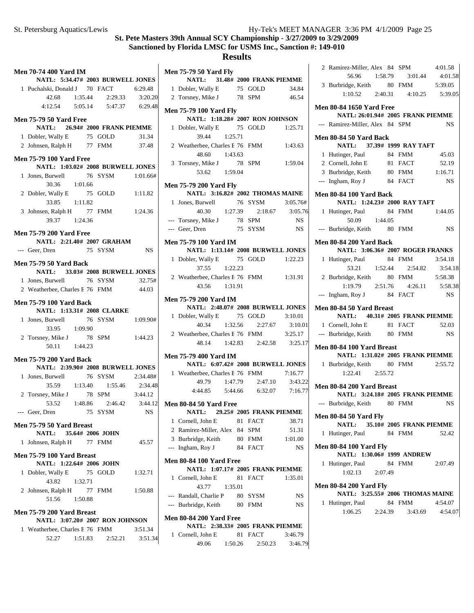| <b>Men 70-74 400 Yard IM</b>                                        |  |                                       |           |
|---------------------------------------------------------------------|--|---------------------------------------|-----------|
| NATL: 5:34.47# 2003 BURWELL JONES                                   |  |                                       |           |
| 1 Puchalski, Donald J 70 FACT 6:29.48                               |  |                                       |           |
|                                                                     |  | 42.68 1:35.44 2:29.33 3:20.20         |           |
|                                                                     |  | 4:12.54   5:05.14   5:47.37   6:29.48 |           |
| <b>Men 75-79 50 Yard Free</b><br>NATL: 26.94# 2000 FRANK PIEMME     |  |                                       |           |
| 1 Dobler, Wally E 75 GOLD 31.34                                     |  |                                       |           |
| 2 Johnsen, Ralph H 77 FMM 37.48                                     |  |                                       |           |
| <b>Men 75-79 100 Yard Free</b><br>NATL: 1:03.02# 2008 BURWELL JONES |  |                                       |           |
| 1 Jones, Burwell 76 SYSM 1:01.66#                                   |  |                                       |           |
| 30.36 1:01.66                                                       |  |                                       |           |
| 2 Dobler, Wally E                                                   |  | 75 GOLD                               | 1:11.82   |
| 33.85 1:11.82                                                       |  |                                       |           |
| 3 Johnsen, Ralph H 77 FMM 1:24.36                                   |  |                                       |           |
| 39.37 1:24.36                                                       |  |                                       |           |
| <b>Men 75-79 200 Yard Free</b>                                      |  |                                       |           |
| NATL: 2:21.40# 2007 GRAHAM                                          |  |                                       |           |
| --- Geer, Dren                                                      |  | 75 SYSM                               | <b>NS</b> |
| <b>Men 75-79 50 Yard Back</b>                                       |  |                                       |           |
| NATL: 33.03# 2008 BURWELL JONES                                     |  |                                       |           |
| 1 Jones, Burwell 76 SYSM 32.75#                                     |  |                                       |           |
| 2 Weatherbee, Charles E 76 FMM 44.03                                |  |                                       |           |
| <b>Men 75-79 100 Yard Back</b>                                      |  |                                       |           |
| NATL: 1:13.31# 2008 CLARKE                                          |  |                                       |           |
|                                                                     |  |                                       |           |
| 1 Jones, Burwell 76 SYSM 1:09.90#<br>33.95 1:09.90                  |  |                                       |           |
|                                                                     |  |                                       | 1:44.23   |
| 2 Torsney, Mike J 78 SPM<br>50.11 1:44.23                           |  |                                       |           |
| <b>Men 75-79 200 Yard Back</b>                                      |  |                                       |           |
| NATL: 2:39.90# 2008 BURWELL JONES                                   |  |                                       |           |
| 1 Jones, Burwell 76 SYSM 2:34.48#                                   |  |                                       |           |
|                                                                     |  | 35.59 1:13.40 1:55.46 2:34.48         |           |
| 2 Torsney, Mike J 78 SPM                                            |  |                                       | 3:44.12   |
|                                                                     |  |                                       |           |
| 53.52 1:48.86 2:46.42 3:44.12<br>--- Geer, Dren 75 SYSM NS          |  |                                       |           |
| Men 75-79 50 Yard Breast                                            |  |                                       |           |
| NATL: 35.64# 2006 JOHN                                              |  |                                       |           |
| 1 Johnsen, Ralph H 77 FMM                                           |  |                                       | 45.57     |
| Men 75-79 100 Yard Breast                                           |  |                                       |           |
| NATL: 1:22.64# 2006 JOHN                                            |  |                                       |           |
| 1 Dobler, Wally E 75 GOLD<br>43.82 1:32.71                          |  |                                       | 1:32.71   |
| 2 Johnsen, Ralph H 77 FMM                                           |  |                                       | 1:50.88   |
| 51.56 1:50.88                                                       |  |                                       |           |
|                                                                     |  |                                       |           |
| Men 75-79 200 Yard Breast                                           |  |                                       |           |
| NATL: 3:07.20# 2007 RON JOHNSON                                     |  |                                       |           |
| 1 Weatherbee, Charles E 76 FMM 3:51.34                              |  | 52.27 1:51.83 2:52.21 3:51.34         |           |
|                                                                     |  |                                       |           |

|       | <b>Men 75-79 50 Yard Fly</b>           |               |         |                                   |                 |
|-------|----------------------------------------|---------------|---------|-----------------------------------|-----------------|
|       |                                        |               |         | NATL: 31.48# 2000 FRANK PIEMME    |                 |
|       | 1 Dobler, Wally E 75 GOLD 34.84        |               |         |                                   |                 |
|       | 2 Torsney, Mike J 78 SPM               |               |         |                                   | 46.54           |
|       | <b>Men 75-79 100 Yard Fly</b>          |               |         |                                   |                 |
|       |                                        |               |         | NATL: 1:18.28# 2007 RON JOHNSON   |                 |
|       | 1 Dobler, Wally E 75 GOLD 1:25.71      |               |         |                                   |                 |
|       |                                        | 39.44 1:25.71 |         |                                   |                 |
|       | 2 Weatherbee, Charles E 76 FMM 1:43.63 |               |         |                                   |                 |
|       |                                        | 48.60 1:43.63 |         |                                   |                 |
|       | 3 Torsney, Mike J 78 SPM 1:59.04       |               |         |                                   |                 |
|       |                                        | 53.62 1:59.04 |         |                                   |                 |
|       | <b>Men 75-79 200 Yard Fly</b>          |               |         |                                   |                 |
|       |                                        |               |         | NATL: 3:16.82# 2002 THOMAS MAINE  |                 |
|       | 1 Jones, Burwell 76 SYSM 3:05.76#      |               |         |                                   |                 |
|       |                                        |               |         | 40.30 1:27.39 2:18.67 3:05.76     |                 |
|       | --- Torsney, Mike J                    |               |         | 78 SPM                            | NS <sub>1</sub> |
|       | --- Geer, Dren                         |               |         | 75 SYSM                           | <b>NS</b>       |
|       | <b>Men 75-79 100 Yard IM</b>           |               |         |                                   |                 |
|       |                                        |               |         | NATL: 1:13.14# 2008 BURWELL JONES |                 |
|       | 1 Dobler, Wally E 75 GOLD 1:22.23      |               |         |                                   |                 |
|       |                                        | 37.55 1:22.23 |         |                                   |                 |
|       | 2 Weatherbee, Charles E 76 FMM 1:31.91 |               |         |                                   |                 |
|       |                                        | 43.56 1:31.91 |         |                                   |                 |
|       |                                        |               |         |                                   |                 |
|       | <b>Men 75-79 200 Yard IM</b>           |               |         |                                   |                 |
|       |                                        |               |         | NATL: 2:48.07# 2008 BURWELL JONES | 3:10.01         |
|       | 1 Dobler, Wally E 75 GOLD<br>40.34     | 1:32.56       |         | 2:27.67                           | 3:10.01         |
|       |                                        |               |         |                                   |                 |
|       | 2 Weatherbee, Charles E 76 FMM 3:25.17 |               |         | 48.14 1:42.83 2:42.58 3:25.17     |                 |
|       |                                        |               |         |                                   |                 |
|       | <b>Men 75-79 400 Yard IM</b>           |               |         |                                   |                 |
|       |                                        |               |         | NATL: 6:07.42# 2008 BURWELL JONES |                 |
|       | 1 Weatherbee, Charles E 76 FMM 7:16.77 |               |         |                                   |                 |
|       |                                        |               |         | 49.79 1:47.79 2:47.10 3:43.22     |                 |
|       |                                        |               |         | 4:44.85 5:44.66 6:32.07 7:16.77   |                 |
|       | Men 80-84 50 Yard Free                 |               |         |                                   |                 |
|       |                                        |               |         | NATL: 29.25# 2005 FRANK PIEMME    |                 |
|       | 1 Cornell, John E                      |               |         | 81 FACT                           | 38.71           |
|       | 2 Ramirez-Miller, Alex 184 SPM         |               |         |                                   | 51.31           |
|       | 3 Burbridge, Keith                     |               |         | 80 FMM                            | 1:01.00         |
| $---$ | Ingham, Roy J                          |               | 84      | <b>FACT</b>                       | NS              |
|       | <b>Men 80-84 100 Yard Free</b>         |               |         |                                   |                 |
|       |                                        |               |         | NATL: 1:07.17# 2005 FRANK PIEMME  |                 |
| 1     | Cornell, John E                        |               | 81      | <b>FACT</b>                       | 1:35.01         |
|       | 43.77                                  |               | 1:35.01 |                                   |                 |
|       | --- Randall, Charlie P                 |               |         | 80 SYSM                           | NS              |
|       | --- Burbridge, Keith                   |               |         | 80 FMM                            | NS              |
|       |                                        |               |         |                                   |                 |
|       | <b>Men 80-84 200 Yard Free</b>         |               |         | NATL: 2:38.33# 2005 FRANK PIEMME  |                 |
|       |                                        |               |         |                                   |                 |

| .<br>-------------- | -------- |         |         |
|---------------------|----------|---------|---------|
| 1 Cornell. John E   |          | 81 FACT | 3:46.79 |
| 49.06               | 1:50.26  | 2:50.23 | 3:46.79 |

|               | 2 Ramirez-Miller, Alex 34 SPM                                        |         |                                         | 4:01.58   |
|---------------|----------------------------------------------------------------------|---------|-----------------------------------------|-----------|
|               | 56.96 1:58.79                                                        |         | 3:01.44                                 | 4:01.58   |
|               | 3 Burbridge, Keith 80 FMM                                            |         |                                         | 5:39.05   |
|               |                                                                      |         | $1:10.52$ $2:40.31$ $4:10.25$           | 5:39.05   |
|               |                                                                      |         |                                         |           |
|               | <b>Men 80-84 1650 Yard Free</b><br>NATL: 26:01.94# 2005 FRANK PIEMME |         |                                         |           |
|               | --- Ramirez-Miller, Alex   84 SPM                                    |         |                                         | <b>NS</b> |
|               |                                                                      |         |                                         |           |
|               | Men 80-84 50 Yard Back                                               |         |                                         |           |
|               | NATL: 37.39# 1999 RAY TAFT                                           |         |                                         |           |
|               | 1 Hutinger, Paul                                                     |         | 84 FMM                                  | 45.03     |
|               | 2 Cornell, John E<br>3 Burbridge, Keith 80 FMM 1:16.71               |         | 81 FACT                                 | 52.19     |
|               | --- Ingham, Roy J                                                    |         | 84 FACT                                 |           |
|               |                                                                      |         |                                         | NS.       |
|               | Men 80-84 100 Yard Back                                              |         |                                         |           |
|               | NATL: 1:24.23# 2000 RAY TAFT                                         |         |                                         |           |
| $\mathbf{1}$  | Hutinger, Paul 84 FMM                                                |         |                                         | 1:44.05   |
|               | 50.09 1:44.05                                                        |         |                                         |           |
|               | --- Burbridge, Keith 80 FMM                                          |         |                                         | <b>NS</b> |
|               | <b>Men 80-84 200 Yard Back</b>                                       |         |                                         |           |
|               | NATL: 3:06.36# 2007 ROGER FRANKS                                     |         |                                         |           |
|               | 1 Hutinger, Paul 84 FMM                                              |         |                                         | 3:54.18   |
|               | 53.21 1:52.44                                                        |         | 2:54.82                                 | 3:54.18   |
|               | 2 Burbridge, Keith 80 FMM 5:58.38                                    |         |                                         |           |
|               |                                                                      |         | $1:19.79$ $2:51.76$ $4:26.11$ $5:58.38$ |           |
| $\frac{1}{2}$ | Ingham, Roy J 84 FACT                                                |         |                                         | <b>NS</b> |
|               | Men 80-84 50 Yard Breast                                             |         |                                         |           |
|               | NATL: 40.31# 2005 FRANK PIEMME                                       |         |                                         |           |
|               | 1 Cornell, John E 81 FACT                                            |         |                                         | 52.03     |
|               | --- Burbridge, Keith 80 FMM                                          |         |                                         | <b>NS</b> |
|               | Men 80-84 100 Yard Breast                                            |         |                                         |           |
|               | NATL: 1:31.02# 2005 FRANK PIEMME                                     |         |                                         |           |
|               | 1 Burbridge, Keith 80 FMM 2:55.72                                    |         |                                         |           |
|               | $1:22.41$ $2:55.72$                                                  |         |                                         |           |
|               | Men 80-84 200 Yard Breast                                            |         |                                         |           |
|               | NATL: 3:24.18# 2005 FRANK PIEMME                                     |         |                                         |           |
|               | --- Burbridge, Keith 80 FMM                                          |         |                                         | <b>NS</b> |
|               |                                                                      |         |                                         |           |
|               | <b>Men 80-84 50 Yard Fly</b>                                         |         |                                         |           |
| 1             | <b>NATL:</b><br>Hutinger, Paul                                       |         | 35.10# 2005 FRANK PIEMME<br>84 FMM      | 52.42     |
|               |                                                                      |         |                                         |           |
|               | <b>Men 80-84 100 Yard Fly</b>                                        |         |                                         |           |
|               | NATL: 1:30.06# 1999 ANDREW                                           |         |                                         |           |
| $\mathbf{1}$  | Hutinger, Paul                                                       |         | 84 FMM                                  | 2:07.49   |
|               | 1:02.13                                                              | 2:07.49 |                                         |           |
|               | <b>Men 80-84 200 Yard Fly</b>                                        |         |                                         |           |
|               | NATL: 3:25.55# 2006 THOMAS MAINE                                     |         |                                         |           |
| $\mathbf{1}$  | Hutinger, Paul                                                       |         | 84 FMM                                  | 4:54.07   |
|               |                                                                      |         | $1:06.25$ $2:24.39$ $3:43.69$ $4:54.07$ |           |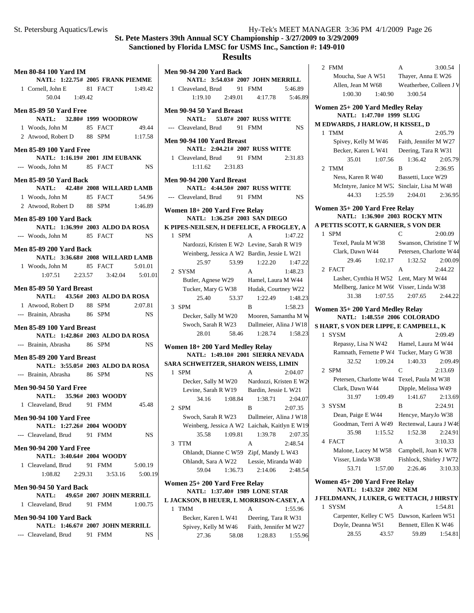2 FMM A 3:00.54 Moucha, Sue A W51 Thayer, Anna E W26 Allen, Jean M W68 Weatherbee, Colleen J W 1:00.30 1:40.90 3:00.54

1 TMM A 2:05.79 Spivey, Kelly M W46 Faith, Jennifer M W27 Becker, Karen L W41 Deering, Tara R W31 35.01 1:07.56 2:05.79 1:36.42

2 2:36.95 TMM B Ness, Karen R W40 Bassetti, Luce W29 McIntyre, Janice M W52 Sinclair, Lisa M W48 44.33 1:25.59 2:36.95 2:04.01

**NATL: 1:36.90# 2003 ROCKY MTN A PETTIS SCOTT, K GARNIER, S VON DER** 1 SPM C 2:00.09 Texel, Paula M W38 Swanson, Christine T W Clark, Dawn W44 Petersen, Charlotte W44 29.46 1:02.17 1:32.52 2:00.09

2 2:44.22 FACT A Lasher, Cynthia H W52 Lent, Mary M W44 Mellberg, Janice M W66 Visser, Linda W38 31.38 1:07.55 2:44.22 2:07.65

**NATL: 1:48.55# 2006 COLORADO S HART, S VON DER LIPPE, E CAMPBELL, K**

**Women 25+ 200 Yard Medley Relay NATL: 1:47.70# 1999 SLUG M EDWARDS, J HARLOW, H KISSEL, D**

**Women 35+ 200 Yard Free Relay**

**Women 35+ 200 Yard Medley Relay**

#### **St. Pete Masters 39th Annual SCY Championship - 3/27/2009 to 3/29/2009 Sanctioned by Florida LMSC for USMS Inc., Sanction #: 149-010**

#### **Results**

| <b>Men 80-84 100 Yard IM</b>                                | NATL: 1:22.75# 2005 FRANK PIEMME         |
|-------------------------------------------------------------|------------------------------------------|
| 1 Cornell, John E                                           | 81 FACT 1:49.42                          |
| 50.04 1:49.42                                               |                                          |
| Men 85-89 50 Yard Free                                      |                                          |
|                                                             | NATL: 32.80# 1999 WOODROW<br>49.44       |
| 1 Woods, John M 85 FACT                                     | 2 Atwood, Robert D 88 SPM 1:17.58        |
|                                                             |                                          |
| <b>Men 85-89 100 Yard Free</b>                              | NATL: 1:16.19# 2001 JIM EUBANK           |
| --- Woods, John M 85 FACT                                   | NS.                                      |
| <b>Men 85-89 50 Yard Back</b>                               | NATL: 42.48# 2008 WILLARD LAMB           |
|                                                             | 1 Woods, John M 85 FACT 54.96            |
|                                                             | 2 Atwood, Robert D 88 SPM 1:46.89        |
| <b>Men 85-89 100 Yard Back</b>                              |                                          |
|                                                             | NATL: 1:36.99# 2003 ALDO DA ROSA         |
| --- Woods, John M 85 FACT                                   | NS                                       |
| <b>Men 85-89 200 Yard Back</b>                              |                                          |
|                                                             | NATL: 3:36.68# 2008 WILLARD LAMB         |
| 1 Woods, John M 85 FACT                                     | 5:01.01                                  |
|                                                             | $1:07.51$ $2:23.57$ $3:42.04$ $5:01.01$  |
| Men 85-89 50 Yard Breast                                    | NATL: 43.56# 2003 ALDO DA ROSA           |
| 1 Atwood, Robert D 88 SPM                                   | 2:07.81                                  |
| --- Brainin, Abrasha 86 SPM                                 | NS                                       |
| Men 85-89 100 Yard Breast                                   | NATL: 1:42.86# 2003 ALDO DA ROSA         |
| --- Brainin, Abrasha 86 SPM                                 | NS.                                      |
| Men 85-89 200 Yard Breast                                   | NATL: 3:55.05# 2003 ALDO DA ROSA         |
| --- Brainin, Abrasha 86 SPM                                 | NS                                       |
|                                                             |                                          |
| <b>Men 90-94 50 Yard Free</b><br>NATL: 35.96# 2003 WOODY    |                                          |
| 1 Cleaveland, Brud 91 FMM                                   | 45.48                                    |
| <b>Men 90-94 100 Yard Free</b><br>NATL: 1:27.26# 2004 WOODY |                                          |
| --- Cleaveland, Brud 91 FMM                                 | NS.                                      |
| <b>Men 90-94 200 Yard Free</b><br>NATL: 3:40.64# 2004 WOODY |                                          |
| 1 Cleaveland, Brud 91 FMM                                   | 5:00.19                                  |
|                                                             | $1:08.82$ $2:29.31$ $3:53.16$<br>5:00.19 |
| Men 90-94 50 Yard Back                                      | NATL: 49.65# 2007 JOHN MERRILL           |
| 1 Cleaveland, Brud 91 FMM                                   | 1:00.75                                  |
| <b>Men 90-94 100 Yard Back</b>                              |                                          |
|                                                             | NATL: 1:46.67# 2007 JOHN MERRILL         |
| --- Cleaveland, Brud 91 FMM                                 | NS                                       |

|   | Men 90-94 200 Yard Back                                                                |                                                                                                                                                                                                                                                                                                  |           |
|---|----------------------------------------------------------------------------------------|--------------------------------------------------------------------------------------------------------------------------------------------------------------------------------------------------------------------------------------------------------------------------------------------------|-----------|
|   | NATL: 3:54.03# 2007 JOHN MERRILL                                                       |                                                                                                                                                                                                                                                                                                  |           |
|   | 1 Cleaveland, Brud 91 FMM                                                              |                                                                                                                                                                                                                                                                                                  | 5:46.89   |
|   | $1:19.10$ $2:49.01$                                                                    | 4:17.78                                                                                                                                                                                                                                                                                          | 5:46.89   |
|   | <b>Men 90-94 50 Yard Breast</b><br>NATL: 53.07# 2007 RUSS WITTE                        |                                                                                                                                                                                                                                                                                                  |           |
|   | --- Cleaveland, Brud 91 FMM                                                            |                                                                                                                                                                                                                                                                                                  | <b>NS</b> |
|   | Men 90-94 100 Yard Breast                                                              |                                                                                                                                                                                                                                                                                                  |           |
|   | NATL: 2:04.21# 2007 RUSS WITTE                                                         |                                                                                                                                                                                                                                                                                                  |           |
|   | 1 Cleaveland, Brud 91 FMM<br>$1:11.62$ $2:31.83$                                       |                                                                                                                                                                                                                                                                                                  | 2:31.83   |
|   |                                                                                        |                                                                                                                                                                                                                                                                                                  |           |
|   | Men 90-94 200 Yard Breast                                                              |                                                                                                                                                                                                                                                                                                  |           |
|   | NATL: 4:44.50# 2007 RUSS WITTE                                                         |                                                                                                                                                                                                                                                                                                  |           |
|   | --- Cleaveland, Brud 91 FMM                                                            |                                                                                                                                                                                                                                                                                                  | <b>NS</b> |
|   | Women 18+200 Yard Free Relay                                                           |                                                                                                                                                                                                                                                                                                  |           |
|   | NATL: 1:36.25# 2003 SAN DIEGO                                                          |                                                                                                                                                                                                                                                                                                  |           |
|   | K PIPES-NEILSEN, H DEFELICE, A FROGLEY, A                                              |                                                                                                                                                                                                                                                                                                  |           |
|   | 1 SPM                                                                                  | $\overline{A}$                                                                                                                                                                                                                                                                                   | 1:47.22   |
|   | Nardozzi, Kristen E W2 Levine, Sarah R W19                                             |                                                                                                                                                                                                                                                                                                  |           |
|   | Weinberg, Jessica A W2 Bardin, Jessie L W21                                            |                                                                                                                                                                                                                                                                                                  |           |
|   | 25.97<br>53.99                                                                         | 1:22.20                                                                                                                                                                                                                                                                                          | 1:47.22   |
|   | 2 SYSM                                                                                 | $\overline{A}$                                                                                                                                                                                                                                                                                   | 1:48.23   |
|   | Butler, Agnese W29 Hamel, Laura M W44                                                  |                                                                                                                                                                                                                                                                                                  |           |
|   | Tucker, Mary G W38 Hudak, Courtney W22                                                 |                                                                                                                                                                                                                                                                                                  |           |
|   | 25.40<br>53.37                                                                         | 1:22.49                                                                                                                                                                                                                                                                                          | 1:48.23   |
|   | 3 SPM                                                                                  | B                                                                                                                                                                                                                                                                                                | 1:58.23   |
|   | Decker, Sally M W20                                                                    | Mooren, Samantha M W                                                                                                                                                                                                                                                                             |           |
|   | Swoch, Sarah R W23 Dallmeier, Alina J W18                                              |                                                                                                                                                                                                                                                                                                  |           |
|   | 28.01<br>58.46                                                                         | 1:28.74                                                                                                                                                                                                                                                                                          | 1:58.23   |
|   |                                                                                        |                                                                                                                                                                                                                                                                                                  |           |
|   | Women 18+ 200 Yard Medley Relay<br>NATL: 1:49.10# 2001 SIERRA NEVADA                   |                                                                                                                                                                                                                                                                                                  |           |
|   | SARA SCHWEITZER, SHARON WEISS, LIMIN                                                   |                                                                                                                                                                                                                                                                                                  |           |
|   | 1 SPM                                                                                  | A                                                                                                                                                                                                                                                                                                | 2:04.07   |
|   |                                                                                        |                                                                                                                                                                                                                                                                                                  |           |
|   | Decker, Sally M W20 Nardozzi, Kristen E W2<br>Levine, Sarah R W19 Bardin, Jessie L W21 |                                                                                                                                                                                                                                                                                                  |           |
|   | 34.16 1:08.84                                                                          | 1:38.71                                                                                                                                                                                                                                                                                          | 2:04.07   |
|   | 2 SPM                                                                                  | $\mathbf{R}$ and $\mathbf{R}$ and $\mathbf{R}$ and $\mathbf{R}$ and $\mathbf{R}$ and $\mathbf{R}$ and $\mathbf{R}$ and $\mathbf{R}$ and $\mathbf{R}$ and $\mathbf{R}$ and $\mathbf{R}$ and $\mathbf{R}$ and $\mathbf{R}$ and $\mathbf{R}$ and $\mathbf{R}$ and $\mathbf{R}$ and $\mathbf{R}$ and | 2:07.35   |
|   |                                                                                        | Dallmeier, Alina J W18                                                                                                                                                                                                                                                                           |           |
|   | Swoch, Sarah R W23                                                                     |                                                                                                                                                                                                                                                                                                  |           |
|   | Weinberg, Jessica A W2 Laichak, Kaitlyn E W19<br>35.58<br>1:09.81                      | 1:39.78                                                                                                                                                                                                                                                                                          | 2:07.35   |
|   | <b>TTM</b>                                                                             | A                                                                                                                                                                                                                                                                                                |           |
| 3 |                                                                                        |                                                                                                                                                                                                                                                                                                  | 2:48.54   |
|   | Ohlandt, Dianne C W59                                                                  | Zipf, Mandy L W43<br>Lessie, Miranda W40                                                                                                                                                                                                                                                         |           |
|   | Ohlandt, Sara A W22<br>59.04<br>1:36.73                                                | 2:14.06                                                                                                                                                                                                                                                                                          | 2:48.54   |
|   |                                                                                        |                                                                                                                                                                                                                                                                                                  |           |
|   | Women 25+ 200 Yard Free Relay                                                          |                                                                                                                                                                                                                                                                                                  |           |
|   | NATL: 1:37.40# 1989 LONE STAR                                                          |                                                                                                                                                                                                                                                                                                  |           |
|   | L JACKSON, B HEUER, L MORRISON-CASEY, A                                                |                                                                                                                                                                                                                                                                                                  |           |
|   | 1 TMM                                                                                  | А                                                                                                                                                                                                                                                                                                | 1:55.96   |

27.36 58.08 1:55.96 1:28.83

| 28.01                                         | 58.46   | 1:28.74                           | 1:58.23 | 1 SYSM                                                   |         | $\mathsf{A}$            | 2:09.49 |
|-----------------------------------------------|---------|-----------------------------------|---------|----------------------------------------------------------|---------|-------------------------|---------|
| en 18+200 Yard Medley Relay                   |         |                                   |         | Repassy, Lisa N W42                                      |         | Hamel, Laura M W44      |         |
|                                               |         | NATL: 1:49.10# 2001 SIERRA NEVADA |         | Ramnath, Fernette P W4 Tucker, Mary G W38                |         |                         |         |
| <b>SCHWEITZER, SHARON WEISS, LIMIN</b>        |         |                                   |         | 32.52                                                    | 1:09.24 | 1:40.33                 | 2:09.49 |
| PM                                            |         | $\mathsf{A}$                      | 2:04.07 | 2 SPM                                                    |         | C                       | 2:13.69 |
| Decker, Sally M W20                           |         | Nardozzi, Kristen E W2            |         | Petersen, Charlotte W44 Texel, Paula M W38               |         |                         |         |
| Levine, Sarah R W19                           |         | Bardin, Jessie L W21              |         | Clark, Dawn W44                                          |         | Dipple, Melissa W49     |         |
| 34.16                                         | 1:08.84 | 1:38.71                           | 2:04.07 | 31.97                                                    | 1:09.49 | 1:41.67                 | 2:13.69 |
| PM                                            |         | R                                 | 2:07.35 | 3 SYSM                                                   |         | <sub>R</sub>            | 2:24.91 |
| Swoch, Sarah R W23                            |         | Dallmeier, Alina J W18            |         | Dean, Paige E W44                                        |         | Hencye, MaryJo W38      |         |
| Weinberg, Jessica A W2 Laichak, Kaitlyn E W19 |         |                                   |         | Goodman, Terri A W49 Rectenwal, Laura J W46              |         |                         |         |
| 35.58                                         | 1:09.81 | 1:39.78                           | 2:07.35 | 35.98                                                    | 1:15.52 | 1:52.38                 | 2:24.91 |
| 'TM                                           |         | A                                 | 2:48.54 | 4 FACT                                                   |         | A                       | 3:10.33 |
| Ohlandt, Dianne C W59                         |         | Zipf, Mandy L W43                 |         | Malone, Lucey M W58                                      |         | Campbell, Joan K W78    |         |
| Ohlandt, Sara A W22                           |         | Lessie, Miranda W40               |         | Visser, Linda W38                                        |         | Fishlock, Shirley J W72 |         |
| 59.04                                         | 1:36.73 | 2:14.06                           | 2:48.54 | 53.71                                                    | 1:57.00 | 2:26.46                 | 3:10.33 |
| en 25+ 200 Yard Free Relay                    |         | NATL: 1:37.40# 1989 LONE STAR     |         | Women 45+ 200 Yard Free Relay<br>NATL: 1:43.32# 2002 NEM |         |                         |         |
| KSON, B HEUER, L MORRISON-CASEY, A            |         |                                   |         | J FELDMANN, J LUKER, G WETTACH, J HIRSTY                 |         |                         |         |
| 'MM                                           |         | $\mathsf{A}$                      | 1:55.96 | 1 SYSM                                                   |         | A                       | 1:54.81 |
| Becker, Karen L W41                           |         | Deering, Tara R W31               |         | Carpenter, Kelley C W5 Dawson, Karleen W51               |         |                         |         |
| Spivey, Kelly M W46                           |         | Faith, Jennifer M W27             |         | Doyle, Deanna W51                                        |         | Bennett, Ellen K W46    |         |
|                                               |         | $27.36$ 58.08 1.28.83 1.55.06     |         | 28.55                                                    | 43.57   | 59.89                   | 1:54.81 |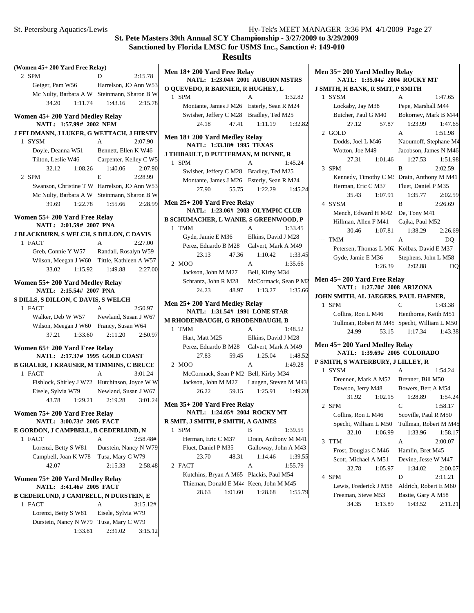# **Results**

| (Women 45+200 Yard Free Relay)                                                       |                         |  |
|--------------------------------------------------------------------------------------|-------------------------|--|
|                                                                                      | 2:15.78<br>D            |  |
| 2 SPM                                                                                |                         |  |
| Geiger, Pam W56 Harrelson, JO Ann W53<br>Mc Nulty, Barbara A W Steinmann, Sharon B W |                         |  |
| 34.20<br>1:11.74                                                                     |                         |  |
|                                                                                      | 1:43.16<br>2:15.78      |  |
| Women 45+200 Yard Medley Relay<br>NATL: 1:57.99# 2002 NEM                            |                         |  |
|                                                                                      |                         |  |
| J FELDMANN, J LUKER, G WETTACH, J HIRSTY<br>1 SYSM                                   | $\mathsf{A}$<br>2:07.90 |  |
| Doyle, Deanna W51 Bennett, Ellen K W46                                               |                         |  |
| Tilton, Leslie W46 Carpenter, Kelley C W5                                            |                         |  |
| 32.12<br>1:08.26                                                                     | 1:40.06<br>2:07.90      |  |
| 2 SPM                                                                                | E.<br>2:28.99           |  |
|                                                                                      |                         |  |
| Swanson, Christine T W Harrelson, JO Ann W53                                         |                         |  |
| Mc Nulty, Barbara A W Steinmann, Sharon B W                                          |                         |  |
| 39.69<br>1:22.78                                                                     | 1:55.66<br>2:28.99      |  |
| Women 55+200 Yard Free Relay<br>NATL: 2:01.59# 2007 PNA                              |                         |  |
|                                                                                      |                         |  |
| <b>J BLACKBURN, S WELCH, S DILLON, C DAVIS</b><br>1 FACT                             | $\mathsf{A}$<br>2:27.00 |  |
| Greb, Connie Y W57 Randall, Rosalyn W59                                              |                         |  |
|                                                                                      |                         |  |
| Wilson, Meegan J W60 Tittle, Kathleen A W57<br>33.02                                 | 1:49.88<br>2:27.00      |  |
| 1:15.92                                                                              |                         |  |
| Women 55+200 Yard Medley Relay                                                       |                         |  |
| NATL: 2:15.54# 2007 PNA                                                              |                         |  |
| S DILLS, S DILLON, C DAVIS, S WELCH                                                  |                         |  |
| 1 FACT                                                                               | A<br>2:50.97            |  |
| Walker, Deb W W57 Newland, Susan J W67                                               |                         |  |
| Wilson, Meegan J W60 Francy, Susan W64                                               |                         |  |
| 37.21<br>1:33.60                                                                     | 2:11.20<br>2:50.97      |  |
| Women 65+200 Yard Free Relay                                                         |                         |  |
| NATL: 2:17.37# 1995 GOLD COAST                                                       |                         |  |
| <b>B GRAUER, J KRAUSER, M TIMMINS, C BRUCE</b>                                       |                         |  |
| 1 FACT                                                                               | 3:01.24<br>A            |  |
| Fishlock, Shirley J W72 Hutchinson, Joyce W W                                        |                         |  |
| Eisele, Sylvia W79 Newland, Susan J W67                                              |                         |  |
| 43.78 1:29.21                                                                        | 2:19.28<br>3:01.24      |  |
| Women 75+ 200 Yard Free Relay                                                        |                         |  |
| NATL: 3:00.73# 2005 FACT                                                             |                         |  |
| E GORDON, J CAMPBELL, B CEDERLUND, N                                                 |                         |  |
| 1 FACT                                                                               | A<br>2:58.48#           |  |
| Lorenzi, Betty S W81                                                                 | Durstein, Nancy N W79   |  |
| Campbell, Joan K W78                                                                 | Tusa, Mary C W79        |  |
| 42.07                                                                                | 2:15.33<br>2:58.48      |  |
| Women 75+ 200 Yard Medley Relay                                                      |                         |  |
| NATL: 3:41.46# 2005 FACT                                                             |                         |  |
|                                                                                      |                         |  |
| <b>B CEDERLUND, J CAMPBELL, N DURSTEIN, E</b>                                        |                         |  |
| 1 FACT                                                                               | A<br>3:15.12#           |  |
| Lorenzi, Betty S W81                                                                 | Eisele, Sylvia W79      |  |
| Durstein, Nancy N W79                                                                | Tusa, Mary C W79        |  |

| Men 18+ 200 Yard Free Relay                                            |                                      |         |
|------------------------------------------------------------------------|--------------------------------------|---------|
| NATL: 1:23.04# 2001 AUBURN MSTRS                                       |                                      |         |
| O QUEVEDO, R BARNIER, R HUGHEY, L                                      |                                      |         |
| 1 SPM                                                                  | A                                    | 1:32.82 |
| Montante, James J M26 Esterly, Sean R M24                              |                                      |         |
| Swisher, Jeffery C M28 Bradley, Ted M25                                |                                      |         |
| 47.41<br>24.18                                                         | 1:11.19                              | 1:32.82 |
| Men 18+200 Yard Medley Relay<br>NATL: 1:33.18# 1995 TEXAS              |                                      |         |
| <b>J THIBAULT, D PUTTERMAN, M DUNNE, R</b>                             |                                      |         |
| 1 SPM                                                                  | A                                    | 1:45.24 |
| Swisher, Jeffery C M28 Bradley, Ted M25                                |                                      |         |
| Montante, James J M26 Esterly, Sean R M24                              |                                      |         |
| 27.90<br>55.75                                                         | 1:22.29                              | 1:45.24 |
|                                                                        |                                      |         |
| Men 25+ 200 Yard Free Relay<br><b>NATL: 1:23.06# 2003 OLYMPIC CLUB</b> |                                      |         |
| <b>B SCHUMACHER, L WANIE, S GREENWOOD, P</b>                           |                                      |         |
| 1 TMM                                                                  | $\overline{A}$                       | 1:33.45 |
| Gyde, Jamie E M36                                                      | Elkins, David J M28                  |         |
| Perez, Eduardo B M28 Calvert, Mark A M49                               |                                      |         |
| 23.13<br>47.36                                                         | 1:10.42                              | 1:33.45 |
| 2 MOO                                                                  | $\overline{A}$                       | 1:35.66 |
| Jackson, John M M27 Bell, Kirby M34                                    |                                      |         |
|                                                                        |                                      |         |
| Schrantz, John R M28 McCormack, Sean P M2<br>24.23<br>48.97            | 1:13.27                              | 1:35.66 |
|                                                                        |                                      |         |
| Men 25+ 200 Yard Medley Relay                                          |                                      |         |
| NATL: 1:31.54# 1991 LONE STAR                                          |                                      |         |
| M RHODENBAUGH, G RHODENBAUGH, B                                        |                                      |         |
| 1 TMM                                                                  | A                                    | 1:48.52 |
| Hart, Matt M25                                                         | Elkins, David J M28                  |         |
| Perez, Eduardo B M28 Calvert, Mark A M49                               |                                      |         |
| 59.45<br>27.83                                                         | 1:25.04                              | 1:48.52 |
| 2 MOO                                                                  | A                                    | 1:49.28 |
|                                                                        |                                      |         |
|                                                                        | McCormack, Sean P M2 Bell, Kirby M34 |         |
| Jackson, John M M27 Laugen, Steven M M43                               |                                      |         |
| 59.15<br>26.22                                                         | 1:25.91                              | 1:49.28 |
|                                                                        |                                      |         |
| Men 35+200 Yard Free Relay<br><b>NATL:</b>                             | 1:24.05# 2004 ROCKY MT               |         |
|                                                                        |                                      |         |
| R SMIT, J SMITH, P SMITH, A GAINES<br><b>SPM</b><br>1                  | B                                    | 1:39.55 |
| Herman, Eric C M37                                                     | Drain, Anthony M M41                 |         |
| Fluet, Daniel P M35                                                    | Galloway, John A M43                 |         |
| 23.70<br>48.31                                                         | 1:14.46                              | 1:39.55 |
| <b>FACT</b><br>2                                                       | A                                    | 1:55.79 |
| Kutchins, Bryan A M65                                                  | Plackis, Paul M54                    |         |
| Thieman, Donald E M44                                                  | Keen, John M M45                     |         |

| Men 35+200 Yard Medley Relay<br>NATL: 1:35.04# 2004 ROCKY MT  |                               |  |  |
|---------------------------------------------------------------|-------------------------------|--|--|
| J SMITH, H BANK, R SMIT, P SMITH                              |                               |  |  |
| 1 SYSM                                                        | A<br>1:47.65                  |  |  |
| Lockaby, Jay M38                                              | Pepe, Marshall M44            |  |  |
| Butcher, Paul G M40                                           | Bokorney, Mark B M44          |  |  |
| 27.12<br>57.87                                                | 1:23.99<br>1:47.65            |  |  |
| 2 GOLD                                                        | A<br>1:51.98                  |  |  |
| Dodds, Joel L M46                                             | Naoumoff, Stephane M4         |  |  |
| Wotton, Joe M49                                               | Jacobson, James N M46         |  |  |
| 27.31<br>1:01.46                                              | 1:27.53<br>1:51.98            |  |  |
| 3<br><b>SPM</b>                                               | 2:02.59<br>B                  |  |  |
| Kennedy, Timothy C M: Drain, Anthony M M41                    |                               |  |  |
| Herman, Eric C M37                                            | Fluet, Daniel P M35           |  |  |
| 35.43<br>1:07.91                                              | 1:35.77<br>2:02.59            |  |  |
| 4 SYSM                                                        | 2:26.69<br>B                  |  |  |
| Mench, Edward H M42                                           | De, Tony M41                  |  |  |
| Hillman, Allen F M41                                          | Cajka, Paul M52               |  |  |
| 30.46<br>1:07.81                                              | 1:38.29<br>2:26.69            |  |  |
| <b>TMM</b><br>---                                             | A<br>DO                       |  |  |
| Petersen, Thomas L M6. Kolbas, David E M37                    |                               |  |  |
| Gyde, Jamie E M36                                             | Stephens, John L M58          |  |  |
| 1:26.39                                                       | 2:02.88<br>DO                 |  |  |
|                                                               |                               |  |  |
| Men 45+ 200 Yard Free Relay                                   |                               |  |  |
| NATL: 1:27.70# 2008 ARIZONA                                   |                               |  |  |
|                                                               |                               |  |  |
| JOHN SMITH, AL JAEGERS, PAUL HAFNER,                          |                               |  |  |
| <b>SPM</b><br>1                                               | 1:43.38<br>C                  |  |  |
| Collins, Ron L M46 Henthorne, Keith M51                       |                               |  |  |
| Tullman, Robert M M45 Specht, William L M50<br>24.99<br>53.15 | 1:43.38                       |  |  |
|                                                               | 1:17.34                       |  |  |
| Men 45+200 Yard Medley Relay                                  |                               |  |  |
| NATL: 1:39.69# 2005 COLORADO                                  |                               |  |  |
| P SMITH, S WATERBURY, J LILLEY, R                             |                               |  |  |
| 1 SYSM                                                        | A<br>1:54.24                  |  |  |
| Drennen, Mark A M52 Brenner, Bill M50                         |                               |  |  |
| Dawson, Jerry M48                                             | Bowers, Bert A M54            |  |  |
| 1:02.15<br>31.92                                              | 1:28.89<br>1:54.24            |  |  |
| 2 SPM                                                         | 1:58.17<br>C                  |  |  |
| Collins, Ron L M46                                            | Scoville, Paul R M50          |  |  |
| Specht, William L M50                                         | Tullman, Robert M M45         |  |  |
| 32.10<br>1:06.99                                              | 1:33.96<br>1:58.17            |  |  |
| <b>TTM</b><br>3                                               | A<br>2:00.07                  |  |  |
| Frost, Douglas C M46                                          | Hamlin, Bret M45              |  |  |
| Scott, Michael A M51                                          | Devine, Jesse W M47           |  |  |
| 32.78<br>1:05.97                                              | 1:34.02<br>2:00.07            |  |  |
| <b>SPM</b><br>4                                               | D<br>2:11.21                  |  |  |
| Lewis, Frederick J M58                                        | Aldrich, Robert E M60         |  |  |
| Freeman, Steve M53<br>34.35                                   | Bastie, Gary A M58<br>1:43.52 |  |  |

 $\overline{\phantom{a}}$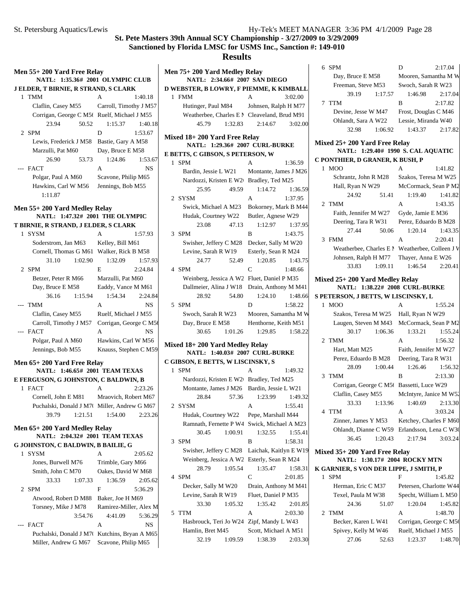| Men 55+ 200 Yard Free Relay                                      |                                     |  |
|------------------------------------------------------------------|-------------------------------------|--|
| NATL: 1:35.36# 2001 OLYMPIC CLUB                                 |                                     |  |
| <b>J ELDER, T BIRNIE, R STRAND, S CLARK</b>                      |                                     |  |
| $\mathbf{1}$<br><b>TMM</b>                                       | A<br>1:40.18                        |  |
| Claflin, Casey M55                                               | Carroll, Timothy J M57              |  |
| Corrigan, George C M5t Ruelf, Michael J M55                      |                                     |  |
| 23.94<br>50.52                                                   | 1:15.37<br>1:40.18                  |  |
| 2 SPM                                                            | D<br>1:53.67                        |  |
| Lewis, Frederick J M58                                           | Bastie, Gary A M58                  |  |
| Marzulli, Pat M60                                                | Day, Bruce E M58                    |  |
| 26.90<br>53.73                                                   | 1:24.86<br>1:53.67                  |  |
| --- FACT                                                         | A<br>NS                             |  |
| Polgar, Paul A M60                                               | Scavone, Philip M65                 |  |
| Hawkins, Carl W M56                                              | Jennings, Bob M55                   |  |
| 1:11.87                                                          |                                     |  |
|                                                                  |                                     |  |
| Men 55+ 200 Yard Medley Relay<br>NATL: 1:47.32# 2001 THE OLYMPIC |                                     |  |
| T BIRNIE, R STRAND, J ELDER, S CLARK                             |                                     |  |
| 1 SYSM                                                           | 1:57.93<br>A                        |  |
| Soderstrom, Jan M63                                              | Kelley, Bill M61                    |  |
| Cornell, Thomas G M61 Walker, Rick B M58                         |                                     |  |
| 31.10<br>1:02.90                                                 | 1:32.09<br>1:57.93                  |  |
| 2 SPM                                                            | E<br>2:24.84                        |  |
| Betzer, Peter R M66                                              | Marzulli, Pat M60                   |  |
| Day, Bruce E M58                                                 | Eaddy, Vance M M61                  |  |
| 36.16<br>1:15.94                                                 | 1:54.34<br>2:24.84                  |  |
| TMM<br>---                                                       | NS<br>А                             |  |
|                                                                  | Ruelf, Michael J M55                |  |
| Claflin, Casey M55                                               |                                     |  |
| Carroll, Timothy J M57                                           | Corrigan, George C M5t<br><b>NS</b> |  |
| <b>FACT</b>                                                      | A                                   |  |
| Polgar, Paul A M60<br>Jennings, Bob M55                          | Hawkins, Carl W M56                 |  |
|                                                                  | Knauss, Stephen C M59               |  |
| Men 65+200 Yard Free Relay                                       |                                     |  |
| NATL: 1:46.65# 2001 TEAM TEXAS                                   |                                     |  |
| E FERGUSON, G JOHNSTON, C BALDWIN, B                             |                                     |  |
| <b>FACT</b><br>1                                                 | A<br>2:23.26                        |  |
| Cornell, John E M81                                              | Mraovich, Robert M67                |  |
| Puchalski, Donald J M70 Miller, Andrew G M67                     |                                     |  |
| 1:21.51<br>39.79                                                 | 2:23.26<br>1:54.00                  |  |
| Men 65+ 200 Yard Medley Relay                                    |                                     |  |
| NATL: 2:04.32# 2001 TEAM TEXAS                                   |                                     |  |
| G JOHNSTON, C BALDWIN, B BAILIE, G                               |                                     |  |
| <b>SYSM</b><br>1                                                 | A<br>2:05.62                        |  |
| Jones, Burwell M76                                               | Trimble, Gary M66                   |  |
| Smith, John C M70                                                | Oakes, David W M68                  |  |
| 33.33<br>1:07.33                                                 | 1:36.59<br>2:05.62                  |  |
| <b>SPM</b><br>2                                                  | F<br>5:36.29                        |  |
| Atwood, Robert D M88                                             | Baker, Joe H M69                    |  |
| Torsney, Mike J M78                                              | Ramirez-Miller, Alex M              |  |
| 3:54.76                                                          | 5:36.29<br>4:41.09                  |  |
| --- FACT                                                         | A<br>NS                             |  |
| Puchalski, Donald J M70 Kutchins, Bryan A M65                    |                                     |  |
| Miller, Andrew G M67                                             | Scavone, Philip M65                 |  |
|                                                                  |                                     |  |

|   | Men 75+ 200 Yard Medley Relay<br>NATL: 2:34.66# 2007 SAN DIEGO |         |                                           |         |
|---|----------------------------------------------------------------|---------|-------------------------------------------|---------|
|   | D WEBSTER, B LOWRY, F PIEMME, K KIMBALL                        |         |                                           |         |
|   | 1 FMM                                                          |         | A                                         | 3:02.00 |
|   | Hutinger, Paul M84 Johnsen, Ralph H M77                        |         |                                           |         |
|   | Weatherbee, Charles E M Cleaveland, Brud M91                   |         |                                           |         |
|   | 45.79                                                          | 1:32.83 | 2:14.67                                   | 3:02.00 |
|   |                                                                |         |                                           |         |
|   | Mixed 18+200 Yard Free Relay<br>NATL: 1:29.36# 2007 CURL-BURKE |         |                                           |         |
|   | E BETTS, C GIBSON, S PETERSON, W                               |         |                                           |         |
|   | 1 SPM                                                          |         | A                                         | 1:36.59 |
|   | Bardin, Jessie L W21                                           |         | Montante, James J M26                     |         |
|   | Nardozzi, Kristen E W2+ Bradley, Ted M25                       |         |                                           |         |
|   | 25.95                                                          | 49.59   | 1:14.72                                   | 1:36.59 |
|   | 2 SYSM                                                         |         | A                                         | 1:37.95 |
|   | Swick, Michael A M23                                           |         | Bokorney, Mark B M44                      |         |
|   | Hudak, Courtney W22                                            |         | Butler, Agnese W29                        |         |
|   | 23.08                                                          | 47.13   | 1:12.97                                   | 1:37.95 |
|   | 3 SPM                                                          |         | B                                         | 1:43.75 |
|   | Swisher, Jeffery C M28                                         |         | Decker, Sally M W20                       |         |
|   | Levine, Sarah R W19                                            |         | Esterly, Sean R M24                       |         |
|   | 24.77                                                          | 52.49   | 1:20.85                                   | 1:43.75 |
|   | 4 SPM                                                          |         | $\overline{C}$                            | 1:48.66 |
|   | Weinberg, Jessica A W2 Fluet, Daniel P M35                     |         |                                           |         |
|   | Dallmeier, Alina J W18                                         |         | Drain, Anthony M M41                      |         |
|   | 28.92                                                          | 54.80   | 1:24.10                                   | 1:48.66 |
| 5 | <b>SPM</b>                                                     |         | D                                         | 1:58.22 |
|   | Swoch, Sarah R W23                                             |         |                                           |         |
|   |                                                                |         | Mooren, Samantha M W                      |         |
|   | Day, Bruce E M58                                               |         | Henthorne, Keith M51                      |         |
|   | 30.65                                                          | 1:01.26 | 1:29.85                                   | 1:58.22 |
|   | Mixed 18+200 Yard Medley Relay                                 |         |                                           |         |
|   | <b>NATL:</b>                                                   |         | 1:40.03# 2007 CURL-BURKE                  |         |
|   | C GIBSON, E BETTS, W LISCINSKY, S                              |         |                                           |         |
| 1 | <b>SPM</b>                                                     |         | $\Delta$                                  | 1:49.32 |
|   | Nardozzi, Kristen E W2+ Bradley, Ted M25                       |         |                                           |         |
|   | Montante, James J M26 Bardin, Jessie L W21                     |         |                                           |         |
|   | 28.84                                                          | 57.36   | 1:23.99                                   | 1:49.32 |
|   | 2 SYSM                                                         |         | А                                         | 1:55.41 |
|   | Hudak, Courtney W22                                            |         | Pepe, Marshall M44                        |         |
|   | Ramnath, Fernette P W4                                         |         | Swick, Michael A M23                      |         |
|   | 30.45                                                          | 1:00.91 | 1:32.55                                   | 1:55.41 |
| 3 | <b>SPM</b>                                                     |         | B                                         | 1:58.31 |
|   | Swisher, Jeffery C M28                                         |         | Laichak, Kaitlyn E W19                    |         |
|   | Weinberg, Jessica A W2                                         |         | Esterly, Sean R M24                       |         |
|   | 28.79                                                          | 1:05.54 | 1:35.47                                   | 1:58.31 |
| 4 | <b>SPM</b>                                                     |         | C                                         | 2:01.85 |
|   | Decker, Sally M W20                                            |         | Drain, Anthony M M41                      |         |
|   | Levine, Sarah R W19                                            |         | Fluet, Daniel P M35                       |         |
|   | 33.30                                                          | 1:05.32 | 1:35.42                                   | 2:01.85 |
| 5 | <b>TTM</b>                                                     |         | A                                         | 2:03.30 |
|   | Hasbrouck, Teri Jo W24<br>Hamlin, Bret M45                     |         | Zipf, Mandy L W43<br>Scott, Michael A M51 |         |

| 6 SPM                                        | D<br>2:17.04                                    |
|----------------------------------------------|-------------------------------------------------|
| Day, Bruce E M58                             | Mooren, Samantha M W                            |
| Freeman, Steve M53                           | Swoch, Sarah R W23                              |
| 39.19<br>1:17.57                             | 1:46.98<br>2:17.04                              |
| 7 TTM                                        | B<br>2:17.82                                    |
| Devine, Jesse W M47                          | Frost, Douglas C M46                            |
| Ohlandt, Sara A W22                          | Lessie, Miranda W40                             |
|                                              | 1:43.37                                         |
| 32.98<br>1:06.92                             | 2:17.82                                         |
| Mixed 25+200 Yard Free Relay                 |                                                 |
|                                              | NATL: 1:29.40# 1990 S. CAL AQUATIC              |
| C PONTHIER, D GRANER, K BUSH, P              |                                                 |
| <b>MOO</b><br>1                              | 1:41.82                                         |
| Schrantz, John R M28                         | Szakos, Teresa M W25                            |
| Hall, Ryan N W29                             | McCormack, Sean P M2                            |
| 24.92<br>51.41                               | 1:41.82<br>1:19.40                              |
| <b>TMM</b><br>2                              | 1:43.35<br>A                                    |
| Faith, Jennifer M W27                        | Gyde, Jamie E M36                               |
| Deering, Tara R W31                          | Perez, Eduardo B M28                            |
| 27.44<br>50.06                               | 1:43.35<br>1:20.14                              |
| 3 FMM                                        | A<br>2:20.41                                    |
|                                              | Weatherbee, Charles E M Weatherbee, Colleen J V |
| Johnsen, Ralph H M77                         | Thayer, Anna E W26                              |
| 33.83<br>1:09.11                             | 1:46.54<br>2:20.41                              |
|                                              |                                                 |
| Mixed 25+200 Yard Medley Relay               |                                                 |
| NATL: 1:38.22# 2008 CURL-BURKE               |                                                 |
| S PETERSON, J BETTS, W LISCINSKY, L          |                                                 |
|                                              |                                                 |
| 1 MOO                                        | 1:55.24<br>A                                    |
| Szakos, Teresa M W25                         | Hall, Ryan N W29                                |
|                                              | Laugen, Steven M M43 McCormack, Sean P M2       |
| 30.17<br>1:06.36                             | 1:33.21<br>1:55.24                              |
| 2<br><b>TMM</b>                              | 1:56.32<br>A                                    |
| Hart, Matt M25                               | Faith, Jennifer M W27                           |
| Perez, Eduardo B M28                         | Deering, Tara R W31                             |
| 28.09<br>1:00.44                             | 1:26.46<br>1:56.32                              |
| 3 TMM                                        | 2:13.30<br>B                                    |
| Corrigan, George C M5t Bassetti, Luce W29    |                                                 |
| Claflin, Casey M55                           | McIntyre, Janice M W52                          |
| 33.33<br>1:13.96                             | 1:40.69<br>2:13.30                              |
| <b>TTM</b><br>4                              | 3:03.24<br>А                                    |
|                                              |                                                 |
| Zinner, James Y M53                          | Ketchey, Charles F M60                          |
| Ohlandt, Dianne C W59                        | Erlandsson, Lena C W30                          |
| 36.45<br>1:20.43                             | 2:17.94<br>3:03.24                              |
| Mixed 35+200 Yard Free Relay<br><b>NATL:</b> | 1:30.17# 2004 ROCKY MTN                         |
| K GARNIER, S VON DER LIPPE, J SMITH, P       |                                                 |
| 1 SPM                                        | F<br>1:45.82                                    |
| Herman, Eric C M37                           | Petersen, Charlotte W44                         |
| Texel, Paula M W38                           | Specht, William L M50                           |
| 24.36<br>51.07                               | 1:20.04<br>1:45.82                              |
| TMM<br>2                                     | 1:48.70<br>A                                    |
| Becker, Karen L W41                          | Corrigan, George C M5t                          |
| Spivey, Kelly M W46                          | Ruelf, Michael J M55                            |